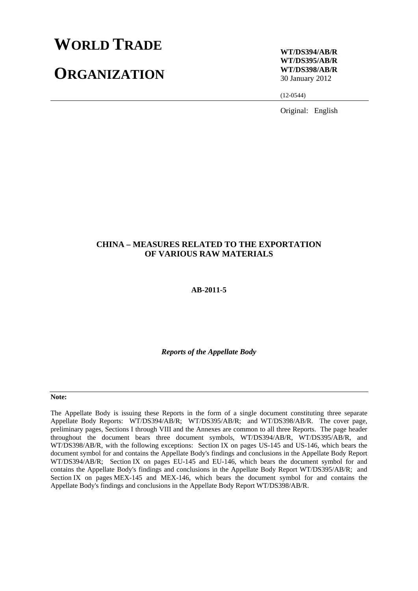# **WORLD TRADE**

## **ORGANIZATION**

**WT/DS394/AB/R WT/DS395/AB/R WT/DS398/AB/R**  30 January 2012

(12-0544)

Original: English

## **CHINA** *–* **MEASURES RELATED TO THE EXPORTATION OF VARIOUS RAW MATERIALS**

**AB-2011-5** 

*Reports of the Appellate Body* 

#### **Note:**

The Appellate Body is issuing these Reports in the form of a single document constituting three separate Appellate Body Reports: WT/DS394/AB/R; WT/DS395/AB/R; and WT/DS398/AB/R. The cover page, preliminary pages, Sections I through VIII and the Annexes are common to all three Reports. The page header throughout the document bears three document symbols, WT/DS394/AB/R, WT/DS395/AB/R, and WT/DS398/AB/R, with the following exceptions: Section IX on pages US-145 and US-146, which bears the document symbol for and contains the Appellate Body's findings and conclusions in the Appellate Body Report WT/DS394/AB/R; Section IX on pages EU-145 and EU-146, which bears the document symbol for and contains the Appellate Body's findings and conclusions in the Appellate Body Report WT/DS395/AB/R; and Section IX on pages MEX-145 and MEX-146, which bears the document symbol for and contains the Appellate Body's findings and conclusions in the Appellate Body Report WT/DS398/AB/R.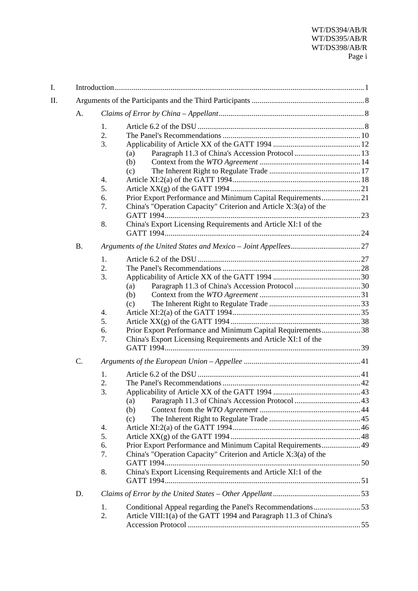| I. |           |                                                                                                                                                                                                                                                                        |  |  |  |
|----|-----------|------------------------------------------------------------------------------------------------------------------------------------------------------------------------------------------------------------------------------------------------------------------------|--|--|--|
| Π. |           |                                                                                                                                                                                                                                                                        |  |  |  |
|    | A.        |                                                                                                                                                                                                                                                                        |  |  |  |
|    |           | 1.<br>2.<br>3.<br>(a)<br>(b)<br>(c)<br>4.<br>5.<br>Prior Export Performance and Minimum Capital Requirements21<br>6.<br>China's "Operation Capacity" Criterion and Article X:3(a) of the<br>7.<br>China's Export Licensing Requirements and Article XI:1 of the<br>8.  |  |  |  |
|    | <b>B.</b> |                                                                                                                                                                                                                                                                        |  |  |  |
|    |           | 1.<br>2.<br>3.<br>(a)<br>(b)<br>(c)<br>4.<br>5.<br>Prior Export Performance and Minimum Capital Requirements38<br>6.<br>China's Export Licensing Requirements and Article XI:1 of the<br>7.                                                                            |  |  |  |
|    | C.        | 1.<br>2.<br>3.<br>(a)<br>(b)<br>(c)<br>4.<br>5.<br>Prior Export Performance and Minimum Capital Requirements 49<br>6.<br>China's "Operation Capacity" Criterion and Article X:3(a) of the<br>7.<br>China's Export Licensing Requirements and Article XI:1 of the<br>8. |  |  |  |
|    | D.        |                                                                                                                                                                                                                                                                        |  |  |  |
|    |           | Conditional Appeal regarding the Panel's Recommendations 53<br>1.<br>Article VIII:1(a) of the GATT 1994 and Paragraph 11.3 of China's<br>2.                                                                                                                            |  |  |  |
|    |           |                                                                                                                                                                                                                                                                        |  |  |  |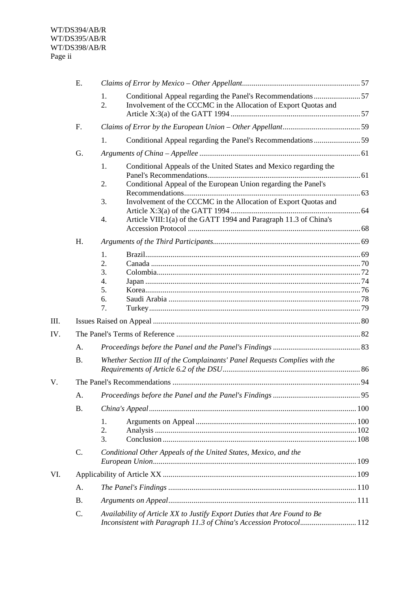|     | E.             |                                                                                                                                                |  |  |
|-----|----------------|------------------------------------------------------------------------------------------------------------------------------------------------|--|--|
|     |                | Conditional Appeal regarding the Panel's Recommendations 57<br>1.<br>2.<br>Involvement of the CCCMC in the Allocation of Export Quotas and     |  |  |
|     | F.             |                                                                                                                                                |  |  |
|     |                | Conditional Appeal regarding the Panel's Recommendations 59<br>1.                                                                              |  |  |
|     | G.             |                                                                                                                                                |  |  |
|     |                | Conditional Appeals of the United States and Mexico regarding the<br>1.                                                                        |  |  |
|     |                | Conditional Appeal of the European Union regarding the Panel's<br>2.                                                                           |  |  |
|     |                | Involvement of the CCCMC in the Allocation of Export Quotas and<br>3.                                                                          |  |  |
|     |                | Article VIII:1(a) of the GATT 1994 and Paragraph 11.3 of China's<br>4.                                                                         |  |  |
|     | H.             |                                                                                                                                                |  |  |
|     |                | 1.                                                                                                                                             |  |  |
|     |                | 2.                                                                                                                                             |  |  |
|     |                | 3.<br>4.                                                                                                                                       |  |  |
|     |                | 5.                                                                                                                                             |  |  |
|     |                | 6.                                                                                                                                             |  |  |
|     |                | 7.                                                                                                                                             |  |  |
| Ш.  |                |                                                                                                                                                |  |  |
| IV. |                |                                                                                                                                                |  |  |
|     | A.             |                                                                                                                                                |  |  |
|     | <b>B.</b>      | Whether Section III of the Complainants' Panel Requests Complies with the                                                                      |  |  |
| V.  |                |                                                                                                                                                |  |  |
|     | А.             |                                                                                                                                                |  |  |
|     | <b>B.</b>      |                                                                                                                                                |  |  |
|     |                | 1.                                                                                                                                             |  |  |
|     |                | 2.                                                                                                                                             |  |  |
|     |                | 3.                                                                                                                                             |  |  |
|     | C.             | Conditional Other Appeals of the United States, Mexico, and the                                                                                |  |  |
| VI. |                |                                                                                                                                                |  |  |
|     | A.             |                                                                                                                                                |  |  |
|     | <b>B.</b>      |                                                                                                                                                |  |  |
|     | $\mathsf{C}$ . | Availability of Article XX to Justify Export Duties that Are Found to Be<br>Inconsistent with Paragraph 11.3 of China's Accession Protocol 112 |  |  |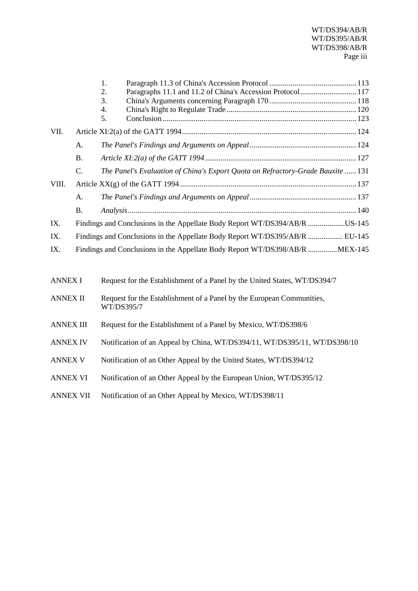#### WT/DS394/AB/R WT/DS395/AB/R WT/DS398/AB/R Page iii

|                  |                 | 1.<br>Paragraphs 11.1 and 11.2 of China's Accession Protocol 117<br>2.<br>3.<br>4.<br>5. |  |
|------------------|-----------------|------------------------------------------------------------------------------------------|--|
| VII.             |                 |                                                                                          |  |
|                  | A.              |                                                                                          |  |
|                  | <b>B.</b>       |                                                                                          |  |
|                  | $\mathcal{C}$ . | The Panel's Evaluation of China's Export Quota on Refractory-Grade Bauxite  131          |  |
| VIII.            |                 |                                                                                          |  |
|                  | A.              |                                                                                          |  |
|                  | <b>B.</b>       |                                                                                          |  |
| IX.              |                 |                                                                                          |  |
| IX.              |                 | Findings and Conclusions in the Appellate Body Report WT/DS395/AB/R  EU-145              |  |
| IX.              |                 | Findings and Conclusions in the Appellate Body Report WT/DS398/AB/R MEX-145              |  |
| <b>ANNEX I</b>   |                 | Request for the Establishment of a Panel by the United States, WT/DS394/7                |  |
| <b>ANNEX II</b>  |                 | Request for the Establishment of a Panel by the European Communities,<br>WT/DS395/7      |  |
| <b>ANNEX III</b> |                 | Request for the Establishment of a Panel by Mexico, WT/DS398/6                           |  |
| <b>ANNEX IV</b>  |                 | Notification of an Appeal by China, WT/DS394/11, WT/DS395/11, WT/DS398/10                |  |
| <b>ANNEX V</b>   |                 | Notification of an Other Appeal by the United States, WT/DS394/12                        |  |
| <b>ANNEX VI</b>  |                 | Notification of an Other Appeal by the European Union, WT/DS395/12                       |  |
| <b>ANNEX VII</b> |                 | Notification of an Other Appeal by Mexico, WT/DS398/11                                   |  |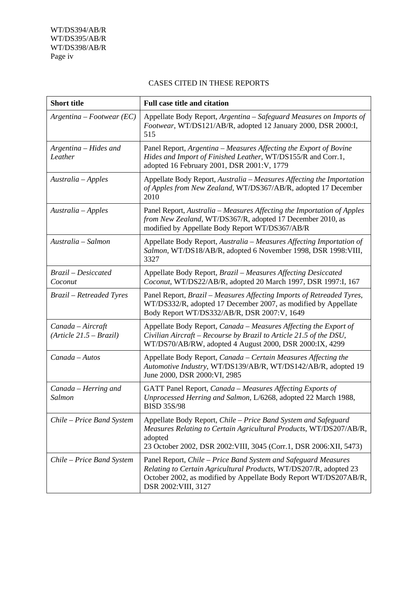WT/DS394/AB/R WT/DS395/AB/R WT/DS398/AB/R Page iv

## CASES CITED IN THESE REPORTS

| <b>Short title</b>                             | <b>Full case title and citation</b>                                                                                                                                                                                             |
|------------------------------------------------|---------------------------------------------------------------------------------------------------------------------------------------------------------------------------------------------------------------------------------|
| $Argentina - Foot wear (EC)$                   | Appellate Body Report, Argentina - Safeguard Measures on Imports of<br>Footwear, WT/DS121/AB/R, adopted 12 January 2000, DSR 2000:I,<br>515                                                                                     |
| Argentina – Hides and<br>Leather               | Panel Report, Argentina – Measures Affecting the Export of Bovine<br>Hides and Import of Finished Leather, WT/DS155/R and Corr.1,<br>adopted 16 February 2001, DSR 2001:V, 1779                                                 |
| Australia – Apples                             | Appellate Body Report, Australia – Measures Affecting the Importation<br>of Apples from New Zealand, WT/DS367/AB/R, adopted 17 December<br>2010                                                                                 |
| Australia – Apples                             | Panel Report, Australia – Measures Affecting the Importation of Apples<br>from New Zealand, WT/DS367/R, adopted 17 December 2010, as<br>modified by Appellate Body Report WT/DS367/AB/R                                         |
| Australia – Salmon                             | Appellate Body Report, Australia - Measures Affecting Importation of<br>Salmon, WT/DS18/AB/R, adopted 6 November 1998, DSR 1998: VIII,<br>3327                                                                                  |
| Brazil – Desiccated<br>Coconut                 | Appellate Body Report, Brazil - Measures Affecting Desiccated<br>Coconut, WT/DS22/AB/R, adopted 20 March 1997, DSR 1997:I, 167                                                                                                  |
| <b>Brazil</b> – Retreaded Tyres                | Panel Report, Brazil – Measures Affecting Imports of Retreaded Tyres,<br>WT/DS332/R, adopted 17 December 2007, as modified by Appellate<br>Body Report WT/DS332/AB/R, DSR 2007:V, 1649                                          |
| Canada - Aircraft<br>$(Article 21.5 - Brazil)$ | Appellate Body Report, Canada - Measures Affecting the Export of<br>Civilian Aircraft – Recourse by Brazil to Article 21.5 of the DSU,<br>WT/DS70/AB/RW, adopted 4 August 2000, DSR 2000:IX, 4299                               |
| $Canada - Autos$                               | Appellate Body Report, Canada - Certain Measures Affecting the<br>Automotive Industry, WT/DS139/AB/R, WT/DS142/AB/R, adopted 19<br>June 2000, DSR 2000: VI, 2985                                                                |
| Canada – Herring and<br>Salmon                 | GATT Panel Report, Canada – Measures Affecting Exports of<br>Unprocessed Herring and Salmon, L/6268, adopted 22 March 1988,<br><b>BISD 35S/98</b>                                                                               |
| Chile – Price Band System                      | Appellate Body Report, Chile - Price Band System and Safeguard<br>Measures Relating to Certain Agricultural Products, WT/DS207/AB/R,<br>adopted<br>23 October 2002, DSR 2002: VIII, 3045 (Corr.1, DSR 2006: XII, 5473)          |
| Chile – Price Band System                      | Panel Report, Chile – Price Band System and Safeguard Measures<br>Relating to Certain Agricultural Products, WT/DS207/R, adopted 23<br>October 2002, as modified by Appellate Body Report WT/DS207AB/R,<br>DSR 2002: VIII, 3127 |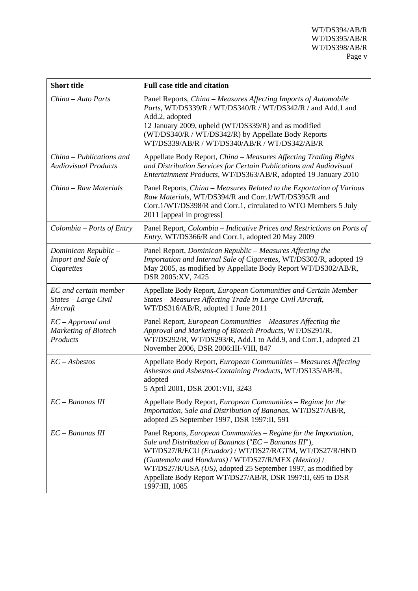| <b>Short title</b>                                              | <b>Full case title and citation</b>                                                                                                                                                                                                                                                                                                                                                                              |
|-----------------------------------------------------------------|------------------------------------------------------------------------------------------------------------------------------------------------------------------------------------------------------------------------------------------------------------------------------------------------------------------------------------------------------------------------------------------------------------------|
| China - Auto Parts                                              | Panel Reports, China - Measures Affecting Imports of Automobile<br>Parts, WT/DS339/R / WT/DS340/R / WT/DS342/R / and Add.1 and<br>Add.2, adopted<br>12 January 2009, upheld (WT/DS339/R) and as modified<br>(WT/DS340/R / WT/DS342/R) by Appellate Body Reports<br>WT/DS339/AB/R / WT/DS340/AB/R / WT/DS342/AB/R                                                                                                 |
| China – Publications and<br><b>Audiovisual Products</b>         | Appellate Body Report, China - Measures Affecting Trading Rights<br>and Distribution Services for Certain Publications and Audiovisual<br>Entertainment Products, WT/DS363/AB/R, adopted 19 January 2010                                                                                                                                                                                                         |
| China – Raw Materials                                           | Panel Reports, China - Measures Related to the Exportation of Various<br>Raw Materials, WT/DS394/R and Corr.1/WT/DS395/R and<br>Corr.1/WT/DS398/R and Corr.1, circulated to WTO Members 5 July<br>2011 [appeal in progress]                                                                                                                                                                                      |
| $Colombia - Ports \ of Entry$                                   | Panel Report, Colombia - Indicative Prices and Restrictions on Ports of<br>Entry, WT/DS366/R and Corr.1, adopted 20 May 2009                                                                                                                                                                                                                                                                                     |
| Dominican Republic -<br><b>Import and Sale of</b><br>Cigarettes | Panel Report, Dominican Republic - Measures Affecting the<br>Importation and Internal Sale of Cigarettes, WT/DS302/R, adopted 19<br>May 2005, as modified by Appellate Body Report WT/DS302/AB/R,<br>DSR 2005:XV, 7425                                                                                                                                                                                           |
| EC and certain member<br>States - Large Civil<br>Aircraft       | Appellate Body Report, European Communities and Certain Member<br>States - Measures Affecting Trade in Large Civil Aircraft,<br>WT/DS316/AB/R, adopted 1 June 2011                                                                                                                                                                                                                                               |
| $EC$ – Approval and<br><b>Marketing of Biotech</b><br>Products  | Panel Report, European Communities - Measures Affecting the<br>Approval and Marketing of Biotech Products, WT/DS291/R,<br>WT/DS292/R, WT/DS293/R, Add.1 to Add.9, and Corr.1, adopted 21<br>November 2006, DSR 2006:III-VIII, 847                                                                                                                                                                                |
| $EC - Asbestos$                                                 | Appellate Body Report, European Communities - Measures Affecting<br>Asbestos and Asbestos-Containing Products, WT/DS135/AB/R,<br>adopted<br>5 April 2001, DSR 2001: VII, 3243                                                                                                                                                                                                                                    |
| $EC - Bananas III$                                              | Appellate Body Report, European Communities – Regime for the<br>Importation, Sale and Distribution of Bananas, WT/DS27/AB/R,<br>adopted 25 September 1997, DSR 1997:II, 591                                                                                                                                                                                                                                      |
| $EC - Bananas III$                                              | Panel Reports, <i>European Communities</i> – <i>Regime for the Importation</i> ,<br>Sale and Distribution of Bananas (" $EC$ – Bananas III"),<br>WT/DS27/R/ECU (Ecuador) / WT/DS27/R/GTM, WT/DS27/R/HND<br>(Guatemala and Honduras) / WT/DS27/R/MEX (Mexico) /<br>WT/DS27/R/USA (US), adopted 25 September 1997, as modified by<br>Appellate Body Report WT/DS27/AB/R, DSR 1997:II, 695 to DSR<br>1997:III, 1085 |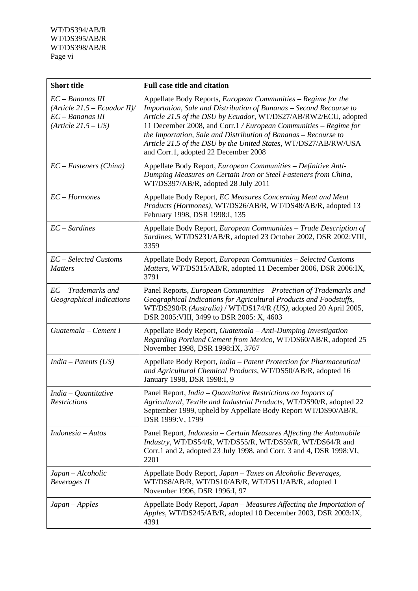WT/DS394/AB/R WT/DS395/AB/R WT/DS398/AB/R Page vi

| <b>Short title</b>                                                                             | <b>Full case title and citation</b>                                                                                                                                                                                                                                                                                                                                                                                                                      |
|------------------------------------------------------------------------------------------------|----------------------------------------------------------------------------------------------------------------------------------------------------------------------------------------------------------------------------------------------------------------------------------------------------------------------------------------------------------------------------------------------------------------------------------------------------------|
| EC - Bananas III<br>$(Article 21.5 - Ecuador II)$<br>EC - Bananas III<br>$(Article 21.5 - US)$ | Appellate Body Reports, European Communities – Regime for the<br>Importation, Sale and Distribution of Bananas - Second Recourse to<br>Article 21.5 of the DSU by Ecuador, WT/DS27/AB/RW2/ECU, adopted<br>11 December 2008, and Corr.1 / European Communities - Regime for<br>the Importation, Sale and Distribution of Bananas - Recourse to<br>Article 21.5 of the DSU by the United States, WT/DS27/AB/RW/USA<br>and Corr.1, adopted 22 December 2008 |
| $EC-Fasteners$ (China)                                                                         | Appellate Body Report, European Communities - Definitive Anti-<br>Dumping Measures on Certain Iron or Steel Fasteners from China,<br>WT/DS397/AB/R, adopted 28 July 2011                                                                                                                                                                                                                                                                                 |
| $EC-Hormones$                                                                                  | Appellate Body Report, EC Measures Concerning Meat and Meat<br>Products (Hormones), WT/DS26/AB/R, WT/DS48/AB/R, adopted 13<br>February 1998, DSR 1998:I, 135                                                                                                                                                                                                                                                                                             |
| $EC-Sardines$                                                                                  | Appellate Body Report, European Communities - Trade Description of<br>Sardines, WT/DS231/AB/R, adopted 23 October 2002, DSR 2002: VIII,<br>3359                                                                                                                                                                                                                                                                                                          |
| EC – Selected Customs<br><b>Matters</b>                                                        | Appellate Body Report, European Communities - Selected Customs<br>Matters, WT/DS315/AB/R, adopted 11 December 2006, DSR 2006:IX,<br>3791                                                                                                                                                                                                                                                                                                                 |
| EC – Trademarks and<br><b>Geographical Indications</b>                                         | Panel Reports, European Communities - Protection of Trademarks and<br>Geographical Indications for Agricultural Products and Foodstuffs,<br>WT/DS290/R (Australia) / WT/DS174/R (US), adopted 20 April 2005,<br>DSR 2005: VIII, 3499 to DSR 2005: X, 4603                                                                                                                                                                                                |
| Guatemala - Cement I                                                                           | Appellate Body Report, Guatemala - Anti-Dumping Investigation<br>Regarding Portland Cement from Mexico, WT/DS60/AB/R, adopted 25<br>November 1998, DSR 1998:IX, 3767                                                                                                                                                                                                                                                                                     |
| $India - Patents (US)$                                                                         | Appellate Body Report, India - Patent Protection for Pharmaceutical<br>and Agricultural Chemical Products, WT/DS50/AB/R, adopted 16<br>January 1998, DSR 1998:I, 9                                                                                                                                                                                                                                                                                       |
| $India - Quantitative$<br><b>Restrictions</b>                                                  | Panel Report, India - Quantitative Restrictions on Imports of<br>Agricultural, Textile and Industrial Products, WT/DS90/R, adopted 22<br>September 1999, upheld by Appellate Body Report WT/DS90/AB/R,<br>DSR 1999: V, 1799                                                                                                                                                                                                                              |
| Indonesia - Autos                                                                              | Panel Report, Indonesia – Certain Measures Affecting the Automobile<br>Industry, WT/DS54/R, WT/DS55/R, WT/DS59/R, WT/DS64/R and<br>Corr.1 and 2, adopted 23 July 1998, and Corr. 3 and 4, DSR 1998: VI,<br>2201                                                                                                                                                                                                                                          |
| Japan – Alcoholic<br><b>Beverages II</b>                                                       | Appellate Body Report, Japan - Taxes on Alcoholic Beverages,<br>WT/DS8/AB/R, WT/DS10/AB/R, WT/DS11/AB/R, adopted 1<br>November 1996, DSR 1996:I, 97                                                                                                                                                                                                                                                                                                      |
| $Japan - Apples$                                                                               | Appellate Body Report, Japan – Measures Affecting the Importation of<br>Apples, WT/DS245/AB/R, adopted 10 December 2003, DSR 2003:IX,<br>4391                                                                                                                                                                                                                                                                                                            |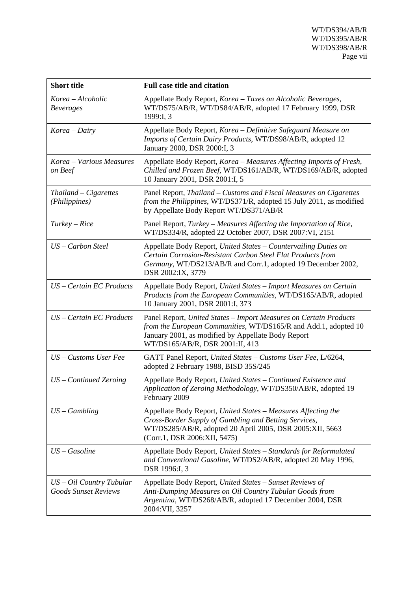| <b>Short title</b>                                        | Full case title and citation                                                                                                                                                                                                  |
|-----------------------------------------------------------|-------------------------------------------------------------------------------------------------------------------------------------------------------------------------------------------------------------------------------|
| Korea - Alcoholic<br><b>Beverages</b>                     | Appellate Body Report, Korea - Taxes on Alcoholic Beverages,<br>WT/DS75/AB/R, WT/DS84/AB/R, adopted 17 February 1999, DSR<br>1999:I, 3                                                                                        |
| Korea – Dairy                                             | Appellate Body Report, Korea - Definitive Safeguard Measure on<br>Imports of Certain Dairy Products, WT/DS98/AB/R, adopted 12<br>January 2000, DSR 2000:I, 3                                                                  |
| Korea - Various Measures<br>on Beef                       | Appellate Body Report, Korea - Measures Affecting Imports of Fresh,<br>Chilled and Frozen Beef, WT/DS161/AB/R, WT/DS169/AB/R, adopted<br>10 January 2001, DSR 2001:I, 5                                                       |
| $Thailand-Cigarettes$<br>(Philippines)                    | Panel Report, Thailand – Customs and Fiscal Measures on Cigarettes<br>from the Philippines, WT/DS371/R, adopted 15 July 2011, as modified<br>by Appellate Body Report WT/DS371/AB/R                                           |
| $Turkey - Rice$                                           | Panel Report, Turkey - Measures Affecting the Importation of Rice,<br>WT/DS334/R, adopted 22 October 2007, DSR 2007:VI, 2151                                                                                                  |
| US – Carbon Steel                                         | Appellate Body Report, United States - Countervailing Duties on<br>Certain Corrosion-Resistant Carbon Steel Flat Products from<br>Germany, WT/DS213/AB/R and Corr.1, adopted 19 December 2002,<br>DSR 2002:IX, 3779           |
| US - Certain EC Products                                  | Appellate Body Report, United States - Import Measures on Certain<br>Products from the European Communities, WT/DS165/AB/R, adopted<br>10 January 2001, DSR 2001:I, 373                                                       |
| US – Certain EC Products                                  | Panel Report, United States - Import Measures on Certain Products<br>from the European Communities, WT/DS165/R and Add.1, adopted 10<br>January 2001, as modified by Appellate Body Report<br>WT/DS165/AB/R, DSR 2001:II, 413 |
| US - Customs User Fee                                     | GATT Panel Report, United States - Customs User Fee, L/6264,<br>adopted 2 February 1988, BISD 35S/245                                                                                                                         |
| $US$ – Continued Zeroing                                  | Appellate Body Report, United States - Continued Existence and<br>Application of Zeroing Methodology, WT/DS350/AB/R, adopted 19<br>February 2009                                                                              |
| $US-Gambling$                                             | Appellate Body Report, United States - Measures Affecting the<br>Cross-Border Supply of Gambling and Betting Services,<br>WT/DS285/AB/R, adopted 20 April 2005, DSR 2005:XII, 5663<br>(Corr.1, DSR 2006:XII, 5475)            |
| $US-Gasoline$                                             | Appellate Body Report, United States - Standards for Reformulated<br>and Conventional Gasoline, WT/DS2/AB/R, adopted 20 May 1996,<br>DSR 1996:I, 3                                                                            |
| $US - Oil$ Country Tubular<br><b>Goods Sunset Reviews</b> | Appellate Body Report, United States - Sunset Reviews of<br>Anti-Dumping Measures on Oil Country Tubular Goods from<br>Argentina, WT/DS268/AB/R, adopted 17 December 2004, DSR<br>2004: VII, 3257                             |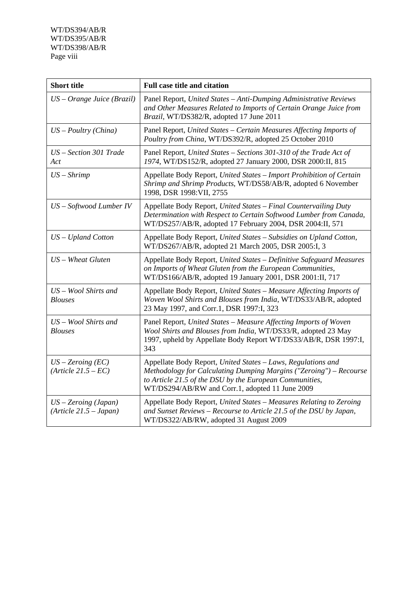WT/DS394/AB/R WT/DS395/AB/R WT/DS398/AB/R Page viii

| <b>Short title</b>                               | Full case title and citation                                                                                                                                                                                                                     |
|--------------------------------------------------|--------------------------------------------------------------------------------------------------------------------------------------------------------------------------------------------------------------------------------------------------|
| US - Orange Juice (Brazil)                       | Panel Report, United States - Anti-Dumping Administrative Reviews<br>and Other Measures Related to Imports of Certain Orange Juice from<br>Brazil, WT/DS382/R, adopted 17 June 2011                                                              |
| $US - \text{Poultry}(China)$                     | Panel Report, United States - Certain Measures Affecting Imports of<br>Poultry from China, WT/DS392/R, adopted 25 October 2010                                                                                                                   |
| US - Section 301 Trade<br>Act                    | Panel Report, United States - Sections 301-310 of the Trade Act of<br>1974, WT/DS152/R, adopted 27 January 2000, DSR 2000:II, 815                                                                                                                |
| $US - Shrimp$                                    | Appellate Body Report, United States - Import Prohibition of Certain<br>Shrimp and Shrimp Products, WT/DS58/AB/R, adopted 6 November<br>1998, DSR 1998: VII, 2755                                                                                |
| US - Softwood Lumber IV                          | Appellate Body Report, United States - Final Countervailing Duty<br>Determination with Respect to Certain Softwood Lumber from Canada,<br>WT/DS257/AB/R, adopted 17 February 2004, DSR 2004:II, 571                                              |
| US - Upland Cotton                               | Appellate Body Report, United States - Subsidies on Upland Cotton,<br>WT/DS267/AB/R, adopted 21 March 2005, DSR 2005:I, 3                                                                                                                        |
| US - Wheat Gluten                                | Appellate Body Report, United States - Definitive Safeguard Measures<br>on Imports of Wheat Gluten from the European Communities,<br>WT/DS166/AB/R, adopted 19 January 2001, DSR 2001:II, 717                                                    |
| US - Wool Shirts and<br><b>Blouses</b>           | Appellate Body Report, United States - Measure Affecting Imports of<br>Woven Wool Shirts and Blouses from India, WT/DS33/AB/R, adopted<br>23 May 1997, and Corr.1, DSR 1997:I, 323                                                               |
| US - Wool Shirts and<br>Blouses                  | Panel Report, United States - Measure Affecting Imports of Woven<br>Wool Shirts and Blouses from India, WT/DS33/R, adopted 23 May<br>1997, upheld by Appellate Body Report WT/DS33/AB/R, DSR 1997:I,<br>343                                      |
| $US - Zeroing (EC)$<br>$(Article 21.5 - EC)$     | Appellate Body Report, United States - Laws, Regulations and<br>Methodology for Calculating Dumping Margins ("Zeroing") - Recourse<br>to Article 21.5 of the DSU by the European Communities,<br>WT/DS294/AB/RW and Corr.1, adopted 11 June 2009 |
| $US - Zeroing (Japan)$<br>$(Article 21.5-Japan)$ | Appellate Body Report, United States - Measures Relating to Zeroing<br>and Sunset Reviews - Recourse to Article 21.5 of the DSU by Japan,<br>WT/DS322/AB/RW, adopted 31 August 2009                                                              |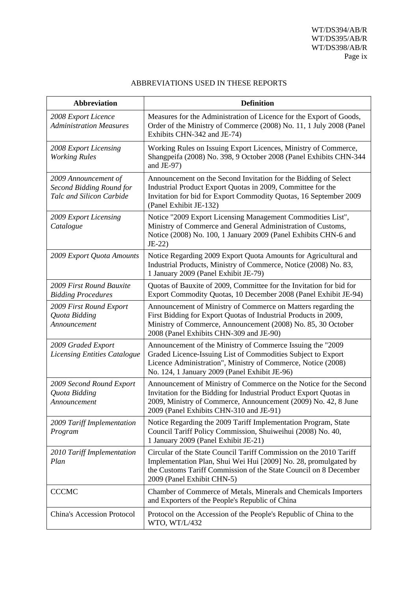| <b>Abbreviation</b>                                                          | <b>Definition</b>                                                                                                                                                                                                                                    |
|------------------------------------------------------------------------------|------------------------------------------------------------------------------------------------------------------------------------------------------------------------------------------------------------------------------------------------------|
| 2008 Export Licence<br><b>Administration Measures</b>                        | Measures for the Administration of Licence for the Export of Goods,<br>Order of the Ministry of Commerce (2008) No. 11, 1 July 2008 (Panel<br>Exhibits CHN-342 and JE-74)                                                                            |
| 2008 Export Licensing<br><b>Working Rules</b>                                | Working Rules on Issuing Export Licences, Ministry of Commerce,<br>Shangpeifa (2008) No. 398, 9 October 2008 (Panel Exhibits CHN-344<br>and JE-97)                                                                                                   |
| 2009 Announcement of<br>Second Bidding Round for<br>Talc and Silicon Carbide | Announcement on the Second Invitation for the Bidding of Select<br>Industrial Product Export Quotas in 2009, Committee for the<br>Invitation for bid for Export Commodity Quotas, 16 September 2009<br>(Panel Exhibit JE-132)                        |
| 2009 Export Licensing<br>Catalogue                                           | Notice "2009 Export Licensing Management Commodities List",<br>Ministry of Commerce and General Administration of Customs,<br>Notice (2008) No. 100, 1 January 2009 (Panel Exhibits CHN-6 and<br>$JE-22)$                                            |
| 2009 Export Quota Amounts                                                    | Notice Regarding 2009 Export Quota Amounts for Agricultural and<br>Industrial Products, Ministry of Commerce, Notice (2008) No. 83,<br>1 January 2009 (Panel Exhibit JE-79)                                                                          |
| 2009 First Round Bauxite<br><b>Bidding Procedures</b>                        | Quotas of Bauxite of 2009, Committee for the Invitation for bid for<br>Export Commodity Quotas, 10 December 2008 (Panel Exhibit JE-94)                                                                                                               |
| 2009 First Round Export<br>Quota Bidding<br>Announcement                     | Announcement of Ministry of Commerce on Matters regarding the<br>First Bidding for Export Quotas of Industrial Products in 2009,<br>Ministry of Commerce, Announcement (2008) No. 85, 30 October<br>2008 (Panel Exhibits CHN-309 and JE-90)          |
| 2009 Graded Export<br><b>Licensing Entities Catalogue</b>                    | Announcement of the Ministry of Commerce Issuing the "2009<br>Graded Licence-Issuing List of Commodities Subject to Export<br>Licence Administration", Ministry of Commerce, Notice (2008)<br>No. 124, 1 January 2009 (Panel Exhibit JE-96)          |
| 2009 Second Round Export<br>Quota Bidding<br>Announcement                    | Announcement of Ministry of Commerce on the Notice for the Second<br>Invitation for the Bidding for Industrial Product Export Quotas in<br>2009, Ministry of Commerce, Announcement (2009) No. 42, 8 June<br>2009 (Panel Exhibits CHN-310 and JE-91) |
| 2009 Tariff Implementation<br>Program                                        | Notice Regarding the 2009 Tariff Implementation Program, State<br>Council Tariff Policy Commission, Shuiweihui (2008) No. 40,<br>1 January 2009 (Panel Exhibit JE-21)                                                                                |
| 2010 Tariff Implementation<br>Plan                                           | Circular of the State Council Tariff Commission on the 2010 Tariff<br>Implementation Plan, Shui Wei Hui [2009] No. 28, promulgated by<br>the Customs Tariff Commission of the State Council on 8 December<br>2009 (Panel Exhibit CHN-5)              |
| <b>CCCMC</b>                                                                 | Chamber of Commerce of Metals, Minerals and Chemicals Importers<br>and Exporters of the People's Republic of China                                                                                                                                   |
| <b>China's Accession Protocol</b>                                            | Protocol on the Accession of the People's Republic of China to the<br>WTO, WT/L/432                                                                                                                                                                  |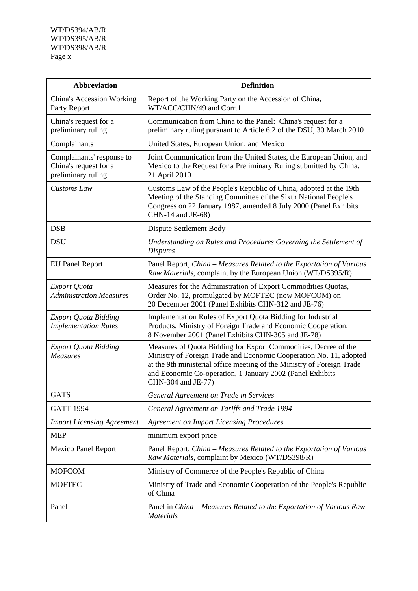WT/DS394/AB/R WT/DS395/AB/R WT/DS398/AB/R Page x

| <b>Abbreviation</b>                                                      | <b>Definition</b>                                                                                                                                                                                                                                                                                  |
|--------------------------------------------------------------------------|----------------------------------------------------------------------------------------------------------------------------------------------------------------------------------------------------------------------------------------------------------------------------------------------------|
| China's Accession Working<br>Party Report                                | Report of the Working Party on the Accession of China,<br>WT/ACC/CHN/49 and Corr.1                                                                                                                                                                                                                 |
| China's request for a<br>preliminary ruling                              | Communication from China to the Panel: China's request for a<br>preliminary ruling pursuant to Article 6.2 of the DSU, 30 March 2010                                                                                                                                                               |
| Complainants                                                             | United States, European Union, and Mexico                                                                                                                                                                                                                                                          |
| Complainants' response to<br>China's request for a<br>preliminary ruling | Joint Communication from the United States, the European Union, and<br>Mexico to the Request for a Preliminary Ruling submitted by China,<br>21 April 2010                                                                                                                                         |
| Customs Law                                                              | Customs Law of the People's Republic of China, adopted at the 19th<br>Meeting of the Standing Committee of the Sixth National People's<br>Congress on 22 January 1987, amended 8 July 2000 (Panel Exhibits<br>CHN-14 and JE-68)                                                                    |
| <b>DSB</b>                                                               | Dispute Settlement Body                                                                                                                                                                                                                                                                            |
| <b>DSU</b>                                                               | Understanding on Rules and Procedures Governing the Settlement of<br><b>Disputes</b>                                                                                                                                                                                                               |
| <b>EU Panel Report</b>                                                   | Panel Report, China - Measures Related to the Exportation of Various<br>Raw Materials, complaint by the European Union (WT/DS395/R)                                                                                                                                                                |
| Export Quota<br><b>Administration Measures</b>                           | Measures for the Administration of Export Commodities Quotas,<br>Order No. 12, promulgated by MOFTEC (now MOFCOM) on<br>20 December 2001 (Panel Exhibits CHN-312 and JE-76)                                                                                                                        |
| <b>Export Quota Bidding</b><br><b>Implementation Rules</b>               | Implementation Rules of Export Quota Bidding for Industrial<br>Products, Ministry of Foreign Trade and Economic Cooperation,<br>8 November 2001 (Panel Exhibits CHN-305 and JE-78)                                                                                                                 |
| <b>Export Quota Bidding</b><br><b>Measures</b>                           | Measures of Quota Bidding for Export Commodities, Decree of the<br>Ministry of Foreign Trade and Economic Cooperation No. 11, adopted<br>at the 9th ministerial office meeting of the Ministry of Foreign Trade<br>and Economic Co-operation, 1 January 2002 (Panel Exhibits<br>CHN-304 and JE-77) |
| GATS                                                                     | General Agreement on Trade in Services                                                                                                                                                                                                                                                             |
| <b>GATT 1994</b>                                                         | General Agreement on Tariffs and Trade 1994                                                                                                                                                                                                                                                        |
| <b>Import Licensing Agreement</b>                                        | <b>Agreement on Import Licensing Procedures</b>                                                                                                                                                                                                                                                    |
| <b>MEP</b>                                                               | minimum export price                                                                                                                                                                                                                                                                               |
| <b>Mexico Panel Report</b>                                               | Panel Report, China – Measures Related to the Exportation of Various<br>Raw Materials, complaint by Mexico (WT/DS398/R)                                                                                                                                                                            |
| <b>MOFCOM</b>                                                            | Ministry of Commerce of the People's Republic of China                                                                                                                                                                                                                                             |
| <b>MOFTEC</b>                                                            | Ministry of Trade and Economic Cooperation of the People's Republic<br>of China                                                                                                                                                                                                                    |
| Panel                                                                    | Panel in China - Measures Related to the Exportation of Various Raw<br><b>Materials</b>                                                                                                                                                                                                            |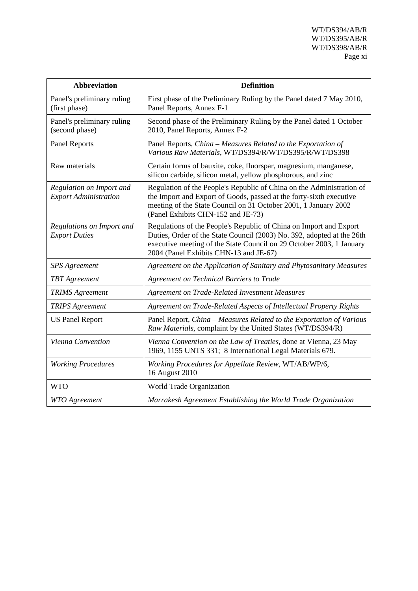| <b>Abbreviation</b>                                      | <b>Definition</b>                                                                                                                                                                                                                                              |
|----------------------------------------------------------|----------------------------------------------------------------------------------------------------------------------------------------------------------------------------------------------------------------------------------------------------------------|
| Panel's preliminary ruling<br>(first phase)              | First phase of the Preliminary Ruling by the Panel dated 7 May 2010,<br>Panel Reports, Annex F-1                                                                                                                                                               |
| Panel's preliminary ruling<br>(second phase)             | Second phase of the Preliminary Ruling by the Panel dated 1 October<br>2010, Panel Reports, Annex F-2                                                                                                                                                          |
| <b>Panel Reports</b>                                     | Panel Reports, China - Measures Related to the Exportation of<br>Various Raw Materials, WT/DS394/R/WT/DS395/R/WT/DS398                                                                                                                                         |
| Raw materials                                            | Certain forms of bauxite, coke, fluorspar, magnesium, manganese,<br>silicon carbide, silicon metal, yellow phosphorous, and zinc                                                                                                                               |
| Regulation on Import and<br><b>Export Administration</b> | Regulation of the People's Republic of China on the Administration of<br>the Import and Export of Goods, passed at the forty-sixth executive<br>meeting of the State Council on 31 October 2001, 1 January 2002<br>(Panel Exhibits CHN-152 and JE-73)          |
| Regulations on Import and<br><b>Export Duties</b>        | Regulations of the People's Republic of China on Import and Export<br>Duties, Order of the State Council (2003) No. 392, adopted at the 26th<br>executive meeting of the State Council on 29 October 2003, 1 January<br>2004 (Panel Exhibits CHN-13 and JE-67) |
| <b>SPS</b> Agreement                                     | Agreement on the Application of Sanitary and Phytosanitary Measures                                                                                                                                                                                            |
| <b>TBT</b> Agreement                                     | <b>Agreement on Technical Barriers to Trade</b>                                                                                                                                                                                                                |
| <b>TRIMS</b> Agreement                                   | <b>Agreement on Trade-Related Investment Measures</b>                                                                                                                                                                                                          |
| <b>TRIPS</b> Agreement                                   | Agreement on Trade-Related Aspects of Intellectual Property Rights                                                                                                                                                                                             |
| <b>US Panel Report</b>                                   | Panel Report, China - Measures Related to the Exportation of Various<br>Raw Materials, complaint by the United States (WT/DS394/R)                                                                                                                             |
| Vienna Convention                                        | Vienna Convention on the Law of Treaties, done at Vienna, 23 May<br>1969, 1155 UNTS 331; 8 International Legal Materials 679.                                                                                                                                  |
| <b>Working Procedures</b>                                | Working Procedures for Appellate Review, WT/AB/WP/6,<br>16 August 2010                                                                                                                                                                                         |
| <b>WTO</b>                                               | World Trade Organization                                                                                                                                                                                                                                       |
| <b>WTO</b> Agreement                                     | Marrakesh Agreement Establishing the World Trade Organization                                                                                                                                                                                                  |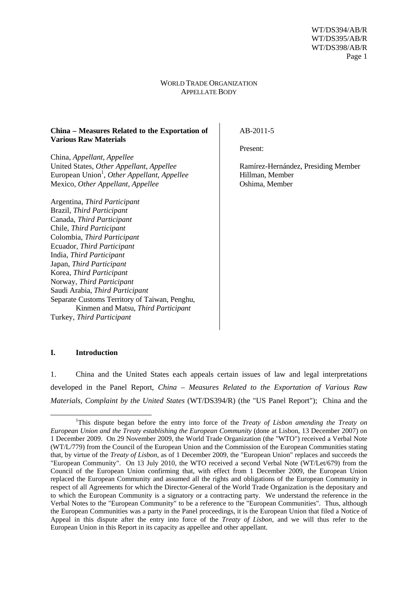#### WORLD TRADE ORGANIZATION APPELLATE BODY

#### **China** *–* **Measures Related to the Exportation of Various Raw Materials**

China, *Appellant*, *Appellee*  United States, *Other Appellant*, *Appellee* European Union<sup>1</sup>, Other Appellant, Appellee Mexico, *Other Appellant*, *Appellee*

Argentina, *Third Participant* Brazil, *Third Participant*  Canada, *Third Participant*  Chile, *Third Participant*  Colombia, *Third Participant*  Ecuador, *Third Participant* India, *Third Participant*  Japan, *Third Participant*  Korea, *Third Participant*  Norway, *Third Participant*  Saudi Arabia, *Third Participant* Separate Customs Territory of Taiwan, Penghu, Kinmen and Matsu, *Third Participant* Turkey, *Third Participant* 

AB-2011-5

Present:

 Ramírez-Hernández, Presiding Member Hillman, Member Oshima, Member

#### **I. Introduction**

1. China and the United States each appeals certain issues of law and legal interpretations developed in the Panel Report, *China – Measures Related to the Exportation of Various Raw Materials, Complaint by the United States* (WT/DS394/R) (the "US Panel Report"); China and the

<sup>&</sup>lt;u>1</u> This dispute began before the entry into force of the *Treaty of Lisbon amending the Treaty on European Union and the Treaty establishing the European Community* (done at Lisbon, 13 December 2007) on 1 December 2009. On 29 November 2009, the World Trade Organization (the "WTO") received a Verbal Note (WT/L/779) from the Council of the European Union and the Commission of the European Communities stating that, by virtue of the *Treaty of Lisbon*, as of 1 December 2009, the "European Union" replaces and succeeds the "European Community". On 13 July 2010, the WTO received a second Verbal Note (WT/Let/679) from the Council of the European Union confirming that, with effect from 1 December 2009, the European Union replaced the European Community and assumed all the rights and obligations of the European Community in respect of all Agreements for which the Director-General of the World Trade Organization is the depositary and to which the European Community is a signatory or a contracting party. We understand the reference in the Verbal Notes to the "European Community" to be a reference to the "European Communities". Thus, although the European Communities was a party in the Panel proceedings, it is the European Union that filed a Notice of Appeal in this dispute after the entry into force of the *Treaty of Lisbon*, and we will thus refer to the European Union in this Report in its capacity as appellee and other appellant.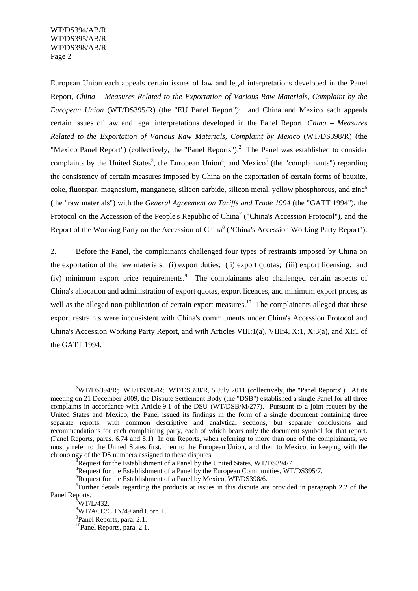WT/DS394/AB/R WT/DS395/AB/R WT/DS398/AB/R Page 2

European Union each appeals certain issues of law and legal interpretations developed in the Panel Report, *China – Measures Related to the Exportation of Various Raw Materials, Complaint by the European Union* (WT/DS395/R) (the "EU Panel Report"); and China and Mexico each appeals certain issues of law and legal interpretations developed in the Panel Report, *China – Measures Related to the Exportation of Various Raw Materials, Complaint by Mexico* (WT/DS398/R) (the "Mexico Panel Report") (collectively, the "Panel Reports").<sup>2</sup> The Panel was established to consider complaints by the United States<sup>3</sup>, the European Union<sup>4</sup>, and Mexico<sup>5</sup> (the "complainants") regarding the consistency of certain measures imposed by China on the exportation of certain forms of bauxite, coke, fluorspar, magnesium, manganese, silicon carbide, silicon metal, yellow phosphorous, and zinc<sup>6</sup> (the "raw materials") with the *General Agreement on Tariffs and Trade 1994* (the "GATT 1994"), the Protocol on the Accession of the People's Republic of China<sup>7</sup> ("China's Accession Protocol"), and the Report of the Working Party on the Accession of China<sup>8</sup> ("China's Accession Working Party Report").

2. Before the Panel, the complainants challenged four types of restraints imposed by China on the exportation of the raw materials: (i) export duties; (ii) export quotas; (iii) export licensing; and  $(iv)$  minimum export price requirements. $9$  The complainants also challenged certain aspects of China's allocation and administration of export quotas, export licences, and minimum export prices, as well as the alleged non-publication of certain export measures.<sup>10</sup> The complainants alleged that these export restraints were inconsistent with China's commitments under China's Accession Protocol and China's Accession Working Party Report, and with Articles VIII:1(a), VIII:4, X:1, X:3(a), and XI:1 of the GATT 1994.

 $\overline{\qquad \qquad }$ <sup>2</sup>WT/DS394/R; WT/DS395/R; WT/DS398/R, 5 July 2011 (collectively, the "Panel Reports"). At its meeting on 21 December 2009, the Dispute Settlement Body (the "DSB") established a single Panel for all three complaints in accordance with Article 9.1 of the DSU (WT/DSB/M/277). Pursuant to a joint request by the United States and Mexico, the Panel issued its findings in the form of a single document containing three separate reports, with common descriptive and analytical sections, but separate conclusions and recommendations for each complaining party, each of which bears only the document symbol for that report. (Panel Reports, paras. 6.74 and 8.1) In our Reports, when referring to more than one of the complainants, we mostly refer to the United States first, then to the European Union, and then to Mexico, in keeping with the chronology of the DS numbers assigned to these disputes. 3

 $R^3$ Request for the Establishment of a Panel by the United States, WT/DS394/7.

<sup>&</sup>lt;sup>4</sup>Request for the Establishment of a Panel by the European Communities, WT/DS395/7.

<sup>5</sup> Request for the Establishment of a Panel by Mexico, WT/DS398/6.

<sup>&</sup>lt;sup>6</sup>Further details regarding the products at issues in this dispute are provided in paragraph 2.2 of the Panel Reports.

 $\sqrt[7]{\text{WT}/\text{L}}/432$ .

<sup>8</sup> WT/ACC/CHN/49 and Corr. 1.

<sup>&</sup>lt;sup>9</sup> Panel Reports, para. 2.1.

<sup>&</sup>lt;sup>10</sup>Panel Reports, para. 2.1.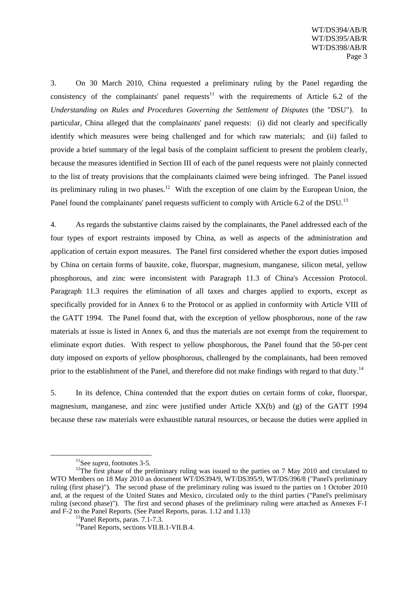3. On 30 March 2010, China requested a preliminary ruling by the Panel regarding the consistency of the complainants' panel requests<sup>11</sup> with the requirements of Article 6.2 of the *Understanding on Rules and Procedures Governing the Settlement of Disputes* (the "DSU"). In particular, China alleged that the complainants' panel requests: (i) did not clearly and specifically identify which measures were being challenged and for which raw materials; and (ii) failed to provide a brief summary of the legal basis of the complaint sufficient to present the problem clearly, because the measures identified in Section III of each of the panel requests were not plainly connected to the list of treaty provisions that the complainants claimed were being infringed. The Panel issued its preliminary ruling in two phases.<sup>12</sup> With the exception of one claim by the European Union, the Panel found the complainants' panel requests sufficient to comply with Article 6.2 of the DSU.<sup>13</sup>

4. As regards the substantive claims raised by the complainants, the Panel addressed each of the four types of export restraints imposed by China, as well as aspects of the administration and application of certain export measures. The Panel first considered whether the export duties imposed by China on certain forms of bauxite, coke, fluorspar, magnesium, manganese, silicon metal, yellow phosphorous, and zinc were inconsistent with Paragraph 11.3 of China's Accession Protocol. Paragraph 11.3 requires the elimination of all taxes and charges applied to exports, except as specifically provided for in Annex 6 to the Protocol or as applied in conformity with Article VIII of the GATT 1994. The Panel found that, with the exception of yellow phosphorous, none of the raw materials at issue is listed in Annex 6, and thus the materials are not exempt from the requirement to eliminate export duties. With respect to yellow phosphorous, the Panel found that the 50-per cent duty imposed on exports of yellow phosphorous, challenged by the complainants, had been removed prior to the establishment of the Panel, and therefore did not make findings with regard to that duty.<sup>14</sup>

5. In its defence, China contended that the export duties on certain forms of coke, fluorspar, magnesium, manganese, and zinc were justified under Article XX(b) and (g) of the GATT 1994 because these raw materials were exhaustible natural resources, or because the duties were applied in

<sup>&</sup>lt;sup>11</sup>See *supra*, footnotes 3-5. <sup>12</sup>The first phase of the preliminary ruling was issued to the parties on 7 May 2010 and circulated to WTO Members on 18 May 2010 as document WT/DS394/9, WT/DS395/9, WT/DS/396/8 ("Panel's preliminary ruling (first phase)"). The second phase of the preliminary ruling was issued to the parties on 1 October 2010 and, at the request of the United States and Mexico, circulated only to the third parties ("Panel's preliminary ruling (second phase)"). The first and second phases of the preliminary ruling were attached as Annexes F-1 and F-2 to the Panel Reports. (See Panel Reports, paras. 1.12 and 1.13) <sup>13</sup>Panel Reports, paras. 7.1-7.3.

<sup>&</sup>lt;sup>14</sup>Panel Reports, sections VII.B.1-VII.B.4.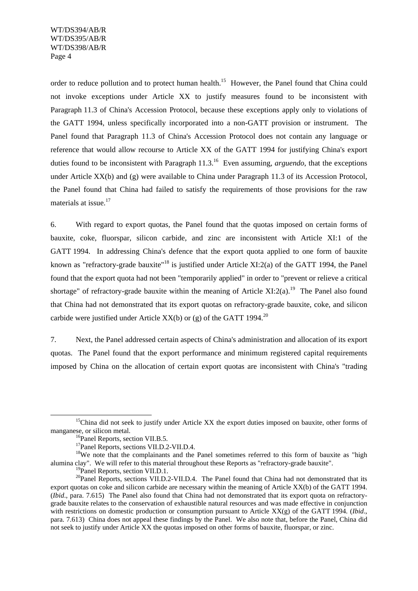order to reduce pollution and to protect human health.<sup>15</sup> However, the Panel found that China could not invoke exceptions under Article XX to justify measures found to be inconsistent with Paragraph 11.3 of China's Accession Protocol, because these exceptions apply only to violations of the GATT 1994, unless specifically incorporated into a non-GATT provision or instrument. The Panel found that Paragraph 11.3 of China's Accession Protocol does not contain any language or reference that would allow recourse to Article XX of the GATT 1994 for justifying China's export duties found to be inconsistent with Paragraph 11.3.<sup>16</sup> Even assuming, *arguendo*, that the exceptions under Article XX(b) and (g) were available to China under Paragraph 11.3 of its Accession Protocol, the Panel found that China had failed to satisfy the requirements of those provisions for the raw materials at issue. $17$ 

6. With regard to export quotas, the Panel found that the quotas imposed on certain forms of bauxite, coke, fluorspar, silicon carbide, and zinc are inconsistent with Article XI:1 of the GATT 1994. In addressing China's defence that the export quota applied to one form of bauxite known as "refractory-grade bauxite"<sup>18</sup> is justified under Article XI:2(a) of the GATT 1994, the Panel found that the export quota had not been "temporarily applied" in order to "prevent or relieve a critical shortage" of refractory-grade bauxite within the meaning of Article XI:2(a).<sup>19</sup> The Panel also found that China had not demonstrated that its export quotas on refractory-grade bauxite, coke, and silicon carbide were justified under Article XX(b) or (g) of the GATT 1994.<sup>20</sup>

7. Next, the Panel addressed certain aspects of China's administration and allocation of its export quotas. The Panel found that the export performance and minimum registered capital requirements imposed by China on the allocation of certain export quotas are inconsistent with China's "trading

<sup>&</sup>lt;sup>15</sup>China did not seek to justify under Article XX the export duties imposed on bauxite, other forms of manganese, or silicon metal.

 $^{16}$ Panel Reports, section VII.B.5.

<sup>&</sup>lt;sup>17</sup>Panel Reports, sections VII.D.2-VII.D.4.

<sup>&</sup>lt;sup>18</sup>We note that the complainants and the Panel sometimes referred to this form of bauxite as "high alumina clay". We will refer to this material throughout these Reports as "refractory-grade bauxite".

<sup>&</sup>lt;sup>19</sup>Panel Reports, section VII.D.1.

<sup>&</sup>lt;sup>20</sup>Panel Reports, sections VII.D.2-VII.D.4. The Panel found that China had not demonstrated that its export quotas on coke and silicon carbide are necessary within the meaning of Article XX(b) of the GATT 1994. (*Ibid*., para. 7.615) The Panel also found that China had not demonstrated that its export quota on refractorygrade bauxite relates to the conservation of exhaustible natural resources and was made effective in conjunction with restrictions on domestic production or consumption pursuant to Article XX(g) of the GATT 1994. (*Ibid*., para. 7.613) China does not appeal these findings by the Panel. We also note that, before the Panel, China did not seek to justify under Article XX the quotas imposed on other forms of bauxite, fluorspar, or zinc.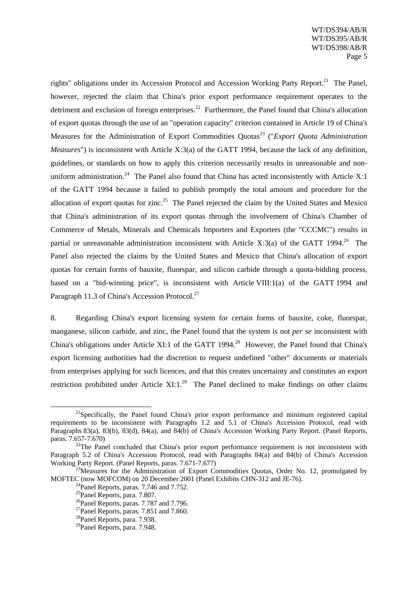rights" obligations under its Accession Protocol and Accession Working Party Report.<sup>21</sup> The Panel, however, rejected the claim that China's prior export performance requirement operates to the detriment and exclusion of foreign enterprises.<sup>22</sup> Furthermore, the Panel found that China's allocation of export quotas through the use of an "operation capacity" criterion contained in Article 19 of China's Measures for the Administration of Export Commodities Quotas<sup>23</sup> ("*Export Quota Administration Measures*") is inconsistent with Article X:3(a) of the GATT 1994, because the lack of any definition, guidelines, or standards on how to apply this criterion necessarily results in unreasonable and nonuniform administration.<sup>24</sup> The Panel also found that China has acted inconsistently with Article X:1 of the GATT 1994 because it failed to publish promptly the total amount and procedure for the allocation of export quotas for zinc.<sup>25</sup> The Panel rejected the claim by the United States and Mexico that China's administration of its export quotas through the involvement of China's Chamber of Commerce of Metals, Minerals and Chemicals Importers and Exporters (the "CCCMC") results in partial or unreasonable administration inconsistent with Article X:3(a) of the GATT 1994.<sup>26</sup> The Panel also rejected the claims by the United States and Mexico that China's allocation of export quotas for certain forms of bauxite, fluorspar, and silicon carbide through a quota-bidding process, based on a "bid-winning price", is inconsistent with Article VIII:1(a) of the GATT 1994 and Paragraph 11.3 of China's Accession Protocol.<sup>27</sup>

8. Regarding China's export licensing system for certain forms of bauxite, coke, fluorspar, manganese, silicon carbide, and zinc, the Panel found that the system is not *per se* inconsistent with China's obligations under Article XI:1 of the GATT 1994.<sup>28</sup> However, the Panel found that China's export licensing authorities had the discretion to request undefined "other" documents or materials from enterprises applying for such licences, and that this creates uncertainty and constitutes an export restriction prohibited under Article XI:1.<sup>29</sup> The Panel declined to make findings on other claims

<sup>&</sup>lt;sup>21</sup>Specifically, the Panel found China's prior export performance and minimum registered capital requirements to be inconsistent with Paragraphs 1.2 and 5.1 of China's Accession Protocol, read with Paragraphs 83(a), 83(b), 83(d), 84(a), and 84(b) of China's Accession Working Party Report. (Panel Reports, paras. 7.657-7.670)<br><sup>22</sup>The Panel concluded that China's prior export performance requirement is not inconsistent with

Paragraph 5.2 of China's Accession Protocol, read with Paragraphs 84(a) and 84(b) of China's Accession Working Party Report. (Panel Reports, paras. 7.671-7.677)<br><sup>23</sup>Measures for the Administration of Export Commodities Quotas, Order No. 12, promulgated by

MOFTEC (now MOFCOM) on 20 December 2001 (Panel Exhibits CHN-312 and JE-76). <sup>24</sup>Panel Reports, paras. 7.746 and 7.752.

<sup>25</sup>Panel Reports, para. 7.807.

 $^{26}$ Panel Reports, paras. 7.787 and 7.796.

 $^{27}$ Panel Reports, paras. 7.851 and 7.860.

<sup>&</sup>lt;sup>28</sup>Panel Reports, para. 7.938.

<sup>29</sup>Panel Reports, para. 7.948.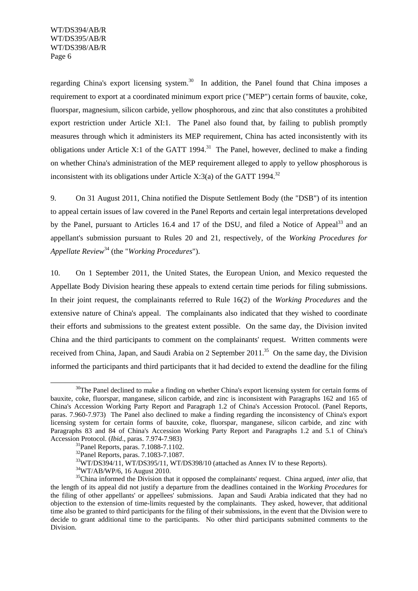regarding China's export licensing system.<sup>30</sup> In addition, the Panel found that China imposes a requirement to export at a coordinated minimum export price ("MEP") certain forms of bauxite, coke, fluorspar, magnesium, silicon carbide, yellow phosphorous, and zinc that also constitutes a prohibited export restriction under Article XI:1. The Panel also found that, by failing to publish promptly measures through which it administers its MEP requirement, China has acted inconsistently with its obligations under Article X:1 of the GATT 1994.<sup>31</sup> The Panel, however, declined to make a finding on whether China's administration of the MEP requirement alleged to apply to yellow phosphorous is inconsistent with its obligations under Article X:3(a) of the GATT 1994.<sup>32</sup>

9. On 31 August 2011, China notified the Dispute Settlement Body (the "DSB") of its intention to appeal certain issues of law covered in the Panel Reports and certain legal interpretations developed by the Panel, pursuant to Articles 16.4 and 17 of the DSU, and filed a Notice of Appeal<sup>33</sup> and an appellant's submission pursuant to Rules 20 and 21, respectively, of the *Working Procedures for Appellate Review*34 (the "*Working Procedures*").

10. On 1 September 2011, the United States, the European Union, and Mexico requested the Appellate Body Division hearing these appeals to extend certain time periods for filing submissions. In their joint request, the complainants referred to Rule 16(2) of the *Working Procedures* and the extensive nature of China's appeal. The complainants also indicated that they wished to coordinate their efforts and submissions to the greatest extent possible. On the same day, the Division invited China and the third participants to comment on the complainants' request. Written comments were received from China, Japan, and Saudi Arabia on 2 September  $2011<sup>35</sup>$  On the same day, the Division informed the participants and third participants that it had decided to extend the deadline for the filing

<sup>&</sup>lt;sup>30</sup>The Panel declined to make a finding on whether China's export licensing system for certain forms of bauxite, coke, fluorspar, manganese, silicon carbide, and zinc is inconsistent with Paragraphs 162 and 165 of China's Accession Working Party Report and Paragraph 1.2 of China's Accession Protocol. (Panel Reports, paras. 7.960-7.973) The Panel also declined to make a finding regarding the inconsistency of China's export licensing system for certain forms of bauxite, coke, fluorspar, manganese, silicon carbide, and zinc with Paragraphs 83 and 84 of China's Accession Working Party Report and Paragraphs 1.2 and 5.1 of China's Accession Protocol. (*Ibid.*, paras. 7.974-7.983)<br><sup>31</sup>Panel Reports, paras. 7.1088-7.1102.

<sup>32</sup>Panel Reports, paras. 7.1083-7.1087.

<sup>33</sup>WT/DS394/11, WT/DS395/11, WT/DS398/10 (attached as Annex IV to these Reports).

<sup>34</sup>WT/AB/WP/6, 16 August 2010.

<sup>&</sup>lt;sup>35</sup>China informed the Division that it opposed the complainants' request. China argued, *inter alia*, that the length of its appeal did not justify a departure from the deadlines contained in the *Working Procedures* for the filing of other appellants' or appellees' submissions. Japan and Saudi Arabia indicated that they had no objection to the extension of time-limits requested by the complainants. They asked, however, that additional time also be granted to third participants for the filing of their submissions, in the event that the Division were to decide to grant additional time to the participants. No other third participants submitted comments to the Division.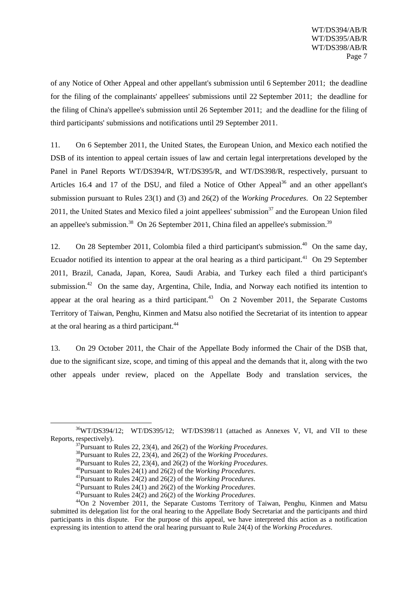of any Notice of Other Appeal and other appellant's submission until 6 September 2011; the deadline for the filing of the complainants' appellees' submissions until 22 September 2011; the deadline for the filing of China's appellee's submission until 26 September 2011; and the deadline for the filing of third participants' submissions and notifications until 29 September 2011.

11. On 6 September 2011, the United States, the European Union, and Mexico each notified the DSB of its intention to appeal certain issues of law and certain legal interpretations developed by the Panel in Panel Reports WT/DS394/R, WT/DS395/R, and WT/DS398/R, respectively, pursuant to Articles 16.4 and 17 of the DSU, and filed a Notice of Other Appeal<sup>36</sup> and an other appellant's submission pursuant to Rules 23(1) and (3) and 26(2) of the *Working Procedures*. On 22 September  $2011$ , the United States and Mexico filed a joint appellees' submission<sup>37</sup> and the European Union filed an appellee's submission.<sup>38</sup> On 26 September 2011, China filed an appellee's submission.<sup>39</sup>

12. On 28 September 2011, Colombia filed a third participant's submission.<sup>40</sup> On the same day, Ecuador notified its intention to appear at the oral hearing as a third participant.<sup>41</sup> On 29 September 2011, Brazil, Canada, Japan, Korea, Saudi Arabia, and Turkey each filed a third participant's submission.<sup>42</sup> On the same day, Argentina, Chile, India, and Norway each notified its intention to appear at the oral hearing as a third participant.<sup>43</sup> On 2 November 2011, the Separate Customs Territory of Taiwan, Penghu, Kinmen and Matsu also notified the Secretariat of its intention to appear at the oral hearing as a third participant.<sup>44</sup>

13. On 29 October 2011, the Chair of the Appellate Body informed the Chair of the DSB that, due to the significant size, scope, and timing of this appeal and the demands that it, along with the two other appeals under review, placed on the Appellate Body and translation services, the

 $36$ WT/DS394/12; WT/DS395/12; WT/DS398/11 (attached as Annexes V, VI, and VII to these Reports, respectively).

<sup>&</sup>lt;sup>37</sup>Pursuant to Rules 22, 23(4), and 26(2) of the *Working Procedures*.<br><sup>38</sup>Pursuant to Rules 22, 23(4), and 26(2) of the *Working Procedures*.<br><sup>39</sup>Pursuant to Rules 22, 23(4), and 26(2) of the *Working Procedures*.<br><sup>40</sup>P submitted its delegation list for the oral hearing to the Appellate Body Secretariat and the participants and third participants in this dispute. For the purpose of this appeal, we have interpreted this action as a notification expressing its intention to attend the oral hearing pursuant to Rule 24(4) of the *Working Procedures*.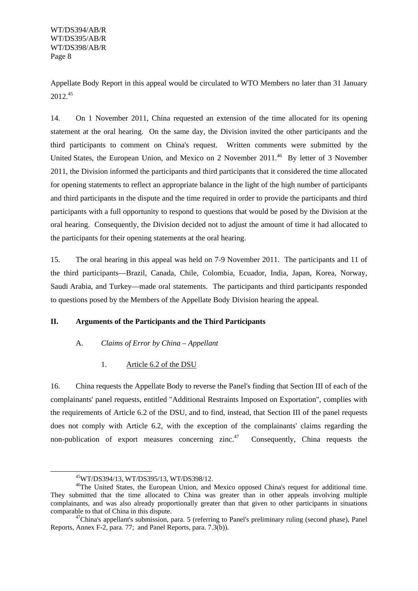Appellate Body Report in this appeal would be circulated to WTO Members no later than 31 January 2012.45

14. On 1 November 2011, China requested an extension of the time allocated for its opening statement at the oral hearing. On the same day, the Division invited the other participants and the third participants to comment on China's request. Written comments were submitted by the United States, the European Union, and Mexico on 2 November 2011.<sup>46</sup> By letter of 3 November 2011, the Division informed the participants and third participants that it considered the time allocated for opening statements to reflect an appropriate balance in the light of the high number of participants and third participants in the dispute and the time required in order to provide the participants and third participants with a full opportunity to respond to questions that would be posed by the Division at the oral hearing. Consequently, the Division decided not to adjust the amount of time it had allocated to the participants for their opening statements at the oral hearing.

15. The oral hearing in this appeal was held on 7-9 November 2011. The participants and 11 of the third participants—Brazil, Canada, Chile, Colombia, Ecuador, India, Japan, Korea, Norway, Saudi Arabia, and Turkey—made oral statements. The participants and third participants responded to questions posed by the Members of the Appellate Body Division hearing the appeal.

### **II. Arguments of the Participants and the Third Participants**

### A. *Claims of Error by China – Appellant*

### 1. Article 6.2 of the DSU

16. China requests the Appellate Body to reverse the Panel's finding that Section III of each of the complainants' panel requests, entitled "Additional Restraints Imposed on Exportation", complies with the requirements of Article 6.2 of the DSU, and to find, instead, that Section III of the panel requests does not comply with Article 6.2, with the exception of the complainants' claims regarding the non-publication of export measures concerning zinc. $47$  Consequently, China requests the

 <sup>45</sup>WT/DS394/13, WT/DS395/13, WT/DS398/12.

<sup>&</sup>lt;sup>46</sup>The United States, the European Union, and Mexico opposed China's request for additional time. They submitted that the time allocated to China was greater than in other appeals involving multiple complainants, and was also already proportionally greater than that given to other participants in situations comparable to that of China in this dispute. 47China's appellant's submission, para. 5 (referring to Panel's preliminary ruling (second phase), Panel

Reports, Annex F-2, para. 77; and Panel Reports, para. 7.3(b)).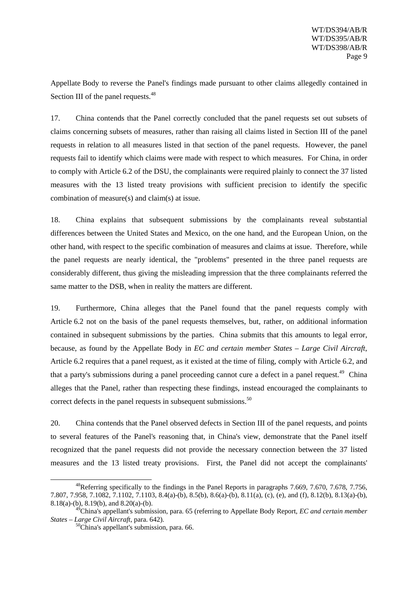Appellate Body to reverse the Panel's findings made pursuant to other claims allegedly contained in Section III of the panel requests.<sup>48</sup>

17. China contends that the Panel correctly concluded that the panel requests set out subsets of claims concerning subsets of measures, rather than raising all claims listed in Section III of the panel requests in relation to all measures listed in that section of the panel requests. However, the panel requests fail to identify which claims were made with respect to which measures. For China, in order to comply with Article 6.2 of the DSU, the complainants were required plainly to connect the 37 listed measures with the 13 listed treaty provisions with sufficient precision to identify the specific combination of measure(s) and claim(s) at issue.

18. China explains that subsequent submissions by the complainants reveal substantial differences between the United States and Mexico, on the one hand, and the European Union, on the other hand, with respect to the specific combination of measures and claims at issue. Therefore, while the panel requests are nearly identical, the "problems" presented in the three panel requests are considerably different, thus giving the misleading impression that the three complainants referred the same matter to the DSB, when in reality the matters are different.

19. Furthermore, China alleges that the Panel found that the panel requests comply with Article 6.2 not on the basis of the panel requests themselves, but, rather, on additional information contained in subsequent submissions by the parties. China submits that this amounts to legal error, because, as found by the Appellate Body in *EC and certain member States – Large Civil Aircraft*, Article 6.2 requires that a panel request, as it existed at the time of filing, comply with Article 6.2, and that a party's submissions during a panel proceeding cannot cure a defect in a panel request.<sup>49</sup> China alleges that the Panel, rather than respecting these findings, instead encouraged the complainants to correct defects in the panel requests in subsequent submissions.<sup>50</sup>

20. China contends that the Panel observed defects in Section III of the panel requests, and points to several features of the Panel's reasoning that, in China's view, demonstrate that the Panel itself recognized that the panel requests did not provide the necessary connection between the 37 listed measures and the 13 listed treaty provisions. First, the Panel did not accept the complainants'

<sup>&</sup>lt;sup>48</sup>Referring specifically to the findings in the Panel Reports in paragraphs 7.669, 7.670, 7.678, 7.756, 7.807, 7.958, 7.1082, 7.1102, 7.1103, 8.4(a)-(b), 8.5(b), 8.6(a)-(b), 8.11(a), (c), (e), and (f), 8.12(b), 8.13(a)-(b), 8.18(a)-(b), 8.19(b), and 8.20(a)-(b).

<sup>49</sup>China's appellant's submission, para. 65 (referring to Appellate Body Report, *EC and certain member States – Large Civil Aircraft*, para. 642).<br><sup>50</sup>China's appellant's submission, para. 66.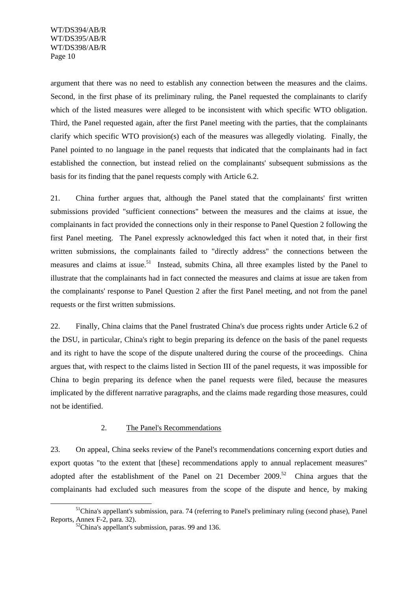argument that there was no need to establish any connection between the measures and the claims. Second, in the first phase of its preliminary ruling, the Panel requested the complainants to clarify which of the listed measures were alleged to be inconsistent with which specific WTO obligation. Third, the Panel requested again, after the first Panel meeting with the parties, that the complainants clarify which specific WTO provision(s) each of the measures was allegedly violating. Finally, the Panel pointed to no language in the panel requests that indicated that the complainants had in fact established the connection, but instead relied on the complainants' subsequent submissions as the basis for its finding that the panel requests comply with Article 6.2.

21. China further argues that, although the Panel stated that the complainants' first written submissions provided "sufficient connections" between the measures and the claims at issue, the complainants in fact provided the connections only in their response to Panel Question 2 following the first Panel meeting. The Panel expressly acknowledged this fact when it noted that, in their first written submissions, the complainants failed to "directly address" the connections between the measures and claims at issue.<sup>51</sup> Instead, submits China, all three examples listed by the Panel to illustrate that the complainants had in fact connected the measures and claims at issue are taken from the complainants' response to Panel Question 2 after the first Panel meeting, and not from the panel requests or the first written submissions.

22. Finally, China claims that the Panel frustrated China's due process rights under Article 6.2 of the DSU, in particular, China's right to begin preparing its defence on the basis of the panel requests and its right to have the scope of the dispute unaltered during the course of the proceedings. China argues that, with respect to the claims listed in Section III of the panel requests, it was impossible for China to begin preparing its defence when the panel requests were filed, because the measures implicated by the different narrative paragraphs, and the claims made regarding those measures, could not be identified.

### 2. The Panel's Recommendations

23. On appeal, China seeks review of the Panel's recommendations concerning export duties and export quotas "to the extent that [these] recommendations apply to annual replacement measures" adopted after the establishment of the Panel on 21 December 2009.<sup>52</sup> China argues that the complainants had excluded such measures from the scope of the dispute and hence, by making

<sup>&</sup>lt;sup>51</sup>China's appellant's submission, para. 74 (referring to Panel's preliminary ruling (second phase), Panel Reports, Annex F-2, para. 32).

 $52$ China's appellant's submission, paras. 99 and 136.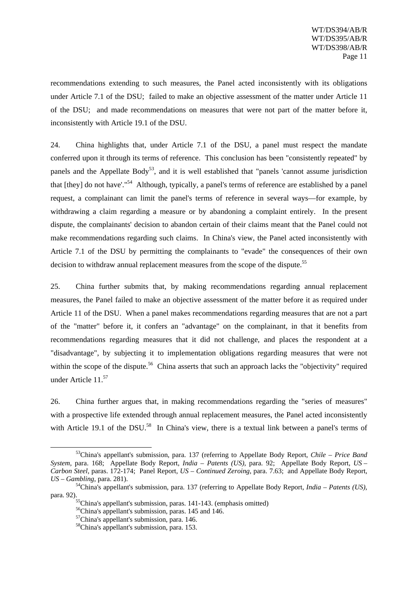recommendations extending to such measures, the Panel acted inconsistently with its obligations under Article 7.1 of the DSU; failed to make an objective assessment of the matter under Article 11 of the DSU; and made recommendations on measures that were not part of the matter before it, inconsistently with Article 19.1 of the DSU.

24. China highlights that, under Article 7.1 of the DSU, a panel must respect the mandate conferred upon it through its terms of reference. This conclusion has been "consistently repeated" by panels and the Appellate  $Body^{53}$ , and it is well established that "panels 'cannot assume jurisdiction that [they] do not have'."54 Although, typically, a panel's terms of reference are established by a panel request, a complainant can limit the panel's terms of reference in several ways—for example, by withdrawing a claim regarding a measure or by abandoning a complaint entirely. In the present dispute, the complainants' decision to abandon certain of their claims meant that the Panel could not make recommendations regarding such claims. In China's view, the Panel acted inconsistently with Article 7.1 of the DSU by permitting the complainants to "evade" the consequences of their own decision to withdraw annual replacement measures from the scope of the dispute.<sup>55</sup>

25. China further submits that, by making recommendations regarding annual replacement measures, the Panel failed to make an objective assessment of the matter before it as required under Article 11 of the DSU. When a panel makes recommendations regarding measures that are not a part of the "matter" before it, it confers an "advantage" on the complainant, in that it benefits from recommendations regarding measures that it did not challenge, and places the respondent at a "disadvantage", by subjecting it to implementation obligations regarding measures that were not within the scope of the dispute.<sup>56</sup> China asserts that such an approach lacks the "objectivity" required under Article  $11^{57}$ 

26. China further argues that, in making recommendations regarding the "series of measures" with a prospective life extended through annual replacement measures, the Panel acted inconsistently with Article 19.1 of the DSU.<sup>58</sup> In China's view, there is a textual link between a panel's terms of

 <sup>53</sup>China's appellant's submission, para. 137 (referring to Appellate Body Report, *Chile – Price Band System*, para. 168; Appellate Body Report, *India – Patents (US)*, para. 92; Appellate Body Report, *US – Carbon Steel*, paras. 172-174; Panel Report, *US – Continued Zeroing*, para. 7.63; and Appellate Body Report, *US – Gambling*, para. 281). 54China's appellant's submission, para. 137 (referring to Appellate Body Report, *India – Patents (US)*,

para. 92).<br><sup>55</sup>China's appellant's submission, paras. 141-143. (emphasis omitted)

<sup>56</sup>China's appellant's submission, paras. 145 and 146.

<sup>57</sup>China's appellant's submission, para. 146.

<sup>58</sup>China's appellant's submission, para. 153.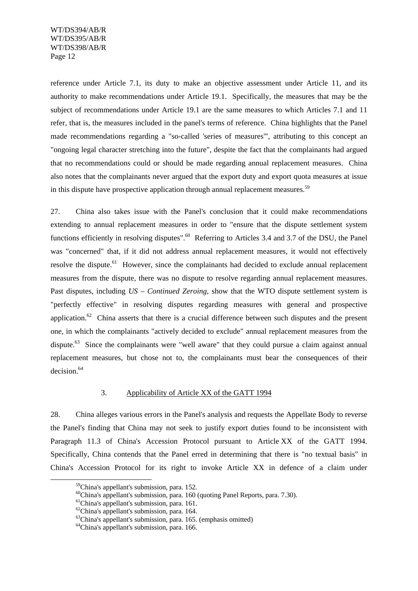reference under Article 7.1, its duty to make an objective assessment under Article 11, and its authority to make recommendations under Article 19.1. Specifically, the measures that may be the subject of recommendations under Article 19.1 are the same measures to which Articles 7.1 and 11 refer, that is, the measures included in the panel's terms of reference. China highlights that the Panel made recommendations regarding a "so-called 'series of measures'", attributing to this concept an "ongoing legal character stretching into the future", despite the fact that the complainants had argued that no recommendations could or should be made regarding annual replacement measures. China also notes that the complainants never argued that the export duty and export quota measures at issue in this dispute have prospective application through annual replacement measures.<sup>59</sup>

27. China also takes issue with the Panel's conclusion that it could make recommendations extending to annual replacement measures in order to "ensure that the dispute settlement system functions efficiently in resolving disputes".<sup>60</sup> Referring to Articles 3.4 and 3.7 of the DSU, the Panel was "concerned" that, if it did not address annual replacement measures, it would not effectively resolve the dispute.<sup>61</sup> However, since the complainants had decided to exclude annual replacement measures from the dispute, there was no dispute to resolve regarding annual replacement measures. Past disputes, including *US – Continued Zeroing*, show that the WTO dispute settlement system is "perfectly effective" in resolving disputes regarding measures with general and prospective application.<sup>62</sup> China asserts that there is a crucial difference between such disputes and the present one, in which the complainants "actively decided to exclude" annual replacement measures from the dispute.<sup>63</sup> Since the complainants were "well aware" that they could pursue a claim against annual replacement measures, but chose not to, the complainants must bear the consequences of their decision.<sup>64</sup>

### 3. Applicability of Article XX of the GATT 1994

28. China alleges various errors in the Panel's analysis and requests the Appellate Body to reverse the Panel's finding that China may not seek to justify export duties found to be inconsistent with Paragraph 11.3 of China's Accession Protocol pursuant to Article XX of the GATT 1994. Specifically, China contends that the Panel erred in determining that there is "no textual basis" in China's Accession Protocol for its right to invoke Article XX in defence of a claim under

 <sup>59</sup>China's appellant's submission, para. 152.

<sup>&</sup>lt;sup>60</sup>China's appellant's submission, para. 160 (quoting Panel Reports, para. 7.30).

<sup>61</sup>China's appellant's submission, para. 161.

 $62$ China's appellant's submission, para. 164.

<sup>63</sup>China's appellant's submission, para. 165. (emphasis omitted)

<sup>64</sup>China's appellant's submission, para. 166.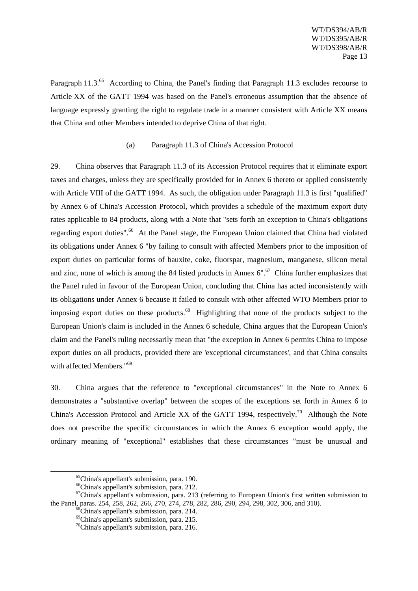Paragraph 11.3<sup>.65</sup> According to China, the Panel's finding that Paragraph 11.3 excludes recourse to Article XX of the GATT 1994 was based on the Panel's erroneous assumption that the absence of language expressly granting the right to regulate trade in a manner consistent with Article XX means that China and other Members intended to deprive China of that right.

### (a) Paragraph 11.3 of China's Accession Protocol

29. China observes that Paragraph 11.3 of its Accession Protocol requires that it eliminate export taxes and charges, unless they are specifically provided for in Annex 6 thereto or applied consistently with Article VIII of the GATT 1994. As such, the obligation under Paragraph 11.3 is first "qualified" by Annex 6 of China's Accession Protocol, which provides a schedule of the maximum export duty rates applicable to 84 products, along with a Note that "sets forth an exception to China's obligations regarding export duties".<sup>66</sup> At the Panel stage, the European Union claimed that China had violated its obligations under Annex 6 "by failing to consult with affected Members prior to the imposition of export duties on particular forms of bauxite, coke, fluorspar, magnesium, manganese, silicon metal and zinc, none of which is among the 84 listed products in Annex  $6''$ . China further emphasizes that the Panel ruled in favour of the European Union, concluding that China has acted inconsistently with its obligations under Annex 6 because it failed to consult with other affected WTO Members prior to imposing export duties on these products. $^{68}$  Highlighting that none of the products subject to the European Union's claim is included in the Annex 6 schedule, China argues that the European Union's claim and the Panel's ruling necessarily mean that "the exception in Annex 6 permits China to impose export duties on all products, provided there are 'exceptional circumstances', and that China consults with affected Members."<sup>69</sup>

30. China argues that the reference to "exceptional circumstances" in the Note to Annex 6 demonstrates a "substantive overlap" between the scopes of the exceptions set forth in Annex 6 to China's Accession Protocol and Article XX of the GATT 1994, respectively.<sup>70</sup> Although the Note does not prescribe the specific circumstances in which the Annex 6 exception would apply, the ordinary meaning of "exceptional" establishes that these circumstances "must be unusual and

 ${}^{65}$ China's appellant's submission, para. 190.

<sup>&</sup>lt;sup>66</sup>China's appellant's submission, para. 212.

<sup>&</sup>lt;sup>67</sup>China's appellant's submission, para. 213 (referring to European Union's first written submission to the Panel, paras. 254, 258, 262, 266, 270, 274, 278, 282, 286, 290, 294, 298, 302, 306, and 310). <sup>68</sup>China's appellant's submission, para. 214.

<sup>69</sup>China's appellant's submission, para. 215.

<sup>70</sup>China's appellant's submission, para. 216.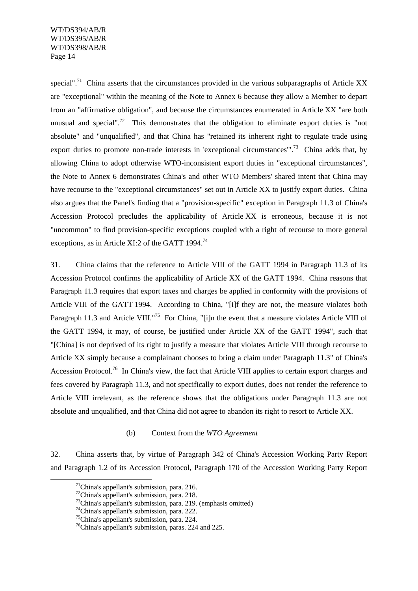WT/DS394/AB/R WT/DS395/AB/R WT/DS398/AB/R Page 14

special".<sup>71</sup> China asserts that the circumstances provided in the various subparagraphs of Article XX are "exceptional" within the meaning of the Note to Annex 6 because they allow a Member to depart from an "affirmative obligation", and because the circumstances enumerated in Article XX "are both unusual and special".<sup>72</sup> This demonstrates that the obligation to eliminate export duties is "not absolute" and "unqualified", and that China has "retained its inherent right to regulate trade using export duties to promote non-trade interests in 'exceptional circumstances'".<sup>73</sup> China adds that, by allowing China to adopt otherwise WTO-inconsistent export duties in "exceptional circumstances", the Note to Annex 6 demonstrates China's and other WTO Members' shared intent that China may have recourse to the "exceptional circumstances" set out in Article XX to justify export duties. China also argues that the Panel's finding that a "provision-specific" exception in Paragraph 11.3 of China's Accession Protocol precludes the applicability of Article XX is erroneous, because it is not "uncommon" to find provision-specific exceptions coupled with a right of recourse to more general exceptions, as in Article XI:2 of the GATT 1994.<sup>74</sup>

31. China claims that the reference to Article VIII of the GATT 1994 in Paragraph 11.3 of its Accession Protocol confirms the applicability of Article XX of the GATT 1994. China reasons that Paragraph 11.3 requires that export taxes and charges be applied in conformity with the provisions of Article VIII of the GATT 1994. According to China, "[i]f they are not, the measure violates both Paragraph 11.3 and Article VIII."<sup>75</sup> For China, "[i]n the event that a measure violates Article VIII of the GATT 1994, it may, of course, be justified under Article XX of the GATT 1994", such that "[China] is not deprived of its right to justify a measure that violates Article VIII through recourse to Article XX simply because a complainant chooses to bring a claim under Paragraph 11.3" of China's Accession Protocol.<sup>76</sup> In China's view, the fact that Article VIII applies to certain export charges and fees covered by Paragraph 11.3, and not specifically to export duties, does not render the reference to Article VIII irrelevant, as the reference shows that the obligations under Paragraph 11.3 are not absolute and unqualified, and that China did not agree to abandon its right to resort to Article XX.

(b) Context from the *WTO Agreement* 

32. China asserts that, by virtue of Paragraph 342 of China's Accession Working Party Report and Paragraph 1.2 of its Accession Protocol, Paragraph 170 of the Accession Working Party Report

 $<sup>71</sup>China's appendix's submission, para. 216.$ </sup>

<sup>72</sup>China's appellant's submission, para. 218.

<sup>73</sup>China's appellant's submission, para. 219. (emphasis omitted)

<sup>74</sup>China's appellant's submission, para. 222.

<sup>75</sup>China's appellant's submission, para. 224.

<sup>76</sup>China's appellant's submission, paras. 224 and 225.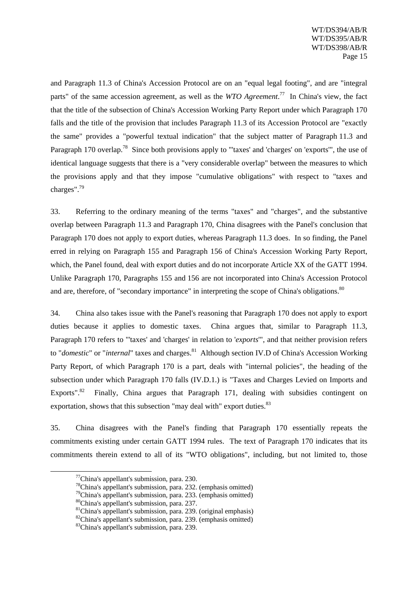and Paragraph 11.3 of China's Accession Protocol are on an "equal legal footing", and are "integral parts" of the same accession agreement, as well as the *WTO Agreement*. 77 In China's view, the fact that the title of the subsection of China's Accession Working Party Report under which Paragraph 170 falls and the title of the provision that includes Paragraph 11.3 of its Accession Protocol are "exactly the same" provides a "powerful textual indication" that the subject matter of Paragraph 11.3 and Paragraph 170 overlap.<sup>78</sup> Since both provisions apply to "'taxes' and 'charges' on 'exports'", the use of identical language suggests that there is a "very considerable overlap" between the measures to which the provisions apply and that they impose "cumulative obligations" with respect to "taxes and charges".<sup>79</sup>

33. Referring to the ordinary meaning of the terms "taxes" and "charges", and the substantive overlap between Paragraph 11.3 and Paragraph 170, China disagrees with the Panel's conclusion that Paragraph 170 does not apply to export duties, whereas Paragraph 11.3 does. In so finding, the Panel erred in relying on Paragraph 155 and Paragraph 156 of China's Accession Working Party Report, which, the Panel found, deal with export duties and do not incorporate Article XX of the GATT 1994. Unlike Paragraph 170, Paragraphs 155 and 156 are not incorporated into China's Accession Protocol and are, therefore, of "secondary importance" in interpreting the scope of China's obligations.<sup>80</sup>

34. China also takes issue with the Panel's reasoning that Paragraph 170 does not apply to export duties because it applies to domestic taxes. China argues that, similar to Paragraph 11.3, Paragraph 170 refers to "'taxes' and 'charges' in relation to '*exports*'", and that neither provision refers to "*domestic*" or "*internal*" taxes and charges.<sup>81</sup> Although section IV.D of China's Accession Working Party Report, of which Paragraph 170 is a part, deals with "internal policies", the heading of the subsection under which Paragraph 170 falls (IV.D.1.) is "Taxes and Charges Levied on Imports and Exports".<sup>82</sup> Finally, China argues that Paragraph 171, dealing with subsidies contingent on exportation, shows that this subsection "may deal with" export duties.<sup>83</sup>

35. China disagrees with the Panel's finding that Paragraph 170 essentially repeats the commitments existing under certain GATT 1994 rules. The text of Paragraph 170 indicates that its commitments therein extend to all of its "WTO obligations", including, but not limited to, those

 $^{77}$ China's appellant's submission, para. 230.

<sup>78</sup>China's appellant's submission, para. 232. (emphasis omitted)

<sup>79</sup>China's appellant's submission, para. 233. (emphasis omitted)

<sup>80</sup>China's appellant's submission, para. 237.

<sup>81</sup>China's appellant's submission, para. 239. (original emphasis)

 $82$ China's appellant's submission, para. 239. (emphasis omitted)

<sup>83</sup>China's appellant's submission, para. 239.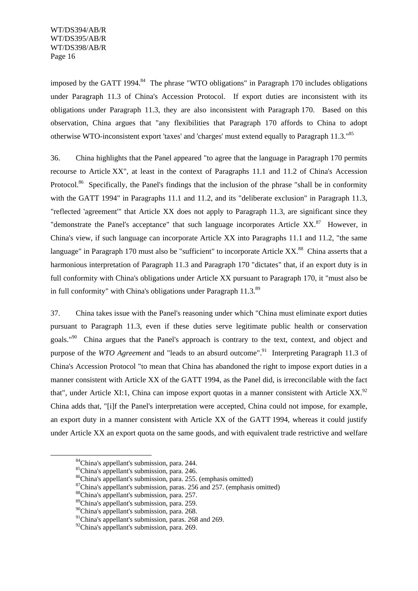imposed by the GATT 1994. $^{84}$  The phrase "WTO obligations" in Paragraph 170 includes obligations under Paragraph 11.3 of China's Accession Protocol. If export duties are inconsistent with its obligations under Paragraph 11.3, they are also inconsistent with Paragraph 170. Based on this observation, China argues that "any flexibilities that Paragraph 170 affords to China to adopt otherwise WTO-inconsistent export 'taxes' and 'charges' must extend equally to Paragraph 11.3."85

36. China highlights that the Panel appeared "to agree that the language in Paragraph 170 permits recourse to Article XX", at least in the context of Paragraphs 11.1 and 11.2 of China's Accession Protocol.<sup>86</sup> Specifically, the Panel's findings that the inclusion of the phrase "shall be in conformity with the GATT 1994" in Paragraphs 11.1 and 11.2, and its "deliberate exclusion" in Paragraph 11.3, "reflected 'agreement'" that Article XX does not apply to Paragraph 11.3, are significant since they "demonstrate the Panel's acceptance" that such language incorporates Article  $XX$ <sup>87</sup> However, in China's view, if such language can incorporate Article XX into Paragraphs 11.1 and 11.2, "the same language" in Paragraph 170 must also be "sufficient" to incorporate Article XX.<sup>88</sup> China asserts that a harmonious interpretation of Paragraph 11.3 and Paragraph 170 "dictates" that, if an export duty is in full conformity with China's obligations under Article XX pursuant to Paragraph 170, it "must also be in full conformity" with China's obligations under Paragraph  $11.3$ <sup>89</sup>

37. China takes issue with the Panel's reasoning under which "China must eliminate export duties pursuant to Paragraph 11.3, even if these duties serve legitimate public health or conservation goals."<sup>90</sup> China argues that the Panel's approach is contrary to the text, context, and object and purpose of the *WTO Agreement* and "leads to an absurd outcome".<sup>91</sup> Interpreting Paragraph 11.3 of China's Accession Protocol "to mean that China has abandoned the right to impose export duties in a manner consistent with Article XX of the GATT 1994, as the Panel did, is irreconcilable with the fact that", under Article XI:1, China can impose export quotas in a manner consistent with Article  $XX$ .<sup>92</sup> China adds that, "[i]f the Panel's interpretation were accepted, China could not impose, for example, an export duty in a manner consistent with Article XX of the GATT 1994, whereas it could justify under Article XX an export quota on the same goods, and with equivalent trade restrictive and welfare

 <sup>84</sup>China's appellant's submission, para. 244.

<sup>85</sup>China's appellant's submission, para. 246.

<sup>86</sup>China's appellant's submission, para. 255. (emphasis omitted)

<sup>&</sup>lt;sup>87</sup>China's appellant's submission, paras. 256 and 257. (emphasis omitted)

<sup>88</sup>China's appellant's submission, para. 257.

<sup>89</sup>China's appellant's submission, para. 259.

<sup>90</sup>China's appellant's submission, para. 268.

<sup>&</sup>lt;sup>91</sup>China's appellant's submission, paras. 268 and 269.

 $^{92}$ China's appellant's submission, para. 269.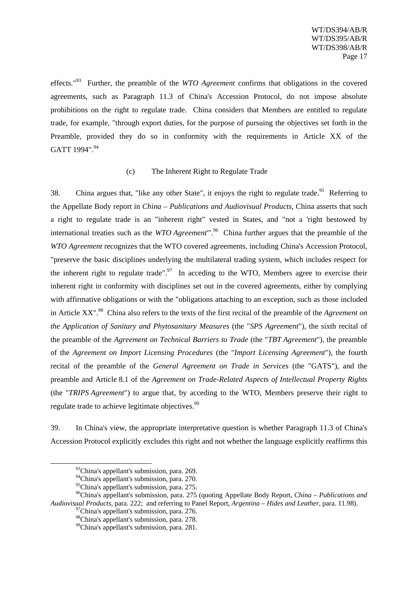effects."93 Further, the preamble of the *WTO Agreement* confirms that obligations in the covered agreements, such as Paragraph 11.3 of China's Accession Protocol, do not impose absolute prohibitions on the right to regulate trade. China considers that Members are entitled to regulate trade, for example, "through export duties, for the purpose of pursuing the objectives set forth in the Preamble, provided they do so in conformity with the requirements in Article XX of the GATT 1994".<sup>94</sup>

#### (c) The Inherent Right to Regulate Trade

38. China argues that, "like any other State", it enjoys the right to regulate trade.<sup>95</sup> Referring to the Appellate Body report in *China – Publications and Audiovisual Products*, China asserts that such a right to regulate trade is an "inherent right" vested in States, and "not a 'right bestowed by international treaties such as the *WTO Agreement*".<sup>96</sup> China further argues that the preamble of the *WTO Agreement* recognizes that the WTO covered agreements, including China's Accession Protocol, "preserve the basic disciplines underlying the multilateral trading system, which includes respect for the inherent right to regulate trade".<sup>97</sup> In acceding to the WTO, Members agree to exercise their inherent right in conformity with disciplines set out in the covered agreements, either by complying with affirmative obligations or with the "obligations attaching to an exception, such as those included in Article XX".<sup>98</sup> China also refers to the texts of the first recital of the preamble of the *Agreement on the Application of Sanitary and Phytosanitary Measures* (the "*SPS Agreement*"), the sixth recital of the preamble of the *Agreement on Technical Barriers to Trade* (the "*TBT Agreement*"), the preamble of the *Agreement on Import Licensing Procedures* (the "*Import Licensing Agreement*"), the fourth recital of the preamble of the *General Agreement on Trade in Services* (the "GATS"), and the preamble and Article 8.1 of the *Agreement on Trade-Related Aspects of Intellectual Property Rights* (the "*TRIPS Agreement*") to argue that, by acceding to the WTO, Members preserve their right to regulate trade to achieve legitimate objectives.<sup>99</sup>

39. In China's view, the appropriate interpretative question is whether Paragraph 11.3 of China's Accession Protocol explicitly excludes this right and not whether the language explicitly reaffirms this

<sup>&</sup>lt;sup>93</sup>China's appellant's submission, para. 269.

<sup>&</sup>lt;sup>94</sup>China's appellant's submission, para. 270.

<sup>&</sup>lt;sup>95</sup>China's appellant's submission, para. 275.

<sup>96</sup>China's appellant's submission, para. 275 (quoting Appellate Body Report, *China – Publications and Audiovisual Products*, para. 222; and referring to Panel Report, *Argentina – Hides and Leather*, para. 11.98). 97China's appellant's submission, para. 276.

<sup>98</sup>China's appellant's submission, para. 278.

<sup>&</sup>lt;sup>99</sup>China's appellant's submission, para. 281.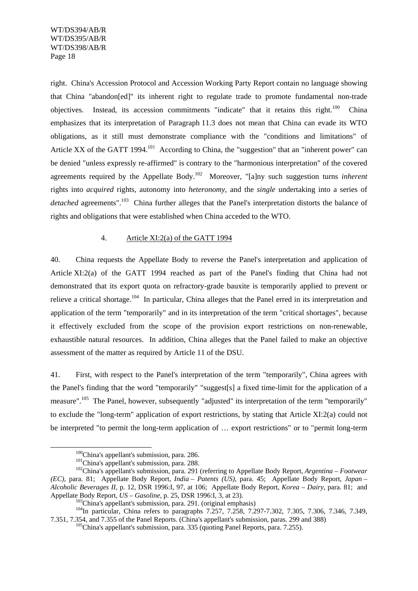WT/DS394/AB/R WT/DS395/AB/R WT/DS398/AB/R Page 18

right. China's Accession Protocol and Accession Working Party Report contain no language showing that China "abandon[ed]" its inherent right to regulate trade to promote fundamental non-trade objectives. Instead, its accession commitments "indicate" that it retains this right.<sup>100</sup> China emphasizes that its interpretation of Paragraph 11.3 does not mean that China can evade its WTO obligations, as it still must demonstrate compliance with the "conditions and limitations" of Article XX of the GATT 1994.<sup>101</sup> According to China, the "suggestion" that an "inherent power" can be denied "unless expressly re-affirmed" is contrary to the "harmonious interpretation" of the covered agreements required by the Appellate Body.102 Moreover, "[a]ny such suggestion turns *inherent*  rights into *acquired* rights, autonomy into *heteronomy*, and the *single* undertaking into a series of *detached* agreements".<sup>103</sup> China further alleges that the Panel's interpretation distorts the balance of rights and obligations that were established when China acceded to the WTO.

#### 4. Article XI:2(a) of the GATT 1994

40. China requests the Appellate Body to reverse the Panel's interpretation and application of Article XI:2(a) of the GATT 1994 reached as part of the Panel's finding that China had not demonstrated that its export quota on refractory-grade bauxite is temporarily applied to prevent or relieve a critical shortage.<sup>104</sup> In particular, China alleges that the Panel erred in its interpretation and application of the term "temporarily" and in its interpretation of the term "critical shortages", because it effectively excluded from the scope of the provision export restrictions on non-renewable, exhaustible natural resources. In addition, China alleges that the Panel failed to make an objective assessment of the matter as required by Article 11 of the DSU.

41. First, with respect to the Panel's interpretation of the term "temporarily", China agrees with the Panel's finding that the word "temporarily" "suggest[s] a fixed time-limit for the application of a measure".<sup>105</sup> The Panel, however, subsequently "adjusted" its interpretation of the term "temporarily" to exclude the "long-term" application of export restrictions, by stating that Article XI:2(a) could not be interpreted "to permit the long-term application of … export restrictions" or to "permit long-term

<sup>&</sup>lt;sup>100</sup>China's appellant's submission, para. 286.<br><sup>101</sup>China's appellant's submission, para. 291 (referring to Appellate Body Report, *Argentina – Footwear* <sup>102</sup>China's appellant's submission, para. 291 (referring to Appell *(EC)*, para. 81; Appellate Body Report, *India – Patents (US)*, para. 45; Appellate Body Report, *Japan – Alcoholic Beverages II*, p. 12, DSR 1996:I, 97, at 106; Appellate Body Report, *Korea – Dairy*, para. 81; and Appellate Body Report, US – Gasoline, p. 25, DSR 1996:I, 3, at 23).<br><sup>103</sup>China's appellant's submission, para. 291. (original emphasis)<br><sup>104</sup>In particular, China refers to paragraphs 7.257, 7.258, 7.297-7.302, 7.305, 7.306

<sup>7.351, 7.354,</sup> and 7.355 of the Panel Reports. (China's appellant's submission, paras. 299 and 388) 105China's appellant's submission, para. 335 (quoting Panel Reports, para. 7.255).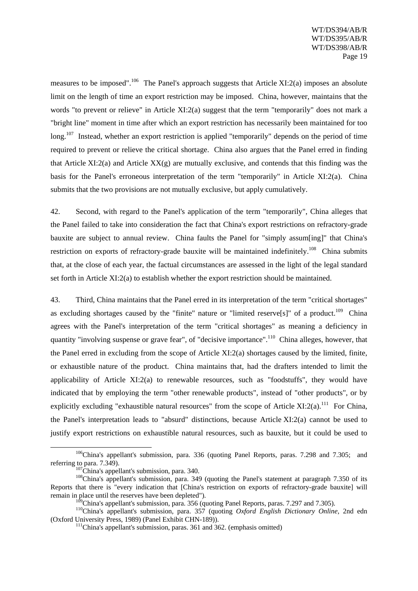measures to be imposed".<sup>106</sup> The Panel's approach suggests that Article XI:2(a) imposes an absolute limit on the length of time an export restriction may be imposed. China, however, maintains that the words "to prevent or relieve" in Article XI:2(a) suggest that the term "temporarily" does not mark a "bright line" moment in time after which an export restriction has necessarily been maintained for too long.<sup>107</sup> Instead, whether an export restriction is applied "temporarily" depends on the period of time required to prevent or relieve the critical shortage. China also argues that the Panel erred in finding that Article XI:2(a) and Article  $XX(g)$  are mutually exclusive, and contends that this finding was the basis for the Panel's erroneous interpretation of the term "temporarily" in Article XI:2(a). China submits that the two provisions are not mutually exclusive, but apply cumulatively.

42. Second, with regard to the Panel's application of the term "temporarily", China alleges that the Panel failed to take into consideration the fact that China's export restrictions on refractory-grade bauxite are subject to annual review. China faults the Panel for "simply assum[ing]" that China's restriction on exports of refractory-grade bauxite will be maintained indefinitely.<sup>108</sup> China submits that, at the close of each year, the factual circumstances are assessed in the light of the legal standard set forth in Article XI:2(a) to establish whether the export restriction should be maintained.

43. Third, China maintains that the Panel erred in its interpretation of the term "critical shortages" as excluding shortages caused by the "finite" nature or "limited reserve<sup>[s]"</sup> of a product.<sup>109</sup> China agrees with the Panel's interpretation of the term "critical shortages" as meaning a deficiency in quantity "involving suspense or grave fear", of "decisive importance".<sup>110</sup> China alleges, however, that the Panel erred in excluding from the scope of Article XI:2(a) shortages caused by the limited, finite, or exhaustible nature of the product. China maintains that, had the drafters intended to limit the applicability of Article XI:2(a) to renewable resources, such as "foodstuffs", they would have indicated that by employing the term "other renewable products", instead of "other products", or by explicitly excluding "exhaustible natural resources" from the scope of Article XI:2(a).<sup>111</sup> For China, the Panel's interpretation leads to "absurd" distinctions, because Article XI:2(a) cannot be used to justify export restrictions on exhaustible natural resources, such as bauxite, but it could be used to

<sup>&</sup>lt;sup>106</sup>China's appellant's submission, para. 336 (quoting Panel Reports, paras. 7.298 and 7.305; and referring to para. 7.349).<br><sup>107</sup>China's appellant's submission, para. 340.

 $108$ China's appellant's submission, para. 349 (quoting the Panel's statement at paragraph 7.350 of its Reports that there is "every indication that [China's restriction on exports of refractory-grade bauxite] will remain in place until the reserves have been depleted").<br><sup>109</sup>China's appellant's submission, para. 356 (quoting Panel Reports, paras. 7.297 and 7.305).

<sup>&</sup>lt;sup>110</sup>China's appellant's submission, para. 357 (quoting *Oxford English Dictionary Online*, 2nd edn (Oxford University Press, 1989) (Panel Exhibit CHN-189)).

 $111$ China's appellant's submission, paras. 361 and 362. (emphasis omitted)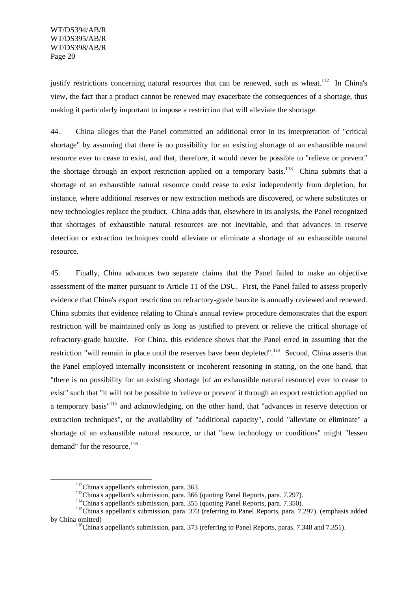justify restrictions concerning natural resources that can be renewed, such as wheat.<sup>112</sup> In China's view, the fact that a product cannot be renewed may exacerbate the consequences of a shortage, thus making it particularly important to impose a restriction that will alleviate the shortage.

44. China alleges that the Panel committed an additional error in its interpretation of "critical shortage" by assuming that there is no possibility for an existing shortage of an exhaustible natural resource ever to cease to exist, and that, therefore, it would never be possible to "relieve or prevent" the shortage through an export restriction applied on a temporary basis.<sup>113</sup> China submits that a shortage of an exhaustible natural resource could cease to exist independently from depletion, for instance, where additional reserves or new extraction methods are discovered, or where substitutes or new technologies replace the product. China adds that, elsewhere in its analysis, the Panel recognized that shortages of exhaustible natural resources are not inevitable, and that advances in reserve detection or extraction techniques could alleviate or eliminate a shortage of an exhaustible natural resource.

45. Finally, China advances two separate claims that the Panel failed to make an objective assessment of the matter pursuant to Article 11 of the DSU. First, the Panel failed to assess properly evidence that China's export restriction on refractory-grade bauxite is annually reviewed and renewed. China submits that evidence relating to China's annual review procedure demonstrates that the export restriction will be maintained only as long as justified to prevent or relieve the critical shortage of refractory-grade bauxite. For China, this evidence shows that the Panel erred in assuming that the restriction "will remain in place until the reserves have been depleted".<sup>114</sup> Second, China asserts that the Panel employed internally inconsistent or incoherent reasoning in stating, on the one hand, that "there is no possibility for an existing shortage [of an exhaustible natural resource] ever to cease to exist" such that "it will not be possible to 'relieve or prevent' it through an export restriction applied on a temporary basis"115 and acknowledging, on the other hand, that "advances in reserve detection or extraction techniques", or the availability of "additional capacity", could "alleviate or eliminate" a shortage of an exhaustible natural resource, or that "new technology or conditions" might "lessen demand" for the resource.<sup>116</sup>

<sup>&</sup>lt;sup>112</sup>China's appellant's submission, para. 363.<br><sup>113</sup>China's appellant's submission, para. 366 (quoting Panel Reports, para. 7.297).<br><sup>114</sup>China's appellant's submission, para. 355 (quoting Panel Reports, para. 7.350).<br><sup>115</sup> by China omitted)<br><sup>116</sup>China's appellant's submission, para. 373 (referring to Panel Reports, paras. 7.348 and 7.351).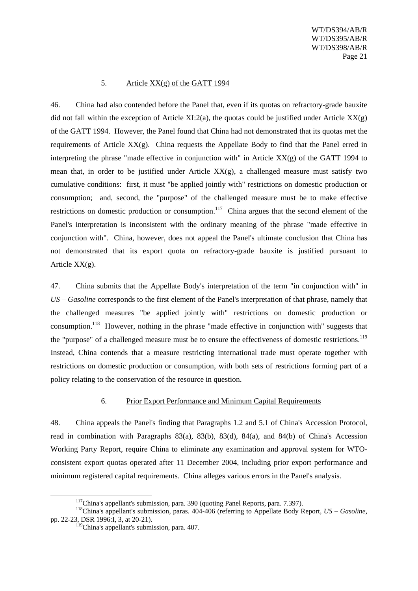#### 5. Article XX(g) of the GATT 1994

46. China had also contended before the Panel that, even if its quotas on refractory-grade bauxite did not fall within the exception of Article XI:2(a), the quotas could be justified under Article  $XX(g)$ of the GATT 1994. However, the Panel found that China had not demonstrated that its quotas met the requirements of Article  $XX(g)$ . China requests the Appellate Body to find that the Panel erred in interpreting the phrase "made effective in conjunction with" in Article  $XX(g)$  of the GATT 1994 to mean that, in order to be justified under Article  $XX(g)$ , a challenged measure must satisfy two cumulative conditions: first, it must "be applied jointly with" restrictions on domestic production or consumption; and, second, the "purpose" of the challenged measure must be to make effective restrictions on domestic production or consumption.<sup>117</sup> China argues that the second element of the Panel's interpretation is inconsistent with the ordinary meaning of the phrase "made effective in conjunction with". China, however, does not appeal the Panel's ultimate conclusion that China has not demonstrated that its export quota on refractory-grade bauxite is justified pursuant to Article  $XX(g)$ .

47. China submits that the Appellate Body's interpretation of the term "in conjunction with" in *US – Gasoline* corresponds to the first element of the Panel's interpretation of that phrase, namely that the challenged measures "be applied jointly with" restrictions on domestic production or consumption.<sup>118</sup> However, nothing in the phrase "made effective in conjunction with" suggests that the "purpose" of a challenged measure must be to ensure the effectiveness of domestic restrictions.<sup>119</sup> Instead, China contends that a measure restricting international trade must operate together with restrictions on domestic production or consumption, with both sets of restrictions forming part of a policy relating to the conservation of the resource in question.

#### 6. Prior Export Performance and Minimum Capital Requirements

48. China appeals the Panel's finding that Paragraphs 1.2 and 5.1 of China's Accession Protocol, read in combination with Paragraphs 83(a), 83(b), 83(d), 84(a), and 84(b) of China's Accession Working Party Report, require China to eliminate any examination and approval system for WTOconsistent export quotas operated after 11 December 2004, including prior export performance and minimum registered capital requirements. China alleges various errors in the Panel's analysis.

<sup>&</sup>lt;sup>117</sup>China's appellant's submission, para. 390 (quoting Panel Reports, para. 7.397).<br><sup>118</sup>China's appellant's submission, paras. 404-406 (referring to Appellate Body Report, *US – Gasoline*, pp. 22-23, DSR 1996:I, 3, at 20-21).

<sup>&</sup>lt;sup>119</sup>China's appellant's submission, para. 407.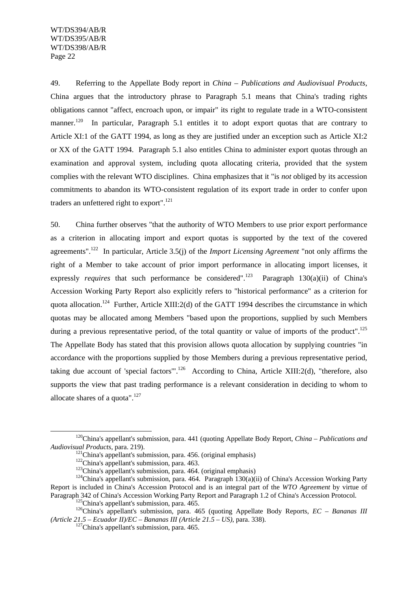49. Referring to the Appellate Body report in *China – Publications and Audiovisual Products*, China argues that the introductory phrase to Paragraph 5.1 means that China's trading rights obligations cannot "affect, encroach upon, or impair" its right to regulate trade in a WTO-consistent manner.<sup>120</sup> In particular, Paragraph 5.1 entitles it to adopt export quotas that are contrary to Article XI:1 of the GATT 1994, as long as they are justified under an exception such as Article XI:2 or XX of the GATT 1994. Paragraph 5.1 also entitles China to administer export quotas through an examination and approval system, including quota allocating criteria, provided that the system complies with the relevant WTO disciplines. China emphasizes that it "is *not* obliged by its accession commitments to abandon its WTO-consistent regulation of its export trade in order to confer upon traders an unfettered right to export".<sup>121</sup>

50. China further observes "that the authority of WTO Members to use prior export performance as a criterion in allocating import and export quotas is supported by the text of the covered agreements".122 In particular, Article 3.5(j) of the *Import Licensing Agreement* "not only affirms the right of a Member to take account of prior import performance in allocating import licenses, it expressly *requires* that such performance be considered".<sup>123</sup> Paragraph 130(a)(ii) of China's Accession Working Party Report also explicitly refers to "historical performance" as a criterion for quota allocation.<sup>124</sup> Further, Article XIII:2(d) of the GATT 1994 describes the circumstance in which quotas may be allocated among Members "based upon the proportions, supplied by such Members during a previous representative period, of the total quantity or value of imports of the product".<sup>125</sup> The Appellate Body has stated that this provision allows quota allocation by supplying countries "in accordance with the proportions supplied by those Members during a previous representative period, taking due account of 'special factors'".<sup>126</sup> According to China, Article XIII:2(d), "therefore, also supports the view that past trading performance is a relevant consideration in deciding to whom to allocate shares of a quota". $127$ 

 <sup>120</sup>China's appellant's submission, para. 441 (quoting Appellate Body Report, *China – Publications and*  Audiovisual Products, para. 219).<br>
<sup>121</sup>China's appellant's submission, para. 456. (original emphasis)<br>
<sup>122</sup>China's appellant's submission, para. 463.<br>
<sup>123</sup>China's appellant's submission, para. 464. (original emphasis)<br>

Report is included in China's Accession Protocol and is an integral part of the *WTO Agreement* by virtue of Paragraph 342 of China's Accession Working Party Report and Paragraph 1.2 of China's Accession Protocol.<br><sup>125</sup>China's appellant's submission, para. 465.<br><sup>126</sup>China's appellant's submission, para. 465 (quoting Appellate Bod

*<sup>(</sup>Article 21.5 – Ecuador II)/EC – Bananas III (Article 21.5 – US)*, para. 338). <sup>127</sup>China's appellant's submission, para. 465.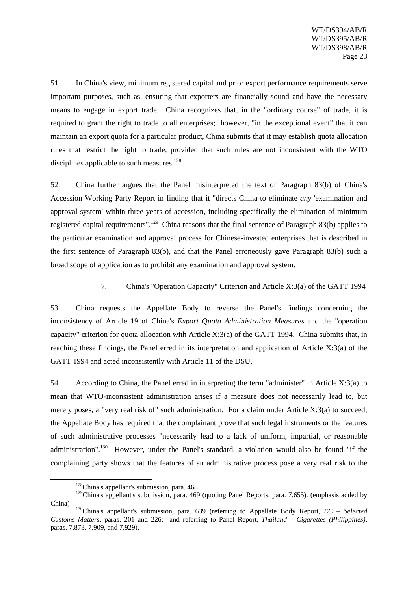51. In China's view, minimum registered capital and prior export performance requirements serve important purposes, such as, ensuring that exporters are financially sound and have the necessary means to engage in export trade. China recognizes that, in the "ordinary course" of trade, it is required to grant the right to trade to all enterprises; however, "in the exceptional event" that it can maintain an export quota for a particular product, China submits that it may establish quota allocation rules that restrict the right to trade, provided that such rules are not inconsistent with the WTO disciplines applicable to such measures.<sup>128</sup>

52. China further argues that the Panel misinterpreted the text of Paragraph 83(b) of China's Accession Working Party Report in finding that it "directs China to eliminate *any* 'examination and approval system' within three years of accession, including specifically the elimination of minimum registered capital requirements".129 China reasons that the final sentence of Paragraph 83(b) applies to the particular examination and approval process for Chinese-invested enterprises that is described in the first sentence of Paragraph 83(b), and that the Panel erroneously gave Paragraph 83(b) such a broad scope of application as to prohibit any examination and approval system.

### 7. China's "Operation Capacity" Criterion and Article X:3(a) of the GATT 1994

53. China requests the Appellate Body to reverse the Panel's findings concerning the inconsistency of Article 19 of China's *Export Quota Administration Measures* and the "operation capacity" criterion for quota allocation with Article X:3(a) of the GATT 1994. China submits that, in reaching these findings, the Panel erred in its interpretation and application of Article X:3(a) of the GATT 1994 and acted inconsistently with Article 11 of the DSU.

54. According to China, the Panel erred in interpreting the term "administer" in Article X:3(a) to mean that WTO-inconsistent administration arises if a measure does not necessarily lead to, but merely poses, a "very real risk of" such administration. For a claim under Article X:3(a) to succeed, the Appellate Body has required that the complainant prove that such legal instruments or the features of such administrative processes "necessarily lead to a lack of uniform, impartial, or reasonable administration".130 However, under the Panel's standard, a violation would also be found "if the complaining party shows that the features of an administrative process pose a very real risk to the

<sup>&</sup>lt;sup>128</sup>China's appellant's submission, para. 468.

<sup>&</sup>lt;sup>129</sup>China's appellant's submission, para. 469 (quoting Panel Reports, para. 7.655). (emphasis added by

China) 130China's appellant's submission, para. 639 (referring to Appellate Body Report, *EC – Selected Customs Matters*, paras. 201 and 226; and referring to Panel Report, *Thailand – Cigarettes (Philippines)*, paras. 7.873, 7.909, and 7.929).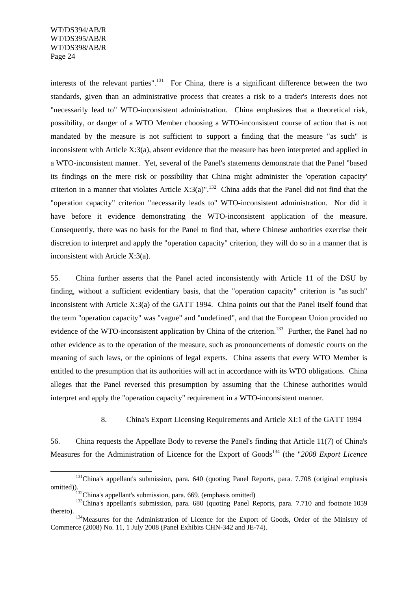interests of the relevant parties".<sup>131</sup> For China, there is a significant difference between the two standards, given than an administrative process that creates a risk to a trader's interests does not "necessarily lead to" WTO-inconsistent administration. China emphasizes that a theoretical risk, possibility, or danger of a WTO Member choosing a WTO-inconsistent course of action that is not mandated by the measure is not sufficient to support a finding that the measure "as such" is inconsistent with Article X:3(a), absent evidence that the measure has been interpreted and applied in a WTO-inconsistent manner. Yet, several of the Panel's statements demonstrate that the Panel "based its findings on the mere risk or possibility that China might administer the 'operation capacity' criterion in a manner that violates Article X:3(a)".<sup>132</sup> China adds that the Panel did not find that the "operation capacity" criterion "necessarily leads to" WTO-inconsistent administration. Nor did it have before it evidence demonstrating the WTO-inconsistent application of the measure. Consequently, there was no basis for the Panel to find that, where Chinese authorities exercise their discretion to interpret and apply the "operation capacity" criterion, they will do so in a manner that is inconsistent with Article X:3(a).

55. China further asserts that the Panel acted inconsistently with Article 11 of the DSU by finding, without a sufficient evidentiary basis, that the "operation capacity" criterion is "as such" inconsistent with Article X:3(a) of the GATT 1994. China points out that the Panel itself found that the term "operation capacity" was "vague" and "undefined", and that the European Union provided no evidence of the WTO-inconsistent application by China of the criterion.<sup>133</sup> Further, the Panel had no other evidence as to the operation of the measure, such as pronouncements of domestic courts on the meaning of such laws, or the opinions of legal experts. China asserts that every WTO Member is entitled to the presumption that its authorities will act in accordance with its WTO obligations. China alleges that the Panel reversed this presumption by assuming that the Chinese authorities would interpret and apply the "operation capacity" requirement in a WTO-inconsistent manner.

#### 8. China's Export Licensing Requirements and Article XI:1 of the GATT 1994

56. China requests the Appellate Body to reverse the Panel's finding that Article 11(7) of China's Measures for the Administration of Licence for the Export of Goods<sup>134</sup> (the "2008 Export Licence"

<sup>&</sup>lt;sup>131</sup>China's appellant's submission, para. 640 (quoting Panel Reports, para. 7.708 (original emphasis omitted)).<br><sup>132</sup>China's appellant's submission, para. 669. (emphasis omitted)<br><sup>133</sup>China's appellant's submission, para. 680 (quoting Panel Reports, para. 7.710 and footnote 1059

thereto). 134Measures for the Administration of Licence for the Export of Goods, Order of the Ministry of

Commerce (2008) No. 11, 1 July 2008 (Panel Exhibits CHN-342 and JE-74).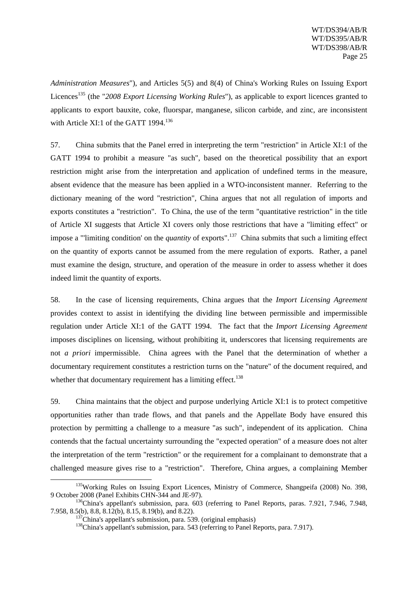*Administration Measures*"), and Articles 5(5) and 8(4) of China's Working Rules on Issuing Export Licences<sup>135</sup> (the "2008 *Export Licensing Working Rules*"), as applicable to export licences granted to applicants to export bauxite, coke, fluorspar, manganese, silicon carbide, and zinc, are inconsistent with Article XI:1 of the GATT 1994.<sup>136</sup>

57. China submits that the Panel erred in interpreting the term "restriction" in Article XI:1 of the GATT 1994 to prohibit a measure "as such", based on the theoretical possibility that an export restriction might arise from the interpretation and application of undefined terms in the measure, absent evidence that the measure has been applied in a WTO-inconsistent manner. Referring to the dictionary meaning of the word "restriction", China argues that not all regulation of imports and exports constitutes a "restriction". To China, the use of the term "quantitative restriction" in the title of Article XI suggests that Article XI covers only those restrictions that have a "limiting effect" or impose a "'limiting condition' on the *quantity* of exports".<sup>137</sup> China submits that such a limiting effect on the quantity of exports cannot be assumed from the mere regulation of exports. Rather, a panel must examine the design, structure, and operation of the measure in order to assess whether it does indeed limit the quantity of exports.

58. In the case of licensing requirements, China argues that the *Import Licensing Agreement* provides context to assist in identifying the dividing line between permissible and impermissible regulation under Article XI:1 of the GATT 1994. The fact that the *Import Licensing Agreement*  imposes disciplines on licensing, without prohibiting it, underscores that licensing requirements are not *a priori* impermissible. China agrees with the Panel that the determination of whether a documentary requirement constitutes a restriction turns on the "nature" of the document required, and whether that documentary requirement has a limiting effect.<sup>138</sup>

59. China maintains that the object and purpose underlying Article XI:1 is to protect competitive opportunities rather than trade flows, and that panels and the Appellate Body have ensured this protection by permitting a challenge to a measure "as such", independent of its application. China contends that the factual uncertainty surrounding the "expected operation" of a measure does not alter the interpretation of the term "restriction" or the requirement for a complainant to demonstrate that a challenged measure gives rise to a "restriction". Therefore, China argues, a complaining Member

<sup>&</sup>lt;sup>135</sup>Working Rules on Issuing Export Licences, Ministry of Commerce, Shangpeifa (2008) No. 398, 9 October 2008 (Panel Exhibits CHN-344 and JE-97).

 $^{136}$ China's appellant's submission, para. 603 (referring to Panel Reports, paras. 7.921, 7.946, 7.948, 7.958, 8.5(b), 8.8, 8.12(b), 8.15, 8.19(b), and 8.22).

<sup>&</sup>lt;sup>137</sup>China's appellant's submission, para. 539. (original emphasis)  $138$ China's appellant's submission, para. 543 (referring to Panel Reports, para. 7.917).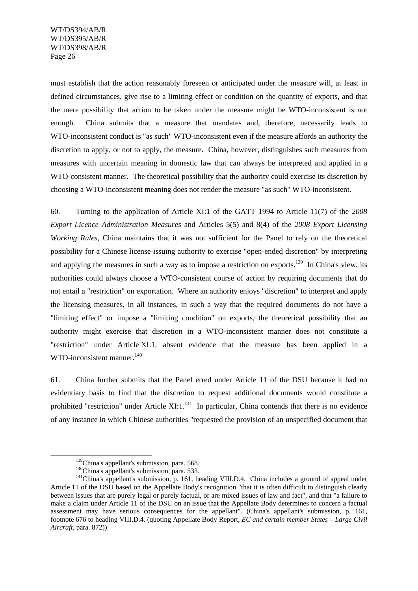must establish that the action reasonably foreseen or anticipated under the measure will, at least in defined circumstances, give rise to a limiting effect or condition on the quantity of exports, and that the mere possibility that action to be taken under the measure might be WTO-inconsistent is not enough. China submits that a measure that mandates and, therefore, necessarily leads to WTO-inconsistent conduct is "as such" WTO-inconsistent even if the measure affords an authority the discretion to apply, or not to apply, the measure. China, however, distinguishes such measures from measures with uncertain meaning in domestic law that can always be interpreted and applied in a WTO-consistent manner. The theoretical possibility that the authority could exercise its discretion by choosing a WTO-inconsistent meaning does not render the measure "as such" WTO-inconsistent.

60. Turning to the application of Article XI:1 of the GATT 1994 to Article 11(7) of the *2008 Export Licence Administration Measures* and Articles 5(5) and 8(4) of the *2008 Export Licensing Working Rules*, China maintains that it was not sufficient for the Panel to rely on the theoretical possibility for a Chinese license-issuing authority to exercise "open-ended discretion" by interpreting and applying the measures in such a way as to impose a restriction on exports.<sup>139</sup> In China's view, its authorities could always choose a WTO-consistent course of action by requiring documents that do not entail a "restriction" on exportation. Where an authority enjoys "discretion" to interpret and apply the licensing measures, in all instances, in such a way that the required documents do not have a "limiting effect" or impose a "limiting condition" on exports, the theoretical possibility that an authority might exercise that discretion in a WTO-inconsistent manner does not constitute a "restriction" under Article XI:1, absent evidence that the measure has been applied in a  $WTO$ -inconsistent manner.<sup>140</sup>

61. China further submits that the Panel erred under Article 11 of the DSU because it had no evidentiary basis to find that the discretion to request additional documents would constitute a prohibited "restriction" under Article  $XI:1^{141}$  In particular, China contends that there is no evidence of any instance in which Chinese authorities "requested the provision of an unspecified document that

<sup>&</sup>lt;sup>139</sup>China's appellant's submission, para. 568.<br><sup>140</sup>China's appellant's submission, para. 533.<br><sup>141</sup>China's appellant's submission, p. 161, heading VIII.D.4. China includes a ground of appeal under Article 11 of the DSU based on the Appellate Body's recognition "that it is often difficult to distinguish clearly between issues that are purely legal or purely factual, or are mixed issues of law and fact", and that "a failure to make a claim under Article 11 of the DSU on an issue that the Appellate Body determines to concern a factual assessment may have serious consequences for the appellant". (China's appellant's submission, p. 161, footnote 676 to heading VIII.D.4. (quoting Appellate Body Report, *EC and certain member States – Large Civil Aircraft*, para. 872))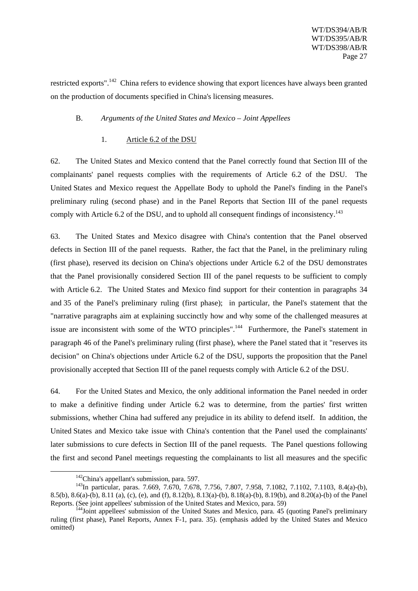restricted exports".<sup>142</sup> China refers to evidence showing that export licences have always been granted on the production of documents specified in China's licensing measures.

## B. *Arguments of the United States and Mexico – Joint Appellees*

## 1. Article 6.2 of the DSU

62. The United States and Mexico contend that the Panel correctly found that Section III of the complainants' panel requests complies with the requirements of Article 6.2 of the DSU. The United States and Mexico request the Appellate Body to uphold the Panel's finding in the Panel's preliminary ruling (second phase) and in the Panel Reports that Section III of the panel requests comply with Article 6.2 of the DSU, and to uphold all consequent findings of inconsistency.<sup>143</sup>

63. The United States and Mexico disagree with China's contention that the Panel observed defects in Section III of the panel requests. Rather, the fact that the Panel, in the preliminary ruling (first phase), reserved its decision on China's objections under Article 6.2 of the DSU demonstrates that the Panel provisionally considered Section III of the panel requests to be sufficient to comply with Article 6.2. The United States and Mexico find support for their contention in paragraphs 34 and 35 of the Panel's preliminary ruling (first phase); in particular, the Panel's statement that the "narrative paragraphs aim at explaining succinctly how and why some of the challenged measures at issue are inconsistent with some of the WTO principles".144 Furthermore, the Panel's statement in paragraph 46 of the Panel's preliminary ruling (first phase), where the Panel stated that it "reserves its decision" on China's objections under Article 6.2 of the DSU, supports the proposition that the Panel provisionally accepted that Section III of the panel requests comply with Article 6.2 of the DSU.

64. For the United States and Mexico, the only additional information the Panel needed in order to make a definitive finding under Article 6.2 was to determine, from the parties' first written submissions, whether China had suffered any prejudice in its ability to defend itself. In addition, the United States and Mexico take issue with China's contention that the Panel used the complainants' later submissions to cure defects in Section III of the panel requests. The Panel questions following the first and second Panel meetings requesting the complainants to list all measures and the specific

<sup>&</sup>lt;sup>142</sup>China's appellant's submission, para. 597.<br><sup>143</sup>In particular, paras. 7.669, 7.670, 7.678, 7.756, 7.807, 7.958, 7.1082, 7.1102, 7.1103, 8.4(a)-(b), 8.5(b), 8.6(a)-(b), 8.11 (a), (c), (e), and (f), 8.12(b), 8.13(a)-(b), 8.18(a)-(b), 8.19(b), and 8.20(a)-(b) of the Panel

 $\hat{A}^{44}$ Joint appellees' submission of the United States and Mexico, para. 45 (quoting Panel's preliminary ruling (first phase), Panel Reports, Annex F-1, para. 35). (emphasis added by the United States and Mexico omitted)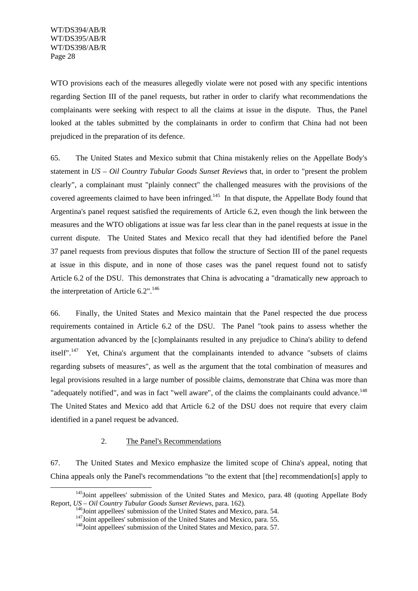WTO provisions each of the measures allegedly violate were not posed with any specific intentions regarding Section III of the panel requests, but rather in order to clarify what recommendations the complainants were seeking with respect to all the claims at issue in the dispute. Thus, the Panel looked at the tables submitted by the complainants in order to confirm that China had not been prejudiced in the preparation of its defence.

65. The United States and Mexico submit that China mistakenly relies on the Appellate Body's statement in *US – Oil Country Tubular Goods Sunset Reviews* that, in order to "present the problem clearly", a complainant must "plainly connect" the challenged measures with the provisions of the covered agreements claimed to have been infringed.<sup>145</sup> In that dispute, the Appellate Body found that Argentina's panel request satisfied the requirements of Article 6.2, even though the link between the measures and the WTO obligations at issue was far less clear than in the panel requests at issue in the current dispute. The United States and Mexico recall that they had identified before the Panel 37 panel requests from previous disputes that follow the structure of Section III of the panel requests at issue in this dispute, and in none of those cases was the panel request found not to satisfy Article 6.2 of the DSU. This demonstrates that China is advocating a "dramatically new approach to the interpretation of Article  $6.2$ ".<sup>146</sup>

66. Finally, the United States and Mexico maintain that the Panel respected the due process requirements contained in Article 6.2 of the DSU. The Panel "took pains to assess whether the argumentation advanced by the [c]omplainants resulted in any prejudice to China's ability to defend itself".147 Yet, China's argument that the complainants intended to advance "subsets of claims regarding subsets of measures", as well as the argument that the total combination of measures and legal provisions resulted in a large number of possible claims, demonstrate that China was more than "adequately notified", and was in fact "well aware", of the claims the complainants could advance.<sup>148</sup> The United States and Mexico add that Article 6.2 of the DSU does not require that every claim identified in a panel request be advanced.

## 2. The Panel's Recommendations

67. The United States and Mexico emphasize the limited scope of China's appeal, noting that China appeals only the Panel's recommendations "to the extent that [the] recommendation[s] apply to

<sup>&</sup>lt;sup>145</sup>Joint appellees' submission of the United States and Mexico, para. 48 (quoting Appellate Body Report,  $US - Oil$  Country Tubular Goods Sunset Reviews, para. 162).

<sup>&</sup>lt;sup>146</sup>Joint appellees' submission of the United States and Mexico, para. 54.<br><sup>147</sup>Joint appellees' submission of the United States and Mexico, para. 55.<br><sup>148</sup>Joint appellees' submission of the United States and Mexico, par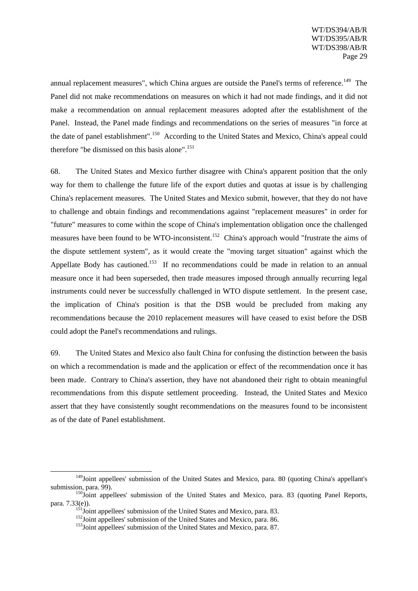annual replacement measures", which China argues are outside the Panel's terms of reference.<sup>149</sup> The Panel did not make recommendations on measures on which it had not made findings, and it did not make a recommendation on annual replacement measures adopted after the establishment of the Panel. Instead, the Panel made findings and recommendations on the series of measures "in force at the date of panel establishment".150 According to the United States and Mexico, China's appeal could therefore "be dismissed on this basis alone".<sup>151</sup>

68. The United States and Mexico further disagree with China's apparent position that the only way for them to challenge the future life of the export duties and quotas at issue is by challenging China's replacement measures. The United States and Mexico submit, however, that they do not have to challenge and obtain findings and recommendations against "replacement measures" in order for "future" measures to come within the scope of China's implementation obligation once the challenged measures have been found to be WTO-inconsistent.<sup>152</sup> China's approach would "frustrate the aims of the dispute settlement system", as it would create the "moving target situation" against which the Appellate Body has cautioned.<sup>153</sup> If no recommendations could be made in relation to an annual measure once it had been superseded, then trade measures imposed through annually recurring legal instruments could never be successfully challenged in WTO dispute settlement. In the present case, the implication of China's position is that the DSB would be precluded from making any recommendations because the 2010 replacement measures will have ceased to exist before the DSB could adopt the Panel's recommendations and rulings.

69. The United States and Mexico also fault China for confusing the distinction between the basis on which a recommendation is made and the application or effect of the recommendation once it has been made. Contrary to China's assertion, they have not abandoned their right to obtain meaningful recommendations from this dispute settlement proceeding. Instead, the United States and Mexico assert that they have consistently sought recommendations on the measures found to be inconsistent as of the date of Panel establishment.

<sup>&</sup>lt;sup>149</sup>Joint appellees' submission of the United States and Mexico, para. 80 (quoting China's appellant's submission, para. 99).<br><sup>150</sup>Joint appellees' submission of the United States and Mexico, para. 83 (quoting Panel Reports,

para. 7.33(e)).<br><sup>151</sup>Joint appellees' submission of the United States and Mexico, para. 83.<br><sup>152</sup>Joint appellees' submission of the United States and Mexico, para. 86.<br><sup>153</sup>Joint appellees' submission of the United States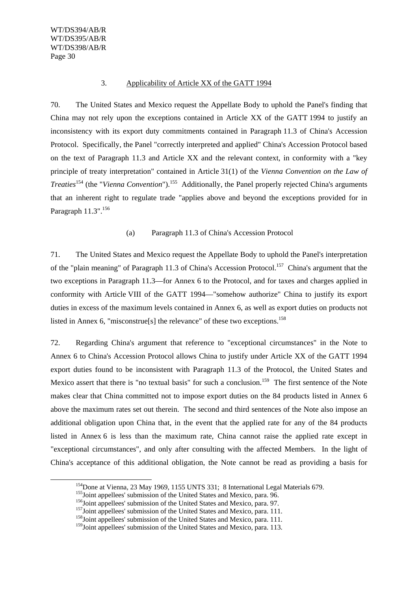### 3. Applicability of Article XX of the GATT 1994

70. The United States and Mexico request the Appellate Body to uphold the Panel's finding that China may not rely upon the exceptions contained in Article XX of the GATT 1994 to justify an inconsistency with its export duty commitments contained in Paragraph 11.3 of China's Accession Protocol. Specifically, the Panel "correctly interpreted and applied" China's Accession Protocol based on the text of Paragraph 11.3 and Article XX and the relevant context, in conformity with a "key principle of treaty interpretation" contained in Article 31(1) of the *Vienna Convention on the Law of Treaties*<sup>154</sup> (the "*Vienna Convention*").<sup>155</sup> Additionally, the Panel properly rejected China's arguments that an inherent right to regulate trade "applies above and beyond the exceptions provided for in Paragraph  $11.3"$ .<sup>156</sup>

(a) Paragraph 11.3 of China's Accession Protocol

71. The United States and Mexico request the Appellate Body to uphold the Panel's interpretation of the "plain meaning" of Paragraph 11.3 of China's Accession Protocol.<sup>157</sup> China's argument that the two exceptions in Paragraph 11.3—for Annex 6 to the Protocol, and for taxes and charges applied in conformity with Article VIII of the GATT 1994—"somehow authorize" China to justify its export duties in excess of the maximum levels contained in Annex 6, as well as export duties on products not listed in Annex 6, "misconstrue<sup>[s]</sup> the relevance" of these two exceptions.<sup>158</sup>

72. Regarding China's argument that reference to "exceptional circumstances" in the Note to Annex 6 to China's Accession Protocol allows China to justify under Article XX of the GATT 1994 export duties found to be inconsistent with Paragraph 11.3 of the Protocol, the United States and Mexico assert that there is "no textual basis" for such a conclusion.<sup>159</sup> The first sentence of the Note makes clear that China committed not to impose export duties on the 84 products listed in Annex 6 above the maximum rates set out therein. The second and third sentences of the Note also impose an additional obligation upon China that, in the event that the applied rate for any of the 84 products listed in Annex 6 is less than the maximum rate, China cannot raise the applied rate except in "exceptional circumstances", and only after consulting with the affected Members. In the light of China's acceptance of this additional obligation, the Note cannot be read as providing a basis for

<sup>&</sup>lt;sup>154</sup>Done at Vienna, 23 May 1969, 1155 UNTS 331; 8 International Legal Materials 679.<br><sup>155</sup>Joint appellees' submission of the United States and Mexico, para. 96.<br><sup>156</sup>Joint appellees' submission of the United States and Me

<sup>&</sup>lt;sup>159</sup>Joint appellees' submission of the United States and Mexico, para. 113.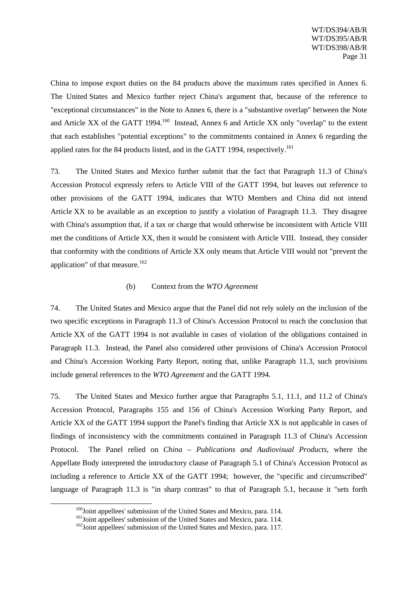China to impose export duties on the 84 products above the maximum rates specified in Annex 6. The United States and Mexico further reject China's argument that, because of the reference to "exceptional circumstances" in the Note to Annex 6, there is a "substantive overlap" between the Note and Article XX of the GATT 1994.<sup>160</sup> Instead, Annex 6 and Article XX only "overlap" to the extent that each establishes "potential exceptions" to the commitments contained in Annex 6 regarding the applied rates for the 84 products listed, and in the GATT 1994, respectively.<sup>161</sup>

73. The United States and Mexico further submit that the fact that Paragraph 11.3 of China's Accession Protocol expressly refers to Article VIII of the GATT 1994, but leaves out reference to other provisions of the GATT 1994, indicates that WTO Members and China did not intend Article XX to be available as an exception to justify a violation of Paragraph 11.3. They disagree with China's assumption that, if a tax or charge that would otherwise be inconsistent with Article VIII met the conditions of Article XX, then it would be consistent with Article VIII. Instead, they consider that conformity with the conditions of Article XX only means that Article VIII would not "prevent the application" of that measure.<sup>162</sup>

### (b) Context from the *WTO Agreement*

74. The United States and Mexico argue that the Panel did not rely solely on the inclusion of the two specific exceptions in Paragraph 11.3 of China's Accession Protocol to reach the conclusion that Article XX of the GATT 1994 is not available in cases of violation of the obligations contained in Paragraph 11.3. Instead, the Panel also considered other provisions of China's Accession Protocol and China's Accession Working Party Report, noting that, unlike Paragraph 11.3, such provisions include general references to the *WTO Agreement* and the GATT 1994.

75. The United States and Mexico further argue that Paragraphs 5.1, 11.1, and 11.2 of China's Accession Protocol, Paragraphs 155 and 156 of China's Accession Working Party Report, and Article XX of the GATT 1994 support the Panel's finding that Article XX is not applicable in cases of findings of inconsistency with the commitments contained in Paragraph 11.3 of China's Accession Protocol. The Panel relied on *China – Publications and Audiovisual Products*, where the Appellate Body interpreted the introductory clause of Paragraph 5.1 of China's Accession Protocol as including a reference to Article XX of the GATT 1994; however, the "specific and circumscribed" language of Paragraph 11.3 is "in sharp contrast" to that of Paragraph 5.1, because it "sets forth

<sup>&</sup>lt;sup>160</sup>Joint appellees' submission of the United States and Mexico, para. 114.  $^{161}$ Joint appellees' submission of the United States and Mexico, para. 117.  $^{162}$ Joint appellees' submission of the United States and Mexic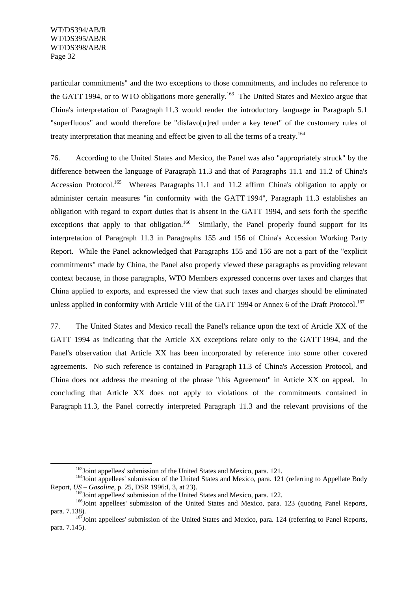particular commitments" and the two exceptions to those commitments, and includes no reference to the GATT 1994, or to WTO obligations more generally.<sup>163</sup> The United States and Mexico argue that China's interpretation of Paragraph 11.3 would render the introductory language in Paragraph 5.1 "superfluous" and would therefore be "disfavo[u]red under a key tenet" of the customary rules of treaty interpretation that meaning and effect be given to all the terms of a treaty.164

76. According to the United States and Mexico, the Panel was also "appropriately struck" by the difference between the language of Paragraph 11.3 and that of Paragraphs 11.1 and 11.2 of China's Accession Protocol.<sup>165</sup> Whereas Paragraphs 11.1 and 11.2 affirm China's obligation to apply or administer certain measures "in conformity with the GATT 1994", Paragraph 11.3 establishes an obligation with regard to export duties that is absent in the GATT 1994, and sets forth the specific exceptions that apply to that obligation.<sup>166</sup> Similarly, the Panel properly found support for its interpretation of Paragraph 11.3 in Paragraphs 155 and 156 of China's Accession Working Party Report. While the Panel acknowledged that Paragraphs 155 and 156 are not a part of the "explicit commitments" made by China, the Panel also properly viewed these paragraphs as providing relevant context because, in those paragraphs, WTO Members expressed concerns over taxes and charges that China applied to exports, and expressed the view that such taxes and charges should be eliminated unless applied in conformity with Article VIII of the GATT 1994 or Annex 6 of the Draft Protocol.<sup>167</sup>

77. The United States and Mexico recall the Panel's reliance upon the text of Article XX of the GATT 1994 as indicating that the Article XX exceptions relate only to the GATT 1994, and the Panel's observation that Article XX has been incorporated by reference into some other covered agreements. No such reference is contained in Paragraph 11.3 of China's Accession Protocol, and China does not address the meaning of the phrase "this Agreement" in Article XX on appeal. In concluding that Article XX does not apply to violations of the commitments contained in Paragraph 11.3, the Panel correctly interpreted Paragraph 11.3 and the relevant provisions of the

<sup>&</sup>lt;sup>163</sup>Joint appellees' submission of the United States and Mexico, para. 121.<br><sup>164</sup>Joint appellees' submission of the United States and Mexico, para. 121 (referring to Appellate Body Report, *US – Gasoline*, p. 25, DSR 199

<sup>&</sup>lt;sup>165</sup>Joint appellees' submission of the United States and Mexico, para. 122.<br><sup>166</sup>Joint appellees' submission of the United States and Mexico, para. 123 (quoting Panel Reports, para. 7.138).<br><sup>167</sup>Joint appellees' submission of the United States and Mexico, para. 124 (referring to Panel Reports,

para. 7.145).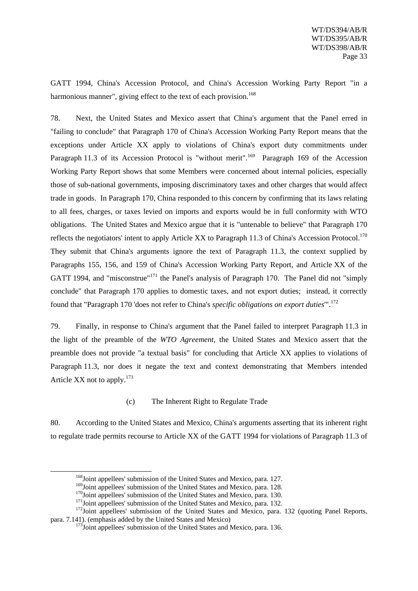GATT 1994, China's Accession Protocol, and China's Accession Working Party Report "in a harmonious manner", giving effect to the text of each provision.<sup>168</sup>

78. Next, the United States and Mexico assert that China's argument that the Panel erred in "failing to conclude" that Paragraph 170 of China's Accession Working Party Report means that the exceptions under Article XX apply to violations of China's export duty commitments under Paragraph 11.3 of its Accession Protocol is "without merit".<sup>169</sup> Paragraph 169 of the Accession Working Party Report shows that some Members were concerned about internal policies, especially those of sub-national governments, imposing discriminatory taxes and other charges that would affect trade in goods. In Paragraph 170, China responded to this concern by confirming that its laws relating to all fees, charges, or taxes levied on imports and exports would be in full conformity with WTO obligations. The United States and Mexico argue that it is "untenable to believe" that Paragraph 170 reflects the negotiators' intent to apply Article XX to Paragraph 11.3 of China's Accession Protocol.<sup>170</sup> They submit that China's arguments ignore the text of Paragraph 11.3, the context supplied by Paragraphs 155, 156, and 159 of China's Accession Working Party Report, and Article XX of the GATT 1994, and "misconstrue"<sup>171</sup> the Panel's analysis of Paragraph 170. The Panel did not "simply conclude" that Paragraph 170 applies to domestic taxes, and not export duties; instead, it correctly found that "Paragraph 170 'does not refer to China's *specific obligations on export duties*'".<sup>172</sup>

79. Finally, in response to China's argument that the Panel failed to interpret Paragraph 11.3 in the light of the preamble of the *WTO Agreement*, the United States and Mexico assert that the preamble does not provide "a textual basis" for concluding that Article XX applies to violations of Paragraph 11.3, nor does it negate the text and context demonstrating that Members intended Article XX not to apply.<sup>173</sup>

## (c) The Inherent Right to Regulate Trade

80. According to the United States and Mexico, China's arguments asserting that its inherent right to regulate trade permits recourse to Article XX of the GATT 1994 for violations of Paragraph 11.3 of

 $^{168}$ Joint appellees' submission of the United States and Mexico, para. 127.  $^{169}$ Joint appellees' submission of the United States and Mexico, para. 128.

<sup>&</sup>lt;sup>170</sup>Joint appellees' submission of the United States and Mexico, para. 130.<br><sup>171</sup>Joint appellees' submission of the United States and Mexico, para. 132.<br><sup>172</sup>Joint appellees' submission of the United States and Mexico, p

 $\frac{173}{17}$ Joint appellees' submission of the United States and Mexico, para. 136.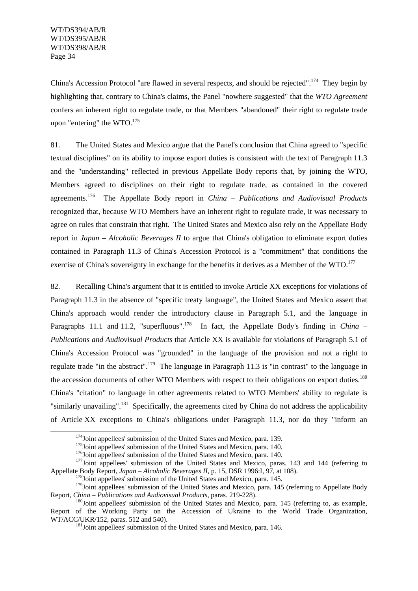China's Accession Protocol "are flawed in several respects, and should be rejected".174 They begin by highlighting that, contrary to China's claims, the Panel "nowhere suggested" that the *WTO Agreement*  confers an inherent right to regulate trade, or that Members "abandoned" their right to regulate trade upon "entering" the WTO.<sup>175</sup>

81. The United States and Mexico argue that the Panel's conclusion that China agreed to "specific textual disciplines" on its ability to impose export duties is consistent with the text of Paragraph 11.3 and the "understanding" reflected in previous Appellate Body reports that, by joining the WTO, Members agreed to disciplines on their right to regulate trade, as contained in the covered agreements.176 The Appellate Body report in *China – Publications and Audiovisual Products* recognized that, because WTO Members have an inherent right to regulate trade, it was necessary to agree on rules that constrain that right. The United States and Mexico also rely on the Appellate Body report in *Japan – Alcoholic Beverages II* to argue that China's obligation to eliminate export duties contained in Paragraph 11.3 of China's Accession Protocol is a "commitment" that conditions the exercise of China's sovereignty in exchange for the benefits it derives as a Member of the WTO.<sup>177</sup>

82. Recalling China's argument that it is entitled to invoke Article XX exceptions for violations of Paragraph 11.3 in the absence of "specific treaty language", the United States and Mexico assert that China's approach would render the introductory clause in Paragraph 5.1, and the language in Paragraphs 11.1 and 11.2, "superfluous".<sup>178</sup> In fact, the Appellate Body's finding in *China – Publications and Audiovisual Products* that Article XX is available for violations of Paragraph 5.1 of China's Accession Protocol was "grounded" in the language of the provision and not a right to regulate trade "in the abstract".<sup>179</sup> The language in Paragraph 11.3 is "in contrast" to the language in the accession documents of other WTO Members with respect to their obligations on export duties.<sup>180</sup> China's "citation" to language in other agreements related to WTO Members' ability to regulate is "similarly unavailing".<sup>181</sup> Specifically, the agreements cited by China do not address the applicability of Article XX exceptions to China's obligations under Paragraph 11.3, nor do they "inform an

<sup>&</sup>lt;sup>174</sup>Joint appellees' submission of the United States and Mexico, para. 139.<br><sup>175</sup>Joint appellees' submission of the United States and Mexico, para. 140.<br><sup>176</sup>Joint appellees' submission of the United States and Mexico, p Appellate Body Report, *Japan – Alcoholic Beverages II*, p. 15, DSR 1996:I, 97, at 108). 178Joint appellees' submission of the United States and Mexico, para. 145.

<sup>&</sup>lt;sup>179</sup>Joint appellees' submission of the United States and Mexico, para. 145 (referring to Appellate Body Report, *China – Publications and Audiovisual Products*, paras. 219-228).<br><sup>180</sup>Joint appellees' submission of the United States and Mexico, para. 145 (referring to, as example,

Report of the Working Party on the Accession of Ukraine to the World Trade Organization, WT/ACC/UKR/152, paras. 512 and 540). <sup>181</sup>Joint appellees' submission of the United States and Mexico, para. 146.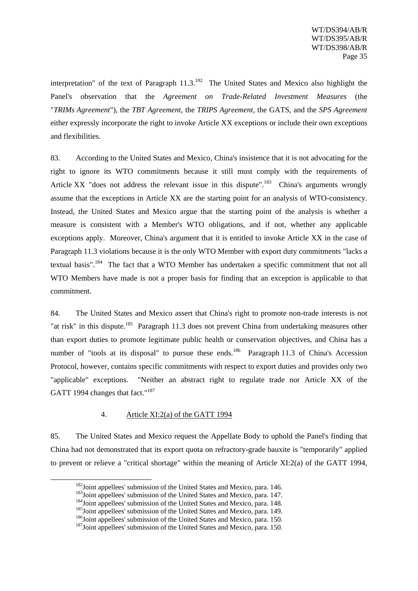interpretation" of the text of Paragraph  $11.3$ <sup>182</sup> The United States and Mexico also highlight the Panel's observation that the *Agreement on Trade-Related Investment Measures* (the "*TRIMs Agreement*"), the *TBT Agreement*, the *TRIPS Agreement*, the GATS, and the *SPS Agreement* either expressly incorporate the right to invoke Article XX exceptions or include their own exceptions and flexibilities.

83. According to the United States and Mexico, China's insistence that it is not advocating for the right to ignore its WTO commitments because it still must comply with the requirements of Article XX "does not address the relevant issue in this dispute".<sup>183</sup> China's arguments wrongly assume that the exceptions in Article XX are the starting point for an analysis of WTO-consistency. Instead, the United States and Mexico argue that the starting point of the analysis is whether a measure is consistent with a Member's WTO obligations, and if not, whether any applicable exceptions apply. Moreover, China's argument that it is entitled to invoke Article XX in the case of Paragraph 11.3 violations because it is the only WTO Member with export duty commitments "lacks a textual basis".<sup>184</sup> The fact that a WTO Member has undertaken a specific commitment that not all WTO Members have made is not a proper basis for finding that an exception is applicable to that commitment.

84. The United States and Mexico assert that China's right to promote non-trade interests is not "at risk" in this dispute.<sup>185</sup> Paragraph 11.3 does not prevent China from undertaking measures other than export duties to promote legitimate public health or conservation objectives, and China has a number of "tools at its disposal" to pursue these ends.<sup>186</sup> Paragraph 11.3 of China's Accession Protocol, however, contains specific commitments with respect to export duties and provides only two "applicable" exceptions. "Neither an abstract right to regulate trade nor Article XX of the GATT 1994 changes that fact."<sup>187</sup>

## 4. Article XI:2(a) of the GATT 1994

85. The United States and Mexico request the Appellate Body to uphold the Panel's finding that China had not demonstrated that its export quota on refractory-grade bauxite is "temporarily" applied to prevent or relieve a "critical shortage" within the meaning of Article XI:2(a) of the GATT 1994,

<sup>&</sup>lt;sup>182</sup>Joint appellees' submission of the United States and Mexico, para. 146.<br><sup>183</sup>Joint appellees' submission of the United States and Mexico, para. 147.<br><sup>184</sup>Joint appellees' submission of the United States and Mexico, p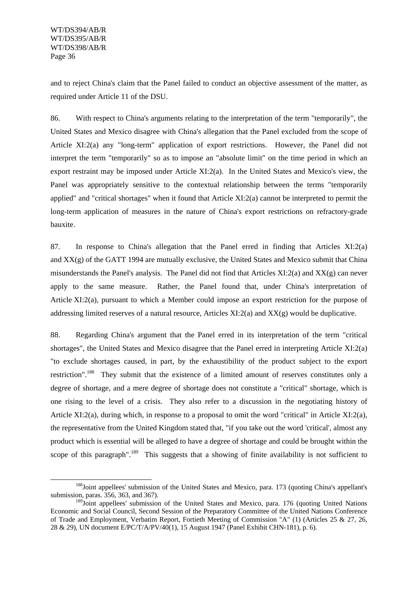and to reject China's claim that the Panel failed to conduct an objective assessment of the matter, as required under Article 11 of the DSU.

86. With respect to China's arguments relating to the interpretation of the term "temporarily", the United States and Mexico disagree with China's allegation that the Panel excluded from the scope of Article XI:2(a) any "long-term" application of export restrictions. However, the Panel did not interpret the term "temporarily" so as to impose an "absolute limit" on the time period in which an export restraint may be imposed under Article XI:2(a). In the United States and Mexico's view, the Panel was appropriately sensitive to the contextual relationship between the terms "temporarily applied" and "critical shortages" when it found that Article XI:2(a) cannot be interpreted to permit the long-term application of measures in the nature of China's export restrictions on refractory-grade bauxite.

87. In response to China's allegation that the Panel erred in finding that Articles XI:2(a) and  $XX(g)$  of the GATT 1994 are mutually exclusive, the United States and Mexico submit that China misunderstands the Panel's analysis. The Panel did not find that Articles  $XI:2(a)$  and  $XX(g)$  can never apply to the same measure. Rather, the Panel found that, under China's interpretation of Article XI:2(a), pursuant to which a Member could impose an export restriction for the purpose of addressing limited reserves of a natural resource, Articles XI:2(a) and XX(g) would be duplicative.

88. Regarding China's argument that the Panel erred in its interpretation of the term "critical shortages", the United States and Mexico disagree that the Panel erred in interpreting Article XI:2(a) "to exclude shortages caused, in part, by the exhaustibility of the product subject to the export restriction".<sup>188</sup> They submit that the existence of a limited amount of reserves constitutes only a degree of shortage, and a mere degree of shortage does not constitute a "critical" shortage, which is one rising to the level of a crisis. They also refer to a discussion in the negotiating history of Article XI:2(a), during which, in response to a proposal to omit the word "critical" in Article XI:2(a), the representative from the United Kingdom stated that, "if you take out the word 'critical', almost any product which is essential will be alleged to have a degree of shortage and could be brought within the scope of this paragraph".<sup>189</sup> This suggests that a showing of finite availability is not sufficient to

 <sup>188</sup>Joint appellees' submission of the United States and Mexico, para. 173 (quoting China's appellant's submission, paras. 356, 363, and 367).

<sup>&</sup>lt;sup>189</sup>Joint appellees' submission of the United States and Mexico, para. 176 (quoting United Nations Economic and Social Council, Second Session of the Preparatory Committee of the United Nations Conference of Trade and Employment, Verbatim Report, Fortieth Meeting of Commission "A" (1) (Articles 25 & 27, 26, 28 & 29), UN document E/PC/T/A/PV/40(1), 15 August 1947 (Panel Exhibit CHN-181), p. 6).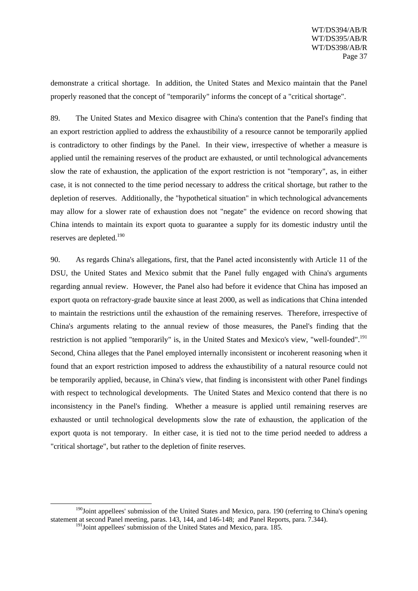demonstrate a critical shortage. In addition, the United States and Mexico maintain that the Panel properly reasoned that the concept of "temporarily" informs the concept of a "critical shortage".

89. The United States and Mexico disagree with China's contention that the Panel's finding that an export restriction applied to address the exhaustibility of a resource cannot be temporarily applied is contradictory to other findings by the Panel. In their view, irrespective of whether a measure is applied until the remaining reserves of the product are exhausted, or until technological advancements slow the rate of exhaustion, the application of the export restriction is not "temporary", as, in either case, it is not connected to the time period necessary to address the critical shortage, but rather to the depletion of reserves. Additionally, the "hypothetical situation" in which technological advancements may allow for a slower rate of exhaustion does not "negate" the evidence on record showing that China intends to maintain its export quota to guarantee a supply for its domestic industry until the reserves are depleted.<sup>190</sup>

90. As regards China's allegations, first, that the Panel acted inconsistently with Article 11 of the DSU, the United States and Mexico submit that the Panel fully engaged with China's arguments regarding annual review. However, the Panel also had before it evidence that China has imposed an export quota on refractory-grade bauxite since at least 2000, as well as indications that China intended to maintain the restrictions until the exhaustion of the remaining reserves. Therefore, irrespective of China's arguments relating to the annual review of those measures, the Panel's finding that the restriction is not applied "temporarily" is, in the United States and Mexico's view, "well-founded".<sup>191</sup> Second, China alleges that the Panel employed internally inconsistent or incoherent reasoning when it found that an export restriction imposed to address the exhaustibility of a natural resource could not be temporarily applied, because, in China's view, that finding is inconsistent with other Panel findings with respect to technological developments. The United States and Mexico contend that there is no inconsistency in the Panel's finding. Whether a measure is applied until remaining reserves are exhausted or until technological developments slow the rate of exhaustion, the application of the export quota is not temporary. In either case, it is tied not to the time period needed to address a "critical shortage", but rather to the depletion of finite reserves.

<sup>&</sup>lt;sup>190</sup>Joint appellees' submission of the United States and Mexico, para. 190 (referring to China's opening statement at second Panel meeting, paras. 143, 144, and 146-148; and Panel Reports, para. 7.344).

<sup>&</sup>lt;sup>191</sup>Joint appellees' submission of the United States and Mexico, para. 185.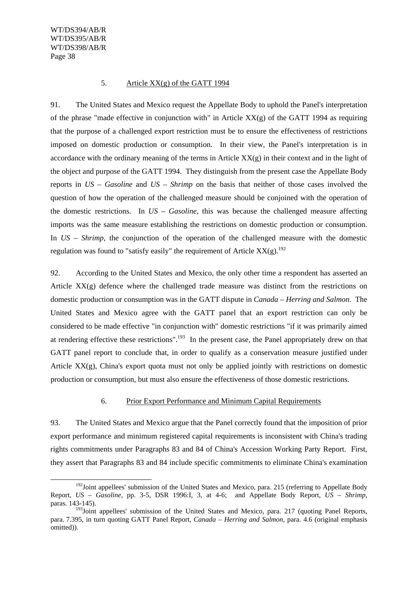#### 5. Article XX(g) of the GATT 1994

91. The United States and Mexico request the Appellate Body to uphold the Panel's interpretation of the phrase "made effective in conjunction with" in Article  $XX(g)$  of the GATT 1994 as requiring that the purpose of a challenged export restriction must be to ensure the effectiveness of restrictions imposed on domestic production or consumption. In their view, the Panel's interpretation is in accordance with the ordinary meaning of the terms in Article  $XX(g)$  in their context and in the light of the object and purpose of the GATT 1994. They distinguish from the present case the Appellate Body reports in *US – Gasoline* and *US – Shrimp* on the basis that neither of those cases involved the question of how the operation of the challenged measure should be conjoined with the operation of the domestic restrictions. In *US – Gasoline*, this was because the challenged measure affecting imports was the same measure establishing the restrictions on domestic production or consumption. In *US – Shrimp*, the conjunction of the operation of the challenged measure with the domestic regulation was found to "satisfy easily" the requirement of Article  $XX(g)$ .<sup>192</sup>

92. According to the United States and Mexico, the only other time a respondent has asserted an Article XX(g) defence where the challenged trade measure was distinct from the restrictions on domestic production or consumption was in the GATT dispute in *Canada – Herring and Salmon*. The United States and Mexico agree with the GATT panel that an export restriction can only be considered to be made effective "in conjunction with" domestic restrictions "if it was primarily aimed at rendering effective these restrictions".193 In the present case, the Panel appropriately drew on that GATT panel report to conclude that, in order to qualify as a conservation measure justified under Article  $XX(g)$ , China's export quota must not only be applied jointly with restrictions on domestic production or consumption, but must also ensure the effectiveness of those domestic restrictions.

#### 6. Prior Export Performance and Minimum Capital Requirements

93. The United States and Mexico argue that the Panel correctly found that the imposition of prior export performance and minimum registered capital requirements is inconsistent with China's trading rights commitments under Paragraphs 83 and 84 of China's Accession Working Party Report. First, they assert that Paragraphs 83 and 84 include specific commitments to eliminate China's examination

<sup>&</sup>lt;sup>192</sup>Joint appellees' submission of the United States and Mexico, para. 215 (referring to Appellate Body Report, *US – Gasoline*, pp. 3-5, DSR 1996:I, 3, at 4-6; and Appellate Body Report, *US – Shrimp*, paras. 143-145).

 $193$ Joint appellees' submission of the United States and Mexico, para. 217 (quoting Panel Reports, para. 7.395, in turn quoting GATT Panel Report, *Canada – Herring and Salmon*, para. 4.6 (original emphasis omitted)).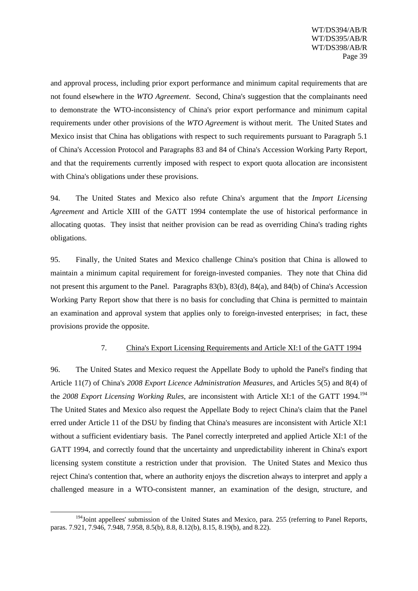and approval process, including prior export performance and minimum capital requirements that are not found elsewhere in the *WTO Agreement*. Second, China's suggestion that the complainants need to demonstrate the WTO-inconsistency of China's prior export performance and minimum capital requirements under other provisions of the *WTO Agreement* is without merit. The United States and Mexico insist that China has obligations with respect to such requirements pursuant to Paragraph 5.1 of China's Accession Protocol and Paragraphs 83 and 84 of China's Accession Working Party Report, and that the requirements currently imposed with respect to export quota allocation are inconsistent with China's obligations under these provisions.

94. The United States and Mexico also refute China's argument that the *Import Licensing Agreement* and Article XIII of the GATT 1994 contemplate the use of historical performance in allocating quotas. They insist that neither provision can be read as overriding China's trading rights obligations.

95. Finally, the United States and Mexico challenge China's position that China is allowed to maintain a minimum capital requirement for foreign-invested companies. They note that China did not present this argument to the Panel. Paragraphs 83(b), 83(d), 84(a), and 84(b) of China's Accession Working Party Report show that there is no basis for concluding that China is permitted to maintain an examination and approval system that applies only to foreign-invested enterprises; in fact, these provisions provide the opposite.

#### 7. China's Export Licensing Requirements and Article XI:1 of the GATT 1994

96. The United States and Mexico request the Appellate Body to uphold the Panel's finding that Article 11(7) of China's *2008 Export Licence Administration Measures*, and Articles 5(5) and 8(4) of the 2008 Export Licensing Working Rules, are inconsistent with Article XI:1 of the GATT 1994.<sup>194</sup> The United States and Mexico also request the Appellate Body to reject China's claim that the Panel erred under Article 11 of the DSU by finding that China's measures are inconsistent with Article XI:1 without a sufficient evidentiary basis. The Panel correctly interpreted and applied Article XI:1 of the GATT 1994, and correctly found that the uncertainty and unpredictability inherent in China's export licensing system constitute a restriction under that provision. The United States and Mexico thus reject China's contention that, where an authority enjoys the discretion always to interpret and apply a challenged measure in a WTO-consistent manner, an examination of the design, structure, and

<sup>&</sup>lt;sup>194</sup>Joint appellees' submission of the United States and Mexico, para. 255 (referring to Panel Reports, paras. 7.921, 7.946, 7.948, 7.958, 8.5(b), 8.8, 8.12(b), 8.15, 8.19(b), and 8.22).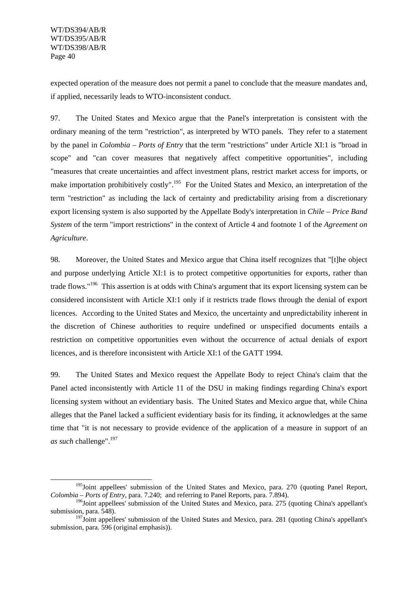expected operation of the measure does not permit a panel to conclude that the measure mandates and, if applied, necessarily leads to WTO-inconsistent conduct.

97. The United States and Mexico argue that the Panel's interpretation is consistent with the ordinary meaning of the term "restriction", as interpreted by WTO panels. They refer to a statement by the panel in *Colombia – Ports of Entry* that the term "restrictions" under Article XI:1 is "broad in scope" and "can cover measures that negatively affect competitive opportunities", including "measures that create uncertainties and affect investment plans, restrict market access for imports, or make importation prohibitively costly".<sup>195</sup> For the United States and Mexico, an interpretation of the term "restriction" as including the lack of certainty and predictability arising from a discretionary export licensing system is also supported by the Appellate Body's interpretation in *Chile – Price Band System* of the term "import restrictions" in the context of Article 4 and footnote 1 of the *Agreement on Agriculture*.

98. Moreover, the United States and Mexico argue that China itself recognizes that "[t]he object and purpose underlying Article XI:1 is to protect competitive opportunities for exports, rather than trade flows."196 This assertion is at odds with China's argument that its export licensing system can be considered inconsistent with Article XI:1 only if it restricts trade flows through the denial of export licences. According to the United States and Mexico, the uncertainty and unpredictability inherent in the discretion of Chinese authorities to require undefined or unspecified documents entails a restriction on competitive opportunities even without the occurrence of actual denials of export licences, and is therefore inconsistent with Article XI:1 of the GATT 1994.

99. The United States and Mexico request the Appellate Body to reject China's claim that the Panel acted inconsistently with Article 11 of the DSU in making findings regarding China's export licensing system without an evidentiary basis. The United States and Mexico argue that, while China alleges that the Panel lacked a sufficient evidentiary basis for its finding, it acknowledges at the same time that "it is not necessary to provide evidence of the application of a measure in support of an as such challenge".<sup>197</sup>

<sup>&</sup>lt;sup>195</sup>Joint appellees' submission of the United States and Mexico, para. 270 (quoting Panel Report, *Colombia – Ports of Entry*, para. 7.240; and referring to Panel Reports, para. 7.894).

<sup>&</sup>lt;sup>196</sup>Joint appellees' submission of the United States and Mexico, para. 275 (quoting China's appellant's submission, para. 548).

<sup>&</sup>lt;sup>197</sup>Joint appellees' submission of the United States and Mexico, para. 281 (quoting China's appellant's submission, para. 596 (original emphasis)).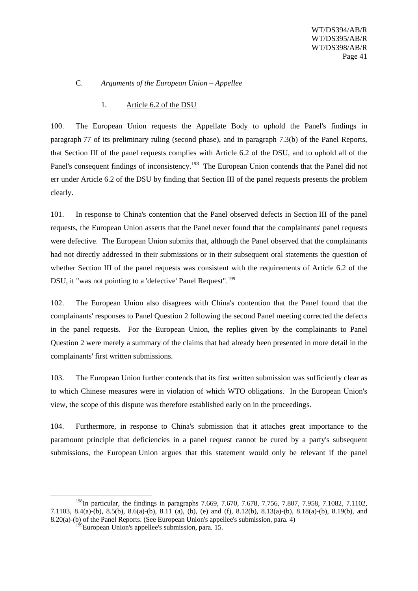## C. *Arguments of the European Union – Appellee*

#### 1. Article 6.2 of the DSU

100. The European Union requests the Appellate Body to uphold the Panel's findings in paragraph 77 of its preliminary ruling (second phase), and in paragraph 7.3(b) of the Panel Reports, that Section III of the panel requests complies with Article 6.2 of the DSU, and to uphold all of the Panel's consequent findings of inconsistency.<sup>198</sup> The European Union contends that the Panel did not err under Article 6.2 of the DSU by finding that Section III of the panel requests presents the problem clearly.

101. In response to China's contention that the Panel observed defects in Section III of the panel requests, the European Union asserts that the Panel never found that the complainants' panel requests were defective. The European Union submits that, although the Panel observed that the complainants had not directly addressed in their submissions or in their subsequent oral statements the question of whether Section III of the panel requests was consistent with the requirements of Article 6.2 of the DSU, it "was not pointing to a 'defective' Panel Request".<sup>199</sup>

102. The European Union also disagrees with China's contention that the Panel found that the complainants' responses to Panel Question 2 following the second Panel meeting corrected the defects in the panel requests. For the European Union, the replies given by the complainants to Panel Question 2 were merely a summary of the claims that had already been presented in more detail in the complainants' first written submissions.

103. The European Union further contends that its first written submission was sufficiently clear as to which Chinese measures were in violation of which WTO obligations. In the European Union's view, the scope of this dispute was therefore established early on in the proceedings.

104. Furthermore, in response to China's submission that it attaches great importance to the paramount principle that deficiencies in a panel request cannot be cured by a party's subsequent submissions, the European Union argues that this statement would only be relevant if the panel

<sup>&</sup>lt;sup>198</sup>In particular, the findings in paragraphs 7.669, 7.670, 7.678, 7.756, 7.807, 7.958, 7.1082, 7.1102, 7.1103, 8.4(a)-(b), 8.5(b), 8.6(a)-(b), 8.11 (a), (b), (e) and (f), 8.12(b), 8.13(a)-(b), 8.18(a)-(b), 8.19(b), and 8.20(a)-(b) of the Panel Reports. (See European Union's appellee's submission, para. 4)

 $199$ European Union's appellee's submission, para. 15.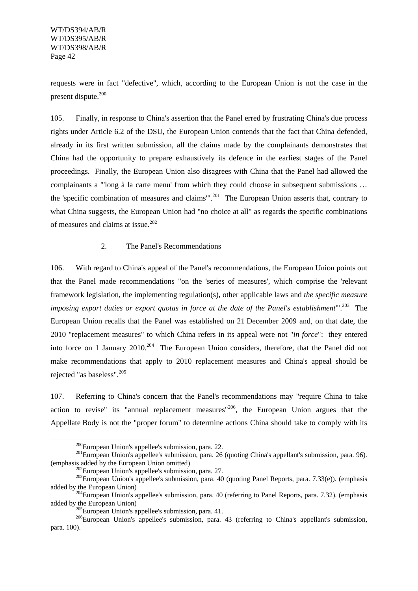requests were in fact "defective", which, according to the European Union is not the case in the present dispute.<sup>200</sup>

105. Finally, in response to China's assertion that the Panel erred by frustrating China's due process rights under Article 6.2 of the DSU, the European Union contends that the fact that China defended, already in its first written submission, all the claims made by the complainants demonstrates that China had the opportunity to prepare exhaustively its defence in the earliest stages of the Panel proceedings. Finally, the European Union also disagrees with China that the Panel had allowed the complainants a "'long à la carte menu' from which they could choose in subsequent submissions … the 'specific combination of measures and claims'".201 The European Union asserts that, contrary to what China suggests, the European Union had "no choice at all" as regards the specific combinations of measures and claims at issue.<sup>202</sup>

### 2. The Panel's Recommendations

106. With regard to China's appeal of the Panel's recommendations, the European Union points out that the Panel made recommendations "on the 'series of measures', which comprise the 'relevant framework legislation, the implementing regulation(s), other applicable laws and *the specific measure imposing export duties or export quotas in force at the date of the Panel's establishment*".<sup>203</sup> The European Union recalls that the Panel was established on 21 December 2009 and, on that date, the 2010 "replacement measures" to which China refers in its appeal were not "*in force*": they entered into force on 1 January 2010.<sup>204</sup> The European Union considers, therefore, that the Panel did not make recommendations that apply to 2010 replacement measures and China's appeal should be rejected "as baseless".<sup>205</sup>

107. Referring to China's concern that the Panel's recommendations may "require China to take action to revise" its "annual replacement measures"<sup>206</sup>, the European Union argues that the Appellate Body is not the "proper forum" to determine actions China should take to comply with its

<sup>&</sup>lt;sup>200</sup>European Union's appellee's submission, para. 22.<br><sup>201</sup>European Union's appellee's submission, para. 26 (quoting China's appellant's submission, para. 96).

<sup>(</sup>emphasis added by the European Union omitted)<br>
<sup>202</sup>European Union's appellee's submission, para. 27.<br>
<sup>203</sup>European Union's appellee's submission, para. 40 (quoting Panel Reports, para. 7.33(e)). (emphasis added by the

<sup>&</sup>lt;sup>204</sup>European Union's appellee's submission, para. 40 (referring to Panel Reports, para. 7.32). (emphasis added by the European Union)

<sup>&</sup>lt;sup>205</sup>European Union's appellee's submission, para. 41.<br><sup>206</sup>European Union's appellee's submission, para. 43 (referring to China's appellant's submission, para. 100).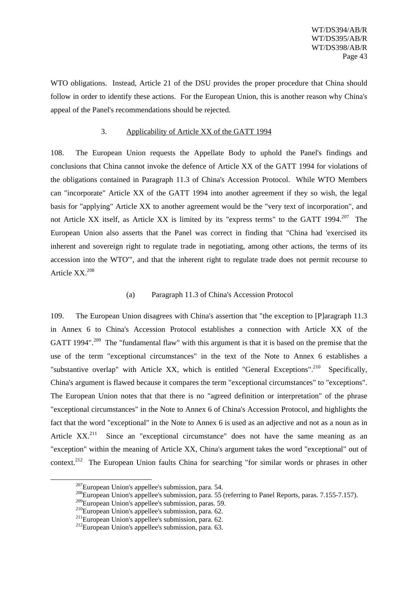WTO obligations. Instead, Article 21 of the DSU provides the proper procedure that China should follow in order to identify these actions. For the European Union, this is another reason why China's appeal of the Panel's recommendations should be rejected.

#### 3. Applicability of Article XX of the GATT 1994

108. The European Union requests the Appellate Body to uphold the Panel's findings and conclusions that China cannot invoke the defence of Article XX of the GATT 1994 for violations of the obligations contained in Paragraph 11.3 of China's Accession Protocol. While WTO Members can "incorporate" Article XX of the GATT 1994 into another agreement if they so wish, the legal basis for "applying" Article XX to another agreement would be the "very text of incorporation", and not Article XX itself, as Article XX is limited by its "express terms" to the GATT 1994.<sup>207</sup> The European Union also asserts that the Panel was correct in finding that "China had 'exercised its inherent and sovereign right to regulate trade in negotiating, among other actions, the terms of its accession into the WTO'", and that the inherent right to regulate trade does not permit recourse to Article XX<sup>208</sup>

#### (a) Paragraph 11.3 of China's Accession Protocol

109. The European Union disagrees with China's assertion that "the exception to [P]aragraph 11.3 in Annex 6 to China's Accession Protocol establishes a connection with Article XX of the GATT 1994".<sup>209</sup> The "fundamental flaw" with this argument is that it is based on the premise that the use of the term "exceptional circumstances" in the text of the Note to Annex 6 establishes a "substantive overlap" with Article XX, which is entitled "General Exceptions".<sup>210</sup> Specifically, China's argument is flawed because it compares the term "exceptional circumstances" to "exceptions". The European Union notes that that there is no "agreed definition or interpretation" of the phrase "exceptional circumstances" in the Note to Annex 6 of China's Accession Protocol, and highlights the fact that the word "exceptional" in the Note to Annex 6 is used as an adjective and not as a noun as in Article  $XX^{211}$ . Since an "exceptional circumstance" does not have the same meaning as an "exception" within the meaning of Article XX, China's argument takes the word "exceptional" out of context.<sup>212</sup> The European Union faults China for searching "for similar words or phrases in other

<sup>&</sup>lt;sup>207</sup>European Union's appellee's submission, para. 54.<br><sup>208</sup>European Union's appellee's submission, para. 55 (referring to Panel Reports, paras. 7.155-7.157).<br><sup>209</sup>European Union's appellee's submission, paras. 59.

<sup>&</sup>lt;sup>210</sup>European Union's appellee's submission, para. 62.<br><sup>211</sup>European Union's appellee's submission, para. 62.<br><sup>212</sup>European Union's appellee's submission, para. 63.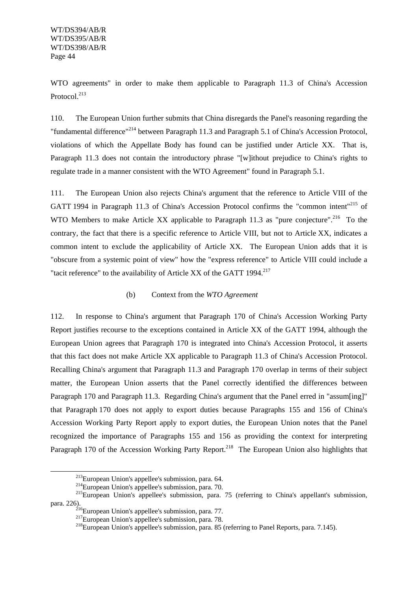WTO agreements" in order to make them applicable to Paragraph 11.3 of China's Accession Protocol.<sup>213</sup>

110. The European Union further submits that China disregards the Panel's reasoning regarding the "fundamental difference"<sup>214</sup> between Paragraph 11.3 and Paragraph 5.1 of China's Accession Protocol, violations of which the Appellate Body has found can be justified under Article XX. That is, Paragraph 11.3 does not contain the introductory phrase "[w]ithout prejudice to China's rights to regulate trade in a manner consistent with the WTO Agreement" found in Paragraph 5.1.

111. The European Union also rejects China's argument that the reference to Article VIII of the GATT 1994 in Paragraph 11.3 of China's Accession Protocol confirms the "common intent"<sup>215</sup> of WTO Members to make Article XX applicable to Paragraph 11.3 as "pure conjecture".<sup>216</sup> To the contrary, the fact that there is a specific reference to Article VIII, but not to Article XX, indicates a common intent to exclude the applicability of Article XX. The European Union adds that it is "obscure from a systemic point of view" how the "express reference" to Article VIII could include a "tacit reference" to the availability of Article XX of the GATT  $1994$ <sup>217</sup>

# (b) Context from the *WTO Agreement*

112. In response to China's argument that Paragraph 170 of China's Accession Working Party Report justifies recourse to the exceptions contained in Article XX of the GATT 1994, although the European Union agrees that Paragraph 170 is integrated into China's Accession Protocol, it asserts that this fact does not make Article XX applicable to Paragraph 11.3 of China's Accession Protocol. Recalling China's argument that Paragraph 11.3 and Paragraph 170 overlap in terms of their subject matter, the European Union asserts that the Panel correctly identified the differences between Paragraph 170 and Paragraph 11.3. Regarding China's argument that the Panel erred in "assum[ing]" that Paragraph 170 does not apply to export duties because Paragraphs 155 and 156 of China's Accession Working Party Report apply to export duties, the European Union notes that the Panel recognized the importance of Paragraphs 155 and 156 as providing the context for interpreting Paragraph 170 of the Accession Working Party Report.<sup>218</sup> The European Union also highlights that

<sup>&</sup>lt;sup>213</sup>European Union's appellee's submission, para. 64.<br><sup>214</sup>European Union's appellee's submission, para. 70.<br><sup>215</sup>European Union's appellee's submission, para. 75 (referring to China's appellant's submission, para. 226).<br><sup>216</sup>European Union's appellee's submission, para. 77.<br><sup>217</sup>European Union's appellee's submission, para. 85 (referring to Panel Reports, para. 7.145).<br><sup>218</sup>European Union's appellee's submission, para. 85 (ref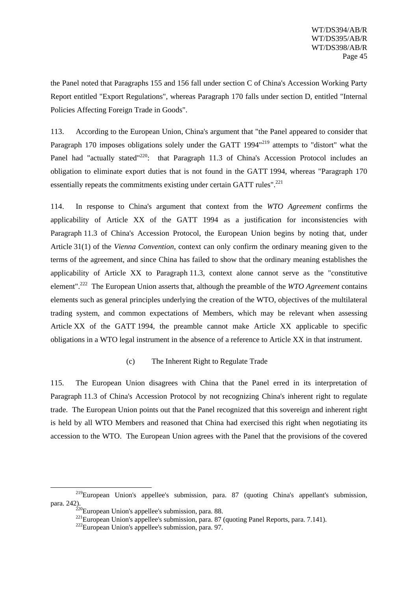the Panel noted that Paragraphs 155 and 156 fall under section C of China's Accession Working Party Report entitled "Export Regulations", whereas Paragraph 170 falls under section D, entitled "Internal Policies Affecting Foreign Trade in Goods".

113. According to the European Union, China's argument that "the Panel appeared to consider that Paragraph 170 imposes obligations solely under the GATT 1994<sup>"219</sup> attempts to "distort" what the Panel had "actually stated"<sup>220</sup>: that Paragraph 11.3 of China's Accession Protocol includes an obligation to eliminate export duties that is not found in the GATT 1994, whereas "Paragraph 170 essentially repeats the commitments existing under certain GATT rules". $^{221}$ 

114. In response to China's argument that context from the *WTO Agreement* confirms the applicability of Article XX of the GATT 1994 as a justification for inconsistencies with Paragraph 11.3 of China's Accession Protocol, the European Union begins by noting that, under Article 31(1) of the *Vienna Convention*, context can only confirm the ordinary meaning given to the terms of the agreement, and since China has failed to show that the ordinary meaning establishes the applicability of Article XX to Paragraph 11.3, context alone cannot serve as the "constitutive element".222 The European Union asserts that, although the preamble of the *WTO Agreement* contains elements such as general principles underlying the creation of the WTO, objectives of the multilateral trading system, and common expectations of Members, which may be relevant when assessing Article XX of the GATT 1994, the preamble cannot make Article XX applicable to specific obligations in a WTO legal instrument in the absence of a reference to Article XX in that instrument.

### (c) The Inherent Right to Regulate Trade

115. The European Union disagrees with China that the Panel erred in its interpretation of Paragraph 11.3 of China's Accession Protocol by not recognizing China's inherent right to regulate trade. The European Union points out that the Panel recognized that this sovereign and inherent right is held by all WTO Members and reasoned that China had exercised this right when negotiating its accession to the WTO. The European Union agrees with the Panel that the provisions of the covered

 $2^{19}$ European Union's appellee's submission, para. 87 (quoting China's appellant's submission, para. 242). <sup>220</sup>European Union's appellee's submission, para. 88. <sup>221</sup>European Union's appellee's submission, para. 87 (quoting Panel Reports, para. 7.141). <sup>222</sup>European Union's appellee's submission, para. 97.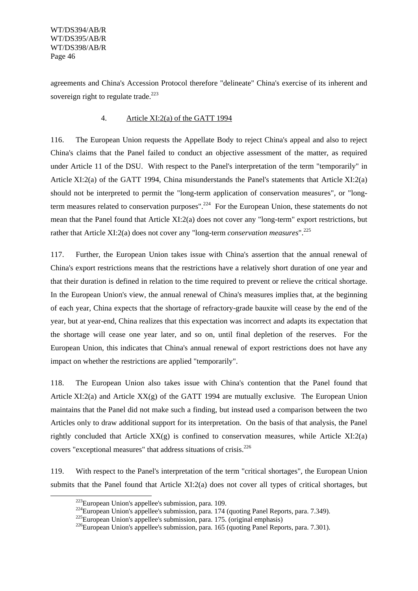agreements and China's Accession Protocol therefore "delineate" China's exercise of its inherent and sovereign right to regulate trade.<sup>223</sup>

## 4. Article XI:2(a) of the GATT 1994

116. The European Union requests the Appellate Body to reject China's appeal and also to reject China's claims that the Panel failed to conduct an objective assessment of the matter, as required under Article 11 of the DSU. With respect to the Panel's interpretation of the term "temporarily" in Article XI:2(a) of the GATT 1994, China misunderstands the Panel's statements that Article XI:2(a) should not be interpreted to permit the "long-term application of conservation measures", or "longterm measures related to conservation purposes".<sup>224</sup> For the European Union, these statements do not mean that the Panel found that Article XI:2(a) does not cover any "long-term" export restrictions, but rather that Article XI:2(a) does not cover any "long-term *conservation measures*".<sup>225</sup>

117. Further, the European Union takes issue with China's assertion that the annual renewal of China's export restrictions means that the restrictions have a relatively short duration of one year and that their duration is defined in relation to the time required to prevent or relieve the critical shortage. In the European Union's view, the annual renewal of China's measures implies that, at the beginning of each year, China expects that the shortage of refractory-grade bauxite will cease by the end of the year, but at year-end, China realizes that this expectation was incorrect and adapts its expectation that the shortage will cease one year later, and so on, until final depletion of the reserves. For the European Union, this indicates that China's annual renewal of export restrictions does not have any impact on whether the restrictions are applied "temporarily".

118. The European Union also takes issue with China's contention that the Panel found that Article  $XI:2(a)$  and Article  $XX(g)$  of the GATT 1994 are mutually exclusive. The European Union maintains that the Panel did not make such a finding, but instead used a comparison between the two Articles only to draw additional support for its interpretation. On the basis of that analysis, the Panel rightly concluded that Article  $XX(g)$  is confined to conservation measures, while Article  $XI(2(a))$ covers "exceptional measures" that address situations of crisis.226

119. With respect to the Panel's interpretation of the term "critical shortages", the European Union submits that the Panel found that Article XI:2(a) does not cover all types of critical shortages, but

<sup>&</sup>lt;sup>223</sup>European Union's appellee's submission, para. 109.<br><sup>224</sup>European Union's appellee's submission, para. 174 (quoting Panel Reports, para. 7.349).<br><sup>225</sup>European Union's appellee's submission, para. 175. (original emphas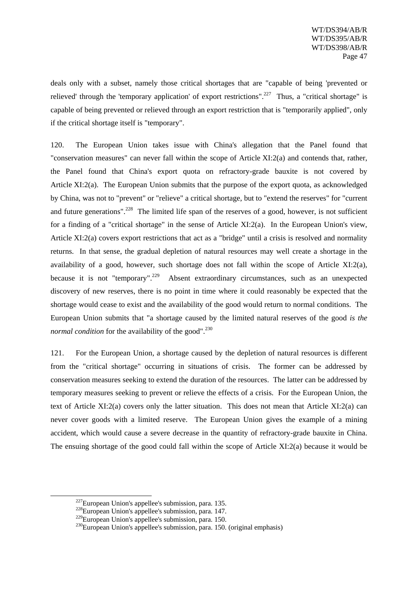deals only with a subset, namely those critical shortages that are "capable of being 'prevented or relieved' through the 'temporary application' of export restrictions".<sup>227</sup> Thus, a "critical shortage" is capable of being prevented or relieved through an export restriction that is "temporarily applied", only if the critical shortage itself is "temporary".

120. The European Union takes issue with China's allegation that the Panel found that "conservation measures" can never fall within the scope of Article XI:2(a) and contends that, rather, the Panel found that China's export quota on refractory-grade bauxite is not covered by Article XI:2(a). The European Union submits that the purpose of the export quota, as acknowledged by China, was not to "prevent" or "relieve" a critical shortage, but to "extend the reserves" for "current and future generations".<sup>228</sup> The limited life span of the reserves of a good, however, is not sufficient for a finding of a "critical shortage" in the sense of Article XI:2(a). In the European Union's view, Article XI:2(a) covers export restrictions that act as a "bridge" until a crisis is resolved and normality returns. In that sense, the gradual depletion of natural resources may well create a shortage in the availability of a good, however, such shortage does not fall within the scope of Article XI:2(a), because it is not "temporary".<sup>229</sup> Absent extraordinary circumstances, such as an unexpected discovery of new reserves, there is no point in time where it could reasonably be expected that the shortage would cease to exist and the availability of the good would return to normal conditions. The European Union submits that "a shortage caused by the limited natural reserves of the good *is the normal condition* for the availability of the good".<sup>230</sup>

121. For the European Union, a shortage caused by the depletion of natural resources is different from the "critical shortage" occurring in situations of crisis. The former can be addressed by conservation measures seeking to extend the duration of the resources. The latter can be addressed by temporary measures seeking to prevent or relieve the effects of a crisis. For the European Union, the text of Article XI:2(a) covers only the latter situation. This does not mean that Article XI:2(a) can never cover goods with a limited reserve. The European Union gives the example of a mining accident, which would cause a severe decrease in the quantity of refractory-grade bauxite in China. The ensuing shortage of the good could fall within the scope of Article XI:2(a) because it would be

<sup>&</sup>lt;sup>227</sup>European Union's appellee's submission, para. 135.<br><sup>228</sup>European Union's appellee's submission, para. 147.<br><sup>229</sup>European Union's appellee's submission, para. 150.

<sup>&</sup>lt;sup>230</sup>European Union's appellee's submission, para. 150. (original emphasis)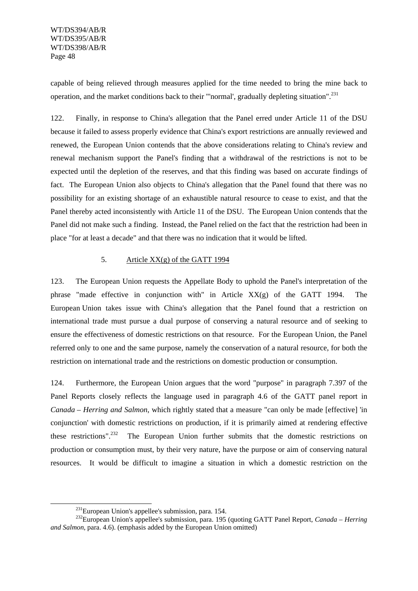capable of being relieved through measures applied for the time needed to bring the mine back to operation, and the market conditions back to their "'normal', gradually depleting situation".<sup>231</sup>

122. Finally, in response to China's allegation that the Panel erred under Article 11 of the DSU because it failed to assess properly evidence that China's export restrictions are annually reviewed and renewed, the European Union contends that the above considerations relating to China's review and renewal mechanism support the Panel's finding that a withdrawal of the restrictions is not to be expected until the depletion of the reserves, and that this finding was based on accurate findings of fact. The European Union also objects to China's allegation that the Panel found that there was no possibility for an existing shortage of an exhaustible natural resource to cease to exist, and that the Panel thereby acted inconsistently with Article 11 of the DSU. The European Union contends that the Panel did not make such a finding. Instead, the Panel relied on the fact that the restriction had been in place "for at least a decade" and that there was no indication that it would be lifted.

# 5. Article XX(g) of the GATT 1994

123. The European Union requests the Appellate Body to uphold the Panel's interpretation of the phrase "made effective in conjunction with" in Article XX(g) of the GATT 1994. The European Union takes issue with China's allegation that the Panel found that a restriction on international trade must pursue a dual purpose of conserving a natural resource and of seeking to ensure the effectiveness of domestic restrictions on that resource. For the European Union, the Panel referred only to one and the same purpose, namely the conservation of a natural resource, for both the restriction on international trade and the restrictions on domestic production or consumption.

124. Furthermore, the European Union argues that the word "purpose" in paragraph 7.397 of the Panel Reports closely reflects the language used in paragraph 4.6 of the GATT panel report in *Canada – Herring and Salmon*, which rightly stated that a measure "can only be made [effective] 'in conjunction' with domestic restrictions on production, if it is primarily aimed at rendering effective these restrictions".232 The European Union further submits that the domestic restrictions on production or consumption must, by their very nature, have the purpose or aim of conserving natural resources. It would be difficult to imagine a situation in which a domestic restriction on the

<sup>&</sup>lt;sup>231</sup>European Union's appellee's submission, para. 154.<br><sup>232</sup>European Union's appellee's submission, para. 195 (quoting GATT Panel Report, *Canada – Herring and Salmon*, para. 4.6). (emphasis added by the European Union omitted)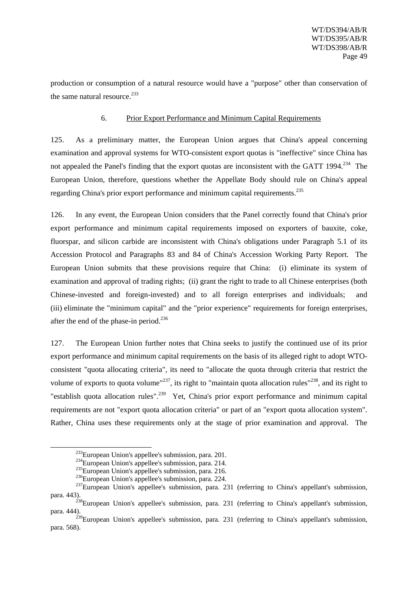production or consumption of a natural resource would have a "purpose" other than conservation of the same natural resource. $^{233}$ 

### 6. Prior Export Performance and Minimum Capital Requirements

125. As a preliminary matter, the European Union argues that China's appeal concerning examination and approval systems for WTO-consistent export quotas is "ineffective" since China has not appealed the Panel's finding that the export quotas are inconsistent with the GATT 1994.<sup>234</sup> The European Union, therefore, questions whether the Appellate Body should rule on China's appeal regarding China's prior export performance and minimum capital requirements.<sup>235</sup>

126. In any event, the European Union considers that the Panel correctly found that China's prior export performance and minimum capital requirements imposed on exporters of bauxite, coke, fluorspar, and silicon carbide are inconsistent with China's obligations under Paragraph 5.1 of its Accession Protocol and Paragraphs 83 and 84 of China's Accession Working Party Report. The European Union submits that these provisions require that China: (i) eliminate its system of examination and approval of trading rights; (ii) grant the right to trade to all Chinese enterprises (both Chinese-invested and foreign-invested) and to all foreign enterprises and individuals; and (iii) eliminate the "minimum capital" and the "prior experience" requirements for foreign enterprises, after the end of the phase-in period.<sup>236</sup>

127. The European Union further notes that China seeks to justify the continued use of its prior export performance and minimum capital requirements on the basis of its alleged right to adopt WTOconsistent "quota allocating criteria", its need to "allocate the quota through criteria that restrict the volume of exports to quota volume"<sup>237</sup>, its right to "maintain quota allocation rules"<sup>238</sup>, and its right to "establish quota allocation rules".<sup>239</sup> Yet, China's prior export performance and minimum capital requirements are not "export quota allocation criteria" or part of an "export quota allocation system". Rather, China uses these requirements only at the stage of prior examination and approval. The

<sup>&</sup>lt;sup>233</sup>European Union's appellee's submission, para. 201.<br><sup>234</sup>European Union's appellee's submission, para. 214.<br><sup>235</sup>European Union's appellee's submission, para. 216.<br><sup>236</sup>European Union's appellee's submission, para. 224

para. 443). <sup>238</sup>European Union's appellee's submission, para. 231 (referring to China's appellant's submission, para. 444).

 $^{239}$ European Union's appellee's submission, para. 231 (referring to China's appellant's submission, para. 568).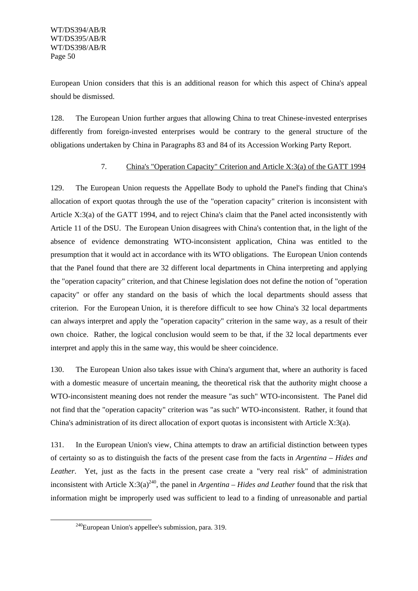European Union considers that this is an additional reason for which this aspect of China's appeal should be dismissed.

128. The European Union further argues that allowing China to treat Chinese-invested enterprises differently from foreign-invested enterprises would be contrary to the general structure of the obligations undertaken by China in Paragraphs 83 and 84 of its Accession Working Party Report.

## 7. China's "Operation Capacity" Criterion and Article X:3(a) of the GATT 1994

129. The European Union requests the Appellate Body to uphold the Panel's finding that China's allocation of export quotas through the use of the "operation capacity" criterion is inconsistent with Article X:3(a) of the GATT 1994, and to reject China's claim that the Panel acted inconsistently with Article 11 of the DSU. The European Union disagrees with China's contention that, in the light of the absence of evidence demonstrating WTO-inconsistent application, China was entitled to the presumption that it would act in accordance with its WTO obligations. The European Union contends that the Panel found that there are 32 different local departments in China interpreting and applying the "operation capacity" criterion, and that Chinese legislation does not define the notion of "operation capacity" or offer any standard on the basis of which the local departments should assess that criterion. For the European Union, it is therefore difficult to see how China's 32 local departments can always interpret and apply the "operation capacity" criterion in the same way, as a result of their own choice. Rather, the logical conclusion would seem to be that, if the 32 local departments ever interpret and apply this in the same way, this would be sheer coincidence.

130. The European Union also takes issue with China's argument that, where an authority is faced with a domestic measure of uncertain meaning, the theoretical risk that the authority might choose a WTO-inconsistent meaning does not render the measure "as such" WTO-inconsistent. The Panel did not find that the "operation capacity" criterion was "as such" WTO-inconsistent. Rather, it found that China's administration of its direct allocation of export quotas is inconsistent with Article X:3(a).

131. In the European Union's view, China attempts to draw an artificial distinction between types of certainty so as to distinguish the facts of the present case from the facts in *Argentina – Hides and Leather*. Yet, just as the facts in the present case create a "very real risk" of administration inconsistent with Article  $X:3(a)^{240}$ , the panel in *Argentina – Hides and Leather* found that the risk that information might be improperly used was sufficient to lead to a finding of unreasonable and partial

 <sup>240</sup>European Union's appellee's submission, para. 319.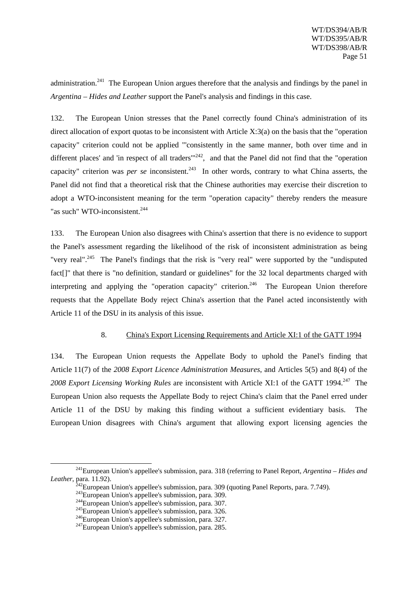administration.<sup>241</sup> The European Union argues therefore that the analysis and findings by the panel in *Argentina – Hides and Leather* support the Panel's analysis and findings in this case.

132. The European Union stresses that the Panel correctly found China's administration of its direct allocation of export quotas to be inconsistent with Article  $X:3(a)$  on the basis that the "operation" capacity" criterion could not be applied "'consistently in the same manner, both over time and in different places' and 'in respect of all traders'<sup>"242</sup>, and that the Panel did not find that the "operation" capacity" criterion was *per se* inconsistent.<sup>243</sup> In other words, contrary to what China asserts, the Panel did not find that a theoretical risk that the Chinese authorities may exercise their discretion to adopt a WTO-inconsistent meaning for the term "operation capacity" thereby renders the measure "as such" WTO-inconsistent.<sup>244</sup>

133. The European Union also disagrees with China's assertion that there is no evidence to support the Panel's assessment regarding the likelihood of the risk of inconsistent administration as being "very real".<sup>245</sup> The Panel's findings that the risk is "very real" were supported by the "undisputed fact<sup>[]"</sup> that there is "no definition, standard or guidelines" for the 32 local departments charged with interpreting and applying the "operation capacity" criterion.<sup>246</sup> The European Union therefore requests that the Appellate Body reject China's assertion that the Panel acted inconsistently with Article 11 of the DSU in its analysis of this issue.

#### 8. China's Export Licensing Requirements and Article XI:1 of the GATT 1994

134. The European Union requests the Appellate Body to uphold the Panel's finding that Article 11(7) of the *2008 Export Licence Administration Measures*, and Articles 5(5) and 8(4) of the 2008 Export Licensing Working Rules are inconsistent with Article XI:1 of the GATT 1994.<sup>247</sup> The European Union also requests the Appellate Body to reject China's claim that the Panel erred under Article 11 of the DSU by making this finding without a sufficient evidentiary basis. The European Union disagrees with China's argument that allowing export licensing agencies the

 <sup>241</sup>European Union's appellee's submission, para. 318 (referring to Panel Report, *Argentina – Hides and Leather*, para. 11.92).

<sup>&</sup>lt;sup>242</sup>European Union's appellee's submission, para. 309 (quoting Panel Reports, para. 7.749).<br><sup>243</sup>European Union's appellee's submission, para. 309.<br><sup>244</sup>European Union's appellee's submission, para. 307.<br><sup>245</sup>European Un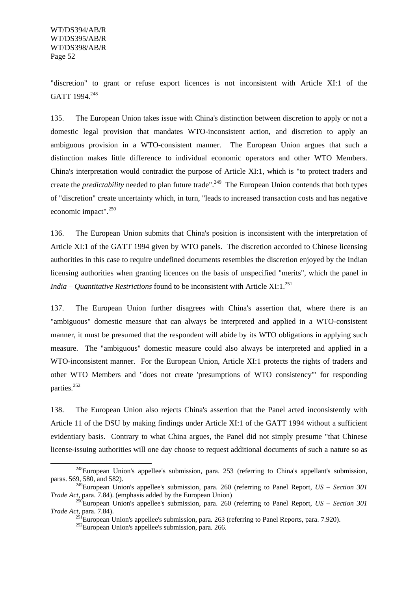"discretion" to grant or refuse export licences is not inconsistent with Article XI:1 of the GATT 1994.<sup>248</sup>

135. The European Union takes issue with China's distinction between discretion to apply or not a domestic legal provision that mandates WTO-inconsistent action, and discretion to apply an ambiguous provision in a WTO-consistent manner. The European Union argues that such a distinction makes little difference to individual economic operators and other WTO Members. China's interpretation would contradict the purpose of Article XI:1, which is "to protect traders and create the *predictability* needed to plan future trade".<sup>249</sup> The European Union contends that both types of "discretion" create uncertainty which, in turn, "leads to increased transaction costs and has negative economic impact".250

136. The European Union submits that China's position is inconsistent with the interpretation of Article XI:1 of the GATT 1994 given by WTO panels. The discretion accorded to Chinese licensing authorities in this case to require undefined documents resembles the discretion enjoyed by the Indian licensing authorities when granting licences on the basis of unspecified "merits", which the panel in *India – Quantitative Restrictions* found to be inconsistent with Article XI:1.<sup>251</sup>

137. The European Union further disagrees with China's assertion that, where there is an "ambiguous" domestic measure that can always be interpreted and applied in a WTO-consistent manner, it must be presumed that the respondent will abide by its WTO obligations in applying such measure. The "ambiguous" domestic measure could also always be interpreted and applied in a WTO-inconsistent manner. For the European Union, Article XI:1 protects the rights of traders and other WTO Members and "does not create 'presumptions of WTO consistency'" for responding parties.<sup>252</sup>

138. The European Union also rejects China's assertion that the Panel acted inconsistently with Article 11 of the DSU by making findings under Article XI:1 of the GATT 1994 without a sufficient evidentiary basis. Contrary to what China argues, the Panel did not simply presume "that Chinese license-issuing authorities will one day choose to request additional documents of such a nature so as

<sup>&</sup>lt;sup>248</sup>European Union's appellee's submission, para. 253 (referring to China's appellant's submission, paras. 569, 580, and 582).

<sup>249</sup>European Union's appellee's submission, para. 260 (referring to Panel Report, *US – Section 301 Trade Act*, para. 7.84). (emphasis added by the European Union)

<sup>250</sup>European Union's appellee's submission, para. 260 (referring to Panel Report, *US – Section 301 Trade Act*, para. 7.84).

 $^{251}$ European Union's appellee's submission, para. 263 (referring to Panel Reports, para. 7.920).  $^{252}$ European Union's appellee's submission, para. 266.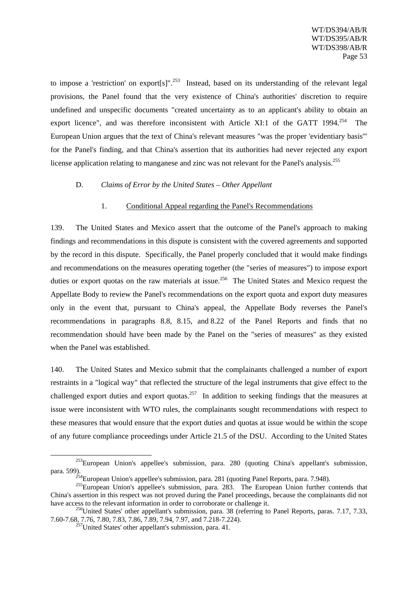to impose a 'restriction' on export[s]".<sup>253</sup> Instead, based on its understanding of the relevant legal provisions, the Panel found that the very existence of China's authorities' discretion to require undefined and unspecific documents "created uncertainty as to an applicant's ability to obtain an export licence", and was therefore inconsistent with Article XI:1 of the GATT 1994.<sup>254</sup> The European Union argues that the text of China's relevant measures "was the proper 'evidentiary basis'" for the Panel's finding, and that China's assertion that its authorities had never rejected any export license application relating to manganese and zinc was not relevant for the Panel's analysis.<sup>255</sup>

#### D. *Claims of Error by the United States – Other Appellant*

#### 1. Conditional Appeal regarding the Panel's Recommendations

139. The United States and Mexico assert that the outcome of the Panel's approach to making findings and recommendations in this dispute is consistent with the covered agreements and supported by the record in this dispute. Specifically, the Panel properly concluded that it would make findings and recommendations on the measures operating together (the "series of measures") to impose export duties or export quotas on the raw materials at issue.<sup>256</sup> The United States and Mexico request the Appellate Body to review the Panel's recommendations on the export quota and export duty measures only in the event that, pursuant to China's appeal, the Appellate Body reverses the Panel's recommendations in paragraphs 8.8, 8.15, and 8.22 of the Panel Reports and finds that no recommendation should have been made by the Panel on the "series of measures" as they existed when the Panel was established.

140. The United States and Mexico submit that the complainants challenged a number of export restraints in a "logical way" that reflected the structure of the legal instruments that give effect to the challenged export duties and export quotas.<sup>257</sup> In addition to seeking findings that the measures at issue were inconsistent with WTO rules, the complainants sought recommendations with respect to these measures that would ensure that the export duties and quotas at issue would be within the scope of any future compliance proceedings under Article 21.5 of the DSU. According to the United States

<sup>&</sup>lt;sup>253</sup>European Union's appellee's submission, para. 280 (quoting China's appellant's submission, para. 599).<br><sup>254</sup>European Union's appellee's submission, para. 281 (quoting Panel Reports, para. 7.948).<br><sup>255</sup>European Union's appellee's submission, para. 283. The European Union further contends that

China's assertion in this respect was not proved during the Panel proceedings, because the complainants did not

<sup>&</sup>lt;sup>256</sup>United States' other appellant's submission, para. 38 (referring to Panel Reports, paras. 7.17, 7.33, 7.60-7.68, 7.76, 7.80, 7.83, 7.86, 7.89, 7.94, 7.97, and 7.218-7.224).

 $^{257}$ United States' other appellant's submission, para. 41.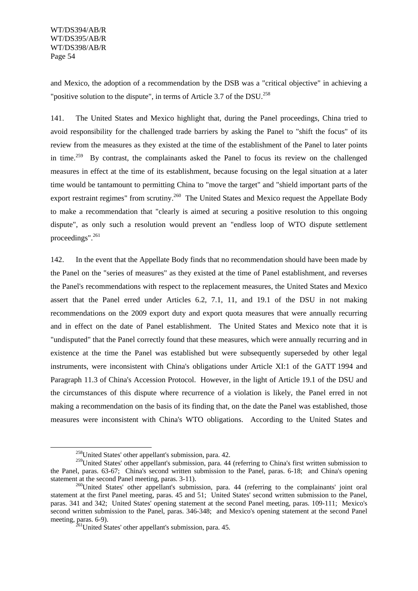and Mexico, the adoption of a recommendation by the DSB was a "critical objective" in achieving a "positive solution to the dispute", in terms of Article 3.7 of the DSU.<sup>258</sup>

141. The United States and Mexico highlight that, during the Panel proceedings, China tried to avoid responsibility for the challenged trade barriers by asking the Panel to "shift the focus" of its review from the measures as they existed at the time of the establishment of the Panel to later points in time.<sup>259</sup> By contrast, the complainants asked the Panel to focus its review on the challenged measures in effect at the time of its establishment, because focusing on the legal situation at a later time would be tantamount to permitting China to "move the target" and "shield important parts of the export restraint regimes" from scrutiny.<sup>260</sup> The United States and Mexico request the Appellate Body to make a recommendation that "clearly is aimed at securing a positive resolution to this ongoing dispute", as only such a resolution would prevent an "endless loop of WTO dispute settlement proceedings".<sup>261</sup>

142. In the event that the Appellate Body finds that no recommendation should have been made by the Panel on the "series of measures" as they existed at the time of Panel establishment, and reverses the Panel's recommendations with respect to the replacement measures, the United States and Mexico assert that the Panel erred under Articles 6.2, 7.1, 11, and 19.1 of the DSU in not making recommendations on the 2009 export duty and export quota measures that were annually recurring and in effect on the date of Panel establishment. The United States and Mexico note that it is "undisputed" that the Panel correctly found that these measures, which were annually recurring and in existence at the time the Panel was established but were subsequently superseded by other legal instruments, were inconsistent with China's obligations under Article XI:1 of the GATT 1994 and Paragraph 11.3 of China's Accession Protocol. However, in the light of Article 19.1 of the DSU and the circumstances of this dispute where recurrence of a violation is likely, the Panel erred in not making a recommendation on the basis of its finding that, on the date the Panel was established, those measures were inconsistent with China's WTO obligations. According to the United States and

 <sup>258</sup>United States' other appellant's submission, para. 42.

<sup>&</sup>lt;sup>259</sup>United States' other appellant's submission, para. 44 (referring to China's first written submission to the Panel, paras. 63-67; China's second written submission to the Panel, paras. 6-18; and China's opening statement at the second Panel meeting, paras. 3-11).<br><sup>260</sup>United States' other appellant's submission, para. 44 (referring to the complainants' joint oral

statement at the first Panel meeting, paras. 45 and 51; United States' second written submission to the Panel, paras. 341 and 342; United States' opening statement at the second Panel meeting, paras. 109-111; Mexico's second written submission to the Panel, paras. 346-348; and Mexico's opening statement at the second Panel meeting, paras. 6-9).<br><sup>261</sup>United States' other appellant's submission, para. 45.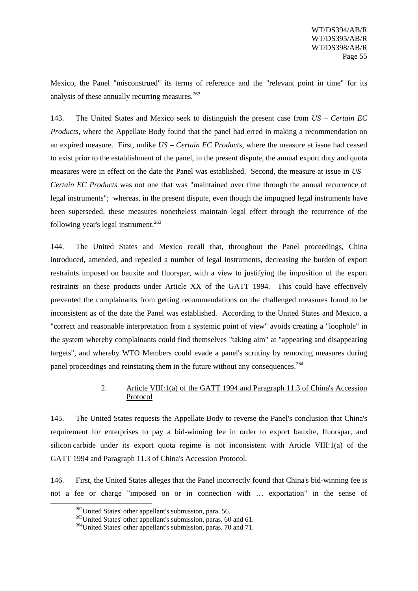Mexico, the Panel "misconstrued" its terms of reference and the "relevant point in time" for its analysis of these annually recurring measures.<sup>262</sup>

143. The United States and Mexico seek to distinguish the present case from *US – Certain EC Products*, where the Appellate Body found that the panel had erred in making a recommendation on an expired measure. First, unlike *US – Certain EC Products*, where the measure at issue had ceased to exist prior to the establishment of the panel, in the present dispute, the annual export duty and quota measures were in effect on the date the Panel was established. Second, the measure at issue in *US – Certain EC Products* was not one that was "maintained over time through the annual recurrence of legal instruments"; whereas, in the present dispute, even though the impugned legal instruments have been superseded, these measures nonetheless maintain legal effect through the recurrence of the following year's legal instrument.<sup>263</sup>

144. The United States and Mexico recall that, throughout the Panel proceedings, China introduced, amended, and repealed a number of legal instruments, decreasing the burden of export restraints imposed on bauxite and fluorspar, with a view to justifying the imposition of the export restraints on these products under Article XX of the GATT 1994. This could have effectively prevented the complainants from getting recommendations on the challenged measures found to be inconsistent as of the date the Panel was established. According to the United States and Mexico, a "correct and reasonable interpretation from a systemic point of view" avoids creating a "loophole" in the system whereby complainants could find themselves "taking aim" at "appearing and disappearing targets", and whereby WTO Members could evade a panel's scrutiny by removing measures during panel proceedings and reinstating them in the future without any consequences.<sup>264</sup>

## 2. Article VIII:1(a) of the GATT 1994 and Paragraph 11.3 of China's Accession Protocol

145. The United States requests the Appellate Body to reverse the Panel's conclusion that China's requirement for enterprises to pay a bid-winning fee in order to export bauxite, fluorspar, and silicon carbide under its export quota regime is not inconsistent with Article VIII:1(a) of the GATT 1994 and Paragraph 11.3 of China's Accession Protocol.

146. First, the United States alleges that the Panel incorrectly found that China's bid-winning fee is not a fee or charge "imposed on or in connection with … exportation" in the sense of

<sup>&</sup>lt;sup>262</sup>United States' other appellant's submission, para. 56.<br><sup>263</sup>United States' other appellant's submission, paras. 60 and 61.<br><sup>264</sup>United States' other appellant's submission, paras. 70 and 71.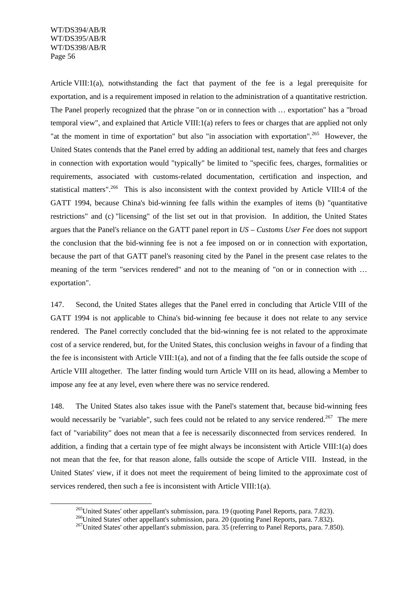WT/DS394/AB/R WT/DS395/AB/R WT/DS398/AB/R Page 56

Article VIII:1(a), notwithstanding the fact that payment of the fee is a legal prerequisite for exportation, and is a requirement imposed in relation to the administration of a quantitative restriction. The Panel properly recognized that the phrase "on or in connection with … exportation" has a "broad temporal view", and explained that Article VIII:1(a) refers to fees or charges that are applied not only "at the moment in time of exportation" but also "in association with exportation".<sup>265</sup> However, the United States contends that the Panel erred by adding an additional test, namely that fees and charges in connection with exportation would "typically" be limited to "specific fees, charges, formalities or requirements, associated with customs-related documentation, certification and inspection, and statistical matters".<sup>266</sup> This is also inconsistent with the context provided by Article VIII:4 of the GATT 1994, because China's bid-winning fee falls within the examples of items (b) "quantitative restrictions" and (c) "licensing" of the list set out in that provision. In addition, the United States argues that the Panel's reliance on the GATT panel report in *US – Customs User Fee* does not support the conclusion that the bid-winning fee is not a fee imposed on or in connection with exportation, because the part of that GATT panel's reasoning cited by the Panel in the present case relates to the meaning of the term "services rendered" and not to the meaning of "on or in connection with … exportation".

147. Second, the United States alleges that the Panel erred in concluding that Article VIII of the GATT 1994 is not applicable to China's bid-winning fee because it does not relate to any service rendered. The Panel correctly concluded that the bid-winning fee is not related to the approximate cost of a service rendered, but, for the United States, this conclusion weighs in favour of a finding that the fee is inconsistent with Article VIII:1(a), and not of a finding that the fee falls outside the scope of Article VIII altogether. The latter finding would turn Article VIII on its head, allowing a Member to impose any fee at any level, even where there was no service rendered.

148. The United States also takes issue with the Panel's statement that, because bid-winning fees would necessarily be "variable", such fees could not be related to any service rendered.<sup>267</sup> The mere fact of "variability" does not mean that a fee is necessarily disconnected from services rendered. In addition, a finding that a certain type of fee might always be inconsistent with Article VIII:1(a) does not mean that the fee, for that reason alone, falls outside the scope of Article VIII. Instead, in the United States' view, if it does not meet the requirement of being limited to the approximate cost of services rendered, then such a fee is inconsistent with Article VIII:1(a).

<sup>&</sup>lt;sup>265</sup>United States' other appellant's submission, para. 19 (quoting Panel Reports, para. 7.823).<br><sup>266</sup>United States' other appellant's submission, para. 20 (quoting Panel Reports, para. 7.832).<br><sup>267</sup>United States' other a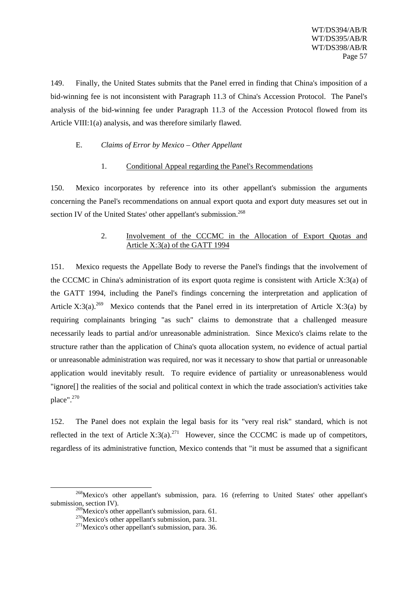149. Finally, the United States submits that the Panel erred in finding that China's imposition of a bid-winning fee is not inconsistent with Paragraph 11.3 of China's Accession Protocol. The Panel's analysis of the bid-winning fee under Paragraph 11.3 of the Accession Protocol flowed from its Article VIII:1(a) analysis, and was therefore similarly flawed.

### E. *Claims of Error by Mexico – Other Appellant*

## 1. Conditional Appeal regarding the Panel's Recommendations

150. Mexico incorporates by reference into its other appellant's submission the arguments concerning the Panel's recommendations on annual export quota and export duty measures set out in section IV of the United States' other appellant's submission.<sup>268</sup>

# 2. Involvement of the CCCMC in the Allocation of Export Quotas and Article X:3(a) of the GATT 1994

151. Mexico requests the Appellate Body to reverse the Panel's findings that the involvement of the CCCMC in China's administration of its export quota regime is consistent with Article X:3(a) of the GATT 1994, including the Panel's findings concerning the interpretation and application of Article X:3(a).<sup>269</sup> Mexico contends that the Panel erred in its interpretation of Article X:3(a) by requiring complainants bringing "as such" claims to demonstrate that a challenged measure necessarily leads to partial and/or unreasonable administration. Since Mexico's claims relate to the structure rather than the application of China's quota allocation system, no evidence of actual partial or unreasonable administration was required, nor was it necessary to show that partial or unreasonable application would inevitably result. To require evidence of partiality or unreasonableness would "ignore[] the realities of the social and political context in which the trade association's activities take place".<sup>270</sup>

152. The Panel does not explain the legal basis for its "very real risk" standard, which is not reflected in the text of Article X:3(a).<sup>271</sup> However, since the CCCMC is made up of competitors, regardless of its administrative function, Mexico contends that "it must be assumed that a significant

<sup>&</sup>lt;sup>268</sup>Mexico's other appellant's submission, para. 16 (referring to United States' other appellant's submission, section IV).<br> $^{269}$ Mexico's other appellant's submission, para. 61.

<sup>&</sup>lt;sup>270</sup>Mexico's other appellant's submission, para. 31. <sup>271</sup>Mexico's other appellant's submission, para. 36.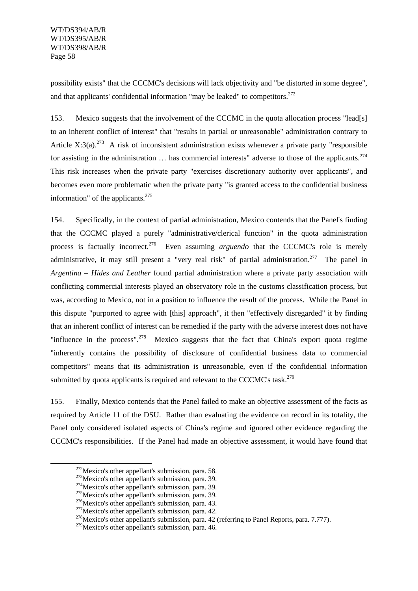possibility exists" that the CCCMC's decisions will lack objectivity and "be distorted in some degree", and that applicants' confidential information "may be leaked" to competitors. $272$ 

153. Mexico suggests that the involvement of the CCCMC in the quota allocation process "lead[s] to an inherent conflict of interest" that "results in partial or unreasonable" administration contrary to Article  $X:3(a)$ <sup>273</sup> A risk of inconsistent administration exists whenever a private party "responsible" for assisting in the administration  $\ldots$  has commercial interests" adverse to those of the applicants.<sup>274</sup> This risk increases when the private party "exercises discretionary authority over applicants", and becomes even more problematic when the private party "is granted access to the confidential business information" of the applicants. $275$ 

154. Specifically, in the context of partial administration, Mexico contends that the Panel's finding that the CCCMC played a purely "administrative/clerical function" in the quota administration process is factually incorrect.<sup>276</sup> Even assuming *arguendo* that the CCCMC's role is merely administrative, it may still present a "very real risk" of partial administration.<sup>277</sup> The panel in *Argentina – Hides and Leather* found partial administration where a private party association with conflicting commercial interests played an observatory role in the customs classification process, but was, according to Mexico, not in a position to influence the result of the process. While the Panel in this dispute "purported to agree with [this] approach", it then "effectively disregarded" it by finding that an inherent conflict of interest can be remedied if the party with the adverse interest does not have "influence in the process".<sup>278</sup> Mexico suggests that the fact that China's export quota regime "inherently contains the possibility of disclosure of confidential business data to commercial competitors" means that its administration is unreasonable, even if the confidential information submitted by quota applicants is required and relevant to the CCCMC's task.<sup>279</sup>

155. Finally, Mexico contends that the Panel failed to make an objective assessment of the facts as required by Article 11 of the DSU. Rather than evaluating the evidence on record in its totality, the Panel only considered isolated aspects of China's regime and ignored other evidence regarding the CCCMC's responsibilities. If the Panel had made an objective assessment, it would have found that

<sup>&</sup>lt;sup>272</sup>Mexico's other appellant's submission, para. 58.<br>
<sup>273</sup>Mexico's other appellant's submission, para. 39.<br>
<sup>274</sup>Mexico's other appellant's submission, para. 39.<br>
<sup>275</sup>Mexico's other appellant's submission, para. 39.<br>
<sup></sup>

<sup>279</sup>Mexico's other appellant's submission, para. 46.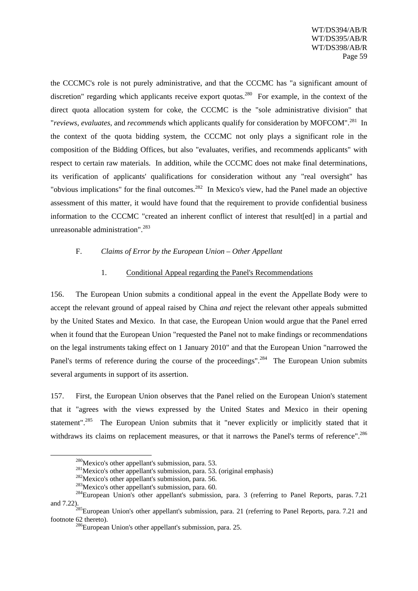the CCCMC's role is not purely administrative, and that the CCCMC has "a significant amount of discretion" regarding which applicants receive export quotas.<sup>280</sup> For example, in the context of the direct quota allocation system for coke, the CCCMC is the "sole administrative division" that *reviews, evaluates, and recommends which applicants qualify for consideration by MOFCOM".*<sup>281</sup> In the context of the quota bidding system, the CCCMC not only plays a significant role in the composition of the Bidding Offices, but also "evaluates, verifies, and recommends applicants" with respect to certain raw materials. In addition, while the CCCMC does not make final determinations, its verification of applicants' qualifications for consideration without any "real oversight" has "obvious implications" for the final outcomes.<sup>282</sup> In Mexico's view, had the Panel made an objective assessment of this matter, it would have found that the requirement to provide confidential business information to the CCCMC "created an inherent conflict of interest that result[ed] in a partial and unreasonable administration".<sup>283</sup>

## F. *Claims of Error by the European Union – Other Appellant*

#### 1. Conditional Appeal regarding the Panel's Recommendations

156. The European Union submits a conditional appeal in the event the Appellate Body were to accept the relevant ground of appeal raised by China *and* reject the relevant other appeals submitted by the United States and Mexico. In that case, the European Union would argue that the Panel erred when it found that the European Union "requested the Panel not to make findings or recommendations on the legal instruments taking effect on 1 January 2010" and that the European Union "narrowed the Panel's terms of reference during the course of the proceedings".<sup>284</sup> The European Union submits several arguments in support of its assertion.

157. First, the European Union observes that the Panel relied on the European Union's statement that it "agrees with the views expressed by the United States and Mexico in their opening statement".<sup>285</sup> The European Union submits that it "never explicitly or implicitly stated that it withdraws its claims on replacement measures, or that it narrows the Panel's terms of reference".<sup>286</sup>

<sup>&</sup>lt;sup>280</sup>Mexico's other appellant's submission, para. 53.<br><sup>281</sup>Mexico's other appellant's submission, para. 53. (original emphasis)<br><sup>282</sup>Mexico's other appellant's submission, para. 56.<br><sup>283</sup>Mexico's other appellant's submiss

and 7.22). <sup>285</sup>European Union's other appellant's submission, para. 21 (referring to Panel Reports, para. 7.21 and footnote 62 thereto).  $\frac{^{286}$ European Union's other appellant's submission, para. 25.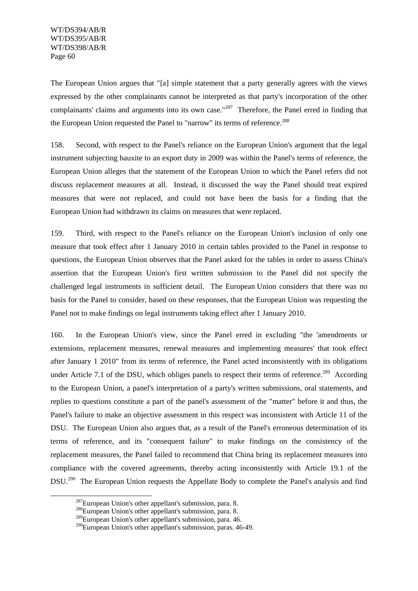The European Union argues that "[a] simple statement that a party generally agrees with the views expressed by the other complainants cannot be interpreted as that party's incorporation of the other complainants' claims and arguments into its own case."<sup>287</sup> Therefore, the Panel erred in finding that the European Union requested the Panel to "narrow" its terms of reference.<sup>288</sup>

158. Second, with respect to the Panel's reliance on the European Union's argument that the legal instrument subjecting bauxite to an export duty in 2009 was within the Panel's terms of reference, the European Union alleges that the statement of the European Union to which the Panel refers did not discuss replacement measures at all. Instead, it discussed the way the Panel should treat expired measures that were not replaced, and could not have been the basis for a finding that the European Union had withdrawn its claims on measures that were replaced.

159. Third, with respect to the Panel's reliance on the European Union's inclusion of only one measure that took effect after 1 January 2010 in certain tables provided to the Panel in response to questions, the European Union observes that the Panel asked for the tables in order to assess China's assertion that the European Union's first written submission to the Panel did not specify the challenged legal instruments in sufficient detail. The European Union considers that there was no basis for the Panel to consider, based on these responses, that the European Union was requesting the Panel not to make findings on legal instruments taking effect after 1 January 2010.

160. In the European Union's view, since the Panel erred in excluding "the 'amendments or extensions, replacement measures, renewal measures and implementing measures' that took effect after January 1 2010" from its terms of reference, the Panel acted inconsistently with its obligations under Article 7.1 of the DSU, which obliges panels to respect their terms of reference.<sup>289</sup> According to the European Union, a panel's interpretation of a party's written submissions, oral statements, and replies to questions constitute a part of the panel's assessment of the "matter" before it and thus, the Panel's failure to make an objective assessment in this respect was inconsistent with Article 11 of the DSU. The European Union also argues that, as a result of the Panel's erroneous determination of its terms of reference, and its "consequent failure" to make findings on the consistency of the replacement measures, the Panel failed to recommend that China bring its replacement measures into compliance with the covered agreements, thereby acting inconsistently with Article 19.1 of the DSU.<sup>290</sup> The European Union requests the Appellate Body to complete the Panel's analysis and find

<sup>&</sup>lt;sup>287</sup>European Union's other appellant's submission, para. 8. <sup>288</sup>European Union's other appellant's submission, para. 8.

<sup>&</sup>lt;sup>289</sup>European Union's other appellant's submission, para. 46.

<sup>&</sup>lt;sup>290</sup>European Union's other appellant's submission, paras. 46-49.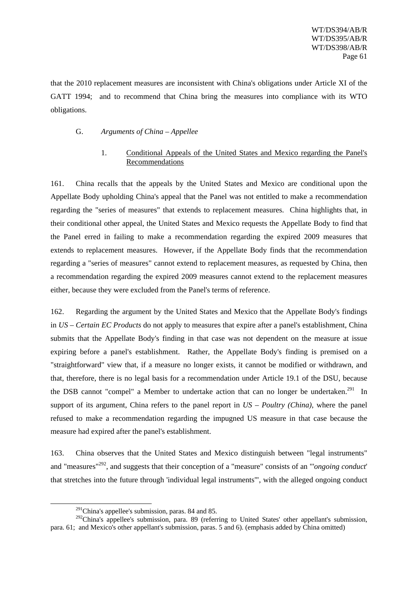that the 2010 replacement measures are inconsistent with China's obligations under Article XI of the GATT 1994; and to recommend that China bring the measures into compliance with its WTO obligations.

#### G. *Arguments of China – Appellee*

## 1. Conditional Appeals of the United States and Mexico regarding the Panel's Recommendations

161. China recalls that the appeals by the United States and Mexico are conditional upon the Appellate Body upholding China's appeal that the Panel was not entitled to make a recommendation regarding the "series of measures" that extends to replacement measures. China highlights that, in their conditional other appeal, the United States and Mexico requests the Appellate Body to find that the Panel erred in failing to make a recommendation regarding the expired 2009 measures that extends to replacement measures. However, if the Appellate Body finds that the recommendation regarding a "series of measures" cannot extend to replacement measures, as requested by China, then a recommendation regarding the expired 2009 measures cannot extend to the replacement measures either, because they were excluded from the Panel's terms of reference.

162. Regarding the argument by the United States and Mexico that the Appellate Body's findings in *US – Certain EC Products* do not apply to measures that expire after a panel's establishment, China submits that the Appellate Body's finding in that case was not dependent on the measure at issue expiring before a panel's establishment. Rather, the Appellate Body's finding is premised on a "straightforward" view that, if a measure no longer exists, it cannot be modified or withdrawn, and that, therefore, there is no legal basis for a recommendation under Article 19.1 of the DSU, because the DSB cannot "compel" a Member to undertake action that can no longer be undertaken.<sup>291</sup> In support of its argument, China refers to the panel report in *US – Poultry (China)*, where the panel refused to make a recommendation regarding the impugned US measure in that case because the measure had expired after the panel's establishment.

163. China observes that the United States and Mexico distinguish between "legal instruments" and "measures"292, and suggests that their conception of a "measure" consists of an "'*ongoing conduct*' that stretches into the future through 'individual legal instruments'", with the alleged ongoing conduct

 $291$ China's appellee's submission, paras. 84 and 85.

<sup>&</sup>lt;sup>292</sup>China's appellee's submission, para. 89 (referring to United States' other appellant's submission, para. 61; and Mexico's other appellant's submission, paras. 5 and 6). (emphasis added by China omitted)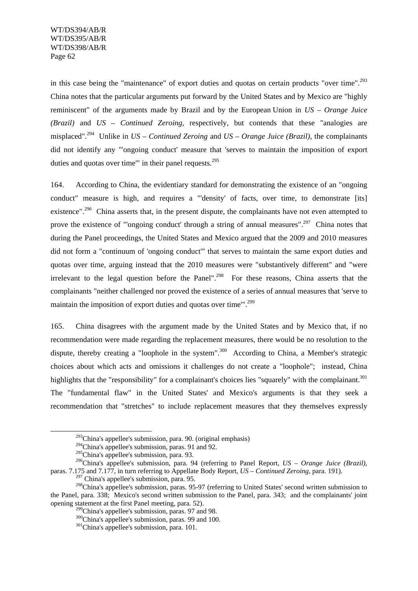in this case being the "maintenance" of export duties and quotas on certain products "over time".<sup>293</sup> China notes that the particular arguments put forward by the United States and by Mexico are "highly reminiscent" of the arguments made by Brazil and by the European Union in *US – Orange Juice (Brazil)* and *US – Continued Zeroing*, respectively, but contends that these "analogies are misplaced".294 Unlike in *US – Continued Zeroing* and *US – Orange Juice (Brazil)*, the complainants did not identify any "'ongoing conduct' measure that 'serves to maintain the imposition of export duties and quotas over time" in their panel requests. $295$ 

164. According to China, the evidentiary standard for demonstrating the existence of an "ongoing conduct" measure is high, and requires a "'density' of facts, over time, to demonstrate [its] existence".<sup>296</sup> China asserts that, in the present dispute, the complainants have not even attempted to prove the existence of "'ongoing conduct' through a string of annual measures".<sup>297</sup> China notes that during the Panel proceedings, the United States and Mexico argued that the 2009 and 2010 measures did not form a "continuum of 'ongoing conduct'" that serves to maintain the same export duties and quotas over time, arguing instead that the 2010 measures were "substantively different" and "were irrelevant to the legal question before the Panel".<sup>298</sup> For these reasons, China asserts that the complainants "neither challenged nor proved the existence of a series of annual measures that 'serve to maintain the imposition of export duties and quotas over time'".<sup>299</sup>

165. China disagrees with the argument made by the United States and by Mexico that, if no recommendation were made regarding the replacement measures, there would be no resolution to the dispute, thereby creating a "loophole in the system".<sup>300</sup> According to China, a Member's strategic choices about which acts and omissions it challenges do not create a "loophole"; instead, China highlights that the "responsibility" for a complainant's choices lies "squarely" with the complainant.<sup>301</sup> The "fundamental flaw" in the United States' and Mexico's arguments is that they seek a recommendation that "stretches" to include replacement measures that they themselves expressly

 <sup>293</sup>China's appellee's submission, para. 90. (original emphasis)

<sup>&</sup>lt;sup>294</sup>China's appellee's submission, paras. 91 and 92.

<sup>&</sup>lt;sup>295</sup>China's appellee's submission, para. 93.

<sup>296</sup>China's appellee's submission, para. 94 (referring to Panel Report, *US – Orange Juice (Brazil)*, paras. 7.175 and 7.177, in turn referring to Appellate Body Report, *US – Continued Zeroing*, para. 191).

 $297$  China's appellee's submission, para. 95.

<sup>&</sup>lt;sup>298</sup>China's appellee's submission, paras. 95-97 (referring to United States' second written submission to the Panel, para. 338; Mexico's second written submission to the Panel, para. 343; and the complainants' joint opening statement at the first Panel meeting, para. 52).<br><sup>299</sup>China's appellee's submission, paras. 97 and 98.

 $300$ China's appellee's submission, paras. 99 and 100.  $301$ China's appellee's submission, para. 101.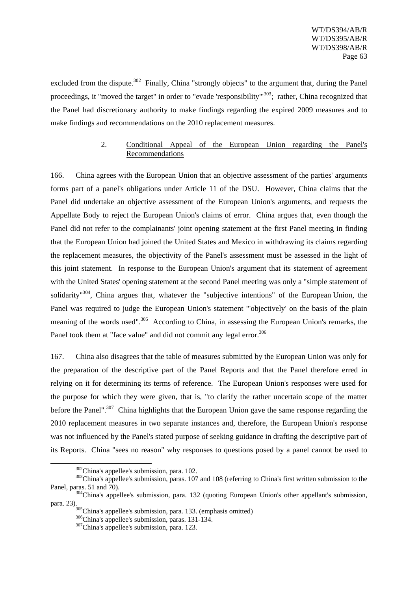excluded from the dispute.<sup>302</sup> Finally, China "strongly objects" to the argument that, during the Panel proceedings, it "moved the target" in order to "evade 'responsibility"<sup>303</sup>; rather, China recognized that the Panel had discretionary authority to make findings regarding the expired 2009 measures and to make findings and recommendations on the 2010 replacement measures.

# 2. Conditional Appeal of the European Union regarding the Panel's Recommendations

166. China agrees with the European Union that an objective assessment of the parties' arguments forms part of a panel's obligations under Article 11 of the DSU. However, China claims that the Panel did undertake an objective assessment of the European Union's arguments, and requests the Appellate Body to reject the European Union's claims of error. China argues that, even though the Panel did not refer to the complainants' joint opening statement at the first Panel meeting in finding that the European Union had joined the United States and Mexico in withdrawing its claims regarding the replacement measures, the objectivity of the Panel's assessment must be assessed in the light of this joint statement. In response to the European Union's argument that its statement of agreement with the United States' opening statement at the second Panel meeting was only a "simple statement of solidarity<sup>1304</sup>, China argues that, whatever the "subjective intentions" of the European Union, the Panel was required to judge the European Union's statement "'objectively' on the basis of the plain meaning of the words used".<sup>305</sup> According to China, in assessing the European Union's remarks, the Panel took them at "face value" and did not commit any legal error.<sup>306</sup>

167. China also disagrees that the table of measures submitted by the European Union was only for the preparation of the descriptive part of the Panel Reports and that the Panel therefore erred in relying on it for determining its terms of reference. The European Union's responses were used for the purpose for which they were given, that is, "to clarify the rather uncertain scope of the matter before the Panel".<sup>307</sup> China highlights that the European Union gave the same response regarding the 2010 replacement measures in two separate instances and, therefore, the European Union's response was not influenced by the Panel's stated purpose of seeking guidance in drafting the descriptive part of its Reports. China "sees no reason" why responses to questions posed by a panel cannot be used to

 $302$ China's appellee's submission, para. 102.<br> $303$ China's appellee's submission, paras. 107 and 108 (referring to China's first written submission to the Panel, paras. 51 and 70).

<sup>&</sup>lt;sup>304</sup> China's appellee's submission, para. 132 (quoting European Union's other appellant's submission, para. 23).<br><sup>305</sup>China's appellee's submission, para. 133. (emphasis omitted) <sup>306</sup>China's appellee's submission, para. 131-134.<br><sup>307</sup>China's appellee's submission, para. 123.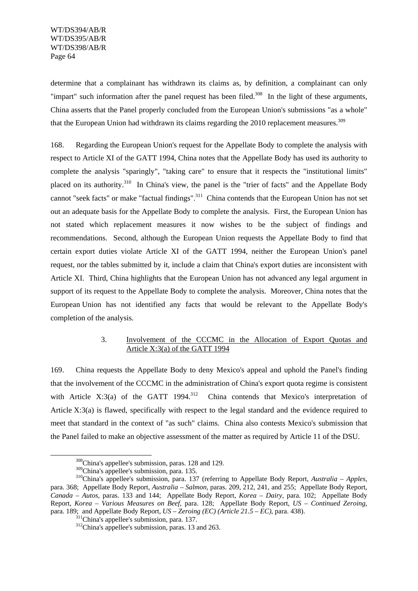determine that a complainant has withdrawn its claims as, by definition, a complainant can only "impart" such information after the panel request has been filed.<sup>308</sup> In the light of these arguments, China asserts that the Panel properly concluded from the European Union's submissions "as a whole" that the European Union had withdrawn its claims regarding the 2010 replacement measures.<sup>309</sup>

168. Regarding the European Union's request for the Appellate Body to complete the analysis with respect to Article XI of the GATT 1994, China notes that the Appellate Body has used its authority to complete the analysis "sparingly", "taking care" to ensure that it respects the "institutional limits" placed on its authority.310 In China's view, the panel is the "trier of facts" and the Appellate Body cannot "seek facts" or make "factual findings".<sup>311</sup> China contends that the European Union has not set out an adequate basis for the Appellate Body to complete the analysis. First, the European Union has not stated which replacement measures it now wishes to be the subject of findings and recommendations. Second, although the European Union requests the Appellate Body to find that certain export duties violate Article XI of the GATT 1994, neither the European Union's panel request, nor the tables submitted by it, include a claim that China's export duties are inconsistent with Article XI. Third, China highlights that the European Union has not advanced any legal argument in support of its request to the Appellate Body to complete the analysis. Moreover, China notes that the European Union has not identified any facts that would be relevant to the Appellate Body's completion of the analysis.

# 3. Involvement of the CCCMC in the Allocation of Export Quotas and Article X:3(a) of the GATT 1994

169. China requests the Appellate Body to deny Mexico's appeal and uphold the Panel's finding that the involvement of the CCCMC in the administration of China's export quota regime is consistent with Article X:3(a) of the GATT  $1994$ <sup>312</sup> China contends that Mexico's interpretation of Article X:3(a) is flawed, specifically with respect to the legal standard and the evidence required to meet that standard in the context of "as such" claims. China also contests Mexico's submission that the Panel failed to make an objective assessment of the matter as required by Article 11 of the DSU.

 $308$ China's appellee's submission, paras. 128 and 129.  $309$ China's appellee's submission, para. 135.

<sup>&</sup>lt;sup>310</sup>China's appellee's submission, para. 137 (referring to Appellate Body Report, *Australia – Apples*, para. 368; Appellate Body Report, *Australia – Salmon*, paras. 209, 212, 241, and 255; Appellate Body Report, *Canada – Autos*, paras. 133 and 144; Appellate Body Report, *Korea – Dairy*, para. 102; Appellate Body Report, *Korea – Various Measures on Beef*, para. 128; Appellate Body Report, *US – Continued Zeroing*, para. 189; and Appellate Body Report, *US – Zeroing (EC) (Article 21.5 – EC)*, para. 438).<br><sup>311</sup>China's appellee's submission, para. 137.<br><sup>312</sup>China's appellee's submission, paras. 13 and 263.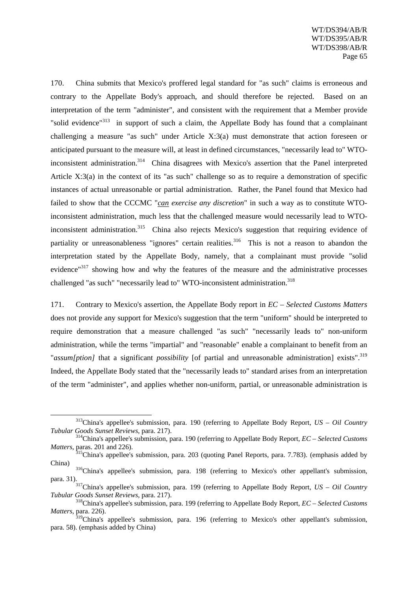170. China submits that Mexico's proffered legal standard for "as such" claims is erroneous and contrary to the Appellate Body's approach, and should therefore be rejected. Based on an interpretation of the term "administer", and consistent with the requirement that a Member provide "solid evidence"<sup>313</sup> in support of such a claim, the Appellate Body has found that a complainant challenging a measure "as such" under Article X:3(a) must demonstrate that action foreseen or anticipated pursuant to the measure will, at least in defined circumstances, "necessarily lead to" WTOinconsistent administration.<sup>314</sup> China disagrees with Mexico's assertion that the Panel interpreted Article X:3(a) in the context of its "as such" challenge so as to require a demonstration of specific instances of actual unreasonable or partial administration. Rather, the Panel found that Mexico had failed to show that the CCCMC "*can exercise any discretion*" in such a way as to constitute WTOinconsistent administration, much less that the challenged measure would necessarily lead to WTOinconsistent administration.<sup>315</sup> China also rejects Mexico's suggestion that requiring evidence of partiality or unreasonableness "ignores" certain realities.<sup>316</sup> This is not a reason to abandon the interpretation stated by the Appellate Body, namely, that a complainant must provide "solid evidence"<sup>317</sup> showing how and why the features of the measure and the administrative processes challenged "as such" "necessarily lead to" WTO-inconsistent administration.<sup>318</sup>

171. Contrary to Mexico's assertion, the Appellate Body report in *EC – Selected Customs Matters*  does not provide any support for Mexico's suggestion that the term "uniform" should be interpreted to require demonstration that a measure challenged "as such" "necessarily leads to" non-uniform administration, while the terms "impartial" and "reasonable" enable a complainant to benefit from an "*assum[ption]* that a significant *possibility* [of partial and unreasonable administration] exists".<sup>319</sup> Indeed, the Appellate Body stated that the "necessarily leads to" standard arises from an interpretation of the term "administer", and applies whether non-uniform, partial, or unreasonable administration is

 <sup>313</sup>China's appellee's submission, para. 190 (referring to Appellate Body Report, *US – Oil Country Tubular Goods Sunset Reviews*, para. 217). 314China's appellee's submission, para. 190 (referring to Appellate Body Report, *EC – Selected Customs* 

*Matters*, paras. 201 and 226).

<sup>&</sup>lt;sup>315</sup>China's appellee's submission, para. 203 (quoting Panel Reports, para. 7.783). (emphasis added by China) 316China's appellee's submission, para. 198 (referring to Mexico's other appellant's submission,

para. 31). <sup>317</sup>China's appellee's submission, para. 199 (referring to Appellate Body Report, *US – Oil Country Tubular Goods Sunset Reviews*, para. 217). 318China's appellee's submission, para. 199 (referring to Appellate Body Report, *EC – Selected Customs* 

*Matters*, para. 226).

 $319$ China's appellee's submission, para. 196 (referring to Mexico's other appellant's submission, para. 58). (emphasis added by China)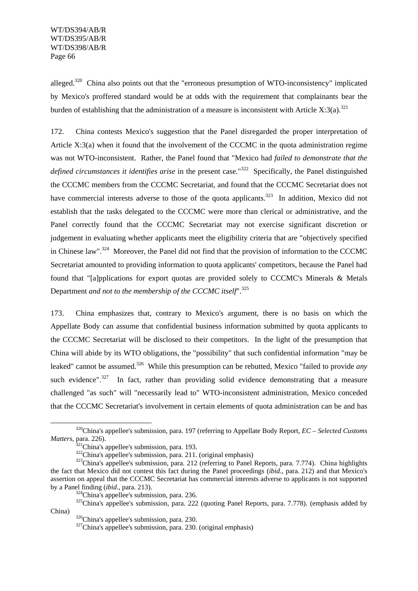alleged.<sup>320</sup> China also points out that the "erroneous presumption of WTO-inconsistency" implicated by Mexico's proffered standard would be at odds with the requirement that complainants bear the burden of establishing that the administration of a measure is inconsistent with Article X:3(a).<sup>321</sup>

172. China contests Mexico's suggestion that the Panel disregarded the proper interpretation of Article X:3(a) when it found that the involvement of the CCCMC in the quota administration regime was not WTO-inconsistent. Rather, the Panel found that "Mexico had *failed to demonstrate that the defined circumstances it identifies arise* in the present case."322 Specifically, the Panel distinguished the CCCMC members from the CCCMC Secretariat, and found that the CCCMC Secretariat does not have commercial interests adverse to those of the quota applicants.<sup>323</sup> In addition, Mexico did not establish that the tasks delegated to the CCCMC were more than clerical or administrative, and the Panel correctly found that the CCCMC Secretariat may not exercise significant discretion or judgement in evaluating whether applicants meet the eligibility criteria that are "objectively specified in Chinese law".<sup>324</sup> Moreover, the Panel did not find that the provision of information to the CCCMC Secretariat amounted to providing information to quota applicants' competitors, because the Panel had found that "[a]pplications for export quotas are provided solely to CCCMC's Minerals & Metals Department *and not to the membership of the CCCMC itself*".<sup>325</sup>

173. China emphasizes that, contrary to Mexico's argument, there is no basis on which the Appellate Body can assume that confidential business information submitted by quota applicants to the CCCMC Secretariat will be disclosed to their competitors. In the light of the presumption that China will abide by its WTO obligations, the "possibility" that such confidential information "may be leaked" cannot be assumed.<sup>326</sup> While this presumption can be rebutted, Mexico "failed to provide *any* such evidence". $327$  In fact, rather than providing solid evidence demonstrating that a measure challenged "as such" will "necessarily lead to" WTO-inconsistent administration, Mexico conceded that the CCCMC Secretariat's involvement in certain elements of quota administration can be and has

 <sup>320</sup>China's appellee's submission, para. 197 (referring to Appellate Body Report, *EC – Selected Customs Matters*, para. 226).<br><sup>321</sup>China's appellee's submission, para. 193.

 $\frac{322}{323}$ China's appellee's submission, para. 211. (original emphasis)<br> $\frac{323}{323}$ China's appellee's submission, para. 212 (referring to Panel Reports, para. 7.774). China highlights the fact that Mexico did not contest this fact during the Panel proceedings (*ibid*., para. 212) and that Mexico's assertion on appeal that the CCCMC Secretariat has commercial interests adverse to applicants is not supported by a Panel finding (*ibid.*, para. 213).<br><sup>324</sup>China's appellee's submission, para. 236.<br><sup>325</sup>China's appellee's submission, para. 222 (quoting Panel Reports, para. 7.778). (emphasis added by

China)<br><sup>326</sup>China's appellee's submission, para. 230.<br><sup>327</sup>China's appellee's submission, para. 230. (original emphasis)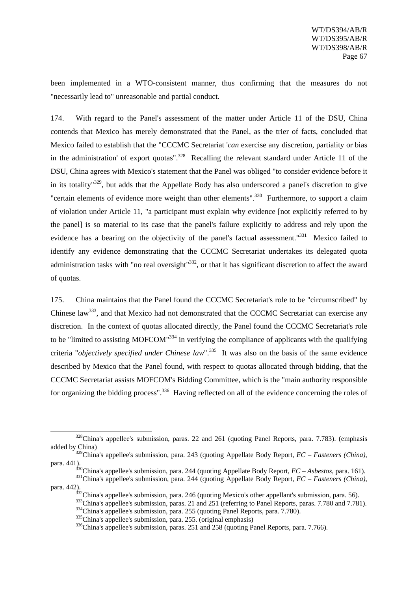been implemented in a WTO-consistent manner, thus confirming that the measures do not "necessarily lead to" unreasonable and partial conduct.

174. With regard to the Panel's assessment of the matter under Article 11 of the DSU, China contends that Mexico has merely demonstrated that the Panel, as the trier of facts, concluded that Mexico failed to establish that the "CCCMC Secretariat '*can* exercise any discretion, partiality or bias in the administration' of export quotas".<sup>328</sup> Recalling the relevant standard under Article 11 of the DSU, China agrees with Mexico's statement that the Panel was obliged "to consider evidence before it in its totality"329, but adds that the Appellate Body has also underscored a panel's discretion to give "certain elements of evidence more weight than other elements".<sup>330</sup> Furthermore, to support a claim of violation under Article 11, "a participant must explain why evidence [not explicitly referred to by the panel] is so material to its case that the panel's failure explicitly to address and rely upon the evidence has a bearing on the objectivity of the panel's factual assessment."<sup>331</sup> Mexico failed to identify any evidence demonstrating that the CCCMC Secretariat undertakes its delegated quota administration tasks with "no real oversight"<sup>332</sup>, or that it has significant discretion to affect the award of quotas.

175. China maintains that the Panel found the CCCMC Secretariat's role to be "circumscribed" by Chinese law<sup>333</sup>, and that Mexico had not demonstrated that the CCCMC Secretariat can exercise any discretion. In the context of quotas allocated directly, the Panel found the CCCMC Secretariat's role to be "limited to assisting MOFCOM"334 in verifying the compliance of applicants with the qualifying criteria "*objectively specified under Chinese law*".335 It was also on the basis of the same evidence described by Mexico that the Panel found, with respect to quotas allocated through bidding, that the CCCMC Secretariat assists MOFCOM's Bidding Committee, which is the "main authority responsible for organizing the bidding process".<sup>336</sup> Having reflected on all of the evidence concerning the roles of

<sup>&</sup>lt;sup>328</sup>China's appellee's submission, paras. 22 and 261 (quoting Panel Reports, para. 7.783). (emphasis added by China)

<sup>329</sup>China's appellee's submission, para. 243 (quoting Appellate Body Report, *EC – Fasteners (China)*, para. 441).<br><sup>330</sup>China's appellee's submission, para. 244 (quoting Appellate Body Report,  $EC - Absestos$ , para. 161).<br><sup>331</sup>China's appellee's submission, para. 244 (quoting Appellate Body Report,  $EC - Fasteners$  (China),

para. 442).<br>
<sup>332</sup>China's appellee's submission, para. 246 (quoting Mexico's other appellant's submission, para. 56).<br>
<sup>333</sup>China's appellee's submission, paras. 21 and 251 (referring to Panel Reports, paras. 7.780 and 7.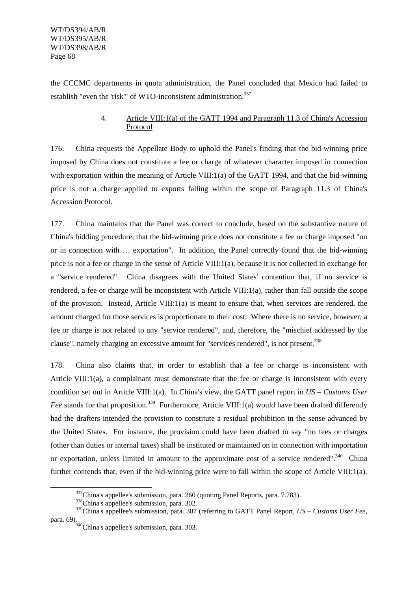the CCCMC departments in quota administration, the Panel concluded that Mexico had failed to establish "even the 'risk'" of WTO-inconsistent administration.<sup>337</sup>

# 4. Article VIII:1(a) of the GATT 1994 and Paragraph 11.3 of China's Accession Protocol

176. China requests the Appellate Body to uphold the Panel's finding that the bid-winning price imposed by China does not constitute a fee or charge of whatever character imposed in connection with exportation within the meaning of Article VIII:1(a) of the GATT 1994, and that the bid-winning price is not a charge applied to exports falling within the scope of Paragraph 11.3 of China's Accession Protocol.

177. China maintains that the Panel was correct to conclude, based on the substantive nature of China's bidding procedure, that the bid-winning price does not constitute a fee or charge imposed "on or in connection with … exportation". In addition, the Panel correctly found that the bid-winning price is not a fee or charge in the sense of Article VIII:1(a), because it is not collected in exchange for a "service rendered". China disagrees with the United States' contention that, if no service is rendered, a fee or charge will be inconsistent with Article VIII:1(a), rather than fall outside the scope of the provision. Instead, Article VIII:1(a) is meant to ensure that, when services are rendered, the amount charged for those services is proportionate to their cost. Where there is no service, however, a fee or charge is not related to any "service rendered", and, therefore, the "mischief addressed by the clause", namely charging an excessive amount for "services rendered", is not present.<sup>338</sup>

178. China also claims that, in order to establish that a fee or charge is inconsistent with Article VIII:1(a), a complainant must demonstrate that the fee or charge is inconsistent with every condition set out in Article VIII:1(a). In China's view, the GATT panel report in *US – Customs User Fee* stands for that proposition.<sup>339</sup> Furthermore, Article VIII:1(a) would have been drafted differently had the drafters intended the provision to constitute a residual prohibition in the sense advanced by the United States. For instance, the provision could have been drafted to say "no fees or charges (other than duties or internal taxes) shall be instituted or maintained on in connection with importation or exportation, unless limited in amount to the approximate cost of a service rendered".<sup>340</sup> China further contends that, even if the bid-winning price were to fall within the scope of Article VIII:1(a),

<sup>&</sup>lt;sup>337</sup>China's appellee's submission, para. 260 (quoting Panel Reports, para. 7.783).<br><sup>338</sup>China's appellee's submission, para. 302.

<sup>339</sup>China's appellee's submission, para. 307 (referring to GATT Panel Report, *US – Customs User Fee*, para. 69).<br><sup>340</sup>China's appellee's submission, para. 303.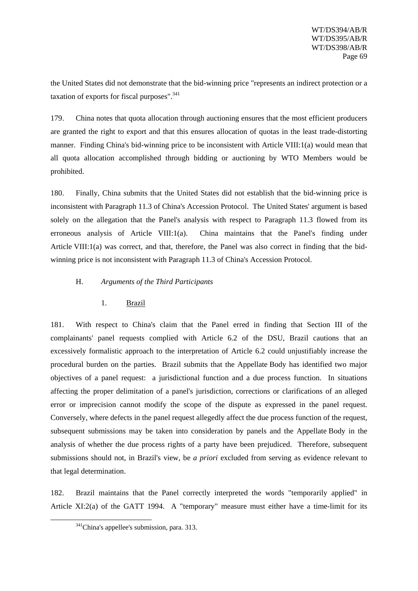the United States did not demonstrate that the bid-winning price "represents an indirect protection or a taxation of exports for fiscal purposes".<sup>341</sup>

179. China notes that quota allocation through auctioning ensures that the most efficient producers are granted the right to export and that this ensures allocation of quotas in the least trade-distorting manner. Finding China's bid-winning price to be inconsistent with Article VIII:1(a) would mean that all quota allocation accomplished through bidding or auctioning by WTO Members would be prohibited.

180. Finally, China submits that the United States did not establish that the bid-winning price is inconsistent with Paragraph 11.3 of China's Accession Protocol. The United States' argument is based solely on the allegation that the Panel's analysis with respect to Paragraph 11.3 flowed from its erroneous analysis of Article VIII:1(a). China maintains that the Panel's finding under Article VIII:1(a) was correct, and that, therefore, the Panel was also correct in finding that the bidwinning price is not inconsistent with Paragraph 11.3 of China's Accession Protocol.

- H. *Arguments of the Third Participants* 
	- 1. Brazil

181. With respect to China's claim that the Panel erred in finding that Section III of the complainants' panel requests complied with Article 6.2 of the DSU, Brazil cautions that an excessively formalistic approach to the interpretation of Article 6.2 could unjustifiably increase the procedural burden on the parties. Brazil submits that the Appellate Body has identified two major objectives of a panel request: a jurisdictional function and a due process function. In situations affecting the proper delimitation of a panel's jurisdiction, corrections or clarifications of an alleged error or imprecision cannot modify the scope of the dispute as expressed in the panel request. Conversely, where defects in the panel request allegedly affect the due process function of the request, subsequent submissions may be taken into consideration by panels and the Appellate Body in the analysis of whether the due process rights of a party have been prejudiced. Therefore, subsequent submissions should not, in Brazil's view, be *a priori* excluded from serving as evidence relevant to that legal determination.

182. Brazil maintains that the Panel correctly interpreted the words "temporarily applied" in Article XI:2(a) of the GATT 1994. A "temporary" measure must either have a time-limit for its

<sup>&</sup>lt;sup>341</sup>China's appellee's submission, para. 313.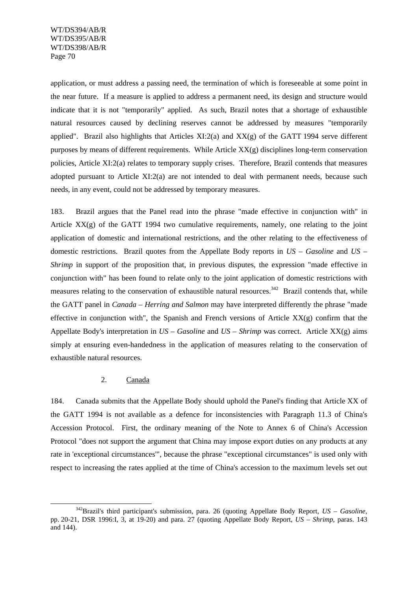application, or must address a passing need, the termination of which is foreseeable at some point in the near future. If a measure is applied to address a permanent need, its design and structure would indicate that it is not "temporarily" applied. As such, Brazil notes that a shortage of exhaustible natural resources caused by declining reserves cannot be addressed by measures "temporarily applied". Brazil also highlights that Articles  $XI:2(a)$  and  $XX(g)$  of the GATT 1994 serve different purposes by means of different requirements. While Article  $XX(g)$  disciplines long-term conservation policies, Article XI:2(a) relates to temporary supply crises. Therefore, Brazil contends that measures adopted pursuant to Article XI:2(a) are not intended to deal with permanent needs, because such needs, in any event, could not be addressed by temporary measures.

183. Brazil argues that the Panel read into the phrase "made effective in conjunction with" in Article  $XX(g)$  of the GATT 1994 two cumulative requirements, namely, one relating to the joint application of domestic and international restrictions, and the other relating to the effectiveness of domestic restrictions. Brazil quotes from the Appellate Body reports in *US – Gasoline* and *US – Shrimp* in support of the proposition that, in previous disputes, the expression "made effective in conjunction with" has been found to relate only to the joint application of domestic restrictions with measures relating to the conservation of exhaustible natural resources.<sup>342</sup> Brazil contends that, while the GATT panel in *Canada – Herring and Salmon* may have interpreted differently the phrase "made effective in conjunction with", the Spanish and French versions of Article  $XX(g)$  confirm that the Appellate Body's interpretation in *US – Gasoline* and *US – Shrimp* was correct. Article XX(g) aims simply at ensuring even-handedness in the application of measures relating to the conservation of exhaustible natural resources.

# 2. Canada

184. Canada submits that the Appellate Body should uphold the Panel's finding that Article XX of the GATT 1994 is not available as a defence for inconsistencies with Paragraph 11.3 of China's Accession Protocol. First, the ordinary meaning of the Note to Annex 6 of China's Accession Protocol "does not support the argument that China may impose export duties on any products at any rate in 'exceptional circumstances'", because the phrase "exceptional circumstances" is used only with respect to increasing the rates applied at the time of China's accession to the maximum levels set out

 <sup>342</sup>Brazil's third participant's submission, para. 26 (quoting Appellate Body Report, *US – Gasoline*, pp. 20-21, DSR 1996:I, 3, at 19-20) and para. 27 (quoting Appellate Body Report, *US – Shrimp*, paras. 143 and 144).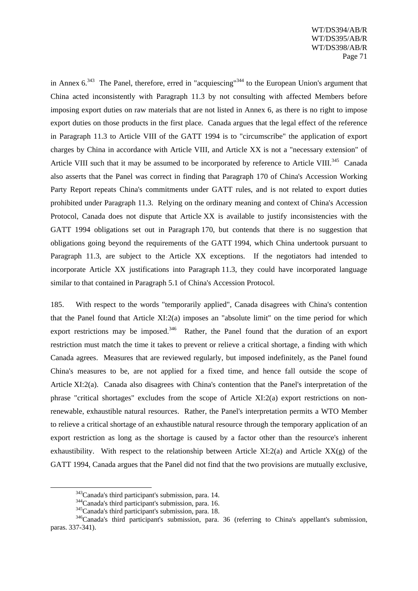in Annex  $6^{343}$  The Panel, therefore, erred in "acquiescing"<sup>344</sup> to the European Union's argument that China acted inconsistently with Paragraph 11.3 by not consulting with affected Members before imposing export duties on raw materials that are not listed in Annex 6, as there is no right to impose export duties on those products in the first place. Canada argues that the legal effect of the reference in Paragraph 11.3 to Article VIII of the GATT 1994 is to "circumscribe" the application of export charges by China in accordance with Article VIII, and Article XX is not a "necessary extension" of Article VIII such that it may be assumed to be incorporated by reference to Article VIII.<sup>345</sup> Canada also asserts that the Panel was correct in finding that Paragraph 170 of China's Accession Working Party Report repeats China's commitments under GATT rules, and is not related to export duties prohibited under Paragraph 11.3. Relying on the ordinary meaning and context of China's Accession Protocol, Canada does not dispute that Article XX is available to justify inconsistencies with the GATT 1994 obligations set out in Paragraph 170, but contends that there is no suggestion that obligations going beyond the requirements of the GATT 1994, which China undertook pursuant to Paragraph 11.3, are subject to the Article XX exceptions. If the negotiators had intended to incorporate Article XX justifications into Paragraph 11.3, they could have incorporated language similar to that contained in Paragraph 5.1 of China's Accession Protocol.

185. With respect to the words "temporarily applied", Canada disagrees with China's contention that the Panel found that Article XI:2(a) imposes an "absolute limit" on the time period for which export restrictions may be imposed.<sup>346</sup> Rather, the Panel found that the duration of an export restriction must match the time it takes to prevent or relieve a critical shortage, a finding with which Canada agrees. Measures that are reviewed regularly, but imposed indefinitely, as the Panel found China's measures to be, are not applied for a fixed time, and hence fall outside the scope of Article XI:2(a). Canada also disagrees with China's contention that the Panel's interpretation of the phrase "critical shortages" excludes from the scope of Article XI:2(a) export restrictions on nonrenewable, exhaustible natural resources. Rather, the Panel's interpretation permits a WTO Member to relieve a critical shortage of an exhaustible natural resource through the temporary application of an export restriction as long as the shortage is caused by a factor other than the resource's inherent exhaustibility. With respect to the relationship between Article XI:2(a) and Article  $XX(g)$  of the GATT 1994, Canada argues that the Panel did not find that the two provisions are mutually exclusive,

<sup>&</sup>lt;sup>343</sup>Canada's third participant's submission, para. 14.<br><sup>344</sup>Canada's third participant's submission, para. 16.<br><sup>345</sup>Canada's third participant's submission, para. 18.<br><sup>345</sup>Canada's third participant's submission, para. 36 paras. 337-341).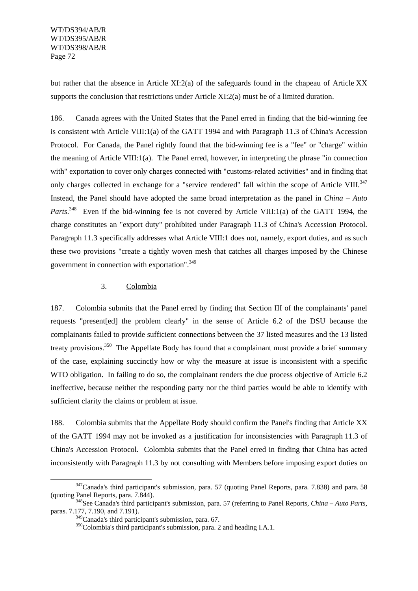but rather that the absence in Article XI:2(a) of the safeguards found in the chapeau of Article XX supports the conclusion that restrictions under Article XI:2(a) must be of a limited duration.

186. Canada agrees with the United States that the Panel erred in finding that the bid-winning fee is consistent with Article VIII:1(a) of the GATT 1994 and with Paragraph 11.3 of China's Accession Protocol. For Canada, the Panel rightly found that the bid-winning fee is a "fee" or "charge" within the meaning of Article VIII:1(a). The Panel erred, however, in interpreting the phrase "in connection with" exportation to cover only charges connected with "customs-related activities" and in finding that only charges collected in exchange for a "service rendered" fall within the scope of Article VIII.<sup>347</sup> Instead, the Panel should have adopted the same broad interpretation as the panel in *China – Auto*  Parts.<sup>348</sup> Even if the bid-winning fee is not covered by Article VIII:1(a) of the GATT 1994, the charge constitutes an "export duty" prohibited under Paragraph 11.3 of China's Accession Protocol. Paragraph 11.3 specifically addresses what Article VIII:1 does not, namely, export duties, and as such these two provisions "create a tightly woven mesh that catches all charges imposed by the Chinese government in connection with exportation".<sup>349</sup>

# 3. Colombia

187. Colombia submits that the Panel erred by finding that Section III of the complainants' panel requests "present[ed] the problem clearly" in the sense of Article 6.2 of the DSU because the complainants failed to provide sufficient connections between the 37 listed measures and the 13 listed treaty provisions.<sup>350</sup> The Appellate Body has found that a complainant must provide a brief summary of the case, explaining succinctly how or why the measure at issue is inconsistent with a specific WTO obligation. In failing to do so, the complainant renders the due process objective of Article 6.2 ineffective, because neither the responding party nor the third parties would be able to identify with sufficient clarity the claims or problem at issue.

188. Colombia submits that the Appellate Body should confirm the Panel's finding that Article XX of the GATT 1994 may not be invoked as a justification for inconsistencies with Paragraph 11.3 of China's Accession Protocol. Colombia submits that the Panel erred in finding that China has acted inconsistently with Paragraph 11.3 by not consulting with Members before imposing export duties on

<sup>&</sup>lt;sup>347</sup>Canada's third participant's submission, para. 57 (quoting Panel Reports, para. 7.838) and para. 58 (quoting Panel Reports, para. 7.844). 348See Canada's third participant's submission, para. 57 (referring to Panel Reports, *China – Auto Parts*,

paras. 7.177, 7.190, and 7.191).<br><sup>349</sup>Canada's third participant's submission, para. 67.

<sup>&</sup>lt;sup>350</sup>Colombia's third participant's submission, para. 2 and heading I.A.1.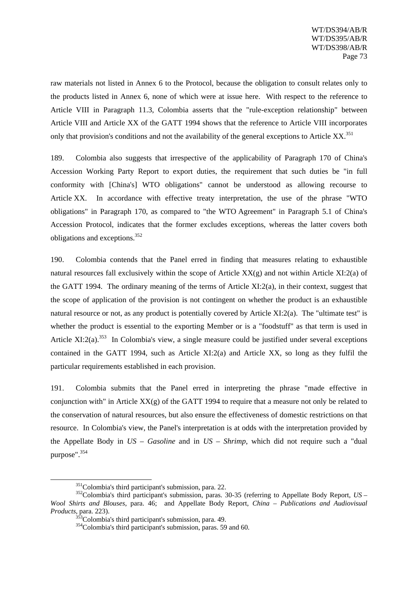raw materials not listed in Annex 6 to the Protocol, because the obligation to consult relates only to the products listed in Annex 6, none of which were at issue here. With respect to the reference to Article VIII in Paragraph 11.3, Colombia asserts that the "rule-exception relationship" between Article VIII and Article XX of the GATT 1994 shows that the reference to Article VIII incorporates only that provision's conditions and not the availability of the general exceptions to Article XX.<sup>351</sup>

189. Colombia also suggests that irrespective of the applicability of Paragraph 170 of China's Accession Working Party Report to export duties, the requirement that such duties be "in full conformity with [China's] WTO obligations" cannot be understood as allowing recourse to Article XX. In accordance with effective treaty interpretation, the use of the phrase "WTO obligations" in Paragraph 170, as compared to "the WTO Agreement" in Paragraph 5.1 of China's Accession Protocol, indicates that the former excludes exceptions, whereas the latter covers both obligations and exceptions.352

190. Colombia contends that the Panel erred in finding that measures relating to exhaustible natural resources fall exclusively within the scope of Article  $XX(g)$  and not within Article  $XI:2(a)$  of the GATT 1994. The ordinary meaning of the terms of Article XI:2(a), in their context, suggest that the scope of application of the provision is not contingent on whether the product is an exhaustible natural resource or not, as any product is potentially covered by Article XI:2(a). The "ultimate test" is whether the product is essential to the exporting Member or is a "foodstuff" as that term is used in Article XI:2(a).<sup>353</sup> In Colombia's view, a single measure could be justified under several exceptions contained in the GATT 1994, such as Article XI:2(a) and Article XX, so long as they fulfil the particular requirements established in each provision.

191. Colombia submits that the Panel erred in interpreting the phrase "made effective in conjunction with" in Article  $XX(g)$  of the GATT 1994 to require that a measure not only be related to the conservation of natural resources, but also ensure the effectiveness of domestic restrictions on that resource. In Colombia's view, the Panel's interpretation is at odds with the interpretation provided by the Appellate Body in *US – Gasoline* and in *US – Shrimp*, which did not require such a "dual purpose".<sup>354</sup>

<sup>&</sup>lt;sup>351</sup>Colombia's third participant's submission, para. 22.<br><sup>352</sup>Colombia's third participant's submission, paras. 30-35 (referring to Appellate Body Report, *US – Wool Shirts and Blouses*, para. 46; and Appellate Body Report, *China – Publications and Audiovisual Products*, para. 223).<br><sup>353</sup>Colombia's third participant's submission, para. 49.

<sup>&</sup>lt;sup>354</sup>Colombia's third participant's submission, paras. 59 and 60.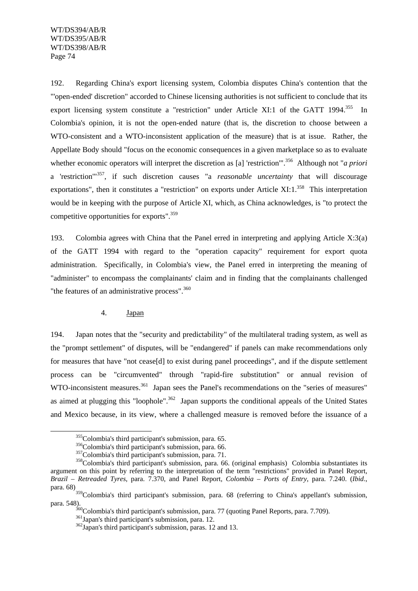192. Regarding China's export licensing system, Colombia disputes China's contention that the "'open-ended' discretion" accorded to Chinese licensing authorities is not sufficient to conclude that its export licensing system constitute a "restriction" under Article XI:1 of the GATT 1994.<sup>355</sup> In Colombia's opinion, it is not the open-ended nature (that is, the discretion to choose between a WTO-consistent and a WTO-inconsistent application of the measure) that is at issue. Rather, the Appellate Body should "focus on the economic consequences in a given marketplace so as to evaluate whether economic operators will interpret the discretion as [a] 'restriction'".<sup>356</sup> Although not "*a priori* a 'restriction'"357, if such discretion causes "a *reasonable uncertainty* that will discourage exportations", then it constitutes a "restriction" on exports under Article XI:1. $^{358}$  This interpretation would be in keeping with the purpose of Article XI, which, as China acknowledges, is "to protect the competitive opportunities for exports".<sup>359</sup>

193. Colombia agrees with China that the Panel erred in interpreting and applying Article X:3(a) of the GATT 1994 with regard to the "operation capacity" requirement for export quota administration. Specifically, in Colombia's view, the Panel erred in interpreting the meaning of "administer" to encompass the complainants' claim and in finding that the complainants challenged "the features of an administrative process".<sup>360</sup>

#### 4. Japan

194. Japan notes that the "security and predictability" of the multilateral trading system, as well as the "prompt settlement" of disputes, will be "endangered" if panels can make recommendations only for measures that have "not cease[d] to exist during panel proceedings", and if the dispute settlement process can be "circumvented" through "rapid-fire substitution" or annual revision of WTO-inconsistent measures.<sup>361</sup> Japan sees the Panel's recommendations on the "series of measures" as aimed at plugging this "loophole".<sup>362</sup> Japan supports the conditional appeals of the United States and Mexico because, in its view, where a challenged measure is removed before the issuance of a

<sup>&</sup>lt;sup>355</sup>Colombia's third participant's submission, para. 65.<br><sup>356</sup>Colombia's third participant's submission, para. 66.<br><sup>357</sup>Colombia's third participant's submission, para. 71.<br><sup>358</sup>Colombia's third participant's submission, argument on this point by referring to the interpretation of the term "restrictions" provided in Panel Report, *Brazil – Retreaded Tyres*, para. 7.370, and Panel Report, *Colombia – Ports of Entry*, para. 7.240. (*Ibid*., para. 68)

<sup>&</sup>lt;sup>359</sup>Colombia's third participant's submission, para. 68 (referring to China's appellant's submission, para. 548).<br><sup>360</sup>Colombia's third participant's submission, para. 77 (quoting Panel Reports, para. 7.709).<br><sup>361</sup>Japan's third participant's submission, paras. 12 and 13.<br><sup>362</sup>Japan's third participant's submission, paras.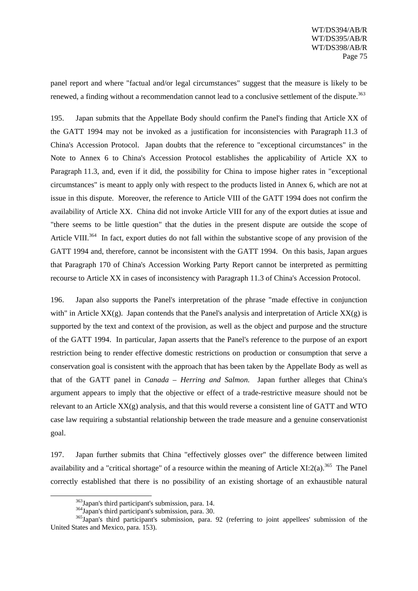panel report and where "factual and/or legal circumstances" suggest that the measure is likely to be renewed, a finding without a recommendation cannot lead to a conclusive settlement of the dispute.<sup>363</sup>

195. Japan submits that the Appellate Body should confirm the Panel's finding that Article XX of the GATT 1994 may not be invoked as a justification for inconsistencies with Paragraph 11.3 of China's Accession Protocol. Japan doubts that the reference to "exceptional circumstances" in the Note to Annex 6 to China's Accession Protocol establishes the applicability of Article XX to Paragraph 11.3, and, even if it did, the possibility for China to impose higher rates in "exceptional circumstances" is meant to apply only with respect to the products listed in Annex 6, which are not at issue in this dispute. Moreover, the reference to Article VIII of the GATT 1994 does not confirm the availability of Article XX. China did not invoke Article VIII for any of the export duties at issue and "there seems to be little question" that the duties in the present dispute are outside the scope of Article VIII.<sup>364</sup> In fact, export duties do not fall within the substantive scope of any provision of the GATT 1994 and, therefore, cannot be inconsistent with the GATT 1994. On this basis, Japan argues that Paragraph 170 of China's Accession Working Party Report cannot be interpreted as permitting recourse to Article XX in cases of inconsistency with Paragraph 11.3 of China's Accession Protocol.

196. Japan also supports the Panel's interpretation of the phrase "made effective in conjunction with" in Article  $XX(g)$ . Japan contends that the Panel's analysis and interpretation of Article  $XX(g)$  is supported by the text and context of the provision, as well as the object and purpose and the structure of the GATT 1994. In particular, Japan asserts that the Panel's reference to the purpose of an export restriction being to render effective domestic restrictions on production or consumption that serve a conservation goal is consistent with the approach that has been taken by the Appellate Body as well as that of the GATT panel in *Canada – Herring and Salmon*. Japan further alleges that China's argument appears to imply that the objective or effect of a trade-restrictive measure should not be relevant to an Article  $XX(g)$  analysis, and that this would reverse a consistent line of GATT and WTO case law requiring a substantial relationship between the trade measure and a genuine conservationist goal.

197. Japan further submits that China "effectively glosses over" the difference between limited availability and a "critical shortage" of a resource within the meaning of Article XI:2(a).<sup>365</sup> The Panel correctly established that there is no possibility of an existing shortage of an exhaustible natural

<sup>&</sup>lt;sup>363</sup>Japan's third participant's submission, para. 14.<br><sup>364</sup>Japan's third participant's submission, para. 30.<br><sup>365</sup>Japan's third participant's submission, para. 92 (referring to joint appellees' submission of the United States and Mexico, para. 153).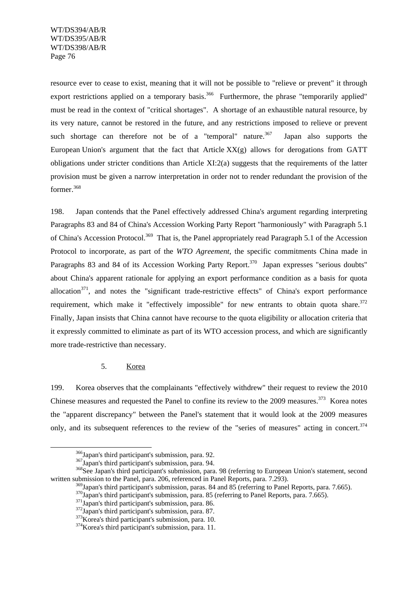resource ever to cease to exist, meaning that it will not be possible to "relieve or prevent" it through export restrictions applied on a temporary basis.<sup>366</sup> Furthermore, the phrase "temporarily applied" must be read in the context of "critical shortages". A shortage of an exhaustible natural resource, by its very nature, cannot be restored in the future, and any restrictions imposed to relieve or prevent such shortage can therefore not be of a "temporal" nature.<sup>367</sup> Japan also supports the European Union's argument that the fact that Article  $XX(g)$  allows for derogations from GATT obligations under stricter conditions than Article XI:2(a) suggests that the requirements of the latter provision must be given a narrow interpretation in order not to render redundant the provision of the former.<sup>368</sup>

198. Japan contends that the Panel effectively addressed China's argument regarding interpreting Paragraphs 83 and 84 of China's Accession Working Party Report "harmoniously" with Paragraph 5.1 of China's Accession Protocol.<sup>369</sup> That is, the Panel appropriately read Paragraph 5.1 of the Accession Protocol to incorporate, as part of the *WTO Agreement*, the specific commitments China made in Paragraphs 83 and 84 of its Accession Working Party Report.<sup>370</sup> Japan expresses "serious doubts" about China's apparent rationale for applying an export performance condition as a basis for quota allocation<sup>371</sup>, and notes the "significant trade-restrictive effects" of China's export performance requirement, which make it "effectively impossible" for new entrants to obtain quota share.<sup>372</sup> Finally, Japan insists that China cannot have recourse to the quota eligibility or allocation criteria that it expressly committed to eliminate as part of its WTO accession process, and which are significantly more trade-restrictive than necessary.

5. Korea

199. Korea observes that the complainants "effectively withdrew" their request to review the 2010 Chinese measures and requested the Panel to confine its review to the 2009 measures.<sup>373</sup> Korea notes the "apparent discrepancy" between the Panel's statement that it would look at the 2009 measures only, and its subsequent references to the review of the "series of measures" acting in concert.<sup>374</sup>

<sup>&</sup>lt;sup>366</sup>Japan's third participant's submission, para. 92.<br><sup>367</sup>Japan's third participant's submission, para. 94.<br><sup>368</sup>See Japan's third participant's submission, para. 98 (referring to European Union's statement, second written submission to the Panel, para. 206, referenced in Panel Reports, para. 7.293).<br><sup>369</sup>Japan's third participant's submission, paras. 84 and 85 (referring to Panel Reports, para. 7.665).

<sup>&</sup>lt;sup>370</sup>Japan's third participant's submission, para. 85 (referring to Panel Reports, para. 7.665).<br><sup>371</sup>Japan's third participant's submission, para. 86.<br><sup>372</sup>Japan's third participant's submission, para. 87.<br><sup>373</sup>Korea's t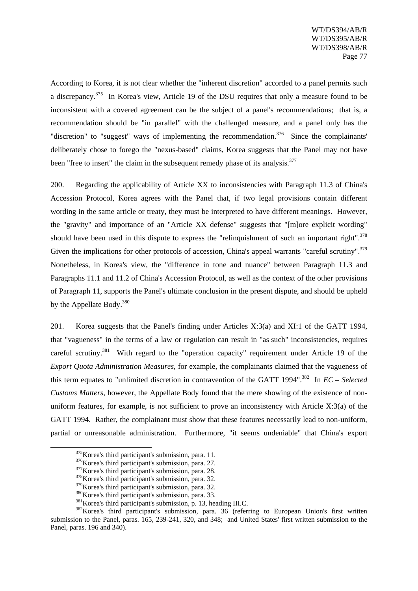According to Korea, it is not clear whether the "inherent discretion" accorded to a panel permits such a discrepancy.375 In Korea's view, Article 19 of the DSU requires that only a measure found to be inconsistent with a covered agreement can be the subject of a panel's recommendations; that is, a recommendation should be "in parallel" with the challenged measure, and a panel only has the "discretion" to "suggest" ways of implementing the recommendation.<sup>376</sup> Since the complainants' deliberately chose to forego the "nexus-based" claims, Korea suggests that the Panel may not have been "free to insert" the claim in the subsequent remedy phase of its analysis.<sup>377</sup>

200. Regarding the applicability of Article XX to inconsistencies with Paragraph 11.3 of China's Accession Protocol, Korea agrees with the Panel that, if two legal provisions contain different wording in the same article or treaty, they must be interpreted to have different meanings. However, the "gravity" and importance of an "Article XX defense" suggests that "[m]ore explicit wording" should have been used in this dispute to express the "relinquishment of such an important right".<sup>378</sup> Given the implications for other protocols of accession, China's appeal warrants "careful scrutiny".<sup>379</sup> Nonetheless, in Korea's view, the "difference in tone and nuance" between Paragraph 11.3 and Paragraphs 11.1 and 11.2 of China's Accession Protocol, as well as the context of the other provisions of Paragraph 11, supports the Panel's ultimate conclusion in the present dispute, and should be upheld by the Appellate Body.<sup>380</sup>

201. Korea suggests that the Panel's finding under Articles X:3(a) and XI:1 of the GATT 1994, that "vagueness" in the terms of a law or regulation can result in "as such" inconsistencies, requires careful scrutiny.<sup>381</sup> With regard to the "operation capacity" requirement under Article 19 of the *Export Quota Administration Measures*, for example, the complainants claimed that the vagueness of this term equates to "unlimited discretion in contravention of the GATT 1994".<sup>382</sup> In  $EC-Selected$ *Customs Matters*, however, the Appellate Body found that the mere showing of the existence of nonuniform features, for example, is not sufficient to prove an inconsistency with Article X:3(a) of the GATT 1994. Rather, the complainant must show that these features necessarily lead to non-uniform, partial or unreasonable administration. Furthermore, "it seems undeniable" that China's export

<sup>&</sup>lt;sup>375</sup>Korea's third participant's submission, para. 27.<br><sup>377</sup>Korea's third participant's submission, para. 27.<br><sup>378</sup>Korea's third participant's submission, para. 32.<br><sup>379</sup>Korea's third participant's submission, para. 32.

 $^{380}$ Korea's third participant's submission, para. 33.<br> $^{381}$ Korea's third participant's submission, p. 13, heading III.C.<br> $^{381}$ Korea's third participant's submission, para. 36 (referring to European Union's first wr submission to the Panel, paras. 165, 239-241, 320, and 348; and United States' first written submission to the Panel, paras. 196 and 340).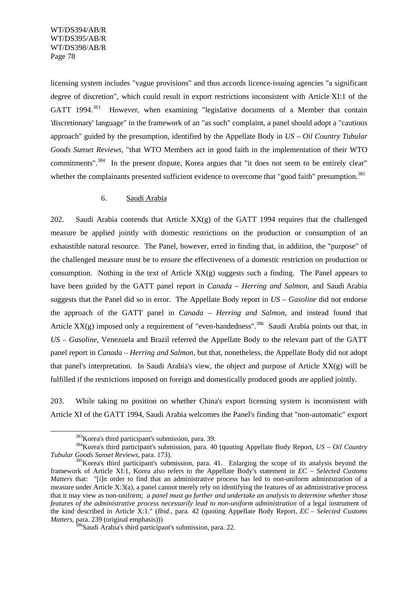licensing system includes "vague provisions" and thus accords licence-issuing agencies "a significant degree of discretion", which could result in export restrictions inconsistent with Article XI:1 of the GATT 1994.<sup>383</sup> However, when examining "legislative documents of a Member that contain 'discretionary' language" in the framework of an "as such" complaint, a panel should adopt a "cautious approach" guided by the presumption, identified by the Appellate Body in *US – Oil Country Tubular Goods Sunset Reviews*, "that WTO Members act in good faith in the implementation of their WTO commitments".<sup>384</sup> In the present dispute, Korea argues that "it does not seem to be entirely clear" whether the complainants presented sufficient evidence to overcome that "good faith" presumption.<sup>385</sup>

#### 6. Saudi Arabia

202. Saudi Arabia contends that Article  $XX(g)$  of the GATT 1994 requires that the challenged measure be applied jointly with domestic restrictions on the production or consumption of an exhaustible natural resource. The Panel, however, erred in finding that, in addition, the "purpose" of the challenged measure must be to ensure the effectiveness of a domestic restriction on production or consumption. Nothing in the text of Article  $XX(g)$  suggests such a finding. The Panel appears to have been guided by the GATT panel report in *Canada – Herring and Salmon*, and Saudi Arabia suggests that the Panel did so in error. The Appellate Body report in *US – Gasoline* did not endorse the approach of the GATT panel in *Canada – Herring and Salmon*, and instead found that Article  $XX(g)$  imposed only a requirement of "even-handedness".<sup>386</sup> Saudi Arabia points out that, in *US – Gasoline*, Venezuela and Brazil referred the Appellate Body to the relevant part of the GATT panel report in *Canada – Herring and Salmon*, but that, nonetheless, the Appellate Body did not adopt that panel's interpretation. In Saudi Arabia's view, the object and purpose of Article  $XX(g)$  will be fulfilled if the restrictions imposed on foreign and domestically produced goods are applied jointly.

203. While taking no position on whether China's export licensing system is inconsistent with Article XI of the GATT 1994, Saudi Arabia welcomes the Panel's finding that "non-automatic" export

<sup>&</sup>lt;sup>383</sup>Korea's third participant's submission, para. 39.<br><sup>384</sup>Korea's third participant's submission, para. 40 (quoting Appellate Body Report, *US – Oil Country Tubular Goods Sunset Reviews*, para. 173).

<sup>&</sup>lt;sup>385</sup>Korea's third participant's submission, para. 41. Enlarging the scope of its analysis beyond the framework of Article XI:1, Korea also refers to the Appellate Body's statement in *EC – Selected Customs Matters* that: "[i]n order to find that an administrative process has led to non-uniform administration of a measure under Article X:3(a), a panel cannot merely rely on identifying the features of an administrative process that it may view as non-uniform; *a panel must go further and undertake an analysis to determine whether those features of the administrative process necessarily lead to non-uniform administration* of a legal instrument of the kind described in Article X:1." (*Ibid*., para. 42 (quoting Appellate Body Report, *EC – Selected Customs Matters*, para. 239 (original emphasis)))

<sup>&</sup>lt;sup>886</sup>Saudi Arabia's third participant's submission, para. 22.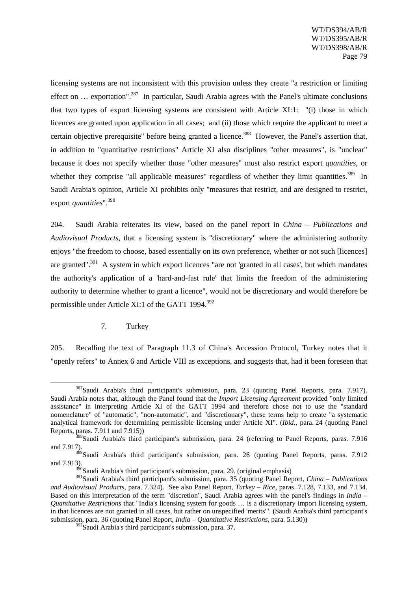licensing systems are not inconsistent with this provision unless they create "a restriction or limiting effect on ... exportation".<sup>387</sup> In particular, Saudi Arabia agrees with the Panel's ultimate conclusions that two types of export licensing systems are consistent with Article XI:1: "(i) those in which licences are granted upon application in all cases; and (ii) those which require the applicant to meet a certain objective prerequisite" before being granted a licence.<sup>388</sup> However, the Panel's assertion that, in addition to "quantitative restrictions" Article XI also disciplines "other measures", is "unclear" because it does not specify whether those "other measures" must also restrict export *quantities*, or whether they comprise "all applicable measures" regardless of whether they limit quantities.<sup>389</sup> In Saudi Arabia's opinion, Article XI prohibits only "measures that restrict, and are designed to restrict, export *quantities*".<sup>390</sup>

204. Saudi Arabia reiterates its view, based on the panel report in *China – Publications and Audiovisual Products*, that a licensing system is "discretionary" where the administering authority enjoys "the freedom to choose, based essentially on its own preference, whether or not such [licences] are granted".391 A system in which export licences "are not 'granted in all cases', but which mandates the authority's application of a 'hard-and-fast rule' that limits the freedom of the administering authority to determine whether to grant a licence", would not be discretionary and would therefore be permissible under Article XI:1 of the GATT 1994. $392$ 

#### 7. Turkey

205. Recalling the text of Paragraph 11.3 of China's Accession Protocol, Turkey notes that it "openly refers" to Annex 6 and Article VIII as exceptions, and suggests that, had it been foreseen that

 <sup>387</sup>Saudi Arabia's third participant's submission, para. 23 (quoting Panel Reports, para. 7.917). Saudi Arabia notes that, although the Panel found that the *Import Licensing Agreement* provided "only limited assistance" in interpreting Article XI of the GATT 1994 and therefore chose not to use the "standard nomenclature" of "automatic", "non-automatic", and "discretionary", these terms help to create "a systematic analytical framework for determining permissible licensing under Article XI". (*Ibid*., para. 24 (quoting Panel

<sup>&</sup>lt;sup>888</sup>Saudi Arabia's third participant's submission, para. 24 (referring to Panel Reports, paras. 7.916 and 7.917).

<sup>&</sup>lt;sup>389</sup>Saudi Arabia's third participant's submission, para. 26 (quoting Panel Reports, paras. 7.912) and 7.913).

 $390$ Saudi Arabia's third participant's submission, para. 29. (original emphasis)

<sup>391</sup>Saudi Arabia's third participant's submission, para. 35 (quoting Panel Report, *China – Publications and Audiovisual Products*, para. 7.324). See also Panel Report, *Turkey – Rice*, paras. 7.128, 7.133, and 7.134. Based on this interpretation of the term "discretion", Saudi Arabia agrees with the panel's findings in *India – Quantitative Restrictions* that "India's licensing system for goods … is a discretionary import licensing system, in that licences are not granted in all cases, but rather on unspecified 'merits'". (Saudi Arabia's third participant's submission, para. 36 (quoting Panel Report, *India – Quantitative Restrictions*, para. 5.130))

<sup>&</sup>lt;sup>392</sup>Saudi Arabia's third participant's submission, para. 37.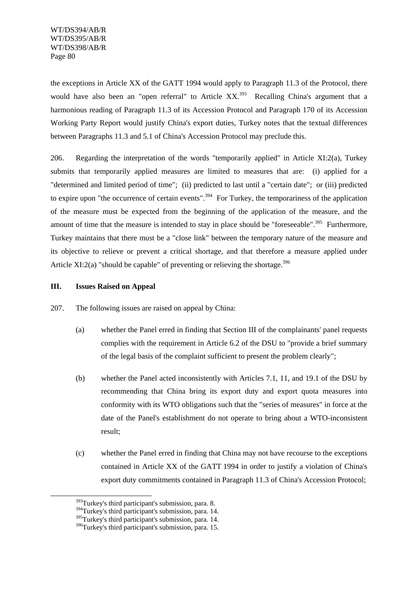the exceptions in Article XX of the GATT 1994 would apply to Paragraph 11.3 of the Protocol, there would have also been an "open referral" to Article  $XX^{393}$  Recalling China's argument that a harmonious reading of Paragraph 11.3 of its Accession Protocol and Paragraph 170 of its Accession Working Party Report would justify China's export duties, Turkey notes that the textual differences between Paragraphs 11.3 and 5.1 of China's Accession Protocol may preclude this.

206. Regarding the interpretation of the words "temporarily applied" in Article XI:2(a), Turkey submits that temporarily applied measures are limited to measures that are: (i) applied for a "determined and limited period of time"; (ii) predicted to last until a "certain date"; or (iii) predicted to expire upon "the occurrence of certain events".<sup>394</sup> For Turkey, the temporariness of the application of the measure must be expected from the beginning of the application of the measure, and the amount of time that the measure is intended to stay in place should be "foreseeable".<sup>395</sup> Furthermore, Turkey maintains that there must be a "close link" between the temporary nature of the measure and its objective to relieve or prevent a critical shortage, and that therefore a measure applied under Article XI:2(a) "should be capable" of preventing or relieving the shortage.<sup>396</sup>

#### **III. Issues Raised on Appeal**

207. The following issues are raised on appeal by China:

- (a) whether the Panel erred in finding that Section III of the complainants' panel requests complies with the requirement in Article 6.2 of the DSU to "provide a brief summary of the legal basis of the complaint sufficient to present the problem clearly";
- (b) whether the Panel acted inconsistently with Articles 7.1, 11, and 19.1 of the DSU by recommending that China bring its export duty and export quota measures into conformity with its WTO obligations such that the "series of measures" in force at the date of the Panel's establishment do not operate to bring about a WTO-inconsistent result;
- (c) whether the Panel erred in finding that China may not have recourse to the exceptions contained in Article XX of the GATT 1994 in order to justify a violation of China's export duty commitments contained in Paragraph 11.3 of China's Accession Protocol;

<sup>&</sup>lt;sup>393</sup>Turkey's third participant's submission, para. 8.

<sup>&</sup>lt;sup>394</sup>Turkey's third participant's submission, para. 14.

<sup>&</sup>lt;sup>395</sup>Turkey's third participant's submission, para. 14.

<sup>396</sup>Turkey's third participant's submission, para. 15.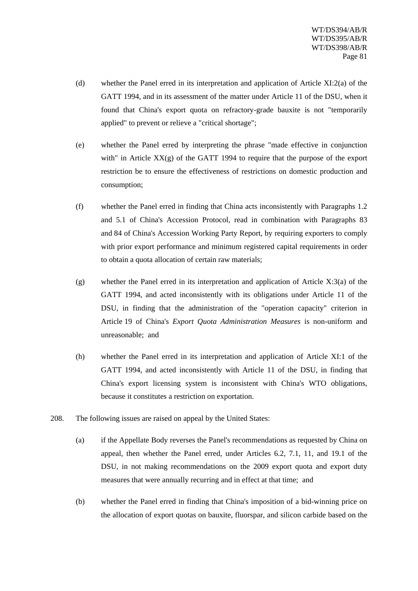- (d) whether the Panel erred in its interpretation and application of Article XI:2(a) of the GATT 1994, and in its assessment of the matter under Article 11 of the DSU, when it found that China's export quota on refractory-grade bauxite is not "temporarily applied" to prevent or relieve a "critical shortage";
- (e) whether the Panel erred by interpreting the phrase "made effective in conjunction with" in Article  $XX(g)$  of the GATT 1994 to require that the purpose of the export restriction be to ensure the effectiveness of restrictions on domestic production and consumption;
- (f) whether the Panel erred in finding that China acts inconsistently with Paragraphs 1.2 and 5.1 of China's Accession Protocol, read in combination with Paragraphs 83 and 84 of China's Accession Working Party Report, by requiring exporters to comply with prior export performance and minimum registered capital requirements in order to obtain a quota allocation of certain raw materials;
- (g) whether the Panel erred in its interpretation and application of Article X:3(a) of the GATT 1994, and acted inconsistently with its obligations under Article 11 of the DSU, in finding that the administration of the "operation capacity" criterion in Article 19 of China's *Export Quota Administration Measures* is non-uniform and unreasonable; and
- (h) whether the Panel erred in its interpretation and application of Article XI:1 of the GATT 1994, and acted inconsistently with Article 11 of the DSU, in finding that China's export licensing system is inconsistent with China's WTO obligations, because it constitutes a restriction on exportation.
- 208. The following issues are raised on appeal by the United States:
	- (a) if the Appellate Body reverses the Panel's recommendations as requested by China on appeal, then whether the Panel erred, under Articles 6.2, 7.1, 11, and 19.1 of the DSU, in not making recommendations on the 2009 export quota and export duty measures that were annually recurring and in effect at that time; and
	- (b) whether the Panel erred in finding that China's imposition of a bid-winning price on the allocation of export quotas on bauxite, fluorspar, and silicon carbide based on the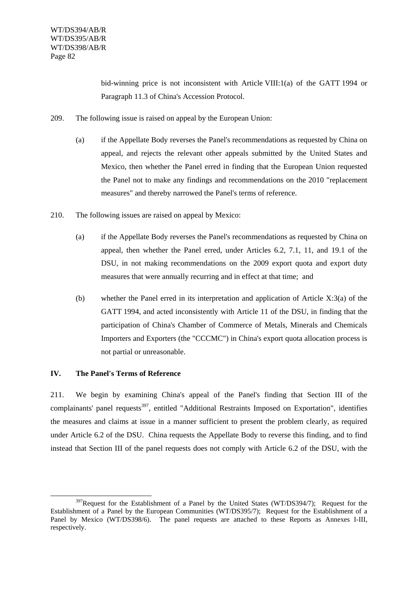bid-winning price is not inconsistent with Article VIII:1(a) of the GATT 1994 or Paragraph 11.3 of China's Accession Protocol.

- 209. The following issue is raised on appeal by the European Union:
	- (a) if the Appellate Body reverses the Panel's recommendations as requested by China on appeal, and rejects the relevant other appeals submitted by the United States and Mexico, then whether the Panel erred in finding that the European Union requested the Panel not to make any findings and recommendations on the 2010 "replacement measures" and thereby narrowed the Panel's terms of reference.
- 210. The following issues are raised on appeal by Mexico:
	- (a) if the Appellate Body reverses the Panel's recommendations as requested by China on appeal, then whether the Panel erred, under Articles 6.2, 7.1, 11, and 19.1 of the DSU, in not making recommendations on the 2009 export quota and export duty measures that were annually recurring and in effect at that time; and
	- (b) whether the Panel erred in its interpretation and application of Article X:3(a) of the GATT 1994, and acted inconsistently with Article 11 of the DSU, in finding that the participation of China's Chamber of Commerce of Metals, Minerals and Chemicals Importers and Exporters (the "CCCMC") in China's export quota allocation process is not partial or unreasonable.

#### **IV. The Panel's Terms of Reference**

211. We begin by examining China's appeal of the Panel's finding that Section III of the complainants' panel requests<sup>397</sup>, entitled "Additional Restraints Imposed on Exportation", identifies the measures and claims at issue in a manner sufficient to present the problem clearly, as required under Article 6.2 of the DSU. China requests the Appellate Body to reverse this finding, and to find instead that Section III of the panel requests does not comply with Article 6.2 of the DSU, with the

 $397$ Request for the Establishment of a Panel by the United States (WT/DS394/7); Request for the Establishment of a Panel by the European Communities (WT/DS395/7); Request for the Establishment of a Panel by Mexico (WT/DS398/6). The panel requests are attached to these Reports as Annexes I-III, respectively.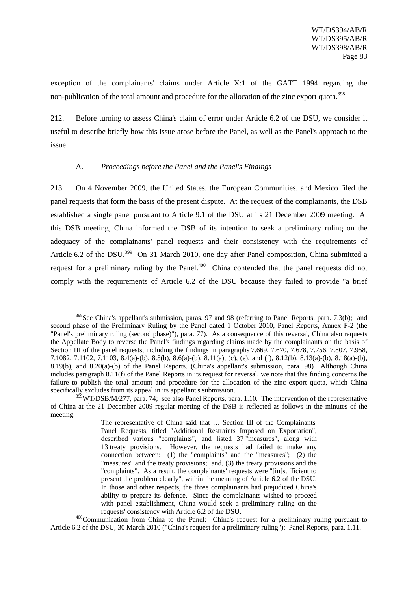exception of the complainants' claims under Article X:1 of the GATT 1994 regarding the non-publication of the total amount and procedure for the allocation of the zinc export quota.<sup>398</sup>

212. Before turning to assess China's claim of error under Article 6.2 of the DSU, we consider it useful to describe briefly how this issue arose before the Panel, as well as the Panel's approach to the issue.

## A. *Proceedings before the Panel and the Panel's Findings*

213. On 4 November 2009, the United States, the European Communities, and Mexico filed the panel requests that form the basis of the present dispute. At the request of the complainants, the DSB established a single panel pursuant to Article 9.1 of the DSU at its 21 December 2009 meeting. At this DSB meeting, China informed the DSB of its intention to seek a preliminary ruling on the adequacy of the complainants' panel requests and their consistency with the requirements of Article 6.2 of the DSU.<sup>399</sup> On 31 March 2010, one day after Panel composition, China submitted a request for a preliminary ruling by the Panel.<sup>400</sup> China contended that the panel requests did not comply with the requirements of Article 6.2 of the DSU because they failed to provide "a brief

 <sup>398</sup>See China's appellant's submission, paras. 97 and 98 (referring to Panel Reports, para. 7.3(b); and second phase of the Preliminary Ruling by the Panel dated 1 October 2010, Panel Reports, Annex F-2 (the "Panel's preliminary ruling (second phase)"), para. 77). As a consequence of this reversal, China also requests the Appellate Body to reverse the Panel's findings regarding claims made by the complainants on the basis of Section III of the panel requests, including the findings in paragraphs 7.669, 7.670, 7.678, 7.756, 7.807, 7.958, 7.1082, 7.1102, 7.1103, 8.4(a)-(b), 8.5(b), 8.6(a)-(b), 8.11(a), (c), (e), and (f), 8.12(b), 8.13(a)-(b), 8.18(a)-(b), 8.19(b), and 8.20(a)-(b) of the Panel Reports. (China's appellant's submission, para. 98) Although China includes paragraph 8.11(f) of the Panel Reports in its request for reversal, we note that this finding concerns the failure to publish the total amount and procedure for the allocation of the zinc export quota, which China specifically excludes from its appeal in its appellant's submission.

<sup>&</sup>lt;sup>399</sup>WT/DSB/M/277, para. 74; see also Panel Reports, para. 1.10. The intervention of the representative of China at the 21 December 2009 regular meeting of the DSB is reflected as follows in the minutes of the meeting:

The representative of China said that … Section III of the Complainants' Panel Requests, titled "Additional Restraints Imposed on Exportation", described various "complaints", and listed 37 "measures", along with 13 treaty provisions. However, the requests had failed to make any connection between: (1) the "complaints" and the "measures"; (2) the "measures" and the treaty provisions; and, (3) the treaty provisions and the "complaints". As a result, the complainants' requests were "[in]sufficient to present the problem clearly", within the meaning of Article 6.2 of the DSU. In those and other respects, the three complainants had prejudiced China's ability to prepare its defence. Since the complainants wished to proceed with panel establishment, China would seek a preliminary ruling on the

requests' consistency with Article 6.2 of the DSU.<br><sup>400</sup>Communication from China to the Panel: China's request for a preliminary ruling pursuant to Article 6.2 of the DSU, 30 March 2010 ("China's request for a preliminary ruling"); Panel Reports, para. 1.11.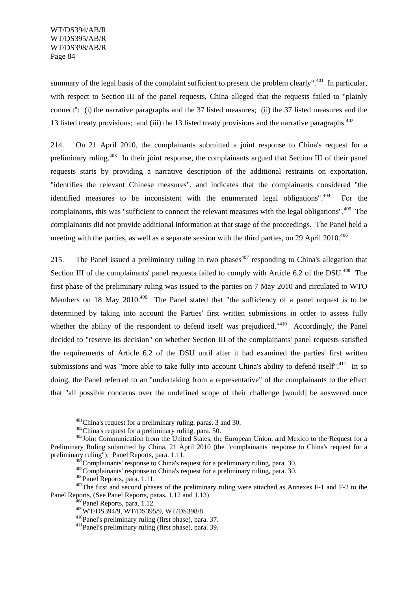summary of the legal basis of the complaint sufficient to present the problem clearly".<sup>401</sup> In particular, with respect to Section III of the panel requests, China alleged that the requests failed to "plainly" connect": (i) the narrative paragraphs and the 37 listed measures; (ii) the 37 listed measures and the 13 listed treaty provisions; and (iii) the 13 listed treaty provisions and the narrative paragraphs.<sup>402</sup>

214. On 21 April 2010, the complainants submitted a joint response to China's request for a preliminary ruling.403 In their joint response, the complainants argued that Section III of their panel requests starts by providing a narrative description of the additional restraints on exportation, "identifies the relevant Chinese measures", and indicates that the complainants considered "the identified measures to be inconsistent with the enumerated legal obligations".  $404$  For the complainants, this was "sufficient to connect the relevant measures with the legal obligations".<sup>405</sup> The complainants did not provide additional information at that stage of the proceedings. The Panel held a meeting with the parties, as well as a separate session with the third parties, on 29 April 2010.<sup>406</sup>

215. The Panel issued a preliminary ruling in two phases<sup>407</sup> responding to China's allegation that Section III of the complainants' panel requests failed to comply with Article 6.2 of the DSU.<sup>408</sup> The first phase of the preliminary ruling was issued to the parties on 7 May 2010 and circulated to WTO Members on 18 May  $2010^{409}$  The Panel stated that "the sufficiency of a panel request is to be determined by taking into account the Parties' first written submissions in order to assess fully whether the ability of the respondent to defend itself was prejudiced."<sup>410</sup> Accordingly, the Panel decided to "reserve its decision" on whether Section III of the complainants' panel requests satisfied the requirements of Article 6.2 of the DSU until after it had examined the parties' first written submissions and was "more able to take fully into account China's ability to defend itself".<sup>411</sup> In so doing, the Panel referred to an "undertaking from a representative" of the complainants to the effect that "all possible concerns over the undefined scope of their challenge [would] be answered once

<sup>&</sup>lt;sup>401</sup>China's request for a preliminary ruling, paras. 3 and 30.<br><sup>402</sup>China's request for a preliminary ruling, para. 50.<br><sup>403</sup>Joint Communication from the United States, the European Union, and Mexico to the Request for a Preliminary Ruling submitted by China, 21 April 2010 (the "complainants' response to China's request for a

preliminary ruling"); Panel Reports, para. 1.11.<br>
<sup>404</sup>Complainants' response to China's request for a preliminary ruling, para. 30.<br>
<sup>405</sup>Complainants' response to China's request for a preliminary ruling, para. 30.<br>
<sup>406</sup> Panel Reports. (See Panel Reports, paras. 1.12 and 1.13)<br><sup>408</sup>Panel Reports, para. 1.12.<br><sup>409</sup>WT/DS394/9, WT/DS395/9, WT/DS398/8.

 $^{410}$ Panel's preliminary ruling (first phase), para. 37.  $^{411}$ Panel's preliminary ruling (first phase), para. 39.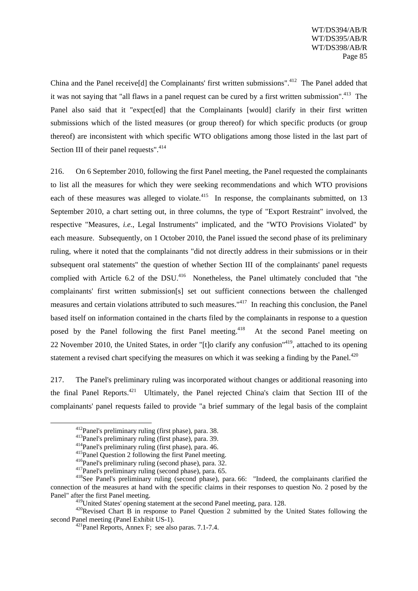China and the Panel receive [d] the Complainants' first written submissions".<sup>412</sup> The Panel added that it was not saying that "all flaws in a panel request can be cured by a first written submission".<sup>413</sup> The Panel also said that it "expect[ed] that the Complainants [would] clarify in their first written submissions which of the listed measures (or group thereof) for which specific products (or group thereof) are inconsistent with which specific WTO obligations among those listed in the last part of Section III of their panel requests".<sup>414</sup>

216. On 6 September 2010, following the first Panel meeting, the Panel requested the complainants to list all the measures for which they were seeking recommendations and which WTO provisions each of these measures was alleged to violate.<sup>415</sup> In response, the complainants submitted, on 13 September 2010, a chart setting out, in three columns, the type of "Export Restraint" involved, the respective "Measures, *i.e.*, Legal Instruments" implicated, and the "WTO Provisions Violated" by each measure. Subsequently, on 1 October 2010, the Panel issued the second phase of its preliminary ruling, where it noted that the complainants "did not directly address in their submissions or in their subsequent oral statements" the question of whether Section III of the complainants' panel requests complied with Article 6.2 of the DSU.<sup>416</sup> Nonetheless, the Panel ultimately concluded that "the complainants' first written submission[s] set out sufficient connections between the challenged measures and certain violations attributed to such measures."417 In reaching this conclusion, the Panel based itself on information contained in the charts filed by the complainants in response to a question posed by the Panel following the first Panel meeting.<sup>418</sup> At the second Panel meeting on 22 November 2010, the United States, in order "[t]o clarify any confusion"419, attached to its opening statement a revised chart specifying the measures on which it was seeking a finding by the Panel.<sup>420</sup>

217. The Panel's preliminary ruling was incorporated without changes or additional reasoning into the final Panel Reports.421 Ultimately, the Panel rejected China's claim that Section III of the complainants' panel requests failed to provide "a brief summary of the legal basis of the complaint

<sup>&</sup>lt;sup>412</sup>Panel's preliminary ruling (first phase), para. 38.<br><sup>413</sup>Panel's preliminary ruling (first phase), para. 39.<br><sup>414</sup>Panel's preliminary ruling (first phase), para. 46.<br><sup>415</sup>Panel Question 2 following the first Panel me connection of the measures at hand with the specific claims in their responses to question No. 2 posed by the Panel" after the first Panel meeting.<br><sup>419</sup>United States' opening statement at the second Panel meeting, para. 128.

 $420$ Revised Chart B in response to Panel Question 2 submitted by the United States following the second Panel meeting (Panel Exhibit US-1).<br><sup>421</sup>Panel Reports, Annex F; see also paras. 7.1-7.4.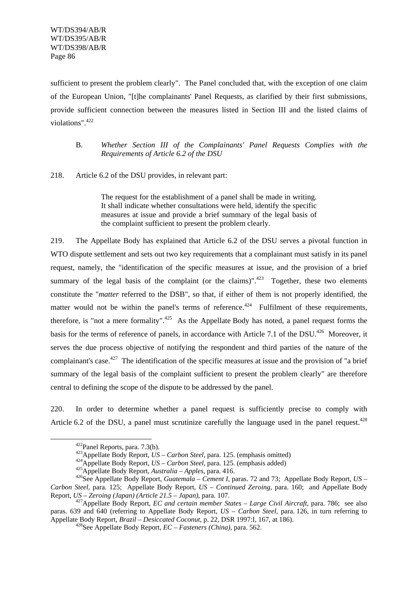sufficient to present the problem clearly". The Panel concluded that, with the exception of one claim of the European Union, "[t]he complainants' Panel Requests, as clarified by their first submissions, provide sufficient connection between the measures listed in Section III and the listed claims of violations".<sup>422</sup>

## B. *Whether Section III of the Complainants' Panel Requests Complies with the Requirements of Article 6.2 of the DSU*

218. Article 6.2 of the DSU provides, in relevant part:

The request for the establishment of a panel shall be made in writing. It shall indicate whether consultations were held, identify the specific measures at issue and provide a brief summary of the legal basis of the complaint sufficient to present the problem clearly.

219. The Appellate Body has explained that Article 6.2 of the DSU serves a pivotal function in WTO dispute settlement and sets out two key requirements that a complainant must satisfy in its panel request, namely, the "identification of the specific measures at issue, and the provision of a brief summary of the legal basis of the complaint (or the claims)". $423$  Together, these two elements constitute the "*matter* referred to the DSB", so that, if either of them is not properly identified, the matter would not be within the panel's terms of reference.<sup> $424$ </sup> Fulfilment of these requirements, therefore, is "not a mere formality".<sup>425</sup> As the Appellate Body has noted, a panel request forms the basis for the terms of reference of panels, in accordance with Article 7.1 of the DSU.<sup>426</sup> Moreover, it serves the due process objective of notifying the respondent and third parties of the nature of the complainant's case.<sup>427</sup> The identification of the specific measures at issue and the provision of "a brief summary of the legal basis of the complaint sufficient to present the problem clearly" are therefore central to defining the scope of the dispute to be addressed by the panel.

220. In order to determine whether a panel request is sufficiently precise to comply with Article 6.2 of the DSU, a panel must scrutinize carefully the language used in the panel request.<sup>428</sup>

<sup>&</sup>lt;sup>422</sup>Panel Reports, para. 7.3(b).<br><sup>423</sup>Appellate Body Report, *US – Carbon Steel*, para. 125. (emphasis omitted)<br><sup>424</sup>Appellate Body Report, *US – Carbon Steel*, para. 125. (emphasis added)<br><sup>425</sup>Appellate Body Report, *Au Carbon Steel*, para. 125; Appellate Body Report, *US – Continued Zeroing*, para. 160; and Appellate Body Report, *US – Zeroing (Japan) (Article 21.5 – Japan)*, para. 107.<br><sup>427</sup>Appellate Body Report, *EC and certain member States – Large Civil Aircraft*, para. 786; see also

paras. 639 and 640 (referring to Appellate Body Report, *US – Carbon Steel*, para. 126, in turn referring to Appellate Body Report, *Brazil – Desiccated Coconut*, p. 22, DSR 1997:I, 167, at 186). 428See Appellate Body Report, *EC – Fasteners (China)*, para. 562.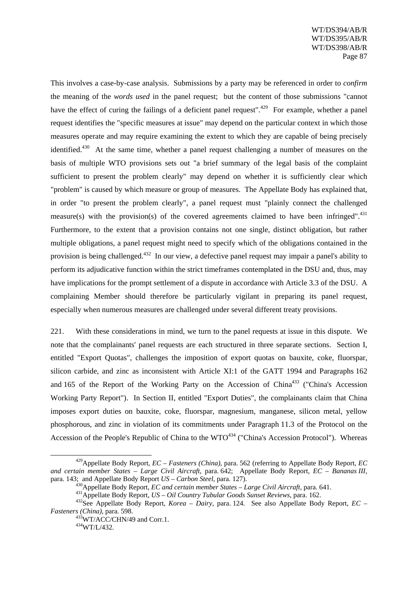This involves a case-by-case analysis. Submissions by a party may be referenced in order to *confirm* the meaning of the *words used* in the panel request; but the content of those submissions "cannot have the effect of curing the failings of a deficient panel request".<sup>429</sup> For example, whether a panel request identifies the "specific measures at issue" may depend on the particular context in which those measures operate and may require examining the extent to which they are capable of being precisely identified.<sup>430</sup> At the same time, whether a panel request challenging a number of measures on the basis of multiple WTO provisions sets out "a brief summary of the legal basis of the complaint sufficient to present the problem clearly" may depend on whether it is sufficiently clear which "problem" is caused by which measure or group of measures. The Appellate Body has explained that, in order "to present the problem clearly", a panel request must "plainly connect the challenged measure(s) with the provision(s) of the covered agreements claimed to have been infringed". $431$ Furthermore, to the extent that a provision contains not one single, distinct obligation, but rather multiple obligations, a panel request might need to specify which of the obligations contained in the provision is being challenged.432 In our view, a defective panel request may impair a panel's ability to perform its adjudicative function within the strict timeframes contemplated in the DSU and, thus, may have implications for the prompt settlement of a dispute in accordance with Article 3.3 of the DSU. A complaining Member should therefore be particularly vigilant in preparing its panel request, especially when numerous measures are challenged under several different treaty provisions.

221. With these considerations in mind, we turn to the panel requests at issue in this dispute. We note that the complainants' panel requests are each structured in three separate sections. Section I, entitled "Export Quotas", challenges the imposition of export quotas on bauxite, coke, fluorspar, silicon carbide, and zinc as inconsistent with Article XI:1 of the GATT 1994 and Paragraphs 162 and 165 of the Report of the Working Party on the Accession of China<sup>433</sup> ("China's Accession Working Party Report"). In Section II, entitled "Export Duties", the complainants claim that China imposes export duties on bauxite, coke, fluorspar, magnesium, manganese, silicon metal, yellow phosphorous, and zinc in violation of its commitments under Paragraph 11.3 of the Protocol on the Accession of the People's Republic of China to the  $WTO^{434}$  ("China's Accession Protocol"). Whereas

 <sup>429</sup>Appellate Body Report, *EC – Fasteners (China)*, para. 562 (referring to Appellate Body Report, *EC and certain member States – Large Civil Aircraft*, para. 642; Appellate Body Report, *EC – Bananas III*,

para. 143; and Appellate Body Report *US – Carbon Steel*, para. 127).<br><sup>430</sup> Appellate Body Report, *EC and certain member States – Large Civil Aircraft*, para. 641.<br><sup>431</sup> Appellate Body Report, *US – Oil Country Tubular G* 

*Fasteners (China)*, para. 598. 433WT/ACC/CHN/49 and Corr.1. 434WT/L/432.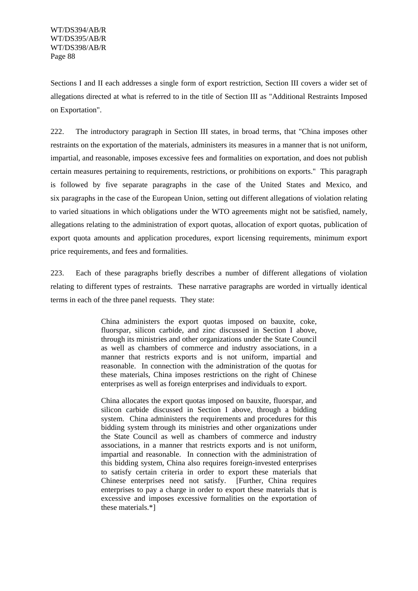Sections I and II each addresses a single form of export restriction, Section III covers a wider set of allegations directed at what is referred to in the title of Section III as "Additional Restraints Imposed on Exportation".

222. The introductory paragraph in Section III states, in broad terms, that "China imposes other restraints on the exportation of the materials, administers its measures in a manner that is not uniform, impartial, and reasonable, imposes excessive fees and formalities on exportation, and does not publish certain measures pertaining to requirements, restrictions, or prohibitions on exports." This paragraph is followed by five separate paragraphs in the case of the United States and Mexico, and six paragraphs in the case of the European Union, setting out different allegations of violation relating to varied situations in which obligations under the WTO agreements might not be satisfied, namely, allegations relating to the administration of export quotas, allocation of export quotas, publication of export quota amounts and application procedures, export licensing requirements, minimum export price requirements, and fees and formalities.

223. Each of these paragraphs briefly describes a number of different allegations of violation relating to different types of restraints. These narrative paragraphs are worded in virtually identical terms in each of the three panel requests. They state:

> China administers the export quotas imposed on bauxite, coke, fluorspar, silicon carbide, and zinc discussed in Section I above, through its ministries and other organizations under the State Council as well as chambers of commerce and industry associations, in a manner that restricts exports and is not uniform, impartial and reasonable. In connection with the administration of the quotas for these materials, China imposes restrictions on the right of Chinese enterprises as well as foreign enterprises and individuals to export.

> China allocates the export quotas imposed on bauxite, fluorspar, and silicon carbide discussed in Section I above, through a bidding system. China administers the requirements and procedures for this bidding system through its ministries and other organizations under the State Council as well as chambers of commerce and industry associations, in a manner that restricts exports and is not uniform, impartial and reasonable. In connection with the administration of this bidding system, China also requires foreign-invested enterprises to satisfy certain criteria in order to export these materials that Chinese enterprises need not satisfy. [Further, China requires enterprises to pay a charge in order to export these materials that is excessive and imposes excessive formalities on the exportation of these materials.\*]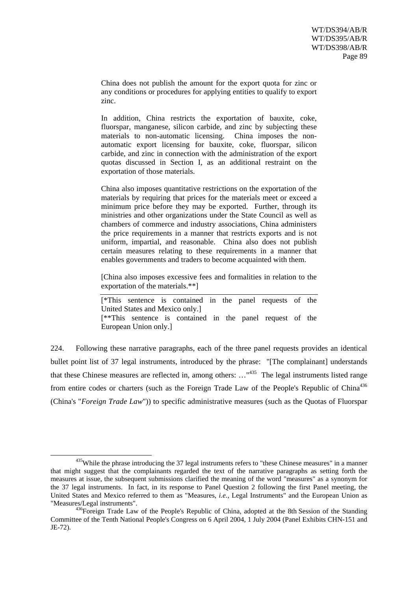China does not publish the amount for the export quota for zinc or any conditions or procedures for applying entities to qualify to export zinc.

In addition, China restricts the exportation of bauxite, coke, fluorspar, manganese, silicon carbide, and zinc by subjecting these materials to non-automatic licensing. China imposes the nonautomatic export licensing for bauxite, coke, fluorspar, silicon carbide, and zinc in connection with the administration of the export quotas discussed in Section I, as an additional restraint on the exportation of those materials.

China also imposes quantitative restrictions on the exportation of the materials by requiring that prices for the materials meet or exceed a minimum price before they may be exported. Further, through its ministries and other organizations under the State Council as well as chambers of commerce and industry associations, China administers the price requirements in a manner that restricts exports and is not uniform, impartial, and reasonable. China also does not publish certain measures relating to these requirements in a manner that enables governments and traders to become acquainted with them.

[China also imposes excessive fees and formalities in relation to the exportation of the materials.\*\*]

|                                |                      |  | [*This sentence is contained in the panel requests of the |  |  |  |  |  |  |
|--------------------------------|----------------------|--|-----------------------------------------------------------|--|--|--|--|--|--|
| United States and Mexico only. |                      |  |                                                           |  |  |  |  |  |  |
|                                |                      |  | [**This sentence is contained in the panel request of the |  |  |  |  |  |  |
|                                | European Union only. |  |                                                           |  |  |  |  |  |  |

224. Following these narrative paragraphs, each of the three panel requests provides an identical bullet point list of 37 legal instruments, introduced by the phrase: "[The complainant] understands that these Chinese measures are reflected in, among others: …"435 The legal instruments listed range from entire codes or charters (such as the Foreign Trade Law of the People's Republic of China<sup>436</sup> (China's "*Foreign Trade Law*")) to specific administrative measures (such as the Quotas of Fluorspar

 <sup>435</sup>While the phrase introducing the 37 legal instruments refers to "these Chinese measures" in a manner that might suggest that the complainants regarded the text of the narrative paragraphs as setting forth the measures at issue, the subsequent submissions clarified the meaning of the word "measures" as a synonym for the 37 legal instruments. In fact, in its response to Panel Question 2 following the first Panel meeting, the United States and Mexico referred to them as "Measures, *i.e.*, Legal Instruments" and the European Union as "Measures/Legal instruments". 436Foreign Trade Law of the People's Republic of China, adopted at the 8th Session of the Standing

Committee of the Tenth National People's Congress on 6 April 2004, 1 July 2004 (Panel Exhibits CHN-151 and JE-72).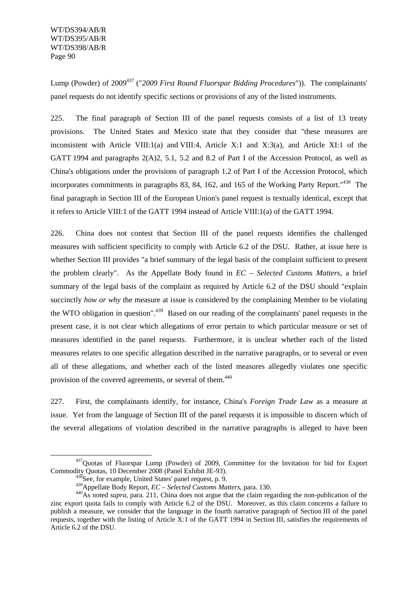Lump (Powder) of 2009<sup>437</sup> ("*2009 First Round Fluorspar Bidding Procedures*")). The complainants' panel requests do not identify specific sections or provisions of any of the listed instruments.

225. The final paragraph of Section III of the panel requests consists of a list of 13 treaty provisions. The United States and Mexico state that they consider that "these measures are inconsistent with Article VIII:1(a) and VIII:4, Article X:1 and X:3(a), and Article XI:1 of the GATT 1994 and paragraphs 2(A)2, 5.1, 5.2 and 8.2 of Part I of the Accession Protocol, as well as China's obligations under the provisions of paragraph 1.2 of Part I of the Accession Protocol, which incorporates commitments in paragraphs 83, 84, 162, and 165 of the Working Party Report.<sup>"438</sup> The final paragraph in Section III of the European Union's panel request is textually identical, except that it refers to Article VIII:1 of the GATT 1994 instead of Article VIII:1(a) of the GATT 1994.

226. China does not contest that Section III of the panel requests identifies the challenged measures with sufficient specificity to comply with Article 6.2 of the DSU. Rather, at issue here is whether Section III provides "a brief summary of the legal basis of the complaint sufficient to present the problem clearly". As the Appellate Body found in *EC – Selected Customs Matters*, a brief summary of the legal basis of the complaint as required by Article 6.2 of the DSU should "explain succinctly *how or why* the measure at issue is considered by the complaining Member to be violating the WTO obligation in question".<sup>439</sup> Based on our reading of the complainants' panel requests in the present case, it is not clear which allegations of error pertain to which particular measure or set of measures identified in the panel requests. Furthermore, it is unclear whether each of the listed measures relates to one specific allegation described in the narrative paragraphs, or to several or even all of these allegations, and whether each of the listed measures allegedly violates one specific provision of the covered agreements, or several of them.<sup>440</sup>

227. First, the complainants identify, for instance, China's *Foreign Trade Law* as a measure at issue. Yet from the language of Section III of the panel requests it is impossible to discern which of the several allegations of violation described in the narrative paragraphs is alleged to have been

 <sup>437</sup>Quotas of Fluorspar Lump (Powder) of 2009, Committee for the Invitation for bid for Export Commodity Quotas, 10 December 2008 (Panel Exhibit JE-93).<br><sup>438</sup>See, for example, United States' panel request, p. 9.<br><sup>439</sup>Appellate Body Report, *EC* – Selected Customs Matters, para. 130.

<sup>&</sup>lt;sup>440</sup>As noted *supra*, para. 211, China does not argue that the claim regarding the non-publication of the zinc export quota fails to comply with Article 6.2 of the DSU. Moreover, as this claim concerns a failure to publish a measure, we consider that the language in the fourth narrative paragraph of Section III of the panel requests, together with the listing of Article X:1 of the GATT 1994 in Section III, satisfies the requirements of Article 6.2 of the DSU.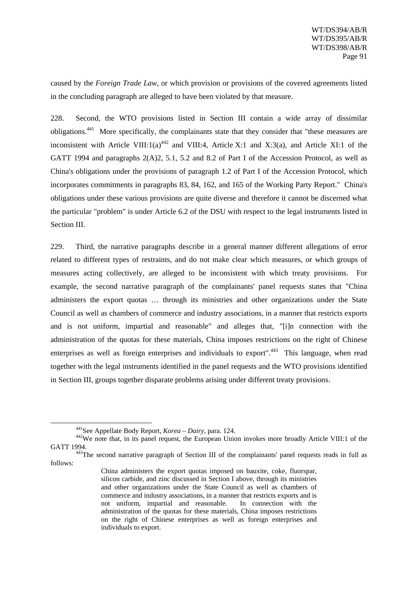caused by the *Foreign Trade Law*, or which provision or provisions of the covered agreements listed in the concluding paragraph are alleged to have been violated by that measure.

228. Second, the WTO provisions listed in Section III contain a wide array of dissimilar obligations.441 More specifically, the complainants state that they consider that "these measures are inconsistent with Article VIII:1(a)<sup>442</sup> and VIII:4, Article X:1 and X:3(a), and Article XI:1 of the GATT 1994 and paragraphs 2(A)2, 5.1, 5.2 and 8.2 of Part I of the Accession Protocol, as well as China's obligations under the provisions of paragraph 1.2 of Part I of the Accession Protocol, which incorporates commitments in paragraphs 83, 84, 162, and 165 of the Working Party Report." China's obligations under these various provisions are quite diverse and therefore it cannot be discerned what the particular "problem" is under Article 6.2 of the DSU with respect to the legal instruments listed in Section III.

229. Third, the narrative paragraphs describe in a general manner different allegations of error related to different types of restraints, and do not make clear which measures, or which groups of measures acting collectively, are alleged to be inconsistent with which treaty provisions. For example, the second narrative paragraph of the complainants' panel requests states that "China administers the export quotas … through its ministries and other organizations under the State Council as well as chambers of commerce and industry associations, in a manner that restricts exports and is not uniform, impartial and reasonable" and alleges that, "[i]n connection with the administration of the quotas for these materials, China imposes restrictions on the right of Chinese enterprises as well as foreign enterprises and individuals to export".<sup>443</sup> This language, when read together with the legal instruments identified in the panel requests and the WTO provisions identified in Section III, groups together disparate problems arising under different treaty provisions.

<sup>&</sup>lt;sup>441</sup>See Appellate Body Report, *Korea – Dairy*, para. 124.<br><sup>442</sup>We note that, in its panel request, the European Union invokes more broadly Article VIII:1 of the

GATT 1994.<br><sup>443</sup>The second narrative paragraph of Section III of the complainants' panel requests reads in full as follows:

China administers the export quotas imposed on bauxite, coke, fluorspar, silicon carbide, and zinc discussed in Section I above, through its ministries and other organizations under the State Council as well as chambers of commerce and industry associations, in a manner that restricts exports and is not uniform, impartial and reasonable. In connection with the administration of the quotas for these materials, China imposes restrictions on the right of Chinese enterprises as well as foreign enterprises and individuals to export.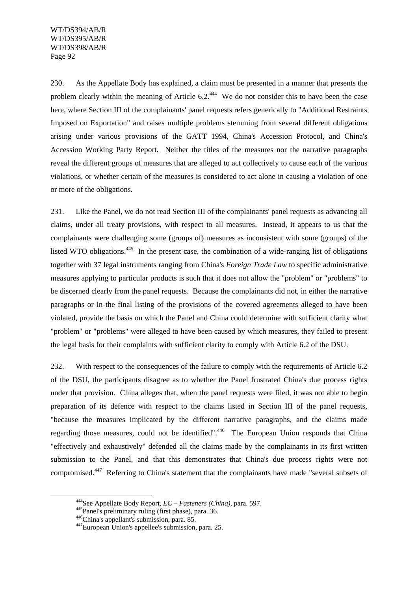230. As the Appellate Body has explained, a claim must be presented in a manner that presents the problem clearly within the meaning of Article 6.2.<sup>444</sup> We do not consider this to have been the case here, where Section III of the complainants' panel requests refers generically to "Additional Restraints Imposed on Exportation" and raises multiple problems stemming from several different obligations arising under various provisions of the GATT 1994, China's Accession Protocol, and China's Accession Working Party Report. Neither the titles of the measures nor the narrative paragraphs reveal the different groups of measures that are alleged to act collectively to cause each of the various violations, or whether certain of the measures is considered to act alone in causing a violation of one or more of the obligations.

231. Like the Panel, we do not read Section III of the complainants' panel requests as advancing all claims, under all treaty provisions, with respect to all measures. Instead, it appears to us that the complainants were challenging some (groups of) measures as inconsistent with some (groups) of the listed WTO obligations.<sup>445</sup> In the present case, the combination of a wide-ranging list of obligations together with 37 legal instruments ranging from China's *Foreign Trade Law* to specific administrative measures applying to particular products is such that it does not allow the "problem" or "problems" to be discerned clearly from the panel requests. Because the complainants did not, in either the narrative paragraphs or in the final listing of the provisions of the covered agreements alleged to have been violated, provide the basis on which the Panel and China could determine with sufficient clarity what "problem" or "problems" were alleged to have been caused by which measures, they failed to present the legal basis for their complaints with sufficient clarity to comply with Article 6.2 of the DSU.

232. With respect to the consequences of the failure to comply with the requirements of Article 6.2 of the DSU, the participants disagree as to whether the Panel frustrated China's due process rights under that provision. China alleges that, when the panel requests were filed, it was not able to begin preparation of its defence with respect to the claims listed in Section III of the panel requests, "because the measures implicated by the different narrative paragraphs, and the claims made regarding those measures, could not be identified".<sup>446</sup> The European Union responds that China "effectively and exhaustively" defended all the claims made by the complainants in its first written submission to the Panel, and that this demonstrates that China's due process rights were not compromised.447 Referring to China's statement that the complainants have made "several subsets of

<sup>&</sup>lt;sup>444</sup>See Appellate Body Report, *EC – Fasteners (China)*, para. 597.<br><sup>445</sup>Panel's preliminary ruling (first phase), para. 36.<br><sup>446</sup>China's appellant's submission, para. 85.<br><sup>447</sup>European Union's appellee's submission, para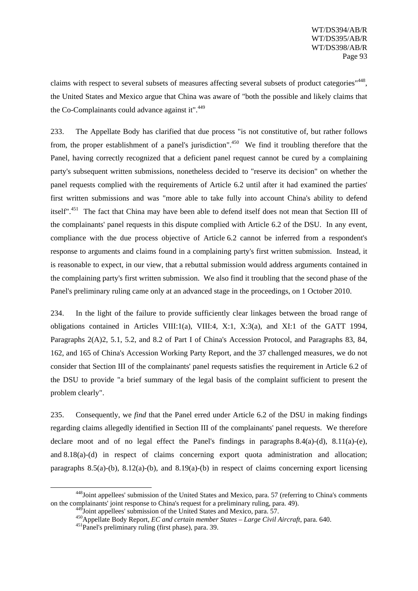claims with respect to several subsets of measures affecting several subsets of product categories<sup>"448</sup>. the United States and Mexico argue that China was aware of "both the possible and likely claims that the Co-Complainants could advance against it".<sup>449</sup>

233. The Appellate Body has clarified that due process "is not constitutive of, but rather follows from, the proper establishment of a panel's jurisdiction".<sup>450</sup> We find it troubling therefore that the Panel, having correctly recognized that a deficient panel request cannot be cured by a complaining party's subsequent written submissions, nonetheless decided to "reserve its decision" on whether the panel requests complied with the requirements of Article 6.2 until after it had examined the parties' first written submissions and was "more able to take fully into account China's ability to defend itself".451 The fact that China may have been able to defend itself does not mean that Section III of the complainants' panel requests in this dispute complied with Article 6.2 of the DSU. In any event, compliance with the due process objective of Article 6.2 cannot be inferred from a respondent's response to arguments and claims found in a complaining party's first written submission. Instead, it is reasonable to expect, in our view, that a rebuttal submission would address arguments contained in the complaining party's first written submission. We also find it troubling that the second phase of the Panel's preliminary ruling came only at an advanced stage in the proceedings, on 1 October 2010.

234. In the light of the failure to provide sufficiently clear linkages between the broad range of obligations contained in Articles VIII:1(a), VIII:4, X:1, X:3(a), and XI:1 of the GATT 1994, Paragraphs 2(A)2, 5.1, 5.2, and 8.2 of Part I of China's Accession Protocol, and Paragraphs 83, 84, 162, and 165 of China's Accession Working Party Report, and the 37 challenged measures, we do not consider that Section III of the complainants' panel requests satisfies the requirement in Article 6.2 of the DSU to provide "a brief summary of the legal basis of the complaint sufficient to present the problem clearly".

235. Consequently, we *find* that the Panel erred under Article 6.2 of the DSU in making findings regarding claims allegedly identified in Section III of the complainants' panel requests. We therefore declare moot and of no legal effect the Panel's findings in paragraphs  $8.4(a)-(d)$ ,  $8.11(a)-(e)$ , and 8.18(a)-(d) in respect of claims concerning export quota administration and allocation; paragraphs 8.5(a)-(b), 8.12(a)-(b), and 8.19(a)-(b) in respect of claims concerning export licensing

 <sup>448</sup>Joint appellees' submission of the United States and Mexico, para. 57 (referring to China's comments on the complainants' joint response to China's request for a preliminary ruling, para. 49).<br><sup>449</sup>Joint appellees' submission of the United States and Mexico, para. 57.

<sup>&</sup>lt;sup>450</sup>Appellate Body Report, *EC and certain member States – Large Civil Aircraft*, para. 640.<br><sup>451</sup>Panel's preliminary ruling (first phase), para. 39.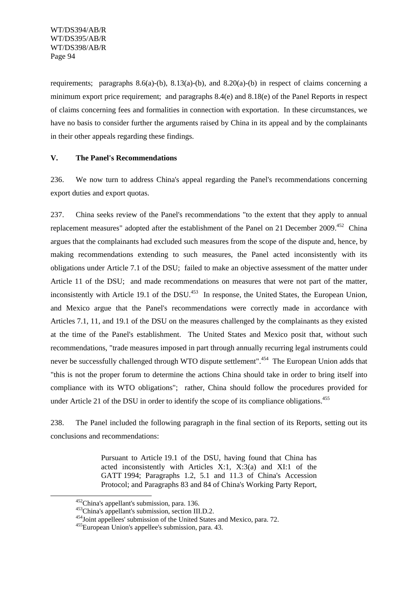requirements; paragraphs 8.6(a)-(b), 8.13(a)-(b), and 8.20(a)-(b) in respect of claims concerning a minimum export price requirement; and paragraphs 8.4(e) and 8.18(e) of the Panel Reports in respect of claims concerning fees and formalities in connection with exportation. In these circumstances, we have no basis to consider further the arguments raised by China in its appeal and by the complainants in their other appeals regarding these findings.

# **V. The Panel's Recommendations**

236. We now turn to address China's appeal regarding the Panel's recommendations concerning export duties and export quotas.

237. China seeks review of the Panel's recommendations "to the extent that they apply to annual replacement measures" adopted after the establishment of the Panel on 21 December 2009.<sup>452</sup> China argues that the complainants had excluded such measures from the scope of the dispute and, hence, by making recommendations extending to such measures, the Panel acted inconsistently with its obligations under Article 7.1 of the DSU; failed to make an objective assessment of the matter under Article 11 of the DSU; and made recommendations on measures that were not part of the matter, inconsistently with Article 19.1 of the DSU.<sup>453</sup> In response, the United States, the European Union, and Mexico argue that the Panel's recommendations were correctly made in accordance with Articles 7.1, 11, and 19.1 of the DSU on the measures challenged by the complainants as they existed at the time of the Panel's establishment. The United States and Mexico posit that, without such recommendations, "trade measures imposed in part through annually recurring legal instruments could never be successfully challenged through WTO dispute settlement".<sup>454</sup> The European Union adds that "this is not the proper forum to determine the actions China should take in order to bring itself into compliance with its WTO obligations"; rather, China should follow the procedures provided for under Article 21 of the DSU in order to identify the scope of its compliance obligations.<sup>455</sup>

238. The Panel included the following paragraph in the final section of its Reports, setting out its conclusions and recommendations:

> Pursuant to Article 19.1 of the DSU, having found that China has acted inconsistently with Articles X:1, X:3(a) and XI:1 of the GATT 1994; Paragraphs 1.2, 5.1 and 11.3 of China's Accession Protocol; and Paragraphs 83 and 84 of China's Working Party Report,

<sup>&</sup>lt;sup>452</sup>China's appellant's submission, para. 136.<br><sup>453</sup>China's appellant's submission, section III.D.2.<br><sup>454</sup>Joint appellees' submission of the United States and Mexico, para. 72.<br><sup>455</sup>European Union's appellee's submission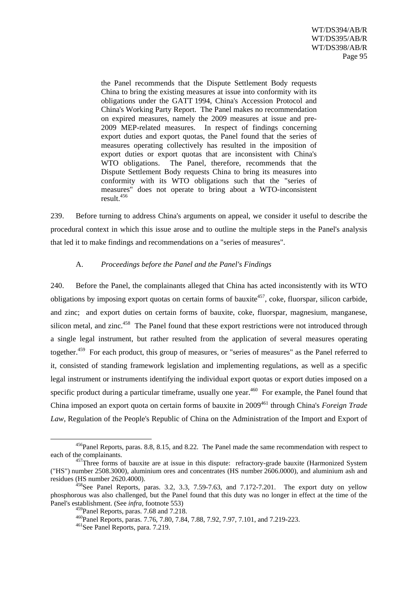the Panel recommends that the Dispute Settlement Body requests China to bring the existing measures at issue into conformity with its obligations under the GATT 1994, China's Accession Protocol and China's Working Party Report. The Panel makes no recommendation on expired measures, namely the 2009 measures at issue and pre-2009 MEP-related measures. In respect of findings concerning export duties and export quotas, the Panel found that the series of measures operating collectively has resulted in the imposition of export duties or export quotas that are inconsistent with China's WTO obligations. The Panel, therefore, recommends that the Dispute Settlement Body requests China to bring its measures into conformity with its WTO obligations such that the "series of measures" does not operate to bring about a WTO-inconsistent result  $456$ 

239. Before turning to address China's arguments on appeal, we consider it useful to describe the procedural context in which this issue arose and to outline the multiple steps in the Panel's analysis that led it to make findings and recommendations on a "series of measures".

### A. *Proceedings before the Panel and the Panel's Findings*

240. Before the Panel, the complainants alleged that China has acted inconsistently with its WTO obligations by imposing export quotas on certain forms of bauxite<sup>457</sup>, coke, fluorspar, silicon carbide, and zinc; and export duties on certain forms of bauxite, coke, fluorspar, magnesium, manganese, silicon metal, and zinc.<sup>458</sup> The Panel found that these export restrictions were not introduced through a single legal instrument, but rather resulted from the application of several measures operating together.<sup>459</sup> For each product, this group of measures, or "series of measures" as the Panel referred to it, consisted of standing framework legislation and implementing regulations, as well as a specific legal instrument or instruments identifying the individual export quotas or export duties imposed on a specific product during a particular timeframe, usually one year.<sup>460</sup> For example, the Panel found that China imposed an export quota on certain forms of bauxite in 2009461 through China's *Foreign Trade Law*, Regulation of the People's Republic of China on the Administration of the Import and Export of

<sup>&</sup>lt;sup>456</sup>Panel Reports, paras. 8.8, 8.15, and 8.22. The Panel made the same recommendation with respect to each of the complainants.<br><sup>457</sup>Three forms of bauxite are at issue in this dispute: refractory-grade bauxite (Harmonized System

<sup>(&</sup>quot;HS") number 2508.3000), aluminium ores and concentrates (HS number 2606.0000), and aluminium ash and residues (HS number 2620.4000).<br><sup>458</sup>See Panel Reports, paras. 3.2, 3.3, 7.59-7.63, and 7.172-7.201. The export duty on yellow

phosphorous was also challenged, but the Panel found that this duty was no longer in effect at the time of the Panel's establishment. (See *infra*, footnote 553)<br><sup>459</sup>Panel Reports, paras. 7.68 and 7.218.

<sup>&</sup>lt;sup>460</sup>Panel Reports, paras. 7.76, 7.80, 7.84, 7.88, 7.92, 7.97, 7.101, and 7.219-223.<br><sup>461</sup>See Panel Reports, para. 7.219.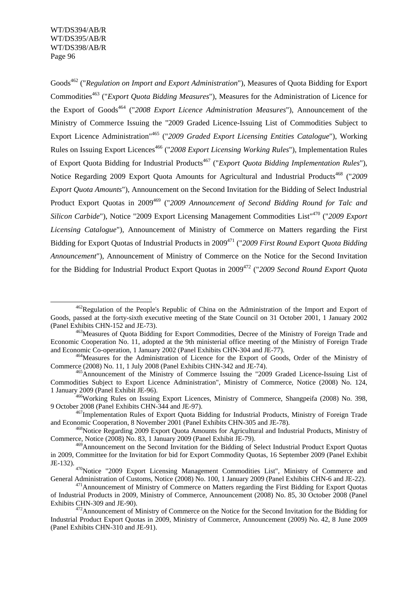Goods462 ("*Regulation on Import and Export Administration*"), Measures of Quota Bidding for Export Commodities463 ("*Export Quota Bidding Measures*"), Measures for the Administration of Licence for the Export of Goods<sup>464</sup> ("2008 Export Licence Administration Measures"), Announcement of the Ministry of Commerce Issuing the "2009 Graded Licence-Issuing List of Commodities Subject to Export Licence Administration"465 ("*2009 Graded Export Licensing Entities Catalogue*"), Working Rules on Issuing Export Licences<sup>466</sup> ("2008 Export Licensing Working Rules"), Implementation Rules of Export Quota Bidding for Industrial Products<sup>467</sup> ("*Export Quota Bidding Implementation Rules*"), Notice Regarding 2009 Export Quota Amounts for Agricultural and Industrial Products<sup>468</sup> ("2009 *Export Quota Amounts*"), Announcement on the Second Invitation for the Bidding of Select Industrial Product Export Quotas in 2009<sup>469</sup> ("2009 Announcement of Second Bidding Round for Talc and *Silicon Carbide*"), Notice "2009 Export Licensing Management Commodities List"470 ("*2009 Export Licensing Catalogue*"), Announcement of Ministry of Commerce on Matters regarding the First Bidding for Export Quotas of Industrial Products in 2009471 ("*2009 First Round Export Quota Bidding Announcement*"), Announcement of Ministry of Commerce on the Notice for the Second Invitation for the Bidding for Industrial Product Export Quotas in 2009472 ("*2009 Second Round Export Quota* 

<sup>&</sup>lt;sup>462</sup>Regulation of the People's Republic of China on the Administration of the Import and Export of Goods, passed at the forty-sixth executive meeting of the State Council on 31 October 2001, 1 January 2002 (Panel Exhibits CHN-152 and JE-73).<br><sup>463</sup>Measures of Quota Bidding for Export Commodities, Decree of the Ministry of Foreign Trade and

Economic Cooperation No. 11, adopted at the 9th ministerial office meeting of the Ministry of Foreign Trade and Economic Co-operation, 1 January 2002 (Panel Exhibits CHN-304 and JE-77).

<sup>&</sup>lt;sup>464</sup>Measures for the Administration of Licence for the Export of Goods, Order of the Ministry of Commerce (2008) No. 11, 1 July 2008 (Panel Exhibits CHN-342 and JE-74).

<sup>&</sup>lt;sup>465</sup>Announcement of the Ministry of Commerce Issuing the "2009 Graded Licence-Issuing List of Commodities Subject to Export Licence Administration", Ministry of Commerce, Notice (2008) No. 124,

<sup>1</sup> January 2009 (Panel Exhibit JE-96). 466Working Rules on Issuing Export Licences, Ministry of Commerce, Shangpeifa (2008) No. 398, 9 October 2008 (Panel Exhibits CHN-344 and JE-97). 467Implementation Rules of Export Quota Bidding for Industrial Products, Ministry of Foreign Trade

and Economic Cooperation, 8 November 2001 (Panel Exhibits CHN-305 and JE-78).<br><sup>468</sup>Notice Regarding 2009 Export Quota Amounts for Agricultural and Industrial Products, Ministry of

Commerce, Notice (2008) No. 83, 1 January 2009 (Panel Exhibit JE-79).

<sup>&</sup>lt;sup>469</sup>Announcement on the Second Invitation for the Bidding of Select Industrial Product Export Quotas in 2009, Committee for the Invitation for bid for Export Commodity Quotas, 16 September 2009 (Panel Exhibit

<sup>&</sup>lt;sup>470</sup>Notice "2009 Export Licensing Management Commodities List", Ministry of Commerce and General Administration of Customs, Notice (2008) No. 100, 1 January 2009 (Panel Exhibits CHN-6 and JE-22).<br><sup>471</sup>Announcement of Ministry of Commerce on Matters regarding the First Bidding for Export Quotas

of Industrial Products in 2009, Ministry of Commerce, Announcement (2008) No. 85, 30 October 2008 (Panel Exhibits CHN-309 and JE-90).<br><sup>472</sup>Announcement of Ministry of Commerce on the Notice for the Second Invitation for the Bidding for

Industrial Product Export Quotas in 2009, Ministry of Commerce, Announcement (2009) No. 42, 8 June 2009 (Panel Exhibits CHN-310 and JE-91).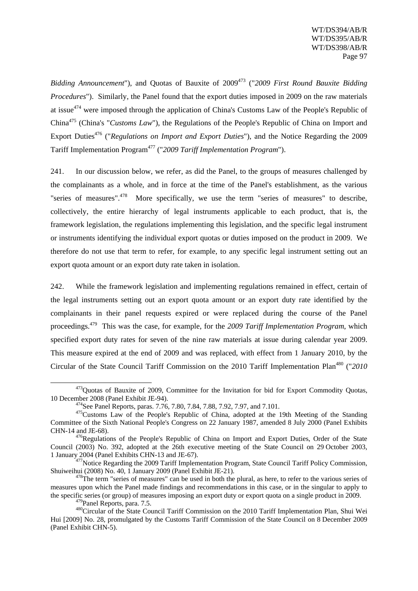*Bidding Announcement*"), and Quotas of Bauxite of 2009<sup>473</sup> ("2009 First Round Bauxite Bidding *Procedures*"). Similarly, the Panel found that the export duties imposed in 2009 on the raw materials at issue $474$  were imposed through the application of China's Customs Law of the People's Republic of China475 (China's "*Customs Law*"), the Regulations of the People's Republic of China on Import and Export Duties<sup>476</sup> ("*Regulations on Import and Export Duties*"), and the Notice Regarding the 2009 Tariff Implementation Program477 ("*2009 Tariff Implementation Program*").

241. In our discussion below, we refer, as did the Panel, to the groups of measures challenged by the complainants as a whole, and in force at the time of the Panel's establishment, as the various "series of measures".<sup>478</sup> More specifically, we use the term "series of measures" to describe, collectively, the entire hierarchy of legal instruments applicable to each product, that is, the framework legislation, the regulations implementing this legislation, and the specific legal instrument or instruments identifying the individual export quotas or duties imposed on the product in 2009. We therefore do not use that term to refer, for example, to any specific legal instrument setting out an export quota amount or an export duty rate taken in isolation.

242. While the framework legislation and implementing regulations remained in effect, certain of the legal instruments setting out an export quota amount or an export duty rate identified by the complainants in their panel requests expired or were replaced during the course of the Panel proceedings.479 This was the case, for example, for the *2009 Tariff Implementation Program*, which specified export duty rates for seven of the nine raw materials at issue during calendar year 2009. This measure expired at the end of 2009 and was replaced, with effect from 1 January 2010, by the Circular of the State Council Tariff Commission on the 2010 Tariff Implementation Plan<sup>480</sup> ("2010

<sup>&</sup>lt;sup>473</sup>Quotas of Bauxite of 2009, Committee for the Invitation for bid for Export Commodity Quotas, 10 December 2008 (Panel Exhibit JE-94).

<sup>&</sup>lt;sup>474</sup>See Panel Reports, paras. 7.76, 7.80, 7.84, 7.88, 7.92, 7.97, and 7.101.<br><sup>475</sup>Customs Law of the People's Republic of China, adopted at the 19th Meeting of the Standing Committee of the Sixth National People's Congress on 22 January 1987, amended 8 July 2000 (Panel Exhibits

CHN-14 and JE-68). 476Regulations of the People's Republic of China on Import and Export Duties, Order of the State Council (2003) No. 392, adopted at the 26th executive meeting of the State Council on 29 October 2003,

<sup>1</sup> January 2004 (Panel Exhibits CHN-13 and JE-67).<br><sup>477</sup>Notice Regarding the 2009 Tariff Implementation Program, State Council Tariff Policy Commission,<br>Shuiweihui (2008) No. 40, 1 January 2009 (Panel Exhibit JE-21).

<sup>&</sup>lt;sup>478</sup>The term "series of measures" can be used in both the plural, as here, to refer to the various series of measures upon which the Panel made findings and recommendations in this case, or in the singular to apply to the specific series (or group) of measures imposing an export duty or export quota on a single product in 2009.<br><sup>479</sup>Panel Reports, para. 7.5.

<sup>&</sup>lt;sup>480</sup>Circular of the State Council Tariff Commission on the 2010 Tariff Implementation Plan, Shui Wei Hui [2009] No. 28, promulgated by the Customs Tariff Commission of the State Council on 8 December 2009 (Panel Exhibit CHN-5).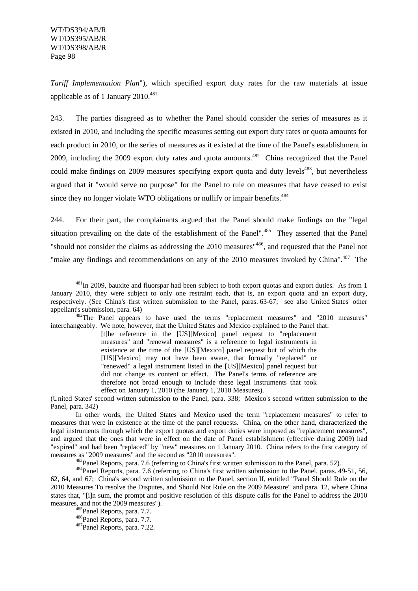*Tariff Implementation Plan*"), which specified export duty rates for the raw materials at issue applicable as of 1 January  $2010^{481}$ 

243. The parties disagreed as to whether the Panel should consider the series of measures as it existed in 2010, and including the specific measures setting out export duty rates or quota amounts for each product in 2010, or the series of measures as it existed at the time of the Panel's establishment in 2009, including the 2009 export duty rates and quota amounts.<sup>482</sup> China recognized that the Panel could make findings on 2009 measures specifying export quota and duty levels<sup>483</sup>, but nevertheless argued that it "would serve no purpose" for the Panel to rule on measures that have ceased to exist since they no longer violate WTO obligations or nullify or impair benefits.<sup>484</sup>

244. For their part, the complainants argued that the Panel should make findings on the "legal situation prevailing on the date of the establishment of the Panel".<sup>485</sup> They asserted that the Panel "should not consider the claims as addressing the 2010 measures<sup>"486</sup>, and requested that the Panel not "make any findings and recommendations on any of the 2010 measures invoked by China".<sup>487</sup> The

<sup>&</sup>lt;sup>481</sup>In 2009, bauxite and fluorspar had been subject to both export quotas and export duties. As from 1 January 2010, they were subject to only one restraint each, that is, an export quota and an export duty, respectively. (See China's first written submission to the Panel, paras. 63-67; see also United States' other

appellant's submission, para. 64)<br><sup>482</sup>The Panel appears to have used the terms "replacement measures" and "2010 measures" interchangeably. We note, however, that the United States and Mexico explained to the Panel that:

<sup>[</sup>t]he reference in the [US][Mexico] panel request to "replacement measures" and "renewal measures" is a reference to legal instruments in existence at the time of the [US][Mexico] panel request but of which the [US][Mexico] may not have been aware, that formally "replaced" or "renewed" a legal instrument listed in the [US][Mexico] panel request but did not change its content or effect. The Panel's terms of reference are therefore not broad enough to include these legal instruments that took effect on January 1, 2010 (the January 1, 2010 Measures).

<sup>(</sup>United States' second written submission to the Panel, para. 338; Mexico's second written submission to the Panel, para. 342)

In other words, the United States and Mexico used the term "replacement measures" to refer to measures that were in existence at the time of the panel requests. China, on the other hand, characterized the legal instruments through which the export quotas and export duties were imposed as "replacement measures", and argued that the ones that were in effect on the date of Panel establishment (effective during 2009) had "expired" and had been "replaced" by "new" measures on 1 January 2010. China refers to the first category of

measures as "2009 measures" and the second as "2010 measures".<br><sup>483</sup>Panel Reports, para. 7.6 (referring to China's first written submission to the Panel, para. 52).<br><sup>484</sup>Panel Reports, para. 7.6 (referring to China's first 62, 64, and 67; China's second written submission to the Panel, section II, entitled "Panel Should Rule on the 2010 Measures To resolve the Disputes, and Should Not Rule on the 2009 Measure" and para. 12, where China states that, "[i]n sum, the prompt and positive resolution of this dispute calls for the Panel to address the 2010 measures, and not the 2009 measures").<br>
<sup>485</sup>Panel Reports, para. 7.7.<br>
<sup>486</sup>Panel Reports, para. 7.7.<br>
<sup>487</sup>Panel Reports, para. 7.22.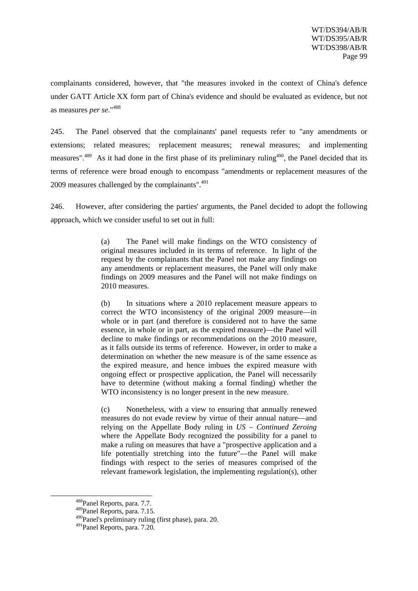complainants considered, however, that "the measures invoked in the context of China's defence under GATT Article XX form part of China's evidence and should be evaluated as evidence, but not as measures *per se*."<sup>488</sup>

245. The Panel observed that the complainants' panel requests refer to "any amendments or extensions; related measures; replacement measures; renewal measures; and implementing measures".<sup>489</sup> As it had done in the first phase of its preliminary ruling<sup>490</sup>, the Panel decided that its terms of reference were broad enough to encompass "amendments or replacement measures of the 2009 measures challenged by the complainants".<sup>491</sup>

246. However, after considering the parties' arguments, the Panel decided to adopt the following approach, which we consider useful to set out in full:

> (a) The Panel will make findings on the WTO consistency of original measures included in its terms of reference. In light of the request by the complainants that the Panel not make any findings on any amendments or replacement measures, the Panel will only make findings on 2009 measures and the Panel will not make findings on 2010 measures.

> (b) In situations where a 2010 replacement measure appears to correct the WTO inconsistency of the original 2009 measure—in whole or in part (and therefore is considered not to have the same essence, in whole or in part, as the expired measure)—the Panel will decline to make findings or recommendations on the 2010 measure, as it falls outside its terms of reference. However, in order to make a determination on whether the new measure is of the same essence as the expired measure, and hence imbues the expired measure with ongoing effect or prospective application, the Panel will necessarily have to determine (without making a formal finding) whether the WTO inconsistency is no longer present in the new measure.

> (c) Nonetheless, with a view to ensuring that annually renewed measures do not evade review by virtue of their annual nature—and relying on the Appellate Body ruling in *US – Continued Zeroing* where the Appellate Body recognized the possibility for a panel to make a ruling on measures that have a "prospective application and a life potentially stretching into the future"—the Panel will make findings with respect to the series of measures comprised of the relevant framework legislation, the implementing regulation(s), other

 <sup>488</sup>Panel Reports, para. 7.7.

<sup>489</sup>Panel Reports, para. 7.15.

<sup>490</sup>Panel's preliminary ruling (first phase), para. 20.

<sup>491</sup>Panel Reports, para. 7.20.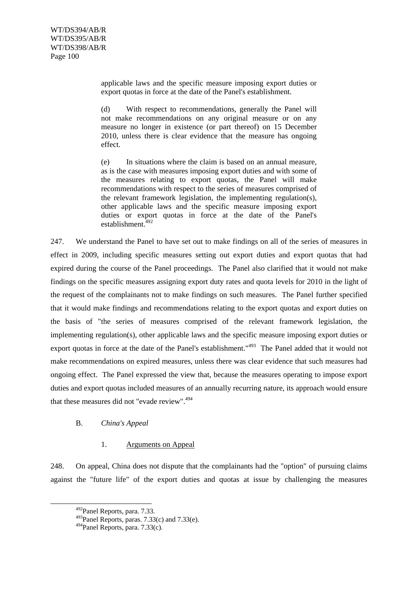applicable laws and the specific measure imposing export duties or export quotas in force at the date of the Panel's establishment.

(d) With respect to recommendations, generally the Panel will not make recommendations on any original measure or on any measure no longer in existence (or part thereof) on 15 December 2010, unless there is clear evidence that the measure has ongoing effect.

(e) In situations where the claim is based on an annual measure, as is the case with measures imposing export duties and with some of the measures relating to export quotas, the Panel will make recommendations with respect to the series of measures comprised of the relevant framework legislation, the implementing regulation(s), other applicable laws and the specific measure imposing export duties or export quotas in force at the date of the Panel's establishment. $492$ 

247. We understand the Panel to have set out to make findings on all of the series of measures in effect in 2009, including specific measures setting out export duties and export quotas that had expired during the course of the Panel proceedings. The Panel also clarified that it would not make findings on the specific measures assigning export duty rates and quota levels for 2010 in the light of the request of the complainants not to make findings on such measures. The Panel further specified that it would make findings and recommendations relating to the export quotas and export duties on the basis of "the series of measures comprised of the relevant framework legislation, the implementing regulation(s), other applicable laws and the specific measure imposing export duties or export quotas in force at the date of the Panel's establishment."<sup>493</sup> The Panel added that it would not make recommendations on expired measures, unless there was clear evidence that such measures had ongoing effect. The Panel expressed the view that, because the measures operating to impose export duties and export quotas included measures of an annually recurring nature, its approach would ensure that these measures did not "evade review".494

# B. *China's Appeal*

# 1. Arguments on Appeal

248. On appeal, China does not dispute that the complainants had the "option" of pursuing claims against the "future life" of the export duties and quotas at issue by challenging the measures

 <sup>492</sup>Panel Reports, para. 7.33.

 $^{493}$ Panel Reports, paras. 7.33(c) and 7.33(e).

<sup>494</sup>Panel Reports, para. 7.33(c).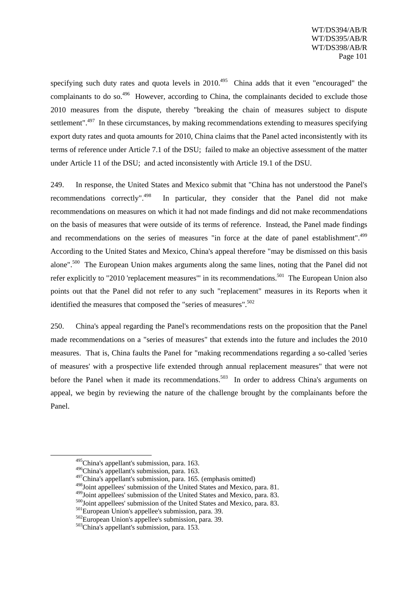specifying such duty rates and quota levels in  $2010^{495}$  China adds that it even "encouraged" the complainants to do so.<sup>496</sup> However, according to China, the complainants decided to exclude those 2010 measures from the dispute, thereby "breaking the chain of measures subject to dispute settlement".<sup>497</sup> In these circumstances, by making recommendations extending to measures specifying export duty rates and quota amounts for 2010, China claims that the Panel acted inconsistently with its terms of reference under Article 7.1 of the DSU; failed to make an objective assessment of the matter under Article 11 of the DSU; and acted inconsistently with Article 19.1 of the DSU.

249. In response, the United States and Mexico submit that "China has not understood the Panel's recommendations correctly".<sup>498</sup> In particular, they consider that the Panel did not make recommendations on measures on which it had not made findings and did not make recommendations on the basis of measures that were outside of its terms of reference. Instead, the Panel made findings and recommendations on the series of measures "in force at the date of panel establishment".<sup>499</sup> According to the United States and Mexico, China's appeal therefore "may be dismissed on this basis alone".<sup>500</sup> The European Union makes arguments along the same lines, noting that the Panel did not refer explicitly to "2010 'replacement measures" in its recommendations.<sup>501</sup> The European Union also points out that the Panel did not refer to any such "replacement" measures in its Reports when it identified the measures that composed the "series of measures".<sup>502</sup>

250. China's appeal regarding the Panel's recommendations rests on the proposition that the Panel made recommendations on a "series of measures" that extends into the future and includes the 2010 measures. That is, China faults the Panel for "making recommendations regarding a so-called 'series of measures' with a prospective life extended through annual replacement measures" that were not before the Panel when it made its recommendations.<sup>503</sup> In order to address China's arguments on appeal, we begin by reviewing the nature of the challenge brought by the complainants before the Panel.

 <sup>495</sup>China's appellant's submission, para. 163.

<sup>496</sup>China's appellant's submission, para. 163.

 $497$ China's appellant's submission, para. 165. (emphasis omitted)

<sup>&</sup>lt;sup>498</sup>Joint appellees' submission of the United States and Mexico, para. 81.<br><sup>499</sup>Joint appellees' submission of the United States and Mexico, para. 83.

<sup>&</sup>lt;sup>500</sup>Joint appellees' submission of the United States and Mexico, para. 83.<br><sup>501</sup>European Union's appellee's submission, para. 39.<br><sup>502</sup>European Union's appellee's submission, para. 39.<br><sup>503</sup>China's appellant's submission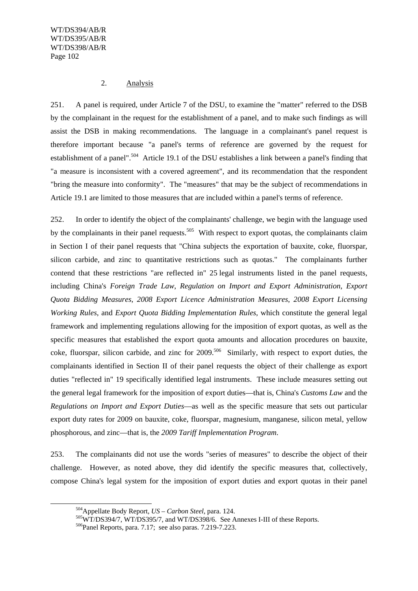### 2. Analysis

251. A panel is required, under Article 7 of the DSU, to examine the "matter" referred to the DSB by the complainant in the request for the establishment of a panel, and to make such findings as will assist the DSB in making recommendations. The language in a complainant's panel request is therefore important because "a panel's terms of reference are governed by the request for establishment of a panel".<sup>504</sup> Article 19.1 of the DSU establishes a link between a panel's finding that "a measure is inconsistent with a covered agreement", and its recommendation that the respondent "bring the measure into conformity". The "measures" that may be the subject of recommendations in Article 19.1 are limited to those measures that are included within a panel's terms of reference.

252. In order to identify the object of the complainants' challenge, we begin with the language used by the complainants in their panel requests.<sup>505</sup> With respect to export quotas, the complainants claim in Section I of their panel requests that "China subjects the exportation of bauxite, coke, fluorspar, silicon carbide, and zinc to quantitative restrictions such as quotas." The complainants further contend that these restrictions "are reflected in" 25 legal instruments listed in the panel requests, including China's *Foreign Trade Law*, *Regulation on Import and Export Administration*, *Export Quota Bidding Measures*, *2008 Export Licence Administration Measures*, *2008 Export Licensing Working Rules*, and *Export Quota Bidding Implementation Rules*, which constitute the general legal framework and implementing regulations allowing for the imposition of export quotas, as well as the specific measures that established the export quota amounts and allocation procedures on bauxite, coke, fluorspar, silicon carbide, and zinc for  $2009$ <sup>506</sup> Similarly, with respect to export duties, the complainants identified in Section II of their panel requests the object of their challenge as export duties "reflected in" 19 specifically identified legal instruments. These include measures setting out the general legal framework for the imposition of export duties—that is, China's *Customs Law* and the *Regulations on Import and Export Duties*—as well as the specific measure that sets out particular export duty rates for 2009 on bauxite, coke, fluorspar, magnesium, manganese, silicon metal, yellow phosphorous, and zinc—that is, the *2009 Tariff Implementation Program*.

253. The complainants did not use the words "series of measures" to describe the object of their challenge. However, as noted above, they did identify the specific measures that, collectively, compose China's legal system for the imposition of export duties and export quotas in their panel

<sup>&</sup>lt;sup>504</sup>Appellate Body Report, *US – Carbon Steel*, para. 124.<br><sup>505</sup>WT/DS394/7, WT/DS395/7, and WT/DS398/6. See Annexes I-III of these Reports.<br><sup>506</sup>Panel Reports, para. 7.17; see also paras. 7.219-7.223.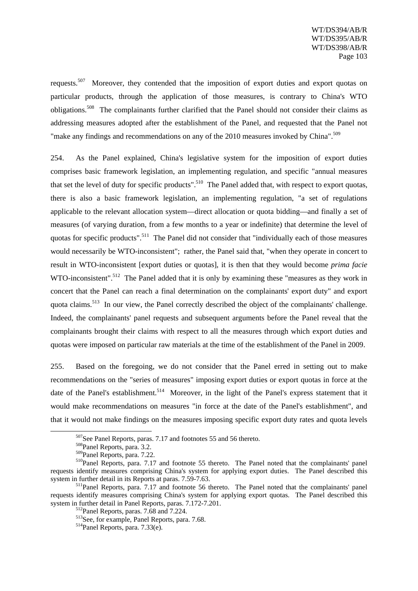requests.<sup>507</sup> Moreover, they contended that the imposition of export duties and export quotas on particular products, through the application of those measures, is contrary to China's WTO obligations.508 The complainants further clarified that the Panel should not consider their claims as addressing measures adopted after the establishment of the Panel, and requested that the Panel not "make any findings and recommendations on any of the 2010 measures invoked by China".<sup>509</sup>

254. As the Panel explained, China's legislative system for the imposition of export duties comprises basic framework legislation, an implementing regulation, and specific "annual measures that set the level of duty for specific products".<sup>510</sup> The Panel added that, with respect to export quotas, there is also a basic framework legislation, an implementing regulation, "a set of regulations applicable to the relevant allocation system—direct allocation or quota bidding—and finally a set of measures (of varying duration, from a few months to a year or indefinite) that determine the level of quotas for specific products".<sup>511</sup> The Panel did not consider that "individually each of those measures" would necessarily be WTO-inconsistent"; rather, the Panel said that, "when they operate in concert to result in WTO-inconsistent [export duties or quotas], it is then that they would become *prima facie* WTO-inconsistent".<sup>512</sup> The Panel added that it is only by examining these "measures as they work in concert that the Panel can reach a final determination on the complainants' export duty" and export quota claims.<sup>513</sup> In our view, the Panel correctly described the object of the complainants' challenge. Indeed, the complainants' panel requests and subsequent arguments before the Panel reveal that the complainants brought their claims with respect to all the measures through which export duties and quotas were imposed on particular raw materials at the time of the establishment of the Panel in 2009.

255. Based on the foregoing, we do not consider that the Panel erred in setting out to make recommendations on the "series of measures" imposing export duties or export quotas in force at the date of the Panel's establishment.<sup>514</sup> Moreover, in the light of the Panel's express statement that it would make recommendations on measures "in force at the date of the Panel's establishment", and that it would not make findings on the measures imposing specific export duty rates and quota levels

<sup>&</sup>lt;sup>507</sup>See Panel Reports, paras. 7.17 and footnotes 55 and 56 thereto.<br><sup>508</sup>Panel Reports, para. 3.2.<br><sup>509</sup>Panel Reports, para. 7.22.

<sup>&</sup>lt;sup>510</sup>Panel Reports, para. 7.17 and footnote 55 thereto. The Panel noted that the complainants' panel requests identify measures comprising China's system for applying export duties. The Panel described this system in further detail in its Reports at paras. 7.59-7.63.<br><sup>511</sup>Panel Reports, para. 7.17 and footnote 56 thereto. The Panel noted that the complainants' panel

requests identify measures comprising China's system for applying export quotas. The Panel described this system in further detail in Panel Reports, paras. 7.172-7.201.<br><sup>512</sup>Panel Reports, paras. 7.68 and 7.224.<br><sup>513</sup>See, for example, Panel Reports, para. 7.68.<br><sup>514</sup>Panel Reports, para. 7.33(e).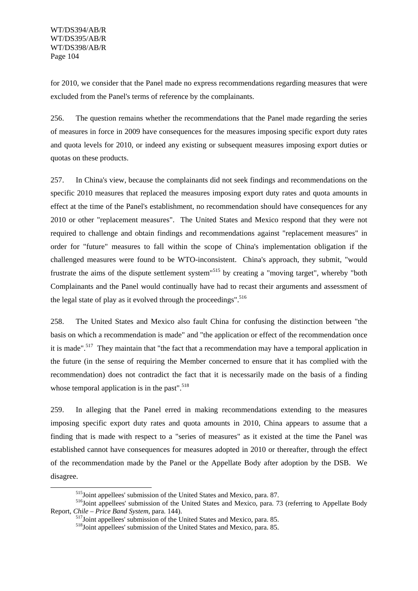for 2010, we consider that the Panel made no express recommendations regarding measures that were excluded from the Panel's terms of reference by the complainants.

256. The question remains whether the recommendations that the Panel made regarding the series of measures in force in 2009 have consequences for the measures imposing specific export duty rates and quota levels for 2010, or indeed any existing or subsequent measures imposing export duties or quotas on these products.

257. In China's view, because the complainants did not seek findings and recommendations on the specific 2010 measures that replaced the measures imposing export duty rates and quota amounts in effect at the time of the Panel's establishment, no recommendation should have consequences for any 2010 or other "replacement measures". The United States and Mexico respond that they were not required to challenge and obtain findings and recommendations against "replacement measures" in order for "future" measures to fall within the scope of China's implementation obligation if the challenged measures were found to be WTO-inconsistent. China's approach, they submit, "would frustrate the aims of the dispute settlement system"515 by creating a "moving target", whereby "both Complainants and the Panel would continually have had to recast their arguments and assessment of the legal state of play as it evolved through the proceedings".<sup>516</sup>

258. The United States and Mexico also fault China for confusing the distinction between "the basis on which a recommendation is made" and "the application or effect of the recommendation once it is made".<sup>517</sup> They maintain that "the fact that a recommendation may have a temporal application in the future (in the sense of requiring the Member concerned to ensure that it has complied with the recommendation) does not contradict the fact that it is necessarily made on the basis of a finding whose temporal application is in the past". $518$ 

259. In alleging that the Panel erred in making recommendations extending to the measures imposing specific export duty rates and quota amounts in 2010, China appears to assume that a finding that is made with respect to a "series of measures" as it existed at the time the Panel was established cannot have consequences for measures adopted in 2010 or thereafter, through the effect of the recommendation made by the Panel or the Appellate Body after adoption by the DSB. We disagree.

<sup>&</sup>lt;sup>515</sup>Joint appellees' submission of the United States and Mexico, para. 87.<br><sup>516</sup>Joint appellees' submission of the United States and Mexico, para. 73 (referring to Appellate Body Report, *Chile – Price Band System*, para

<sup>&</sup>lt;sup>517</sup>Joint appellees' submission of the United States and Mexico, para. 85. <sup>518</sup>Joint appellees' submission of the United States and Mexico, para. 85.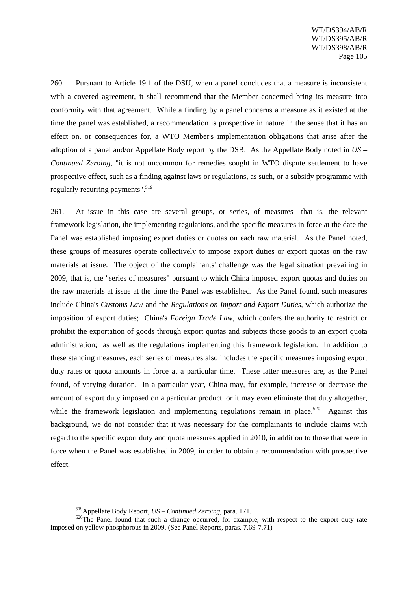260. Pursuant to Article 19.1 of the DSU, when a panel concludes that a measure is inconsistent with a covered agreement, it shall recommend that the Member concerned bring its measure into conformity with that agreement. While a finding by a panel concerns a measure as it existed at the time the panel was established, a recommendation is prospective in nature in the sense that it has an effect on, or consequences for, a WTO Member's implementation obligations that arise after the adoption of a panel and/or Appellate Body report by the DSB. As the Appellate Body noted in *US – Continued Zeroing*, "it is not uncommon for remedies sought in WTO dispute settlement to have prospective effect, such as a finding against laws or regulations, as such, or a subsidy programme with regularly recurring payments".<sup>519</sup>

261. At issue in this case are several groups, or series, of measures—that is, the relevant framework legislation, the implementing regulations, and the specific measures in force at the date the Panel was established imposing export duties or quotas on each raw material. As the Panel noted, these groups of measures operate collectively to impose export duties or export quotas on the raw materials at issue. The object of the complainants' challenge was the legal situation prevailing in 2009, that is, the "series of measures" pursuant to which China imposed export quotas and duties on the raw materials at issue at the time the Panel was established. As the Panel found, such measures include China's *Customs Law* and the *Regulations on Import and Export Duties*, which authorize the imposition of export duties; China's *Foreign Trade Law*, which confers the authority to restrict or prohibit the exportation of goods through export quotas and subjects those goods to an export quota administration; as well as the regulations implementing this framework legislation. In addition to these standing measures, each series of measures also includes the specific measures imposing export duty rates or quota amounts in force at a particular time. These latter measures are, as the Panel found, of varying duration. In a particular year, China may, for example, increase or decrease the amount of export duty imposed on a particular product, or it may even eliminate that duty altogether, while the framework legislation and implementing regulations remain in place.<sup>520</sup> Against this background, we do not consider that it was necessary for the complainants to include claims with regard to the specific export duty and quota measures applied in 2010, in addition to those that were in force when the Panel was established in 2009, in order to obtain a recommendation with prospective effect.

<sup>&</sup>lt;sup>519</sup>Appellate Body Report,  $US - Continuing$  zeroing, para. 171.<br><sup>520</sup>The Panel found that such a change occurred, for example, with respect to the export duty rate imposed on yellow phosphorous in 2009. (See Panel Reports, paras. 7.69-7.71)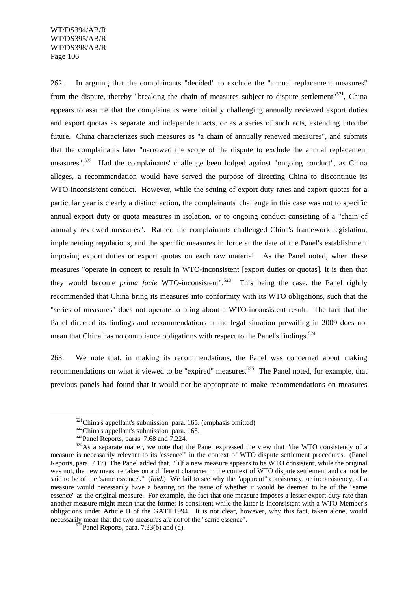262. In arguing that the complainants "decided" to exclude the "annual replacement measures" from the dispute, thereby "breaking the chain of measures subject to dispute settlement"<sup>521</sup>, China appears to assume that the complainants were initially challenging annually reviewed export duties and export quotas as separate and independent acts, or as a series of such acts, extending into the future. China characterizes such measures as "a chain of annually renewed measures", and submits that the complainants later "narrowed the scope of the dispute to exclude the annual replacement measures".522 Had the complainants' challenge been lodged against "ongoing conduct", as China alleges, a recommendation would have served the purpose of directing China to discontinue its WTO-inconsistent conduct. However, while the setting of export duty rates and export quotas for a particular year is clearly a distinct action, the complainants' challenge in this case was not to specific annual export duty or quota measures in isolation, or to ongoing conduct consisting of a "chain of annually reviewed measures". Rather, the complainants challenged China's framework legislation, implementing regulations, and the specific measures in force at the date of the Panel's establishment imposing export duties or export quotas on each raw material. As the Panel noted, when these measures "operate in concert to result in WTO-inconsistent [export duties or quotas], it is then that they would become *prima facie* WTO-inconsistent".<sup>523</sup> This being the case, the Panel rightly recommended that China bring its measures into conformity with its WTO obligations, such that the "series of measures" does not operate to bring about a WTO-inconsistent result. The fact that the Panel directed its findings and recommendations at the legal situation prevailing in 2009 does not mean that China has no compliance obligations with respect to the Panel's findings.<sup>524</sup>

263. We note that, in making its recommendations, the Panel was concerned about making recommendations on what it viewed to be "expired" measures.<sup>525</sup> The Panel noted, for example, that previous panels had found that it would not be appropriate to make recommendations on measures

<sup>&</sup>lt;sup>521</sup>China's appellant's submission, para. 165. (emphasis omitted)<br><sup>522</sup>China's appellant's submission, para. 165.<br><sup>523</sup>Panel Reports, paras. 7.68 and 7.224.<br><sup>524</sup>As a separate matter, we note that the Panel expressed the measure is necessarily relevant to its 'essence'" in the context of WTO dispute settlement procedures. (Panel Reports, para. 7.17) The Panel added that, "[i]f a new measure appears to be WTO consistent, while the original was not, the new measure takes on a different character in the context of WTO dispute settlement and cannot be said to be of the 'same essence'." (*Ibid*.) We fail to see why the "apparent" consistency, or inconsistency, of a measure would necessarily have a bearing on the issue of whether it would be deemed to be of the "same essence" as the original measure. For example, the fact that one measure imposes a lesser export duty rate than another measure might mean that the former is consistent while the latter is inconsistent with a WTO Member's obligations under Article II of the GATT 1994. It is not clear, however, why this fact, taken alone, would necessarily mean that the two measures are not of the "same essence".<br>
<sup>525</sup>Panel Reports, para. 7.33(b) and (d).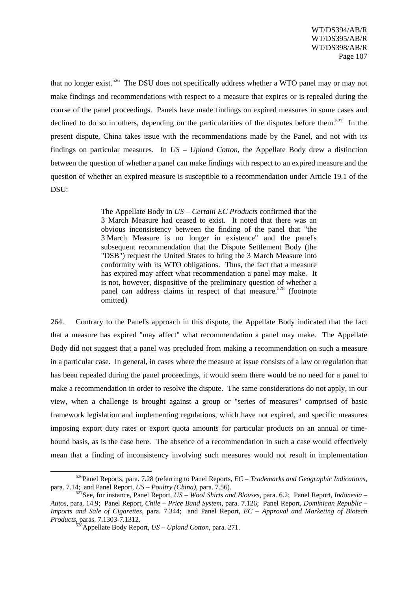that no longer exist.<sup>526</sup> The DSU does not specifically address whether a WTO panel may or may not make findings and recommendations with respect to a measure that expires or is repealed during the course of the panel proceedings. Panels have made findings on expired measures in some cases and declined to do so in others, depending on the particularities of the disputes before them.<sup>527</sup> In the present dispute, China takes issue with the recommendations made by the Panel, and not with its findings on particular measures. In *US – Upland Cotton*, the Appellate Body drew a distinction between the question of whether a panel can make findings with respect to an expired measure and the question of whether an expired measure is susceptible to a recommendation under Article 19.1 of the DSU:

> The Appellate Body in *US – Certain EC Products* confirmed that the 3 March Measure had ceased to exist. It noted that there was an obvious inconsistency between the finding of the panel that "the 3 March Measure is no longer in existence" and the panel's subsequent recommendation that the Dispute Settlement Body (the "DSB") request the United States to bring the 3 March Measure into conformity with its WTO obligations. Thus, the fact that a measure has expired may affect what recommendation a panel may make. It is not, however, dispositive of the preliminary question of whether a panel can address claims in respect of that measure.<sup>528</sup> (footnote omitted)

264. Contrary to the Panel's approach in this dispute, the Appellate Body indicated that the fact that a measure has expired "may affect" what recommendation a panel may make. The Appellate Body did not suggest that a panel was precluded from making a recommendation on such a measure in a particular case. In general, in cases where the measure at issue consists of a law or regulation that has been repealed during the panel proceedings, it would seem there would be no need for a panel to make a recommendation in order to resolve the dispute. The same considerations do not apply, in our view, when a challenge is brought against a group or "series of measures" comprised of basic framework legislation and implementing regulations, which have not expired, and specific measures imposing export duty rates or export quota amounts for particular products on an annual or timebound basis, as is the case here. The absence of a recommendation in such a case would effectively mean that a finding of inconsistency involving such measures would not result in implementation

<sup>&</sup>lt;sup>526</sup>Panel Reports, para. 7.28 (referring to Panel Reports, *EC – Trademarks and Geographic Indications*, para. 7.14; and Panel Report, *US – Poultry (China)*, para. 7.56).

<sup>&</sup>lt;sup>527</sup>See, for instance, Panel Report, *US – Wool Shirts and Blouses*, para. 6.2; Panel Report, *Indonesia – Autos*, para. 14.9; Panel Report, *Chile – Price Band System*, para. 7.126; Panel Report, *Dominican Republic – Imports and Sale of Cigarettes*, para. 7.344; and Panel Report, *EC – Approval and Marketing of Biotech Products*, paras. 7.1303-7.1312.

<sup>528</sup>Appellate Body Report, *US – Upland Cotton*, para. 271.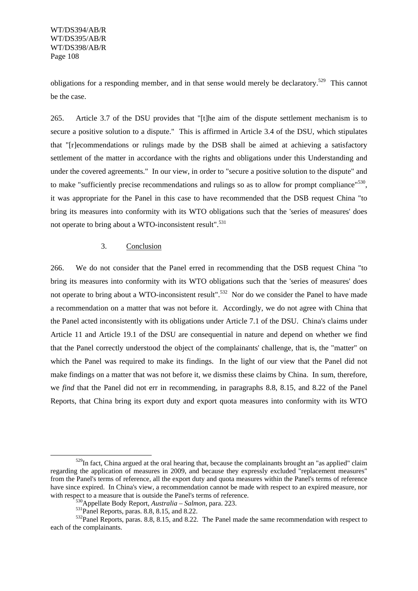obligations for a responding member, and in that sense would merely be declaratory.<sup>529</sup> This cannot be the case.

265. Article 3.7 of the DSU provides that "[t]he aim of the dispute settlement mechanism is to secure a positive solution to a dispute." This is affirmed in Article 3.4 of the DSU, which stipulates that "[r]ecommendations or rulings made by the DSB shall be aimed at achieving a satisfactory settlement of the matter in accordance with the rights and obligations under this Understanding and under the covered agreements." In our view, in order to "secure a positive solution to the dispute" and to make "sufficiently precise recommendations and rulings so as to allow for prompt compliance"<sup>530</sup>, it was appropriate for the Panel in this case to have recommended that the DSB request China "to bring its measures into conformity with its WTO obligations such that the 'series of measures' does not operate to bring about a WTO-inconsistent result".<sup>531</sup>

#### 3. Conclusion

266. We do not consider that the Panel erred in recommending that the DSB request China "to bring its measures into conformity with its WTO obligations such that the 'series of measures' does not operate to bring about a WTO-inconsistent result".<sup>532</sup> Nor do we consider the Panel to have made a recommendation on a matter that was not before it. Accordingly, we do not agree with China that the Panel acted inconsistently with its obligations under Article 7.1 of the DSU. China's claims under Article 11 and Article 19.1 of the DSU are consequential in nature and depend on whether we find that the Panel correctly understood the object of the complainants' challenge, that is, the "matter" on which the Panel was required to make its findings. In the light of our view that the Panel did not make findings on a matter that was not before it, we dismiss these claims by China. In sum, therefore, we *find* that the Panel did not err in recommending, in paragraphs 8.8, 8.15, and 8.22 of the Panel Reports, that China bring its export duty and export quota measures into conformity with its WTO

 $529$ In fact, China argued at the oral hearing that, because the complainants brought an "as applied" claim regarding the application of measures in 2009, and because they expressly excluded "replacement measures" from the Panel's terms of reference, all the export duty and quota measures within the Panel's terms of reference have since expired. In China's view, a recommendation cannot be made with respect to an expired measure, nor with respect to a measure that is outside the Panel's terms of reference.<br>
<sup>530</sup>Appellate Body Report, *Australia – Salmon*, para. 223.<br>
<sup>531</sup>Panel Reports, paras. 8.8, 8.15, and 8.22.<br>
<sup>532</sup>Panel Reports, paras. 8.8, 8.15

each of the complainants.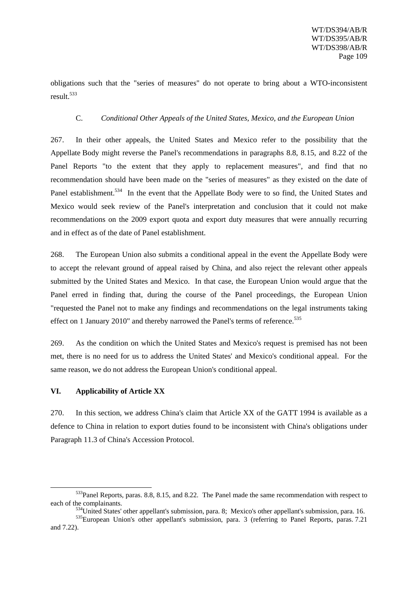obligations such that the "series of measures" do not operate to bring about a WTO-inconsistent result.<sup>533</sup>

## C. *Conditional Other Appeals of the United States, Mexico, and the European Union*

267. In their other appeals, the United States and Mexico refer to the possibility that the Appellate Body might reverse the Panel's recommendations in paragraphs 8.8, 8.15, and 8.22 of the Panel Reports "to the extent that they apply to replacement measures", and find that no recommendation should have been made on the "series of measures" as they existed on the date of Panel establishment.<sup>534</sup> In the event that the Appellate Body were to so find, the United States and Mexico would seek review of the Panel's interpretation and conclusion that it could not make recommendations on the 2009 export quota and export duty measures that were annually recurring and in effect as of the date of Panel establishment.

268. The European Union also submits a conditional appeal in the event the Appellate Body were to accept the relevant ground of appeal raised by China, and also reject the relevant other appeals submitted by the United States and Mexico. In that case, the European Union would argue that the Panel erred in finding that, during the course of the Panel proceedings, the European Union "requested the Panel not to make any findings and recommendations on the legal instruments taking effect on 1 January 2010" and thereby narrowed the Panel's terms of reference.<sup>535</sup>

269. As the condition on which the United States and Mexico's request is premised has not been met, there is no need for us to address the United States' and Mexico's conditional appeal. For the same reason, we do not address the European Union's conditional appeal.

#### **VI. Applicability of Article XX**

270. In this section, we address China's claim that Article XX of the GATT 1994 is available as a defence to China in relation to export duties found to be inconsistent with China's obligations under Paragraph 11.3 of China's Accession Protocol.

<sup>&</sup>lt;sup>533</sup>Panel Reports, paras. 8.8, 8.15, and 8.22. The Panel made the same recommendation with respect to each of the complainants.

 $^{534}$ United States' other appellant's submission, para. 8; Mexico's other appellant's submission, para. 16.<br> $^{535}$ European Union's other appellant's submission, para. 3 (referring to Panel Reports, paras. 7.21) and 7.22).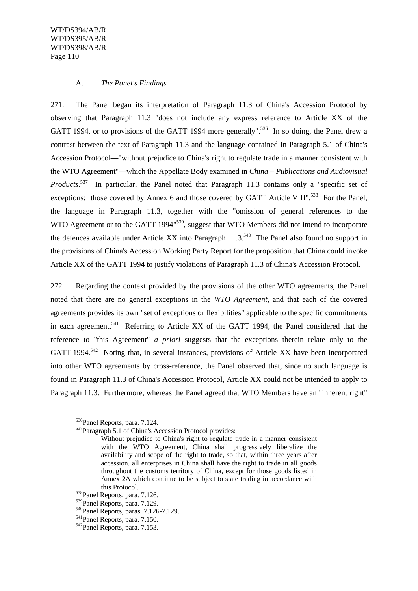### A. *The Panel's Findings*

271. The Panel began its interpretation of Paragraph 11.3 of China's Accession Protocol by observing that Paragraph 11.3 "does not include any express reference to Article XX of the GATT 1994, or to provisions of the GATT 1994 more generally".<sup>536</sup> In so doing, the Panel drew a contrast between the text of Paragraph 11.3 and the language contained in Paragraph 5.1 of China's Accession Protocol—"without prejudice to China's right to regulate trade in a manner consistent with the WTO Agreement"—which the Appellate Body examined in *China – Publications and Audiovisual Products*. 537 In particular, the Panel noted that Paragraph 11.3 contains only a "specific set of exceptions: those covered by Annex 6 and those covered by GATT Article VIII".<sup>538</sup> For the Panel, the language in Paragraph 11.3, together with the "omission of general references to the WTO Agreement or to the GATT 1994<sup>"539</sup>, suggest that WTO Members did not intend to incorporate the defences available under Article XX into Paragraph  $11.3^{540}$ . The Panel also found no support in the provisions of China's Accession Working Party Report for the proposition that China could invoke Article XX of the GATT 1994 to justify violations of Paragraph 11.3 of China's Accession Protocol.

272. Regarding the context provided by the provisions of the other WTO agreements, the Panel noted that there are no general exceptions in the *WTO Agreement*, and that each of the covered agreements provides its own "set of exceptions or flexibilities" applicable to the specific commitments in each agreement.<sup>541</sup> Referring to Article XX of the GATT 1994, the Panel considered that the reference to "this Agreement" *a priori* suggests that the exceptions therein relate only to the GATT 1994.<sup>542</sup> Noting that, in several instances, provisions of Article XX have been incorporated into other WTO agreements by cross-reference, the Panel observed that, since no such language is found in Paragraph 11.3 of China's Accession Protocol, Article XX could not be intended to apply to Paragraph 11.3. Furthermore, whereas the Panel agreed that WTO Members have an "inherent right"

<sup>&</sup>lt;sup>536</sup>Panel Reports, para. 7.124.<br><sup>537</sup>Paragraph 5.1 of China's Accession Protocol provides:

Without prejudice to China's right to regulate trade in a manner consistent with the WTO Agreement, China shall progressively liberalize the availability and scope of the right to trade, so that, within three years after accession, all enterprises in China shall have the right to trade in all goods throughout the customs territory of China, except for those goods listed in Annex 2A which continue to be subject to state trading in accordance with

this Protocol.<br>
<sup>538</sup>Panel Reports, para. 7.126.<br>
<sup>539</sup>Panel Reports, para. 7.129.

 $^{540}$ Panel Reports, paras. 7.126-7.129.<br> $^{541}$ Panel Reports, para. 7.150.<br> $^{542}$ Panel Reports, para. 7.153.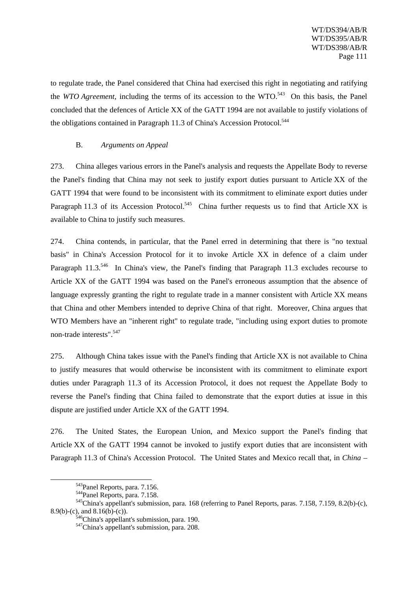to regulate trade, the Panel considered that China had exercised this right in negotiating and ratifying the *WTO Agreement*, including the terms of its accession to the WTO.<sup>543</sup> On this basis, the Panel concluded that the defences of Article XX of the GATT 1994 are not available to justify violations of the obligations contained in Paragraph 11.3 of China's Accession Protocol.<sup>544</sup>

## B. *Arguments on Appeal*

273. China alleges various errors in the Panel's analysis and requests the Appellate Body to reverse the Panel's finding that China may not seek to justify export duties pursuant to Article XX of the GATT 1994 that were found to be inconsistent with its commitment to eliminate export duties under Paragraph 11.3 of its Accession Protocol.<sup>545</sup> China further requests us to find that Article XX is available to China to justify such measures.

274. China contends, in particular, that the Panel erred in determining that there is "no textual basis" in China's Accession Protocol for it to invoke Article XX in defence of a claim under Paragraph 11.3.<sup>546</sup> In China's view, the Panel's finding that Paragraph 11.3 excludes recourse to Article XX of the GATT 1994 was based on the Panel's erroneous assumption that the absence of language expressly granting the right to regulate trade in a manner consistent with Article XX means that China and other Members intended to deprive China of that right. Moreover, China argues that WTO Members have an "inherent right" to regulate trade, "including using export duties to promote non-trade interests".<sup>547</sup>

275. Although China takes issue with the Panel's finding that Article XX is not available to China to justify measures that would otherwise be inconsistent with its commitment to eliminate export duties under Paragraph 11.3 of its Accession Protocol, it does not request the Appellate Body to reverse the Panel's finding that China failed to demonstrate that the export duties at issue in this dispute are justified under Article XX of the GATT 1994.

276. The United States, the European Union, and Mexico support the Panel's finding that Article XX of the GATT 1994 cannot be invoked to justify export duties that are inconsistent with Paragraph 11.3 of China's Accession Protocol. The United States and Mexico recall that, in *China –* 

<sup>&</sup>lt;sup>543</sup>Panel Reports, para. 7.156.<br><sup>544</sup>Panel Reports, para. 7.158.<br><sup>545</sup>China's appellant's submission, para. 168 (referring to Panel Reports, paras. 7.158, 7.159, 8.2(b)-(c), 8.9(b)-(c), and 8.16(b)-(c)).<br><sup>546</sup>China's appellant's submission, para. 190.<br><sup>547</sup>China's appellant's submission, para. 208.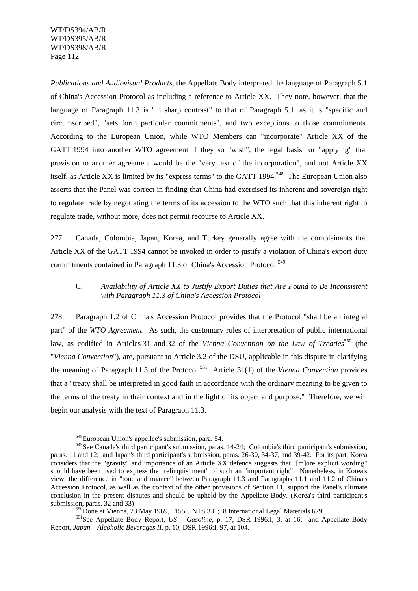WT/DS394/AB/R WT/DS395/AB/R WT/DS398/AB/R Page 112

*Publications and Audiovisual Products*, the Appellate Body interpreted the language of Paragraph 5.1 of China's Accession Protocol as including a reference to Article XX. They note, however, that the language of Paragraph 11.3 is "in sharp contrast" to that of Paragraph 5.1, as it is "specific and circumscribed", "sets forth particular commitments", and two exceptions to those commitments. According to the European Union, while WTO Members can "incorporate" Article XX of the GATT 1994 into another WTO agreement if they so "wish", the legal basis for "applying" that provision to another agreement would be the "very text of the incorporation", and not Article XX itself, as Article XX is limited by its "express terms" to the GATT 1994.<sup>548</sup> The European Union also asserts that the Panel was correct in finding that China had exercised its inherent and sovereign right to regulate trade by negotiating the terms of its accession to the WTO such that this inherent right to regulate trade, without more, does not permit recourse to Article XX.

277. Canada, Colombia, Japan, Korea, and Turkey generally agree with the complainants that Article XX of the GATT 1994 cannot be invoked in order to justify a violation of China's export duty commitments contained in Paragraph 11.3 of China's Accession Protocol.<sup>549</sup>

## C. *Availability of Article XX to Justify Export Duties that Are Found to Be Inconsistent with Paragraph 11.3 of China's Accession Protocol*

278. Paragraph 1.2 of China's Accession Protocol provides that the Protocol "shall be an integral part" of the *WTO Agreement*. As such, the customary rules of interpretation of public international law, as codified in Articles 31 and 32 of the *Vienna Convention on the Law of Treaties*<sup>550</sup> (the "*Vienna Convention*"), are, pursuant to Article 3.2 of the DSU, applicable in this dispute in clarifying the meaning of Paragraph 11.3 of the Protocol.<sup>551</sup> Article 31(1) of the *Vienna Convention* provides that a "treaty shall be interpreted in good faith in accordance with the ordinary meaning to be given to the terms of the treaty in their context and in the light of its object and purpose." Therefore, we will begin our analysis with the text of Paragraph 11.3.

 <sup>548</sup>European Union's appellee's submission, para. 54.

<sup>&</sup>lt;sup>549</sup>See Canada's third participant's submission, paras. 14-24; Colombia's third participant's submission, paras. 11 and 12; and Japan's third participant's submission, paras. 26-30, 34-37, and 39-42. For its part, Korea considers that the "gravity" and importance of an Article XX defence suggests that "[m]ore explicit wording" should have been used to express the "relinquishment" of such an "important right". Nonetheless, in Korea's view, the difference in "tone and nuance" between Paragraph 11.3 and Paragraphs 11.1 and 11.2 of China's Accession Protocol, as well as the context of the other provisions of Section 11, support the Panel's ultimate conclusion in the present disputes and should be upheld by the Appellate Body. (Korea's third participant's submission, paras. 32 and 33)<br><sup>550</sup>Done at Vienna, 23 May 1969, 1155 UNTS 331; 8 International Legal Materials 679.<br><sup>551</sup>See Appellate Body Report, *US – Gasoline*, p. 17, DSR 1996:I, 3, at 16; and Appellate Body

Report, *Japan – Alcoholic Beverages II*, p. 10, DSR 1996:I, 97, at 104.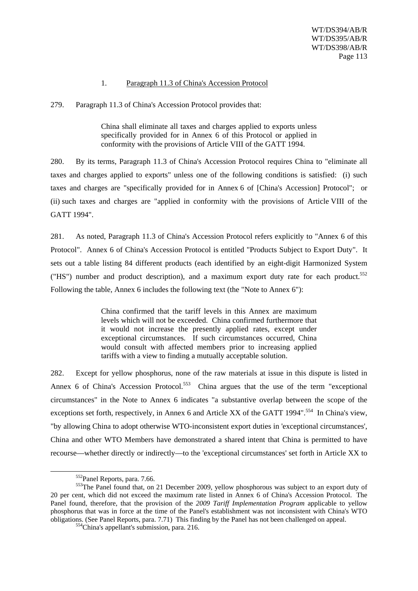### 1. Paragraph 11.3 of China's Accession Protocol

279. Paragraph 11.3 of China's Accession Protocol provides that:

China shall eliminate all taxes and charges applied to exports unless specifically provided for in Annex 6 of this Protocol or applied in conformity with the provisions of Article VIII of the GATT 1994.

280. By its terms, Paragraph 11.3 of China's Accession Protocol requires China to "eliminate all taxes and charges applied to exports" unless one of the following conditions is satisfied: (i) such taxes and charges are "specifically provided for in Annex 6 of [China's Accession] Protocol"; or (ii) such taxes and charges are "applied in conformity with the provisions of Article VIII of the GATT 1994".

281. As noted, Paragraph 11.3 of China's Accession Protocol refers explicitly to "Annex 6 of this Protocol". Annex 6 of China's Accession Protocol is entitled "Products Subject to Export Duty". It sets out a table listing 84 different products (each identified by an eight-digit Harmonized System ("HS") number and product description), and a maximum export duty rate for each product.<sup>552</sup> Following the table, Annex 6 includes the following text (the "Note to Annex 6"):

> China confirmed that the tariff levels in this Annex are maximum levels which will not be exceeded. China confirmed furthermore that it would not increase the presently applied rates, except under exceptional circumstances. If such circumstances occurred, China would consult with affected members prior to increasing applied tariffs with a view to finding a mutually acceptable solution.

282. Except for yellow phosphorus, none of the raw materials at issue in this dispute is listed in Annex 6 of China's Accession Protocol.<sup>553</sup> China argues that the use of the term "exceptional" circumstances" in the Note to Annex 6 indicates "a substantive overlap between the scope of the exceptions set forth, respectively, in Annex 6 and Article XX of the GATT 1994".<sup>554</sup> In China's view. "by allowing China to adopt otherwise WTO-inconsistent export duties in 'exceptional circumstances', China and other WTO Members have demonstrated a shared intent that China is permitted to have recourse—whether directly or indirectly—to the 'exceptional circumstances' set forth in Article XX to

<sup>&</sup>lt;sup>552</sup>Panel Reports, para. 7.66.<br><sup>553</sup>The Panel found that, on 21 December 2009, yellow phosphorous was subject to an export duty of 20 per cent, which did not exceed the maximum rate listed in Annex 6 of China's Accession Protocol. The Panel found, therefore, that the provision of the *2009 Tariff Implementation Program* applicable to yellow phosphorus that was in force at the time of the Panel's establishment was not inconsistent with China's WTO obligations. (See Panel Reports, para. 7.71) This finding by the Panel has not been challenged on appeal. 554China's appellant's submission, para. 216.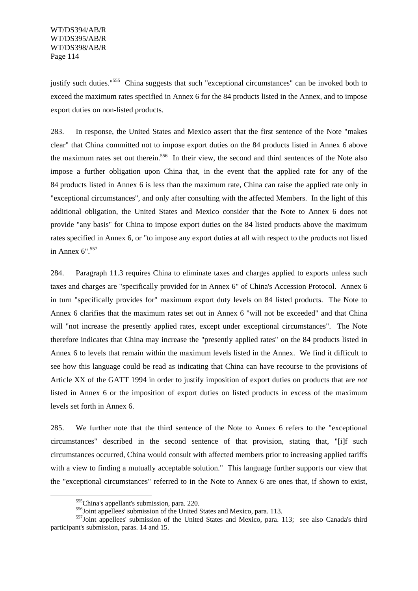justify such duties."555 China suggests that such "exceptional circumstances" can be invoked both to exceed the maximum rates specified in Annex 6 for the 84 products listed in the Annex, and to impose export duties on non-listed products.

283. In response, the United States and Mexico assert that the first sentence of the Note "makes clear" that China committed not to impose export duties on the 84 products listed in Annex 6 above the maximum rates set out therein.<sup>556</sup> In their view, the second and third sentences of the Note also impose a further obligation upon China that, in the event that the applied rate for any of the 84 products listed in Annex 6 is less than the maximum rate, China can raise the applied rate only in "exceptional circumstances", and only after consulting with the affected Members. In the light of this additional obligation, the United States and Mexico consider that the Note to Annex 6 does not provide "any basis" for China to impose export duties on the 84 listed products above the maximum rates specified in Annex 6, or "to impose any export duties at all with respect to the products not listed in Annex 6".<sup>557</sup>

284. Paragraph 11.3 requires China to eliminate taxes and charges applied to exports unless such taxes and charges are "specifically provided for in Annex 6" of China's Accession Protocol. Annex 6 in turn "specifically provides for" maximum export duty levels on 84 listed products. The Note to Annex 6 clarifies that the maximum rates set out in Annex 6 "will not be exceeded" and that China will "not increase the presently applied rates, except under exceptional circumstances". The Note therefore indicates that China may increase the "presently applied rates" on the 84 products listed in Annex 6 to levels that remain within the maximum levels listed in the Annex. We find it difficult to see how this language could be read as indicating that China can have recourse to the provisions of Article XX of the GATT 1994 in order to justify imposition of export duties on products that are *not* listed in Annex 6 or the imposition of export duties on listed products in excess of the maximum levels set forth in Annex 6.

285. We further note that the third sentence of the Note to Annex 6 refers to the "exceptional circumstances" described in the second sentence of that provision, stating that, "[i]f such circumstances occurred, China would consult with affected members prior to increasing applied tariffs with a view to finding a mutually acceptable solution." This language further supports our view that the "exceptional circumstances" referred to in the Note to Annex 6 are ones that, if shown to exist,

<sup>&</sup>lt;sup>555</sup>China's appellant's submission, para. 220.<br><sup>556</sup>Joint appellees' submission of the United States and Mexico, para. 113.<br><sup>557</sup>Joint appellees' submission of the United States and Mexico, para. 113; see also Canada's th participant's submission, paras. 14 and 15.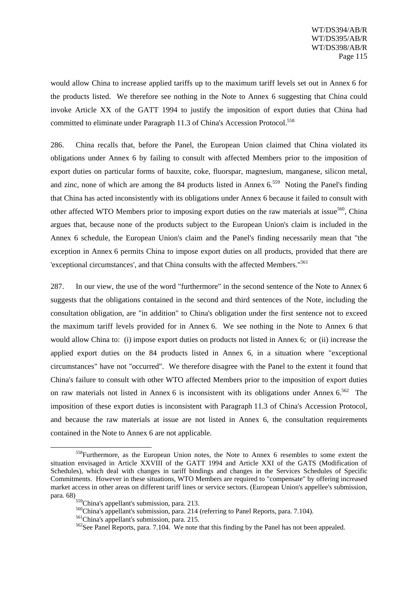would allow China to increase applied tariffs up to the maximum tariff levels set out in Annex 6 for the products listed. We therefore see nothing in the Note to Annex 6 suggesting that China could invoke Article XX of the GATT 1994 to justify the imposition of export duties that China had committed to eliminate under Paragraph 11.3 of China's Accession Protocol.<sup>558</sup>

286. China recalls that, before the Panel, the European Union claimed that China violated its obligations under Annex 6 by failing to consult with affected Members prior to the imposition of export duties on particular forms of bauxite, coke, fluorspar, magnesium, manganese, silicon metal, and zinc, none of which are among the 84 products listed in Annex 6.559 Noting the Panel's finding that China has acted inconsistently with its obligations under Annex 6 because it failed to consult with other affected WTO Members prior to imposing export duties on the raw materials at issue<sup>560</sup>, China argues that, because none of the products subject to the European Union's claim is included in the Annex 6 schedule, the European Union's claim and the Panel's finding necessarily mean that "the exception in Annex 6 permits China to impose export duties on all products, provided that there are 'exceptional circumstances', and that China consults with the affected Members."<sup>561</sup>

287. In our view, the use of the word "furthermore" in the second sentence of the Note to Annex 6 suggests that the obligations contained in the second and third sentences of the Note, including the consultation obligation, are "in addition" to China's obligation under the first sentence not to exceed the maximum tariff levels provided for in Annex 6. We see nothing in the Note to Annex 6 that would allow China to: (i) impose export duties on products not listed in Annex 6; or (ii) increase the applied export duties on the 84 products listed in Annex 6, in a situation where "exceptional circumstances" have not "occurred". We therefore disagree with the Panel to the extent it found that China's failure to consult with other WTO affected Members prior to the imposition of export duties on raw materials not listed in Annex 6 is inconsistent with its obligations under Annex  $6^{562}$  The imposition of these export duties is inconsistent with Paragraph 11.3 of China's Accession Protocol, and because the raw materials at issue are not listed in Annex 6, the consultation requirements contained in the Note to Annex 6 are not applicable.

 <sup>558</sup>Furthermore, as the European Union notes, the Note to Annex 6 resembles to some extent the situation envisaged in Article XXVIII of the GATT 1994 and Article XXI of the GATS (Modification of Schedules), which deal with changes in tariff bindings and changes in the Services Schedules of Specific Commitments. However in these situations, WTO Members are required to "compensate" by offering increased market access in other areas on different tariff lines or service sectors. (European Union's appellee's submission, para. 68)<br> $559$ China's appellant's submission, para. 213.

 $^{560}$ China's appellant's submission, para. 214 (referring to Panel Reports, para. 7.104).<br><sup>561</sup>China's appellant's submission, para. 215.<br><sup>562</sup>See Panel Reports, para. 7.104. We note that this finding by the Panel has n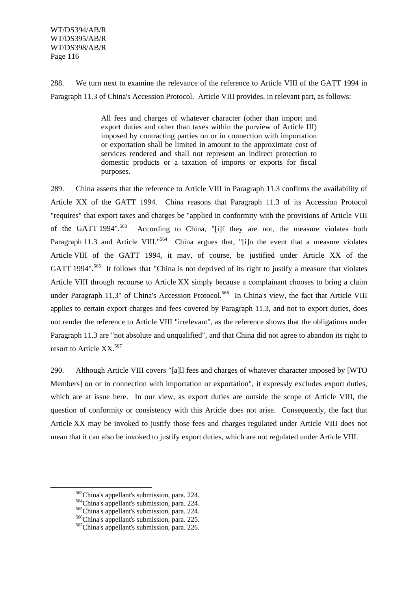WT/DS394/AB/R WT/DS395/AB/R WT/DS398/AB/R Page 116

288. We turn next to examine the relevance of the reference to Article VIII of the GATT 1994 in Paragraph 11.3 of China's Accession Protocol. Article VIII provides, in relevant part, as follows:

> All fees and charges of whatever character (other than import and export duties and other than taxes within the purview of Article III) imposed by contracting parties on or in connection with importation or exportation shall be limited in amount to the approximate cost of services rendered and shall not represent an indirect protection to domestic products or a taxation of imports or exports for fiscal purposes.

289. China asserts that the reference to Article VIII in Paragraph 11.3 confirms the availability of Article XX of the GATT 1994. China reasons that Paragraph 11.3 of its Accession Protocol "requires" that export taxes and charges be "applied in conformity with the provisions of Article VIII of the GATT 1994".<sup>563</sup> According to China, "[i]f they are not, the measure violates both Paragraph 11.3 and Article VIII."<sup>564</sup> China argues that, "[i]n the event that a measure violates Article VIII of the GATT 1994, it may, of course, be justified under Article XX of the GATT 1994".<sup>565</sup> It follows that "China is not deprived of its right to justify a measure that violates Article VIII through recourse to Article XX simply because a complainant chooses to bring a claim under Paragraph 11.3" of China's Accession Protocol.<sup>566</sup> In China's view, the fact that Article VIII applies to certain export charges and fees covered by Paragraph 11.3, and not to export duties, does not render the reference to Article VIII "irrelevant", as the reference shows that the obligations under Paragraph 11.3 are "not absolute and unqualified", and that China did not agree to abandon its right to resort to Article XX.<sup>567</sup>

290. Although Article VIII covers "[a]ll fees and charges of whatever character imposed by [WTO Members] on or in connection with importation or exportation", it expressly excludes export duties, which are at issue here. In our view, as export duties are outside the scope of Article VIII, the question of conformity or consistency with this Article does not arise. Consequently, the fact that Article XX may be invoked to justify those fees and charges regulated under Article VIII does not mean that it can also be invoked to justify export duties, which are not regulated under Article VIII.

<sup>&</sup>lt;sup>563</sup>China's appellant's submission, para. 224.<br><sup>564</sup>China's appellant's submission, para. 224.<br><sup>565</sup>China's appellant's submission, para. 224.<br><sup>565</sup>China's appellant's submission, para. 225.<br><sup>567</sup>China's appellant's subm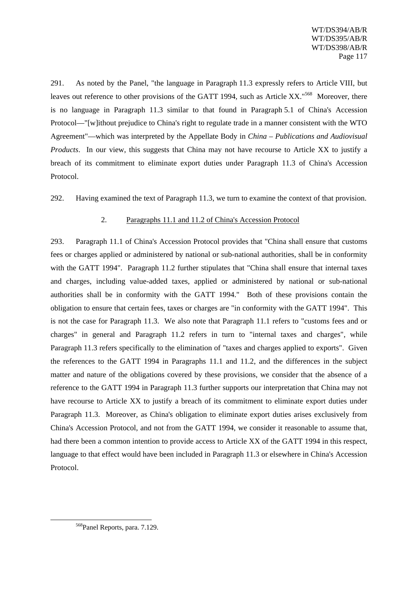291. As noted by the Panel, "the language in Paragraph 11.3 expressly refers to Article VIII, but leaves out reference to other provisions of the GATT 1994, such as Article XX."<sup>568</sup> Moreover, there is no language in Paragraph 11.3 similar to that found in Paragraph 5.1 of China's Accession Protocol—"[w]ithout prejudice to China's right to regulate trade in a manner consistent with the WTO Agreement"—which was interpreted by the Appellate Body in *China – Publications and Audiovisual Products*. In our view, this suggests that China may not have recourse to Article XX to justify a breach of its commitment to eliminate export duties under Paragraph 11.3 of China's Accession Protocol.

292. Having examined the text of Paragraph 11.3, we turn to examine the context of that provision.

# 2. Paragraphs 11.1 and 11.2 of China's Accession Protocol

293. Paragraph 11.1 of China's Accession Protocol provides that "China shall ensure that customs fees or charges applied or administered by national or sub-national authorities, shall be in conformity with the GATT 1994". Paragraph 11.2 further stipulates that "China shall ensure that internal taxes and charges, including value-added taxes, applied or administered by national or sub-national authorities shall be in conformity with the GATT 1994." Both of these provisions contain the obligation to ensure that certain fees, taxes or charges are "in conformity with the GATT 1994". This is not the case for Paragraph 11.3. We also note that Paragraph 11.1 refers to "customs fees and or charges" in general and Paragraph 11.2 refers in turn to "internal taxes and charges", while Paragraph 11.3 refers specifically to the elimination of "taxes and charges applied to exports". Given the references to the GATT 1994 in Paragraphs 11.1 and 11.2, and the differences in the subject matter and nature of the obligations covered by these provisions, we consider that the absence of a reference to the GATT 1994 in Paragraph 11.3 further supports our interpretation that China may not have recourse to Article XX to justify a breach of its commitment to eliminate export duties under Paragraph 11.3. Moreover, as China's obligation to eliminate export duties arises exclusively from China's Accession Protocol, and not from the GATT 1994, we consider it reasonable to assume that, had there been a common intention to provide access to Article XX of the GATT 1994 in this respect, language to that effect would have been included in Paragraph 11.3 or elsewhere in China's Accession Protocol.

 <sup>568</sup>Panel Reports, para. 7.129.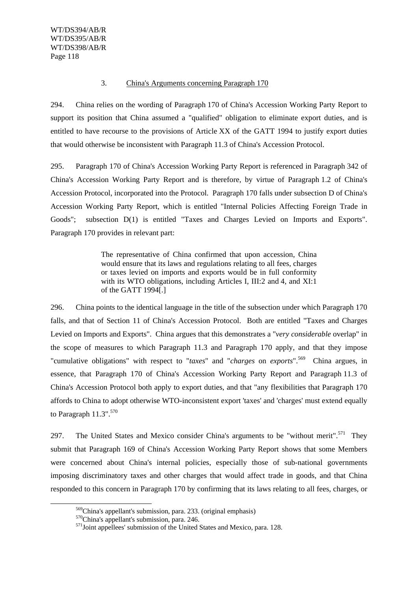## 3. China's Arguments concerning Paragraph 170

294. China relies on the wording of Paragraph 170 of China's Accession Working Party Report to support its position that China assumed a "qualified" obligation to eliminate export duties, and is entitled to have recourse to the provisions of Article XX of the GATT 1994 to justify export duties that would otherwise be inconsistent with Paragraph 11.3 of China's Accession Protocol.

295. Paragraph 170 of China's Accession Working Party Report is referenced in Paragraph 342 of China's Accession Working Party Report and is therefore, by virtue of Paragraph 1.2 of China's Accession Protocol, incorporated into the Protocol. Paragraph 170 falls under subsection D of China's Accession Working Party Report, which is entitled "Internal Policies Affecting Foreign Trade in Goods"; subsection D(1) is entitled "Taxes and Charges Levied on Imports and Exports". Paragraph 170 provides in relevant part:

> The representative of China confirmed that upon accession, China would ensure that its laws and regulations relating to all fees, charges or taxes levied on imports and exports would be in full conformity with its WTO obligations, including Articles I, III:2 and 4, and XI:1 of the GATT 1994[.]

296. China points to the identical language in the title of the subsection under which Paragraph 170 falls, and that of Section 11 of China's Accession Protocol. Both are entitled "Taxes and Charges Levied on Imports and Exports". China argues that this demonstrates a "*very considerable* overlap" in the scope of measures to which Paragraph 11.3 and Paragraph 170 apply, and that they impose "cumulative obligations" with respect to "*taxes*" and "*charges* on *exports*".569 China argues, in essence, that Paragraph 170 of China's Accession Working Party Report and Paragraph 11.3 of China's Accession Protocol both apply to export duties, and that "any flexibilities that Paragraph 170 affords to China to adopt otherwise WTO-inconsistent export 'taxes' and 'charges' must extend equally to Paragraph  $11.3"$ .<sup>570</sup>

297. The United States and Mexico consider China's arguments to be "without merit".<sup>571</sup> They submit that Paragraph 169 of China's Accession Working Party Report shows that some Members were concerned about China's internal policies, especially those of sub-national governments imposing discriminatory taxes and other charges that would affect trade in goods, and that China responded to this concern in Paragraph 170 by confirming that its laws relating to all fees, charges, or

<sup>&</sup>lt;sup>569</sup>China's appellant's submission, para. 233. (original emphasis)<br><sup>570</sup>China's appellant's submission, para. 246.<br><sup>571</sup>Joint appellees' submission of the United States and Mexico, para. 128.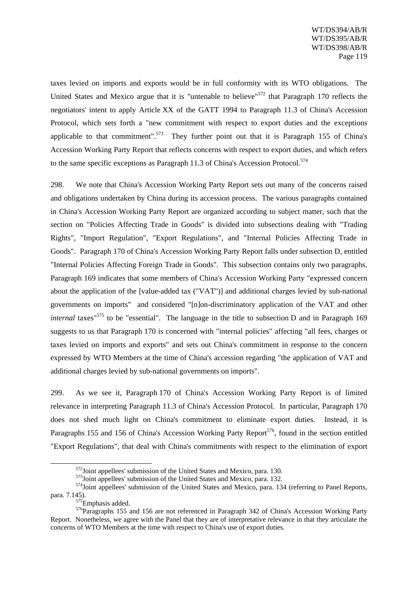taxes levied on imports and exports would be in full conformity with its WTO obligations. The United States and Mexico argue that it is "untenable to believe"<sup>572</sup> that Paragraph 170 reflects the negotiators' intent to apply Article XX of the GATT 1994 to Paragraph 11.3 of China's Accession Protocol, which sets forth a "new commitment with respect to export duties and the exceptions applicable to that commitment".<sup>573</sup> They further point out that it is Paragraph 155 of China's Accession Working Party Report that reflects concerns with respect to export duties, and which refers to the same specific exceptions as Paragraph 11.3 of China's Accession Protocol.<sup>574</sup>

298. We note that China's Accession Working Party Report sets out many of the concerns raised and obligations undertaken by China during its accession process. The various paragraphs contained in China's Accession Working Party Report are organized according to subject matter, such that the section on "Policies Affecting Trade in Goods" is divided into subsections dealing with "Trading Rights", "Import Regulation", "Export Regulations", and "Internal Policies Affecting Trade in Goods". Paragraph 170 of China's Accession Working Party Report falls under subsection D, entitled "Internal Policies Affecting Foreign Trade in Goods". This subsection contains only two paragraphs. Paragraph 169 indicates that some members of China's Accession Working Party "expressed concern about the application of the [value-added tax ("VAT")] and additional charges levied by sub-national governments on imports" and considered "[n]on-discriminatory application of the VAT and other *internal* taxes<sup>"575</sup> to be "essential". The language in the title to subsection D and in Paragraph 169 suggests to us that Paragraph 170 is concerned with "internal policies" affecting "all fees, charges or taxes levied on imports and exports" and sets out China's commitment in response to the concern expressed by WTO Members at the time of China's accession regarding "the application of VAT and additional charges levied by sub-national governments on imports".

299. As we see it, Paragraph 170 of China's Accession Working Party Report is of limited relevance in interpreting Paragraph 11.3 of China's Accession Protocol. In particular, Paragraph 170 does not shed much light on China's commitment to eliminate export duties. Instead, it is Paragraphs 155 and 156 of China's Accession Working Party Report<sup>576</sup>, found in the section entitled "Export Regulations", that deal with China's commitments with respect to the elimination of export

 $572$ Joint appellees' submission of the United States and Mexico, para. 130.<br> $573$ Joint appellees' submission of the United States and Mexico, para. 132.<br> $574$ Joint appellees' submission of the United States and Mexico, p para. 7.145).<br><sup>575</sup>Emphasis added.<br><sup>576</sup>Paragraphs 155 and 156 are not referenced in Paragraph 342 of China's Accession Working Party

Report. Nonetheless, we agree with the Panel that they are of interpretative relevance in that they articulate the concerns of WTO Members at the time with respect to China's use of export duties.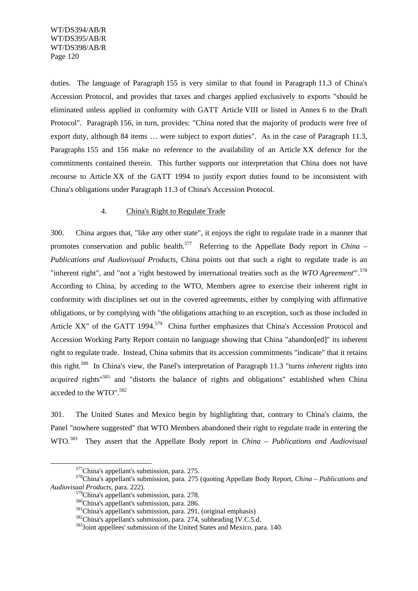duties. The language of Paragraph 155 is very similar to that found in Paragraph 11.3 of China's Accession Protocol, and provides that taxes and charges applied exclusively to exports "should be eliminated unless applied in conformity with GATT Article VIII or listed in Annex 6 to the Draft Protocol". Paragraph 156, in turn, provides: "China noted that the majority of products were free of export duty, although 84 items … were subject to export duties". As in the case of Paragraph 11.3, Paragraphs 155 and 156 make no reference to the availability of an Article XX defence for the commitments contained therein. This further supports our interpretation that China does not have recourse to Article XX of the GATT 1994 to justify export duties found to be inconsistent with China's obligations under Paragraph 11.3 of China's Accession Protocol.

# 4. China's Right to Regulate Trade

300. China argues that, "like any other state", it enjoys the right to regulate trade in a manner that promotes conservation and public health.<sup>577</sup> Referring to the Appellate Body report in *China – Publications and Audiovisual Products*, China points out that such a right to regulate trade is an "inherent right", and "not a 'right bestowed by international treaties such as the *WTO Agreement*'".578 According to China, by acceding to the WTO, Members agree to exercise their inherent right in conformity with disciplines set out in the covered agreements, either by complying with affirmative obligations, or by complying with "the obligations attaching to an exception, such as those included in Article XX" of the GATT 1994.<sup>579</sup> China further emphasizes that China's Accession Protocol and Accession Working Party Report contain no language showing that China "abandon[ed]" its inherent right to regulate trade. Instead, China submits that its accession commitments "indicate" that it retains this right.580 In China's view, the Panel's interpretation of Paragraph 11.3 "turns *inherent* rights into acquired rights<sup>"581</sup> and "distorts the balance of rights and obligations" established when China acceded to the WTO".<sup>582</sup>

301. The United States and Mexico begin by highlighting that, contrary to China's claims, the Panel "nowhere suggested" that WTO Members abandoned their right to regulate trade in entering the WTO.583 They assert that the Appellate Body report in *China – Publications and Audiovisual* 

 <sup>577</sup>China's appellant's submission, para. 275. 578China's appellant's submission, para. 275 (quoting Appellate Body Report, *China – Publications and Audiovisual Products*, para. 222).

<sup>&</sup>lt;sup>580</sup>China's appellant's submission, para. 286.<br><sup>581</sup>China's appellant's submission, para. 291. (original emphasis)<br><sup>582</sup>China's appellant's submission, para. 274, subheading IV.C.5.d.<br><sup>583</sup>Joint appellees' submission of t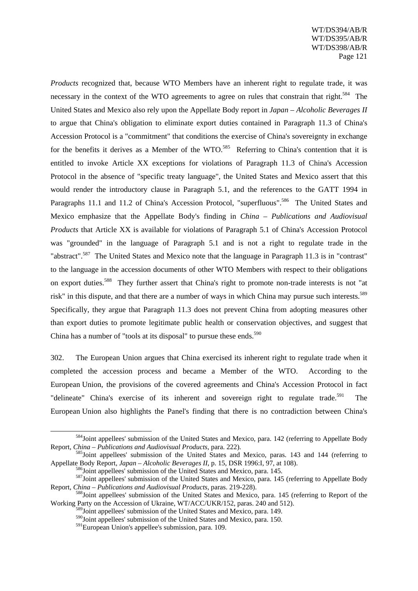*Products* recognized that, because WTO Members have an inherent right to regulate trade, it was necessary in the context of the WTO agreements to agree on rules that constrain that right.<sup>584</sup> The United States and Mexico also rely upon the Appellate Body report in *Japan – Alcoholic Beverages II* to argue that China's obligation to eliminate export duties contained in Paragraph 11.3 of China's Accession Protocol is a "commitment" that conditions the exercise of China's sovereignty in exchange for the benefits it derives as a Member of the WTO.<sup>585</sup> Referring to China's contention that it is entitled to invoke Article XX exceptions for violations of Paragraph 11.3 of China's Accession Protocol in the absence of "specific treaty language", the United States and Mexico assert that this would render the introductory clause in Paragraph 5.1, and the references to the GATT 1994 in Paragraphs 11.1 and 11.2 of China's Accession Protocol, "superfluous".<sup>586</sup> The United States and Mexico emphasize that the Appellate Body's finding in *China – Publications and Audiovisual Products* that Article XX is available for violations of Paragraph 5.1 of China's Accession Protocol was "grounded" in the language of Paragraph 5.1 and is not a right to regulate trade in the "abstract".<sup>587</sup> The United States and Mexico note that the language in Paragraph 11.3 is in "contrast" to the language in the accession documents of other WTO Members with respect to their obligations on export duties.588 They further assert that China's right to promote non-trade interests is not "at risk" in this dispute, and that there are a number of ways in which China may pursue such interests.589 Specifically, they argue that Paragraph 11.3 does not prevent China from adopting measures other than export duties to promote legitimate public health or conservation objectives, and suggest that China has a number of "tools at its disposal" to pursue these ends. $590$ 

302. The European Union argues that China exercised its inherent right to regulate trade when it completed the accession process and became a Member of the WTO. According to the European Union, the provisions of the covered agreements and China's Accession Protocol in fact "delineate" China's exercise of its inherent and sovereign right to regulate trade.<sup>591</sup> The European Union also highlights the Panel's finding that there is no contradiction between China's

 $584$ Joint appellees' submission of the United States and Mexico, para. 142 (referring to Appellate Body Report, *China – Publications and Audiovisual Products*, para. 222).

<sup>&</sup>lt;sup>585</sup>Joint appellees' submission of the United States and Mexico, paras. 143 and 144 (referring to

Appellate Body Report, *Japan* – *Alcoholic Beverages II*, p. 15, DSR 1996:I, 97, at 108).<br><sup>586</sup>Joint appellees' submission of the United States and Mexico, para. 145.<br><sup>587</sup>Joint appellees' submission of the United States

<sup>&</sup>lt;sup>588</sup>Joint appellees' submission of the United States and Mexico, para. 145 (referring to Report of the Working Party on the Accession of Ukraine, WT/ACC/UKR/152, paras. 240 and 512).

<sup>&</sup>lt;sup>589</sup>Joint appellees' submission of the United States and Mexico, para. 149.

<sup>&</sup>lt;sup>590</sup>Joint appellees' submission of the United States and Mexico, para. 150.

<sup>591</sup>European Union's appellee's submission, para. 109.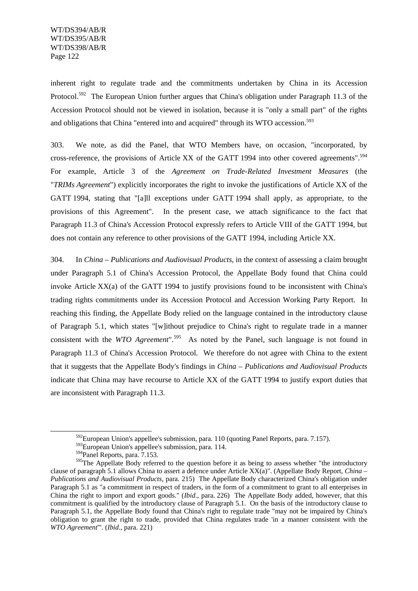inherent right to regulate trade and the commitments undertaken by China in its Accession Protocol.<sup>592</sup> The European Union further argues that China's obligation under Paragraph 11.3 of the Accession Protocol should not be viewed in isolation, because it is "only a small part" of the rights and obligations that China "entered into and acquired" through its WTO accession.<sup>593</sup>

303. We note, as did the Panel, that WTO Members have, on occasion, "incorporated, by cross-reference, the provisions of Article XX of the GATT 1994 into other covered agreements".<sup>594</sup> For example, Article 3 of the *Agreement on Trade-Related Investment Measures* (the "*TRIMs Agreement*") explicitly incorporates the right to invoke the justifications of Article XX of the GATT 1994, stating that "[a]ll exceptions under GATT 1994 shall apply, as appropriate, to the provisions of this Agreement". In the present case*,* we attach significance to the fact that Paragraph 11.3 of China's Accession Protocol expressly refers to Article VIII of the GATT 1994, but does not contain any reference to other provisions of the GATT 1994, including Article XX.

304. In *China – Publications and Audiovisual Products*, in the context of assessing a claim brought under Paragraph 5.1 of China's Accession Protocol, the Appellate Body found that China could invoke Article XX(a) of the GATT 1994 to justify provisions found to be inconsistent with China's trading rights commitments under its Accession Protocol and Accession Working Party Report. In reaching this finding, the Appellate Body relied on the language contained in the introductory clause of Paragraph 5.1, which states "[w]ithout prejudice to China's right to regulate trade in a manner consistent with the *WTO Agreement*".<sup>595</sup> As noted by the Panel, such language is not found in Paragraph 11.3 of China's Accession Protocol. We therefore do not agree with China to the extent that it suggests that the Appellate Body's findings in *China – Publications and Audiovisual Products* indicate that China may have recourse to Article XX of the GATT 1994 to justify export duties that are inconsistent with Paragraph 11.3.

 <sup>592</sup>European Union's appellee's submission, para. 110 (quoting Panel Reports, para. 7.157).

<sup>593</sup>European Union's appellee's submission, para. 114.

<sup>594</sup>Panel Reports, para. 7.153.

<sup>&</sup>lt;sup>595</sup>The Appellate Body referred to the question before it as being to assess whether "the introductory clause of paragraph 5.1 allows China to assert a defence under Article XX(a)". (Appellate Body Report, *China – Publications and Audiovisual Products*, para. 215) The Appellate Body characterized China's obligation under Paragraph 5.1 as "a commitment in respect of traders, in the form of a commitment to grant to all enterprises in China the right to import and export goods." (*Ibid*., para. 226) The Appellate Body added, however, that this commitment is qualified by the introductory clause of Paragraph 5.1. On the basis of the introductory clause to Paragraph 5.1, the Appellate Body found that China's right to regulate trade "may not be impaired by China's obligation to grant the right to trade, provided that China regulates trade 'in a manner consistent with the *WTO Agreement*'". (*Ibid*., para. 221)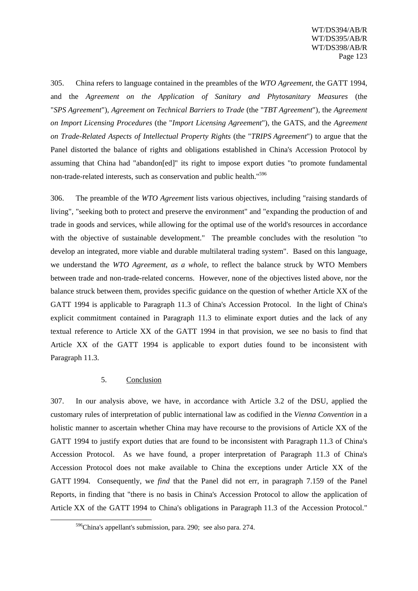305. China refers to language contained in the preambles of the *WTO Agreement*, the GATT 1994, and the *Agreement on the Application of Sanitary and Phytosanitary Measures* (the "*SPS Agreement*"), *Agreement on Technical Barriers to Trade* (the "*TBT Agreement*"), the *Agreement on Import Licensing Procedures* (the "*Import Licensing Agreement*"), the GATS, and the *Agreement on Trade-Related Aspects of Intellectual Property Rights* (the "*TRIPS Agreement*") to argue that the Panel distorted the balance of rights and obligations established in China's Accession Protocol by assuming that China had "abandon[ed]" its right to impose export duties "to promote fundamental non-trade-related interests, such as conservation and public health."596

306. The preamble of the *WTO Agreement* lists various objectives, including "raising standards of living", "seeking both to protect and preserve the environment" and "expanding the production of and trade in goods and services, while allowing for the optimal use of the world's resources in accordance with the objective of sustainable development." The preamble concludes with the resolution "to develop an integrated, more viable and durable multilateral trading system". Based on this language, we understand the *WTO Agreement*, *as a whole*, to reflect the balance struck by WTO Members between trade and non-trade-related concerns. However, none of the objectives listed above, nor the balance struck between them, provides specific guidance on the question of whether Article XX of the GATT 1994 is applicable to Paragraph 11.3 of China's Accession Protocol. In the light of China's explicit commitment contained in Paragraph 11.3 to eliminate export duties and the lack of any textual reference to Article XX of the GATT 1994 in that provision, we see no basis to find that Article XX of the GATT 1994 is applicable to export duties found to be inconsistent with Paragraph 11.3.

# 5. Conclusion

307. In our analysis above, we have, in accordance with Article 3.2 of the DSU, applied the customary rules of interpretation of public international law as codified in the *Vienna Convention* in a holistic manner to ascertain whether China may have recourse to the provisions of Article XX of the GATT 1994 to justify export duties that are found to be inconsistent with Paragraph 11.3 of China's Accession Protocol. As we have found, a proper interpretation of Paragraph 11.3 of China's Accession Protocol does not make available to China the exceptions under Article XX of the GATT 1994. Consequently, we *find* that the Panel did not err, in paragraph 7.159 of the Panel Reports, in finding that "there is no basis in China's Accession Protocol to allow the application of Article XX of the GATT 1994 to China's obligations in Paragraph 11.3 of the Accession Protocol."

 <sup>596</sup>China's appellant's submission, para. 290; see also para. 274.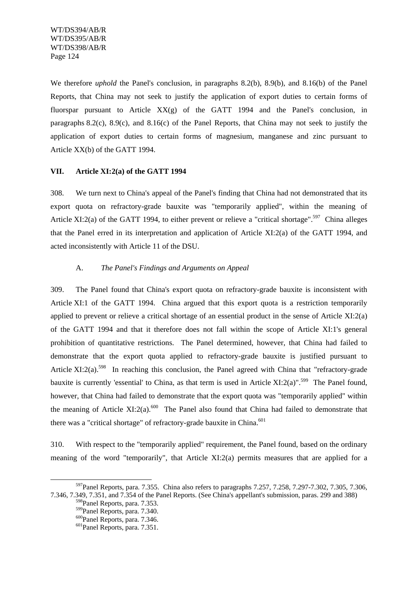We therefore *uphold* the Panel's conclusion, in paragraphs 8.2(b), 8.9(b), and 8.16(b) of the Panel Reports, that China may not seek to justify the application of export duties to certain forms of fluorspar pursuant to Article  $XX(g)$  of the GATT 1994 and the Panel's conclusion, in paragraphs 8.2(c), 8.9(c), and 8.16(c) of the Panel Reports, that China may not seek to justify the application of export duties to certain forms of magnesium, manganese and zinc pursuant to Article XX(b) of the GATT 1994.

### **VII. Article XI:2(a) of the GATT 1994**

308. We turn next to China's appeal of the Panel's finding that China had not demonstrated that its export quota on refractory-grade bauxite was "temporarily applied", within the meaning of Article XI:2(a) of the GATT 1994, to either prevent or relieve a "critical shortage".<sup>597</sup> China alleges that the Panel erred in its interpretation and application of Article XI:2(a) of the GATT 1994, and acted inconsistently with Article 11 of the DSU.

# A. *The Panel's Findings and Arguments on Appeal*

309. The Panel found that China's export quota on refractory-grade bauxite is inconsistent with Article XI:1 of the GATT 1994. China argued that this export quota is a restriction temporarily applied to prevent or relieve a critical shortage of an essential product in the sense of Article XI:2(a) of the GATT 1994 and that it therefore does not fall within the scope of Article XI:1's general prohibition of quantitative restrictions. The Panel determined, however, that China had failed to demonstrate that the export quota applied to refractory-grade bauxite is justified pursuant to Article  $XI:2(a)$ <sup>598</sup> In reaching this conclusion, the Panel agreed with China that "refractory-grade" bauxite is currently 'essential' to China, as that term is used in Article XI:2(a)".<sup>599</sup> The Panel found. however, that China had failed to demonstrate that the export quota was "temporarily applied" within the meaning of Article XI:2(a).<sup>600</sup> The Panel also found that China had failed to demonstrate that there was a "critical shortage" of refractory-grade bauxite in China.<sup>601</sup>

310. With respect to the "temporarily applied" requirement, the Panel found, based on the ordinary meaning of the word "temporarily", that Article XI:2(a) permits measures that are applied for a

 <sup>597</sup>Panel Reports, para. 7.355. China also refers to paragraphs 7.257, 7.258, 7.297-7.302, 7.305, 7.306, 7.346, 7.349, 7.351, and 7.354 of the Panel Reports. (See China's appellant's submission, paras. 299 and 388)

<sup>&</sup>lt;sup>598</sup>Panel Reports, para. 7.353.<br><sup>599</sup>Panel Reports, para. 7.340.

 $\frac{600}{601}$ Panel Reports, para. 7.346. 601 Panel Reports, para. 7.351.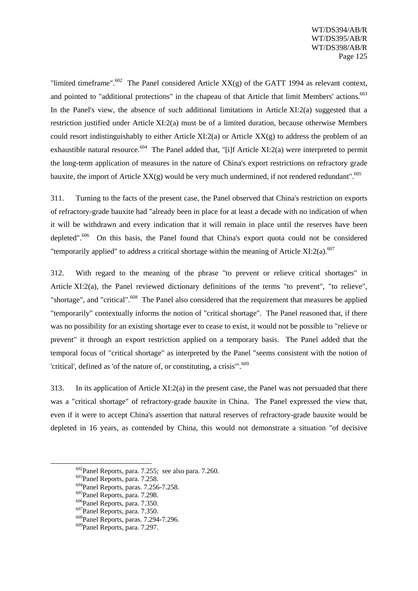"limited timeframe".<sup>602</sup> The Panel considered Article  $XX(g)$  of the GATT 1994 as relevant context, and pointed to "additional protections" in the chapeau of that Article that limit Members' actions.<sup>603</sup> In the Panel's view, the absence of such additional limitations in Article XI:2(a) suggested that a restriction justified under Article XI:2(a) must be of a limited duration, because otherwise Members could resort indistinguishably to either Article XI:2(a) or Article XX(g) to address the problem of an exhaustible natural resource.<sup>604</sup> The Panel added that, "[i]f Article XI:2(a) were interpreted to permit the long-term application of measures in the nature of China's export restrictions on refractory grade bauxite, the import of Article  $XX(g)$  would be very much undermined, if not rendered redundant".<sup>605</sup>

311. Turning to the facts of the present case, the Panel observed that China's restriction on exports of refractory-grade bauxite had "already been in place for at least a decade with no indication of when it will be withdrawn and every indication that it will remain in place until the reserves have been depleted".<sup>606</sup> On this basis, the Panel found that China's export quota could not be considered "temporarily applied" to address a critical shortage within the meaning of Article XI:2(a).<sup>607</sup>

312. With regard to the meaning of the phrase "to prevent or relieve critical shortages" in Article XI:2(a), the Panel reviewed dictionary definitions of the terms "to prevent", "to relieve", "shortage", and "critical".<sup>608</sup> The Panel also considered that the requirement that measures be applied "temporarily" contextually informs the notion of "critical shortage". The Panel reasoned that, if there was no possibility for an existing shortage ever to cease to exist, it would not be possible to "relieve or prevent" it through an export restriction applied on a temporary basis. The Panel added that the temporal focus of "critical shortage" as interpreted by the Panel "seems consistent with the notion of 'critical', defined as 'of the nature of, or constituting, a crisis'".<sup>609</sup>

313. In its application of Article XI:2(a) in the present case, the Panel was not persuaded that there was a "critical shortage" of refractory-grade bauxite in China. The Panel expressed the view that, even if it were to accept China's assertion that natural reserves of refractory-grade bauxite would be depleted in 16 years, as contended by China, this would not demonstrate a situation "of decisive

<sup>&</sup>lt;sup>602</sup>Panel Reports, para. 7.255; see also para. 7.260.<br><sup>603</sup>Panel Reports, para. 7.258.<br><sup>604</sup>Panel Reports, paras. 7.256-7.258.<br><sup>605</sup>Panel Reports, para. 7.298.<br><sup>605</sup>Panel Reports, para. 7.350.<br><sup>607</sup>Panel Reports, para. 7

<sup>609</sup>Panel Reports, para. 7.297.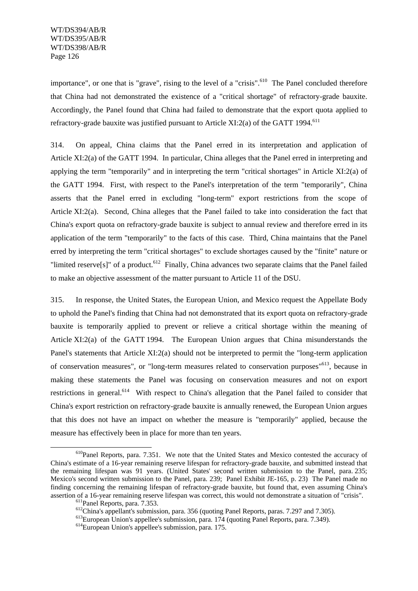importance", or one that is "grave", rising to the level of a "crisis".<sup>610</sup> The Panel concluded therefore that China had not demonstrated the existence of a "critical shortage" of refractory-grade bauxite. Accordingly, the Panel found that China had failed to demonstrate that the export quota applied to refractory-grade bauxite was justified pursuant to Article XI:2(a) of the GATT 1994.<sup>611</sup>

314. On appeal, China claims that the Panel erred in its interpretation and application of Article XI:2(a) of the GATT 1994. In particular, China alleges that the Panel erred in interpreting and applying the term "temporarily" and in interpreting the term "critical shortages" in Article XI:2(a) of the GATT 1994. First, with respect to the Panel's interpretation of the term "temporarily", China asserts that the Panel erred in excluding "long-term" export restrictions from the scope of Article XI:2(a). Second, China alleges that the Panel failed to take into consideration the fact that China's export quota on refractory-grade bauxite is subject to annual review and therefore erred in its application of the term "temporarily" to the facts of this case. Third, China maintains that the Panel erred by interpreting the term "critical shortages" to exclude shortages caused by the "finite" nature or "limited reserve<sup>[s]"</sup> of a product.<sup>612</sup> Finally, China advances two separate claims that the Panel failed to make an objective assessment of the matter pursuant to Article 11 of the DSU.

315. In response, the United States, the European Union, and Mexico request the Appellate Body to uphold the Panel's finding that China had not demonstrated that its export quota on refractory-grade bauxite is temporarily applied to prevent or relieve a critical shortage within the meaning of Article XI:2(a) of the GATT 1994. The European Union argues that China misunderstands the Panel's statements that Article XI:2(a) should not be interpreted to permit the "long-term application of conservation measures", or "long-term measures related to conservation purposes"613, because in making these statements the Panel was focusing on conservation measures and not on export restrictions in general.<sup>614</sup> With respect to China's allegation that the Panel failed to consider that China's export restriction on refractory-grade bauxite is annually renewed, the European Union argues that this does not have an impact on whether the measure is "temporarily" applied, because the measure has effectively been in place for more than ten years.

 <sup>610</sup>Panel Reports, para. 7.351. We note that the United States and Mexico contested the accuracy of China's estimate of a 16-year remaining reserve lifespan for refractory-grade bauxite, and submitted instead that the remaining lifespan was 91 years. (United States' second written submission to the Panel, para. 235; Mexico's second written submission to the Panel, para. 239; Panel Exhibit JE-165, p. 23) The Panel made no finding concerning the remaining lifespan of refractory-grade bauxite, but found that, even assuming China's assertion of a 16-year remaining reserve lifespan was correct, this would not demonstrate a situation of "crisis".<br><sup>611</sup>Panel Reports, para. 7.353.<br><sup>612</sup>China's appellant's submission, para. 356 (quoting Panel Reports, pa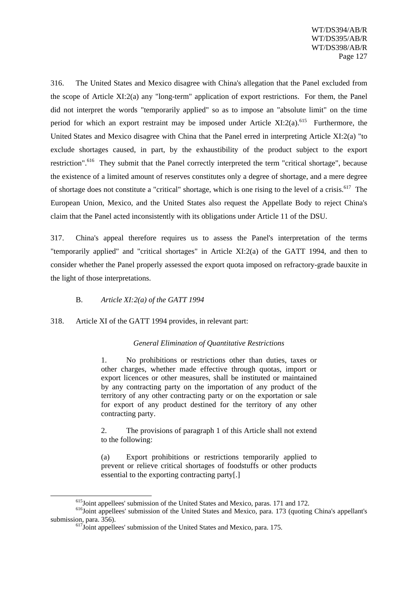316. The United States and Mexico disagree with China's allegation that the Panel excluded from the scope of Article XI:2(a) any "long-term" application of export restrictions. For them, the Panel did not interpret the words "temporarily applied" so as to impose an "absolute limit" on the time period for which an export restraint may be imposed under Article XI:2(a).<sup>615</sup> Furthermore, the United States and Mexico disagree with China that the Panel erred in interpreting Article XI:2(a) "to exclude shortages caused, in part, by the exhaustibility of the product subject to the export restriction".<sup>616</sup> They submit that the Panel correctly interpreted the term "critical shortage", because the existence of a limited amount of reserves constitutes only a degree of shortage, and a mere degree of shortage does not constitute a "critical" shortage, which is one rising to the level of a crisis.<sup>617</sup> The European Union, Mexico, and the United States also request the Appellate Body to reject China's claim that the Panel acted inconsistently with its obligations under Article 11 of the DSU.

317. China's appeal therefore requires us to assess the Panel's interpretation of the terms "temporarily applied" and "critical shortages" in Article XI:2(a) of the GATT 1994, and then to consider whether the Panel properly assessed the export quota imposed on refractory-grade bauxite in the light of those interpretations.

### B. *Article XI:2(a) of the GATT 1994*

#### 318. Article XI of the GATT 1994 provides, in relevant part:

#### *General Elimination of Quantitative Restrictions*

1. No prohibitions or restrictions other than duties, taxes or other charges, whether made effective through quotas, import or export licences or other measures, shall be instituted or maintained by any contracting party on the importation of any product of the territory of any other contracting party or on the exportation or sale for export of any product destined for the territory of any other contracting party.

2. The provisions of paragraph 1 of this Article shall not extend to the following:

(a) Export prohibitions or restrictions temporarily applied to prevent or relieve critical shortages of foodstuffs or other products essential to the exporting contracting party[.]

 $615$ Joint appellees' submission of the United States and Mexico, paras. 171 and 172.<br> $616$ Joint appellees' submission of the United States and Mexico, para. 173 (quoting China's appellant's submission, para. 356). <sup>617</sup>Joint appellees' submission of the United States and Mexico, para. 175.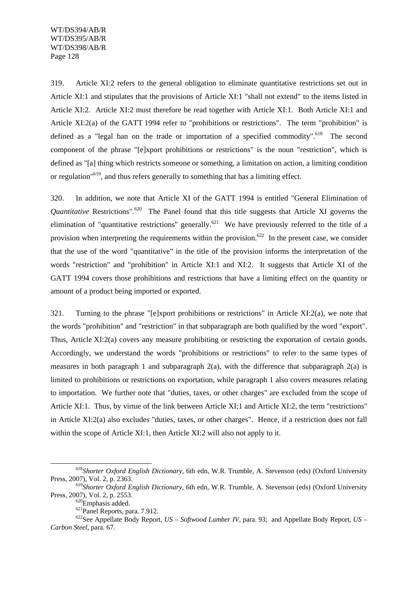319. Article XI:2 refers to the general obligation to eliminate quantitative restrictions set out in Article XI:1 and stipulates that the provisions of Article XI:1 "shall not extend" to the items listed in Article XI:2. Article XI:2 must therefore be read together with Article XI:1. Both Article XI:1 and Article XI:2(a) of the GATT 1994 refer to "prohibitions or restrictions". The term "prohibition" is defined as a "legal ban on the trade or importation of a specified commodity". The second component of the phrase "[e]xport prohibitions or restrictions" is the noun "restriction", which is defined as "[a] thing which restricts someone or something, a limitation on action, a limiting condition or regulation"619, and thus refers generally to something that has a limiting effect.

320. In addition, we note that Article XI of the GATT 1994 is entitled "General Elimination of *Quantitative* Restrictions".<sup>620</sup> The Panel found that this title suggests that Article XI governs the elimination of "quantitative restrictions" generally.<sup>621</sup> We have previously referred to the title of a provision when interpreting the requirements within the provision.<sup>622</sup> In the present case, we consider that the use of the word "quantitative" in the title of the provision informs the interpretation of the words "restriction" and "prohibition" in Article XI:1 and XI:2. It suggests that Article XI of the GATT 1994 covers those prohibitions and restrictions that have a limiting effect on the quantity or amount of a product being imported or exported.

321. Turning to the phrase "[e]xport prohibitions or restrictions" in Article XI:2(a), we note that the words "prohibition" and "restriction" in that subparagraph are both qualified by the word "export". Thus, Article XI:2(a) covers any measure prohibiting or restricting the exportation of certain goods. Accordingly, we understand the words "prohibitions or restrictions" to refer to the same types of measures in both paragraph 1 and subparagraph  $2(a)$ , with the difference that subparagraph  $2(a)$  is limited to prohibitions or restrictions on exportation, while paragraph 1 also covers measures relating to importation. We further note that "duties, taxes, or other charges" are excluded from the scope of Article XI:1. Thus, by virtue of the link between Article XI:1 and Article XI:2, the term "restrictions" in Article XI:2(a) also excludes "duties, taxes, or other charges". Hence, if a restriction does not fall within the scope of Article XI:1, then Article XI:2 will also not apply to it.

 <sup>618</sup>*Shorter Oxford English Dictionary*, 6th edn, W.R. Trumble, A. Stevenson (eds) (Oxford University Press, 2007), Vol. 2, p. 2363.

<sup>619</sup>*Shorter Oxford English Dictionary*, 6th edn, W.R. Trumble, A. Stevenson (eds) (Oxford University Press, 2007), Vol. 2, p. 2553.<br><sup>620</sup>Emphasis added. <sup>621</sup>Panel Reports, para. 7.912.<br><sup>622</sup>See Appellate Body Report, *US – Softwood Lumber IV*, para. 93; and Appellate Body Report, *US –* 

*Carbon Steel*, para. 67.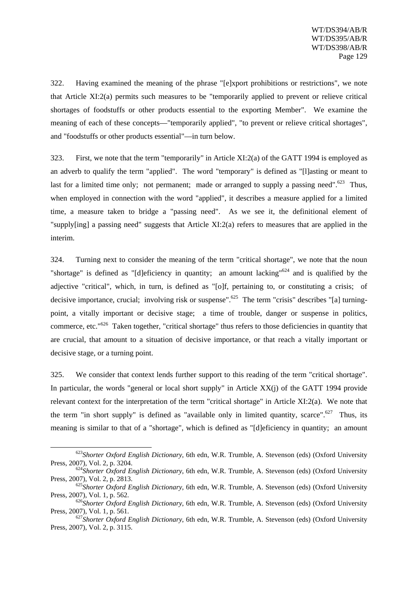322. Having examined the meaning of the phrase "[e]xport prohibitions or restrictions", we note that Article XI:2(a) permits such measures to be "temporarily applied to prevent or relieve critical shortages of foodstuffs or other products essential to the exporting Member". We examine the meaning of each of these concepts—"temporarily applied", "to prevent or relieve critical shortages", and "foodstuffs or other products essential"—in turn below.

323. First, we note that the term "temporarily" in Article XI:2(a) of the GATT 1994 is employed as an adverb to qualify the term "applied". The word "temporary" is defined as "[l]asting or meant to last for a limited time only; not permanent; made or arranged to supply a passing need". $623$  Thus, when employed in connection with the word "applied", it describes a measure applied for a limited time, a measure taken to bridge a "passing need". As we see it, the definitional element of "supply[ing] a passing need" suggests that Article XI:2(a) refers to measures that are applied in the interim.

324. Turning next to consider the meaning of the term "critical shortage", we note that the noun "shortage" is defined as "[d]eficiency in quantity; an amount lacking"<sup>624</sup> and is qualified by the adjective "critical", which, in turn, is defined as "[o]f, pertaining to, or constituting a crisis; of decisive importance, crucial; involving risk or suspense".<sup>625</sup> The term "crisis" describes "[a] turningpoint, a vitally important or decisive stage; a time of trouble, danger or suspense in politics, commerce, etc."626 Taken together, "critical shortage" thus refers to those deficiencies in quantity that are crucial, that amount to a situation of decisive importance, or that reach a vitally important or decisive stage, or a turning point.

325. We consider that context lends further support to this reading of the term "critical shortage". In particular, the words "general or local short supply" in Article XX(j) of the GATT 1994 provide relevant context for the interpretation of the term "critical shortage" in Article XI:2(a). We note that the term "in short supply" is defined as "available only in limited quantity, scarce".<sup>627</sup> Thus, its meaning is similar to that of a "shortage", which is defined as "[d]eficiency in quantity; an amount

 <sup>623</sup>*Shorter Oxford English Dictionary*, 6th edn, W.R. Trumble, A. Stevenson (eds) (Oxford University

Press, 2007), Vol. 2, p. 3204.<br><sup>624</sup>Shorter Oxford English Dictionary, 6th edn, W.R. Trumble, A. Stevenson (eds) (Oxford University Press, 2007), Vol. 2, p. 2813.

<sup>&</sup>lt;sup>625</sup>Shorter Oxford English Dictionary, 6th edn, W.R. Trumble, A. Stevenson (eds) (Oxford University Press, 2007), Vol. 1, p. 562.<br><sup>626</sup>Shorter Oxford English Dictionary, 6th edn, W.R. Trumble, A. Stevenson (eds) (Oxford University

Press, 2007), Vol. 1, p. 561.<br><sup>627</sup>Shorter Oxford English Dictionary, 6th edn, W.R. Trumble, A. Stevenson (eds) (Oxford University

Press, 2007), Vol. 2, p. 3115.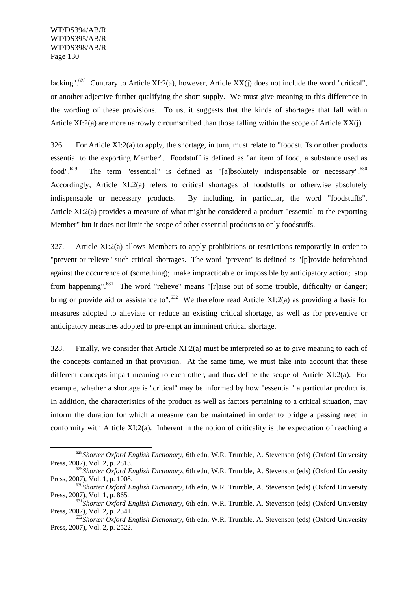lacking".<sup>628</sup> Contrary to Article XI:2(a), however, Article XX(j) does not include the word "critical", or another adjective further qualifying the short supply. We must give meaning to this difference in the wording of these provisions. To us, it suggests that the kinds of shortages that fall within Article XI:2(a) are more narrowly circumscribed than those falling within the scope of Article XX(j).

326. For Article XI:2(a) to apply, the shortage, in turn, must relate to "foodstuffs or other products essential to the exporting Member". Foodstuff is defined as "an item of food, a substance used as food".<sup>629</sup> The term "essential" is defined as "[a]bsolutely indispensable or necessary".<sup>630</sup> Accordingly, Article XI:2(a) refers to critical shortages of foodstuffs or otherwise absolutely indispensable or necessary products. By including, in particular, the word "foodstuffs", Article XI:2(a) provides a measure of what might be considered a product "essential to the exporting Member" but it does not limit the scope of other essential products to only foodstuffs.

327. Article XI:2(a) allows Members to apply prohibitions or restrictions temporarily in order to "prevent or relieve" such critical shortages. The word "prevent" is defined as "[p]rovide beforehand against the occurrence of (something); make impracticable or impossible by anticipatory action; stop from happening".<sup>631</sup> The word "relieve" means "[r]aise out of some trouble, difficulty or danger; bring or provide aid or assistance to".<sup>632</sup> We therefore read Article XI:2(a) as providing a basis for measures adopted to alleviate or reduce an existing critical shortage, as well as for preventive or anticipatory measures adopted to pre-empt an imminent critical shortage.

328. Finally, we consider that Article XI:2(a) must be interpreted so as to give meaning to each of the concepts contained in that provision. At the same time, we must take into account that these different concepts impart meaning to each other, and thus define the scope of Article XI:2(a). For example, whether a shortage is "critical" may be informed by how "essential" a particular product is. In addition, the characteristics of the product as well as factors pertaining to a critical situation, may inform the duration for which a measure can be maintained in order to bridge a passing need in conformity with Article XI:2(a). Inherent in the notion of criticality is the expectation of reaching a

 <sup>628</sup>*Shorter Oxford English Dictionary*, 6th edn, W.R. Trumble, A. Stevenson (eds) (Oxford University Press, 2007), Vol. 2, p. 2813.

<sup>&</sup>lt;sup>629</sup>Shorter Oxford English Dictionary, 6th edn, W.R. Trumble, A. Stevenson (eds) (Oxford University Press, 2007), Vol. 1, p. 1008.

<sup>&</sup>lt;sup>630</sup>Shorter Oxford English Dictionary, 6th edn, W.R. Trumble, A. Stevenson (eds) (Oxford University Press, 2007), Vol. 1, p. 865.<br><sup>631</sup>Shorter Oxford English Dictionary, 6th edn, W.R. Trumble, A. Stevenson (eds) (Oxford University

Press, 2007), Vol. 2, p. 2341. 632*Shorter Oxford English Dictionary*, 6th edn, W.R. Trumble, A. Stevenson (eds) (Oxford University

Press, 2007), Vol. 2, p. 2522.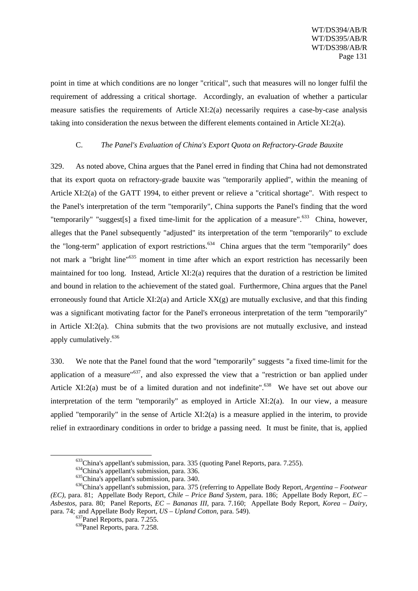point in time at which conditions are no longer "critical", such that measures will no longer fulfil the requirement of addressing a critical shortage. Accordingly, an evaluation of whether a particular measure satisfies the requirements of Article XI:2(a) necessarily requires a case-by-case analysis taking into consideration the nexus between the different elements contained in Article XI:2(a).

## C. *The Panel's Evaluation of China's Export Quota on Refractory-Grade Bauxite*

329. As noted above, China argues that the Panel erred in finding that China had not demonstrated that its export quota on refractory-grade bauxite was "temporarily applied", within the meaning of Article XI:2(a) of the GATT 1994, to either prevent or relieve a "critical shortage". With respect to the Panel's interpretation of the term "temporarily", China supports the Panel's finding that the word "temporarily" "suggest[s] a fixed time-limit for the application of a measure".<sup>633</sup> China, however, alleges that the Panel subsequently "adjusted" its interpretation of the term "temporarily" to exclude the "long-term" application of export restrictions.<sup>634</sup> China argues that the term "temporarily" does not mark a "bright line"635 moment in time after which an export restriction has necessarily been maintained for too long. Instead, Article XI:2(a) requires that the duration of a restriction be limited and bound in relation to the achievement of the stated goal. Furthermore, China argues that the Panel erroneously found that Article  $XI:2(a)$  and Article  $XX(g)$  are mutually exclusive, and that this finding was a significant motivating factor for the Panel's erroneous interpretation of the term "temporarily" in Article XI:2(a). China submits that the two provisions are not mutually exclusive, and instead apply cumulatively.<sup>636</sup>

330. We note that the Panel found that the word "temporarily" suggests "a fixed time-limit for the application of a measure"<sup>637</sup>, and also expressed the view that a "restriction or ban applied under Article XI:2(a) must be of a limited duration and not indefinite".<sup>638</sup> We have set out above our interpretation of the term "temporarily" as employed in Article XI:2(a). In our view, a measure applied "temporarily" in the sense of Article XI:2(a) is a measure applied in the interim, to provide relief in extraordinary conditions in order to bridge a passing need. It must be finite, that is, applied

<sup>&</sup>lt;sup>633</sup>China's appellant's submission, para. 335 (quoting Panel Reports, para. 7.255).<br><sup>634</sup>China's appellant's submission, para. 336.<br><sup>635</sup>China's appellant's submission, para. 340.<br><sup>636</sup>China's appellant's submission, par *(EC)*, para. 81; Appellate Body Report, *Chile – Price Band System*, para. 186; Appellate Body Report, *EC – Asbestos*, para. 80; Panel Reports, *EC – Bananas III*, para. 7.160; Appellate Body Report, *Korea – Dairy*, para. 74; and Appellate Body Report, *US – Upland Cotton*, para. 549).<br><sup>637</sup>Panel Reports, para. 7.255.<br><sup>638</sup>Panel Reports, para. 7.258.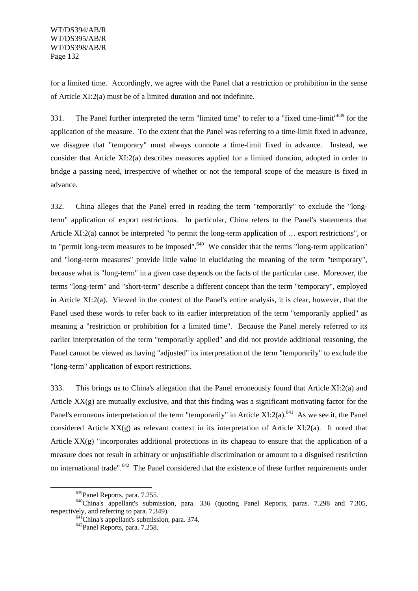for a limited time. Accordingly, we agree with the Panel that a restriction or prohibition in the sense of Article XI:2(a) must be of a limited duration and not indefinite.

331. The Panel further interpreted the term "limited time" to refer to a "fixed time-limit"639 for the application of the measure. To the extent that the Panel was referring to a time-limit fixed in advance, we disagree that "temporary" must always connote a time-limit fixed in advance. Instead, we consider that Article XI:2(a) describes measures applied for a limited duration, adopted in order to bridge a passing need, irrespective of whether or not the temporal scope of the measure is fixed in advance.

332. China alleges that the Panel erred in reading the term "temporarily" to exclude the "longterm" application of export restrictions. In particular, China refers to the Panel's statements that Article XI:2(a) cannot be interpreted "to permit the long-term application of … export restrictions", or to "permit long-term measures to be imposed".<sup>640</sup> We consider that the terms "long-term application" and "long-term measures" provide little value in elucidating the meaning of the term "temporary", because what is "long-term" in a given case depends on the facts of the particular case. Moreover, the terms "long-term" and "short-term" describe a different concept than the term "temporary", employed in Article XI:2(a). Viewed in the context of the Panel's entire analysis, it is clear, however, that the Panel used these words to refer back to its earlier interpretation of the term "temporarily applied" as meaning a "restriction or prohibition for a limited time". Because the Panel merely referred to its earlier interpretation of the term "temporarily applied" and did not provide additional reasoning, the Panel cannot be viewed as having "adjusted" its interpretation of the term "temporarily" to exclude the "long-term" application of export restrictions.

333. This brings us to China's allegation that the Panel erroneously found that Article XI:2(a) and Article  $XX(g)$  are mutually exclusive, and that this finding was a significant motivating factor for the Panel's erroneous interpretation of the term "temporarily" in Article XI:2(a).<sup>641</sup> As we see it, the Panel considered Article XX(g) as relevant context in its interpretation of Article XI:2(a). It noted that Article  $XX(g)$  "incorporates additional protections in its chapeau to ensure that the application of a measure does not result in arbitrary or unjustifiable discrimination or amount to a disguised restriction on international trade".<sup>642</sup> The Panel considered that the existence of these further requirements under

<sup>&</sup>lt;sup>639</sup>Panel Reports, para. 7.255.<br><sup>640</sup>China's appellant's submission, para. 336 (quoting Panel Reports, paras. 7.298 and 7.305, respectively, and referring to para. 7.349).

 $t^{64}$ China's appellant's submission, para. 374.  $t^{64}$ Panel Reports, para. 7.258.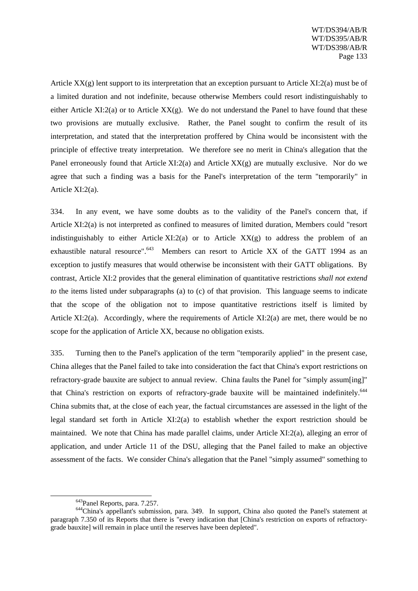Article  $XX(g)$  lent support to its interpretation that an exception pursuant to Article XI:2(a) must be of a limited duration and not indefinite, because otherwise Members could resort indistinguishably to either Article XI:2(a) or to Article  $XX(g)$ . We do not understand the Panel to have found that these two provisions are mutually exclusive. Rather, the Panel sought to confirm the result of its interpretation, and stated that the interpretation proffered by China would be inconsistent with the principle of effective treaty interpretation. We therefore see no merit in China's allegation that the Panel erroneously found that Article  $XI:2(a)$  and Article  $XX(g)$  are mutually exclusive. Nor do we agree that such a finding was a basis for the Panel's interpretation of the term "temporarily" in Article XI:2(a).

334. In any event, we have some doubts as to the validity of the Panel's concern that, if Article XI:2(a) is not interpreted as confined to measures of limited duration, Members could "resort indistinguishably to either Article XI:2(a) or to Article  $XX(g)$  to address the problem of an exhaustible natural resource".<sup>643</sup> Members can resort to Article XX of the GATT 1994 as an exception to justify measures that would otherwise be inconsistent with their GATT obligations. By contrast, Article XI:2 provides that the general elimination of quantitative restrictions *shall not extend to* the items listed under subparagraphs (a) to (c) of that provision. This language seems to indicate that the scope of the obligation not to impose quantitative restrictions itself is limited by Article XI:2(a). Accordingly, where the requirements of Article XI:2(a) are met, there would be no scope for the application of Article XX, because no obligation exists.

335. Turning then to the Panel's application of the term "temporarily applied" in the present case, China alleges that the Panel failed to take into consideration the fact that China's export restrictions on refractory-grade bauxite are subject to annual review. China faults the Panel for "simply assum[ing]" that China's restriction on exports of refractory-grade bauxite will be maintained indefinitely.<sup>644</sup> China submits that, at the close of each year, the factual circumstances are assessed in the light of the legal standard set forth in Article XI:2(a) to establish whether the export restriction should be maintained. We note that China has made parallel claims, under Article XI:2(a), alleging an error of application, and under Article 11 of the DSU, alleging that the Panel failed to make an objective assessment of the facts. We consider China's allegation that the Panel "simply assumed" something to

<sup>&</sup>lt;sup>643</sup>Panel Reports, para. 7.257.<br><sup>644</sup>China's appellant's submission, para. 349. In support, China also quoted the Panel's statement at paragraph 7.350 of its Reports that there is "every indication that [China's restriction on exports of refractorygrade bauxite] will remain in place until the reserves have been depleted".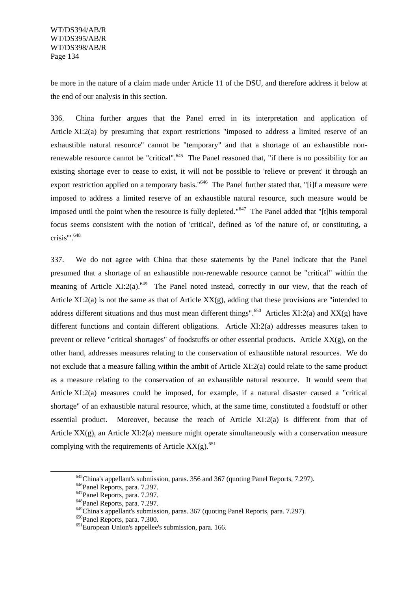be more in the nature of a claim made under Article 11 of the DSU, and therefore address it below at the end of our analysis in this section.

336. China further argues that the Panel erred in its interpretation and application of Article XI:2(a) by presuming that export restrictions "imposed to address a limited reserve of an exhaustible natural resource" cannot be "temporary" and that a shortage of an exhaustible nonrenewable resource cannot be "critical".<sup>645</sup> The Panel reasoned that, "if there is no possibility for an existing shortage ever to cease to exist, it will not be possible to 'relieve or prevent' it through an export restriction applied on a temporary basis."<sup>646</sup> The Panel further stated that, "[i]f a measure were imposed to address a limited reserve of an exhaustible natural resource, such measure would be imposed until the point when the resource is fully depleted."<sup>647</sup> The Panel added that "[t]his temporal focus seems consistent with the notion of 'critical', defined as 'of the nature of, or constituting, a crisis".<sup>648</sup>

337. We do not agree with China that these statements by the Panel indicate that the Panel presumed that a shortage of an exhaustible non-renewable resource cannot be "critical" within the meaning of Article XI:2(a).<sup>649</sup> The Panel noted instead, correctly in our view, that the reach of Article XI:2(a) is not the same as that of Article  $XX(g)$ , adding that these provisions are "intended to address different situations and thus must mean different things".<sup>650</sup> Articles XI:2(a) and XX(g) have different functions and contain different obligations. Article XI:2(a) addresses measures taken to prevent or relieve "critical shortages" of foodstuffs or other essential products. Article  $XX(g)$ , on the other hand, addresses measures relating to the conservation of exhaustible natural resources. We do not exclude that a measure falling within the ambit of Article XI:2(a) could relate to the same product as a measure relating to the conservation of an exhaustible natural resource. It would seem that Article XI:2(a) measures could be imposed, for example, if a natural disaster caused a "critical shortage" of an exhaustible natural resource, which, at the same time, constituted a foodstuff or other essential product. Moreover, because the reach of Article XI:2(a) is different from that of Article  $XX(g)$ , an Article  $XI:2(a)$  measure might operate simultaneously with a conservation measure complying with the requirements of Article  $XX(g)$ .<sup>651</sup>

<sup>&</sup>lt;sup>645</sup>China's appellant's submission, paras. 356 and 367 (quoting Panel Reports, 7.297).<br><sup>646</sup>Panel Reports, para. 7.297.<br><sup>648</sup>Panel Reports, para. 7.297.

 $649$ China's appellant's submission, paras. 367 (quoting Panel Reports, para. 7.297).<br> $650$ Panel Reports, para. 7.300.<br> $651$ European Union's appellee's submission, para. 166.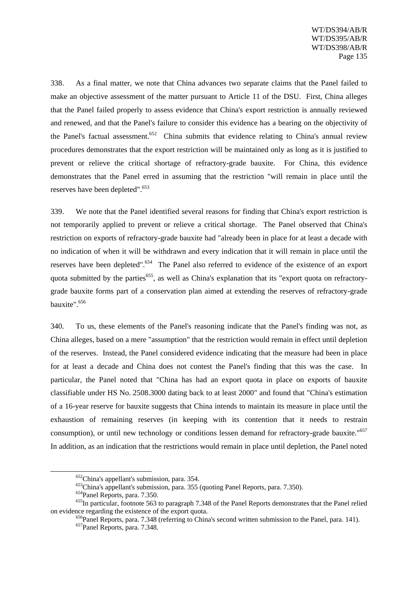338. As a final matter, we note that China advances two separate claims that the Panel failed to make an objective assessment of the matter pursuant to Article 11 of the DSU. First, China alleges that the Panel failed properly to assess evidence that China's export restriction is annually reviewed and renewed, and that the Panel's failure to consider this evidence has a bearing on the objectivity of the Panel's factual assessment.<sup>652</sup> China submits that evidence relating to China's annual review procedures demonstrates that the export restriction will be maintained only as long as it is justified to prevent or relieve the critical shortage of refractory-grade bauxite. For China, this evidence demonstrates that the Panel erred in assuming that the restriction "will remain in place until the reserves have been depleted".<sup>653</sup>

339. We note that the Panel identified several reasons for finding that China's export restriction is not temporarily applied to prevent or relieve a critical shortage. The Panel observed that China's restriction on exports of refractory-grade bauxite had "already been in place for at least a decade with no indication of when it will be withdrawn and every indication that it will remain in place until the reserves have been depleted".<sup>654</sup> The Panel also referred to evidence of the existence of an export quota submitted by the parties<sup>655</sup>, as well as China's explanation that its "export quota on refractorygrade bauxite forms part of a conservation plan aimed at extending the reserves of refractory-grade bauxite".<sup>656</sup>

340. To us, these elements of the Panel's reasoning indicate that the Panel's finding was not, as China alleges, based on a mere "assumption" that the restriction would remain in effect until depletion of the reserves. Instead, the Panel considered evidence indicating that the measure had been in place for at least a decade and China does not contest the Panel's finding that this was the case. In particular, the Panel noted that "China has had an export quota in place on exports of bauxite classifiable under HS No. 2508.3000 dating back to at least 2000" and found that "China's estimation of a 16-year reserve for bauxite suggests that China intends to maintain its measure in place until the exhaustion of remaining reserves (in keeping with its contention that it needs to restrain consumption), or until new technology or conditions lessen demand for refractory-grade bauxite."657 In addition, as an indication that the restrictions would remain in place until depletion, the Panel noted

<sup>&</sup>lt;sup>652</sup>China's appellant's submission, para. 354.<br><sup>653</sup>China's appellant's submission, para. 355 (quoting Panel Reports, para. 7.350).<br><sup>654</sup>Panel Reports, para. 7.350.<br><sup>655</sup>In particular, footnote 563 to paragraph 7.348 of

 $^{656}$ Panel Reports, para. 7.348 (referring to China's second written submission to the Panel, para. 141).  $^{657}$ Panel Reports, para. 7.348.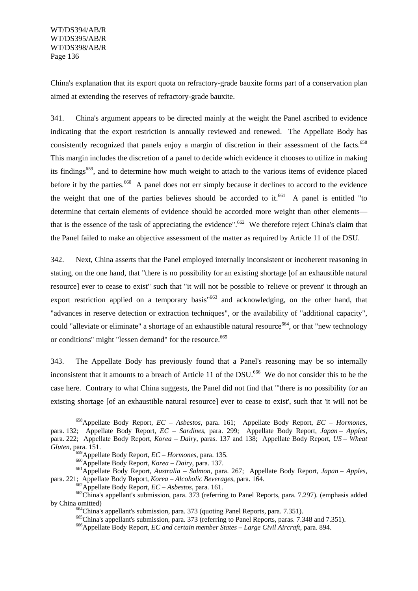China's explanation that its export quota on refractory-grade bauxite forms part of a conservation plan aimed at extending the reserves of refractory-grade bauxite.

341. China's argument appears to be directed mainly at the weight the Panel ascribed to evidence indicating that the export restriction is annually reviewed and renewed. The Appellate Body has consistently recognized that panels enjoy a margin of discretion in their assessment of the facts.<sup>658</sup> This margin includes the discretion of a panel to decide which evidence it chooses to utilize in making its findings659, and to determine how much weight to attach to the various items of evidence placed before it by the parties.<sup>660</sup> A panel does not err simply because it declines to accord to the evidence the weight that one of the parties believes should be accorded to it.<sup>661</sup> A panel is entitled "to determine that certain elements of evidence should be accorded more weight than other elements that is the essence of the task of appreciating the evidence". We therefore reject China's claim that the Panel failed to make an objective assessment of the matter as required by Article 11 of the DSU.

342. Next, China asserts that the Panel employed internally inconsistent or incoherent reasoning in stating, on the one hand, that "there is no possibility for an existing shortage [of an exhaustible natural resource] ever to cease to exist" such that "it will not be possible to 'relieve or prevent' it through an export restriction applied on a temporary basis<sup>"663</sup> and acknowledging, on the other hand, that "advances in reserve detection or extraction techniques", or the availability of "additional capacity", could "alleviate or eliminate" a shortage of an exhaustible natural resource<sup>664</sup>, or that "new technology or conditions" might "lessen demand" for the resource.<sup>665</sup>

343. The Appellate Body has previously found that a Panel's reasoning may be so internally inconsistent that it amounts to a breach of Article 11 of the DSU.<sup>666</sup> We do not consider this to be the case here. Contrary to what China suggests, the Panel did not find that "'there is no possibility for an existing shortage [of an exhaustible natural resource] ever to cease to exist', such that 'it will not be

 <sup>658</sup>Appellate Body Report, *EC – Asbestos*, para. 161; Appellate Body Report, *EC – Hormones*, para. 132; Appellate Body Report, *EC – Sardines*, para. 299; Appellate Body Report, *Japan – Apples*, para. 222; Appellate Body Report, *Korea – Dairy*, paras. 137 and 138; Appellate Body Report, *US – Wheat Gluten*, para. 151.

<sup>&</sup>lt;sup>660</sup>Appellate Body Report, *Korea – Dairy*, para. 137.<br><sup>661</sup>Appellate Body Report, *Australia – Salmon*, para. 267; Appellate Body Report, *Japan – Apples*, para. 221; Appellate Body Report, *Korea – Alcoholic Beverages*, para. 164.<br><sup>662</sup> Appellate Body Report, *EC – Asbestos*, para. 161.<br><sup>663</sup> China's appellant's submission, para. 373 (referring to Panel Reports, para. 7.297)

by China omitted)<br><sup>664</sup>China's appellant's submission, para. 373 (quoting Panel Reports, para. 7.351).<br><sup>665</sup>China's appellant's submission, para. 373 (referring to Panel Reports, paras. 7.348 and 7.351).<br><sup>666</sup>Appellate Bod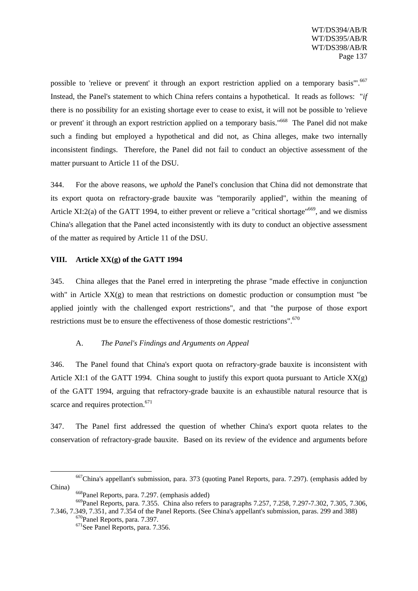possible to 'relieve or prevent' it through an export restriction applied on a temporary basis".<sup>667</sup> Instead, the Panel's statement to which China refers contains a hypothetical. It reads as follows: "*if* there is no possibility for an existing shortage ever to cease to exist, it will not be possible to 'relieve or prevent' it through an export restriction applied on a temporary basis."668 The Panel did not make such a finding but employed a hypothetical and did not, as China alleges, make two internally inconsistent findings. Therefore, the Panel did not fail to conduct an objective assessment of the matter pursuant to Article 11 of the DSU.

344. For the above reasons, we *uphold* the Panel's conclusion that China did not demonstrate that its export quota on refractory-grade bauxite was "temporarily applied", within the meaning of Article XI:2(a) of the GATT 1994, to either prevent or relieve a "critical shortage"<sup>669</sup>, and we dismiss China's allegation that the Panel acted inconsistently with its duty to conduct an objective assessment of the matter as required by Article 11 of the DSU.

### **VIII. Article XX(g) of the GATT 1994**

345. China alleges that the Panel erred in interpreting the phrase "made effective in conjunction with" in Article  $XX(g)$  to mean that restrictions on domestic production or consumption must "be applied jointly with the challenged export restrictions", and that "the purpose of those export restrictions must be to ensure the effectiveness of those domestic restrictions".  $670$ 

## A. *The Panel's Findings and Arguments on Appeal*

346. The Panel found that China's export quota on refractory-grade bauxite is inconsistent with Article XI:1 of the GATT 1994. China sought to justify this export quota pursuant to Article  $XX(g)$ of the GATT 1994, arguing that refractory-grade bauxite is an exhaustible natural resource that is scarce and requires protection.<sup>671</sup>

347. The Panel first addressed the question of whether China's export quota relates to the conservation of refractory-grade bauxite. Based on its review of the evidence and arguments before

 <sup>667</sup>China's appellant's submission, para. 373 (quoting Panel Reports, para. 7.297). (emphasis added by China)<br><sup>668</sup>Panel Reports, para. 7.297. (emphasis added)<br><sup>669</sup>Panel Reports, para. 7.355. China also refers to paragraphs 7.257, 7.258, 7.297-7.302, 7.305, 7.306,

<sup>7.346, 7.349, 7.351,</sup> and 7.354 of the Panel Reports. (See China's appellant's submission, paras. 299 and 388) <sup>670</sup>Panel Reports, para. 7.397.<br><sup>671</sup>See Panel Reports, para. 7.356.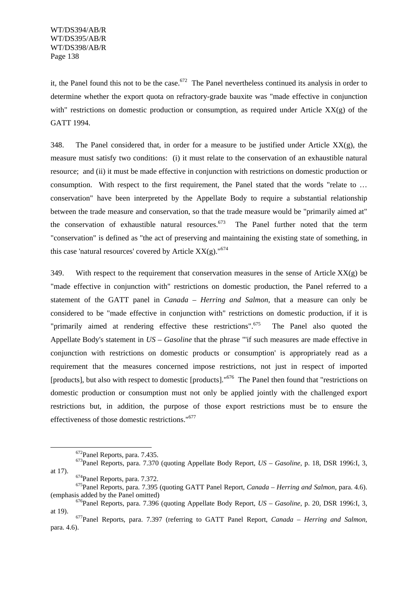it, the Panel found this not to be the case.<sup>672</sup> The Panel nevertheless continued its analysis in order to determine whether the export quota on refractory-grade bauxite was "made effective in conjunction with" restrictions on domestic production or consumption, as required under Article  $XX(g)$  of the GATT 1994.

348. The Panel considered that, in order for a measure to be justified under Article  $XX(g)$ , the measure must satisfy two conditions: (i) it must relate to the conservation of an exhaustible natural resource; and (ii) it must be made effective in conjunction with restrictions on domestic production or consumption. With respect to the first requirement, the Panel stated that the words "relate to … conservation" have been interpreted by the Appellate Body to require a substantial relationship between the trade measure and conservation, so that the trade measure would be "primarily aimed at" the conservation of exhaustible natural resources.<sup>673</sup> The Panel further noted that the term "conservation" is defined as "the act of preserving and maintaining the existing state of something, in this case 'natural resources' covered by Article  $XX(g)$ ."<sup>674</sup>

349. With respect to the requirement that conservation measures in the sense of Article  $XX(g)$  be "made effective in conjunction with" restrictions on domestic production, the Panel referred to a statement of the GATT panel in *Canada – Herring and Salmon*, that a measure can only be considered to be "made effective in conjunction with" restrictions on domestic production, if it is "primarily aimed at rendering effective these restrictions".<sup>675</sup> The Panel also quoted the Appellate Body's statement in *US – Gasoline* that the phrase "'if such measures are made effective in conjunction with restrictions on domestic products or consumption' is appropriately read as a requirement that the measures concerned impose restrictions, not just in respect of imported [products], but also with respect to domestic [products]."<sup>676</sup> The Panel then found that "restrictions on domestic production or consumption must not only be applied jointly with the challenged export restrictions but, in addition, the purpose of those export restrictions must be to ensure the effectiveness of those domestic restrictions."677

 <sup>672</sup>Panel Reports, para. 7.435. 673Panel Reports, para. 7.370 (quoting Appellate Body Report, *US – Gasoline*, p. 18, DSR 1996:I, 3,

at 17). 674Panel Reports, para. 7.372. 675Panel Reports, para. 7.395 (quoting GATT Panel Report, *Canada – Herring and Salmon*, para. 4.6). (emphasis added by the Panel omitted) 676Panel Reports, para. 7.396 (quoting Appellate Body Report, *US – Gasoline*, p. 20, DSR 1996:I, 3,

at 19). 677Panel Reports, para. 7.397 (referring to GATT Panel Report, *Canada – Herring and Salmon*, para. 4.6).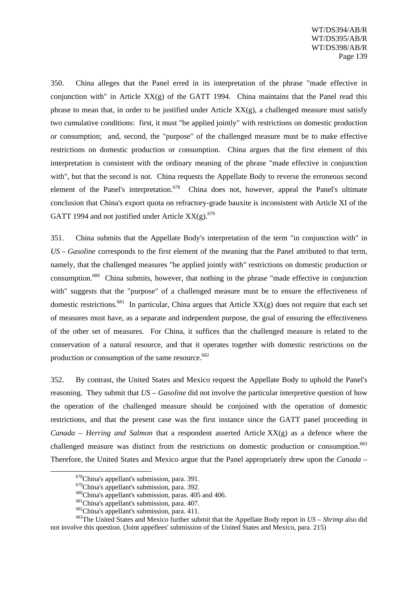350. China alleges that the Panel erred in its interpretation of the phrase "made effective in conjunction with" in Article  $XX(g)$  of the GATT 1994. China maintains that the Panel read this phrase to mean that, in order to be justified under Article  $XX(g)$ , a challenged measure must satisfy two cumulative conditions: first, it must "be applied jointly" with restrictions on domestic production or consumption; and, second, the "purpose" of the challenged measure must be to make effective restrictions on domestic production or consumption. China argues that the first element of this interpretation is consistent with the ordinary meaning of the phrase "made effective in conjunction with", but that the second is not. China requests the Appellate Body to reverse the erroneous second element of the Panel's interpretation.<sup>678</sup> China does not, however, appeal the Panel's ultimate conclusion that China's export quota on refractory-grade bauxite is inconsistent with Article XI of the GATT 1994 and not justified under Article  $XX(g)$ .<sup>679</sup>

351. China submits that the Appellate Body's interpretation of the term "in conjunction with" in *US – Gasoline* corresponds to the first element of the meaning that the Panel attributed to that term, namely, that the challenged measures "be applied jointly with" restrictions on domestic production or consumption.680 China submits, however, that nothing in the phrase "made effective in conjunction with" suggests that the "purpose" of a challenged measure must be to ensure the effectiveness of domestic restrictions.<sup>681</sup> In particular, China argues that Article  $XX(g)$  does not require that each set of measures must have, as a separate and independent purpose, the goal of ensuring the effectiveness of the other set of measures. For China, it suffices that the challenged measure is related to the conservation of a natural resource, and that it operates together with domestic restrictions on the production or consumption of the same resource.<sup>682</sup>

352. By contrast, the United States and Mexico request the Appellate Body to uphold the Panel's reasoning. They submit that *US – Gasoline* did not involve the particular interpretive question of how the operation of the challenged measure should be conjoined with the operation of domestic restrictions, and that the present case was the first instance since the GATT panel proceeding in *Canada – Herring and Salmon* that a respondent asserted Article XX(g) as a defence where the challenged measure was distinct from the restrictions on domestic production or consumption.<sup>683</sup> Therefore, the United States and Mexico argue that the Panel appropriately drew upon the *Canada –* 

<sup>&</sup>lt;sup>678</sup>China's appellant's submission, para. 391.<br><sup>679</sup>China's appellant's submission, para. 392.<br><sup>680</sup>China's appellant's submission, paras. 405 and 406.<br><sup>681</sup>China's appellant's submission, para. 407.<br><sup>682</sup>China's appella not involve this question. (Joint appellees' submission of the United States and Mexico, para. 215)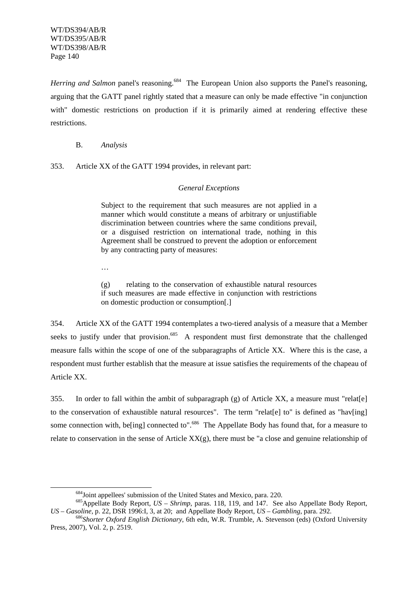*Herring and Salmon panel's reasoning.*<sup>684</sup> The European Union also supports the Panel's reasoning, arguing that the GATT panel rightly stated that a measure can only be made effective "in conjunction with" domestic restrictions on production if it is primarily aimed at rendering effective these restrictions.

#### B. *Analysis*

353. Article XX of the GATT 1994 provides, in relevant part:

#### *General Exceptions*

Subject to the requirement that such measures are not applied in a manner which would constitute a means of arbitrary or unjustifiable discrimination between countries where the same conditions prevail, or a disguised restriction on international trade, nothing in this Agreement shall be construed to prevent the adoption or enforcement by any contracting party of measures:

…

(g) relating to the conservation of exhaustible natural resources if such measures are made effective in conjunction with restrictions on domestic production or consumption[.]

354. Article XX of the GATT 1994 contemplates a two-tiered analysis of a measure that a Member seeks to justify under that provision.<sup>685</sup> A respondent must first demonstrate that the challenged measure falls within the scope of one of the subparagraphs of Article XX. Where this is the case, a respondent must further establish that the measure at issue satisfies the requirements of the chapeau of Article XX.

355. In order to fall within the ambit of subparagraph (g) of Article XX, a measure must "relat[e] to the conservation of exhaustible natural resources". The term "relat[e] to" is defined as "hav[ing] some connection with, be<sup>[ing]</sup> connected to".<sup>686</sup> The Appellate Body has found that, for a measure to relate to conservation in the sense of Article  $XX(g)$ , there must be "a close and genuine relationship of

<sup>&</sup>lt;sup>684</sup>Joint appellees' submission of the United States and Mexico, para. 220.<br><sup>685</sup>Appellate Body Report, *US – Shrimp*, paras. 118, 119, and 147. See also Appellate Body Report, *US – Gasoline*, p. 22, DSR 1996:I, 3, at 2

<sup>&</sup>lt;sup>686</sup>Shorter Oxford English Dictionary, 6th edn, W.R. Trumble, A. Stevenson (eds) (Oxford University Press, 2007), Vol. 2, p. 2519.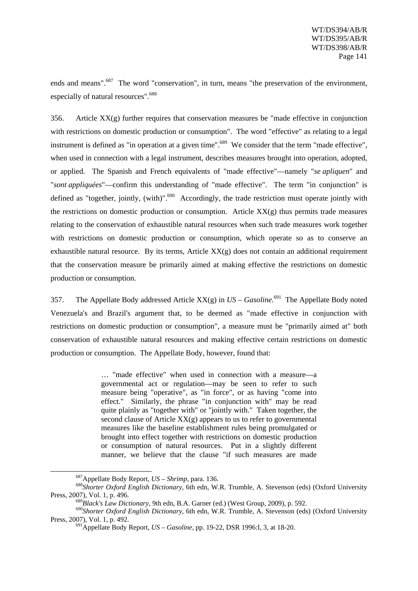ends and means".<sup>687</sup> The word "conservation", in turn, means "the preservation of the environment, especially of natural resources".<sup>688</sup>

356. Article XX(g) further requires that conservation measures be "made effective in conjunction with restrictions on domestic production or consumption". The word "effective" as relating to a legal instrument is defined as "in operation at a given time".<sup>689</sup> We consider that the term "made effective", when used in connection with a legal instrument, describes measures brought into operation, adopted, or applied. The Spanish and French equivalents of "made effective"—namely "*se apliquen*" and "*sont appliquées*"—confirm this understanding of "made effective". The term "in conjunction" is defined as "together, jointly, (with)".<sup>690</sup> Accordingly, the trade restriction must operate jointly with the restrictions on domestic production or consumption. Article  $XX(g)$  thus permits trade measures relating to the conservation of exhaustible natural resources when such trade measures work together with restrictions on domestic production or consumption, which operate so as to conserve an exhaustible natural resource. By its terms, Article  $XX(g)$  does not contain an additional requirement that the conservation measure be primarily aimed at making effective the restrictions on domestic production or consumption.

357. The Appellate Body addressed Article XX(g) in *US – Gasoline.*691 The Appellate Body noted Venezuela's and Brazil's argument that, to be deemed as "made effective in conjunction with restrictions on domestic production or consumption", a measure must be "primarily aimed at" both conservation of exhaustible natural resources and making effective certain restrictions on domestic production or consumption. The Appellate Body, however, found that:

> … "made effective" when used in connection with a measure—a governmental act or regulation—may be seen to refer to such measure being "operative", as "in force", or as having "come into effect." Similarly, the phrase "in conjunction with" may be read quite plainly as "together with" or "jointly with." Taken together, the second clause of Article  $XX(g)$  appears to us to refer to governmental measures like the baseline establishment rules being promulgated or brought into effect together with restrictions on domestic production or consumption of natural resources. Put in a slightly different manner, we believe that the clause "if such measures are made

 <sup>687</sup>Appellate Body Report, *US – Shrimp*, para. 136. 688*Shorter Oxford English Dictionary*, 6th edn, W.R. Trumble, A. Stevenson (eds) (Oxford University Press, 2007), Vol. 1, p. 496.

<sup>689</sup>*Black's Law Dictionary*, 9th edn, B.A. Garner (ed.) (West Group, 2009), p. 592.

<sup>690</sup>*Shorter Oxford English Dictionary*, 6th edn, W.R. Trumble, A. Stevenson (eds) (Oxford University Press, 2007), Vol. 1, p. 492.

<sup>691</sup>Appellate Body Report, *US – Gasoline*, pp. 19-22, DSR 1996:I, 3, at 18-20.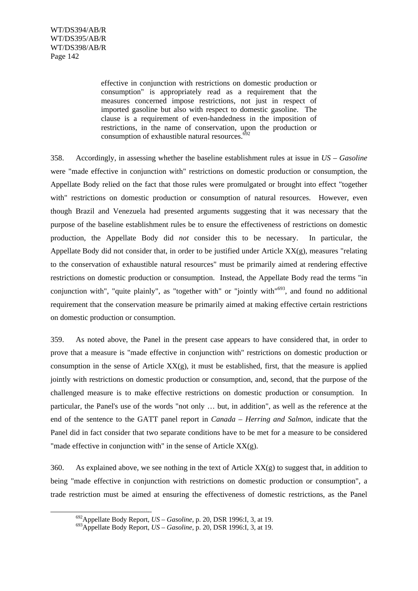effective in conjunction with restrictions on domestic production or consumption" is appropriately read as a requirement that the measures concerned impose restrictions, not just in respect of imported gasoline but also with respect to domestic gasoline. The clause is a requirement of even-handedness in the imposition of restrictions, in the name of conservation, upon the production or consumption of exhaustible natural resources. $692$ 

358. Accordingly, in assessing whether the baseline establishment rules at issue in *US – Gasoline*  were "made effective in conjunction with" restrictions on domestic production or consumption, the Appellate Body relied on the fact that those rules were promulgated or brought into effect "together with" restrictions on domestic production or consumption of natural resources. However, even though Brazil and Venezuela had presented arguments suggesting that it was necessary that the purpose of the baseline establishment rules be to ensure the effectiveness of restrictions on domestic production, the Appellate Body did *not* consider this to be necessary. In particular, the Appellate Body did not consider that, in order to be justified under Article  $XX(g)$ , measures "relating" to the conservation of exhaustible natural resources" must be primarily aimed at rendering effective restrictions on domestic production or consumption. Instead, the Appellate Body read the terms "in conjunction with", "quite plainly", as "together with" or "jointly with"693, and found no additional requirement that the conservation measure be primarily aimed at making effective certain restrictions on domestic production or consumption.

359. As noted above, the Panel in the present case appears to have considered that, in order to prove that a measure is "made effective in conjunction with" restrictions on domestic production or consumption in the sense of Article  $XX(g)$ , it must be established, first, that the measure is applied jointly with restrictions on domestic production or consumption, and, second, that the purpose of the challenged measure is to make effective restrictions on domestic production or consumption. In particular, the Panel's use of the words "not only … but, in addition", as well as the reference at the end of the sentence to the GATT panel report in *Canada – Herring and Salmon*, indicate that the Panel did in fact consider that two separate conditions have to be met for a measure to be considered "made effective in conjunction with" in the sense of Article  $XX(g)$ .

360. As explained above, we see nothing in the text of Article  $XX(g)$  to suggest that, in addition to being "made effective in conjunction with restrictions on domestic production or consumption", a trade restriction must be aimed at ensuring the effectiveness of domestic restrictions, as the Panel

 <sup>692</sup>Appellate Body Report, *US – Gasoline*, p. 20, DSR 1996:I, 3, at 19.

<sup>693</sup>Appellate Body Report, *US – Gasoline*, p. 20, DSR 1996:I, 3, at 19.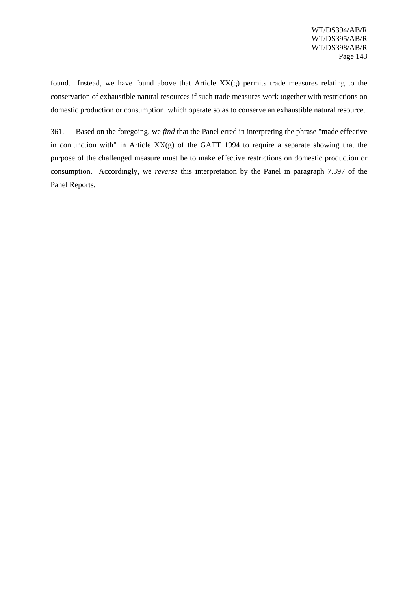found. Instead, we have found above that Article  $XX(g)$  permits trade measures relating to the conservation of exhaustible natural resources if such trade measures work together with restrictions on domestic production or consumption, which operate so as to conserve an exhaustible natural resource.

361. Based on the foregoing, we *find* that the Panel erred in interpreting the phrase "made effective in conjunction with" in Article  $XX(g)$  of the GATT 1994 to require a separate showing that the purpose of the challenged measure must be to make effective restrictions on domestic production or consumption. Accordingly, we *reverse* this interpretation by the Panel in paragraph 7.397 of the Panel Reports.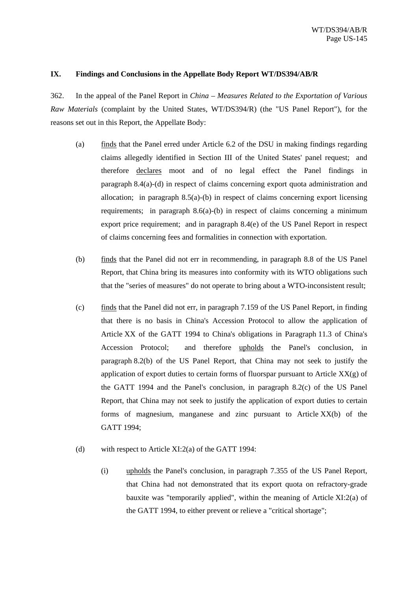## **IX. Findings and Conclusions in the Appellate Body Report WT/DS394/AB/R**

362. In the appeal of the Panel Report in *China – Measures Related to the Exportation of Various Raw Materials* (complaint by the United States, WT/DS394/R) (the "US Panel Report"), for the reasons set out in this Report, the Appellate Body:

- (a) finds that the Panel erred under Article 6.2 of the DSU in making findings regarding claims allegedly identified in Section III of the United States' panel request; and therefore declares moot and of no legal effect the Panel findings in paragraph 8.4(a)-(d) in respect of claims concerning export quota administration and allocation; in paragraph 8.5(a)-(b) in respect of claims concerning export licensing requirements; in paragraph  $8.6(a)$ -(b) in respect of claims concerning a minimum export price requirement; and in paragraph 8.4(e) of the US Panel Report in respect of claims concerning fees and formalities in connection with exportation.
- (b) finds that the Panel did not err in recommending, in paragraph 8.8 of the US Panel Report, that China bring its measures into conformity with its WTO obligations such that the "series of measures" do not operate to bring about a WTO-inconsistent result;
- (c) finds that the Panel did not err, in paragraph 7.159 of the US Panel Report, in finding that there is no basis in China's Accession Protocol to allow the application of Article XX of the GATT 1994 to China's obligations in Paragraph 11.3 of China's Accession Protocol; and therefore upholds the Panel's conclusion, in paragraph 8.2(b) of the US Panel Report, that China may not seek to justify the application of export duties to certain forms of fluorspar pursuant to Article  $XX(g)$  of the GATT 1994 and the Panel's conclusion, in paragraph 8.2(c) of the US Panel Report, that China may not seek to justify the application of export duties to certain forms of magnesium, manganese and zinc pursuant to Article XX(b) of the GATT 1994;
- (d) with respect to Article XI:2(a) of the GATT 1994:
	- (i) upholds the Panel's conclusion, in paragraph 7.355 of the US Panel Report, that China had not demonstrated that its export quota on refractory-grade bauxite was "temporarily applied", within the meaning of Article XI:2(a) of the GATT 1994, to either prevent or relieve a "critical shortage";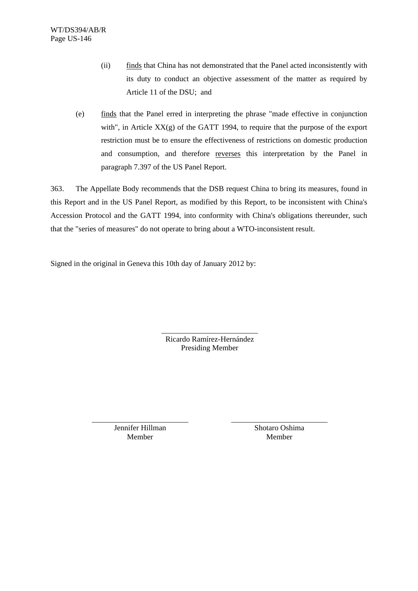- (ii) finds that China has not demonstrated that the Panel acted inconsistently with its duty to conduct an objective assessment of the matter as required by Article 11 of the DSU; and
- (e) finds that the Panel erred in interpreting the phrase "made effective in conjunction with", in Article  $XX(g)$  of the GATT 1994, to require that the purpose of the export restriction must be to ensure the effectiveness of restrictions on domestic production and consumption, and therefore reverses this interpretation by the Panel in paragraph 7.397 of the US Panel Report.

363. The Appellate Body recommends that the DSB request China to bring its measures, found in this Report and in the US Panel Report, as modified by this Report, to be inconsistent with China's Accession Protocol and the GATT 1994, into conformity with China's obligations thereunder, such that the "series of measures" do not operate to bring about a WTO-inconsistent result.

Signed in the original in Geneva this 10th day of January 2012 by:

 $\overline{\phantom{a}}$  , and the contract of the contract of the contract of the contract of the contract of the contract of the contract of the contract of the contract of the contract of the contract of the contract of the contrac Ricardo Ramírez-Hernández Presiding Member

 \_\_\_\_\_\_\_\_\_\_\_\_\_\_\_\_\_\_\_\_\_\_\_\_\_ \_\_\_\_\_\_\_\_\_\_\_\_\_\_\_\_\_\_\_\_\_\_\_\_\_ Jennifer Hillman Shotaro Oshima Member Member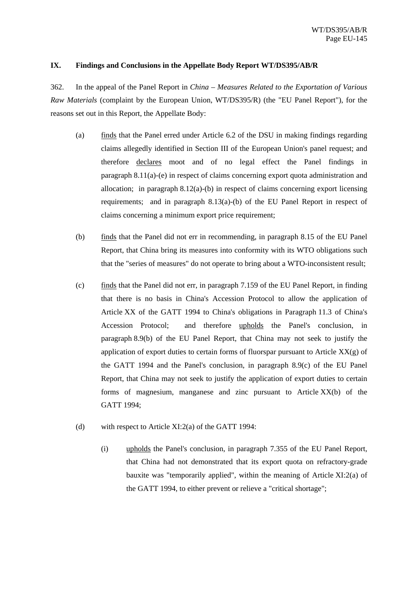#### **IX. Findings and Conclusions in the Appellate Body Report WT/DS395/AB/R**

362. In the appeal of the Panel Report in *China – Measures Related to the Exportation of Various Raw Materials* (complaint by the European Union, WT/DS395/R) (the "EU Panel Report"), for the reasons set out in this Report, the Appellate Body:

- (a) finds that the Panel erred under Article 6.2 of the DSU in making findings regarding claims allegedly identified in Section III of the European Union's panel request; and therefore declares moot and of no legal effect the Panel findings in paragraph 8.11(a)-(e) in respect of claims concerning export quota administration and allocation; in paragraph  $8.12(a)$ -(b) in respect of claims concerning export licensing requirements; and in paragraph 8.13(a)-(b) of the EU Panel Report in respect of claims concerning a minimum export price requirement;
- (b) finds that the Panel did not err in recommending, in paragraph 8.15 of the EU Panel Report, that China bring its measures into conformity with its WTO obligations such that the "series of measures" do not operate to bring about a WTO-inconsistent result;
- (c) finds that the Panel did not err, in paragraph 7.159 of the EU Panel Report, in finding that there is no basis in China's Accession Protocol to allow the application of Article XX of the GATT 1994 to China's obligations in Paragraph 11.3 of China's Accession Protocol; and therefore upholds the Panel's conclusion, in paragraph 8.9(b) of the EU Panel Report, that China may not seek to justify the application of export duties to certain forms of fluorspar pursuant to Article  $XX(g)$  of the GATT 1994 and the Panel's conclusion, in paragraph 8.9(c) of the EU Panel Report, that China may not seek to justify the application of export duties to certain forms of magnesium, manganese and zinc pursuant to Article XX(b) of the GATT 1994;
- (d) with respect to Article XI:2(a) of the GATT 1994:
	- (i) upholds the Panel's conclusion, in paragraph 7.355 of the EU Panel Report, that China had not demonstrated that its export quota on refractory-grade bauxite was "temporarily applied", within the meaning of Article XI:2(a) of the GATT 1994, to either prevent or relieve a "critical shortage";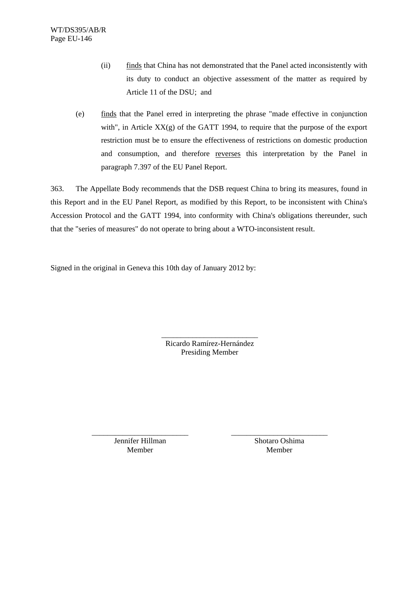- (ii) finds that China has not demonstrated that the Panel acted inconsistently with its duty to conduct an objective assessment of the matter as required by Article 11 of the DSU; and
- (e) finds that the Panel erred in interpreting the phrase "made effective in conjunction with", in Article  $XX(g)$  of the GATT 1994, to require that the purpose of the export restriction must be to ensure the effectiveness of restrictions on domestic production and consumption, and therefore reverses this interpretation by the Panel in paragraph 7.397 of the EU Panel Report.

363. The Appellate Body recommends that the DSB request China to bring its measures, found in this Report and in the EU Panel Report, as modified by this Report, to be inconsistent with China's Accession Protocol and the GATT 1994, into conformity with China's obligations thereunder, such that the "series of measures" do not operate to bring about a WTO-inconsistent result.

Signed in the original in Geneva this 10th day of January 2012 by:

 $\overline{\phantom{a}}$  , and the contract of the contract of the contract of the contract of the contract of the contract of the contract of the contract of the contract of the contract of the contract of the contract of the contrac Ricardo Ramírez-Hernández Presiding Member

 $\frac{1}{\sqrt{2\pi}}$  ,  $\frac{1}{\sqrt{2\pi}}$  ,  $\frac{1}{\sqrt{2\pi}}$  ,  $\frac{1}{\sqrt{2\pi}}$  ,  $\frac{1}{\sqrt{2\pi}}$  ,  $\frac{1}{\sqrt{2\pi}}$  ,  $\frac{1}{\sqrt{2\pi}}$  ,  $\frac{1}{\sqrt{2\pi}}$  ,  $\frac{1}{\sqrt{2\pi}}$  ,  $\frac{1}{\sqrt{2\pi}}$  ,  $\frac{1}{\sqrt{2\pi}}$  ,  $\frac{1}{\sqrt{2\pi}}$  ,  $\frac{1}{\sqrt{2\pi}}$  , Jennifer Hillman Shotaro Oshima Member Member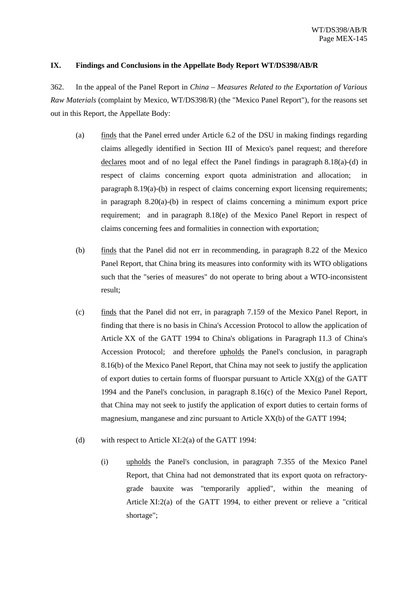#### **IX. Findings and Conclusions in the Appellate Body Report WT/DS398/AB/R**

362. In the appeal of the Panel Report in *China – Measures Related to the Exportation of Various Raw Materials* (complaint by Mexico, WT/DS398/R) (the "Mexico Panel Report"), for the reasons set out in this Report, the Appellate Body:

- (a) finds that the Panel erred under Article 6.2 of the DSU in making findings regarding claims allegedly identified in Section III of Mexico's panel request; and therefore declares moot and of no legal effect the Panel findings in paragraph 8.18(a)-(d) in respect of claims concerning export quota administration and allocation; in paragraph 8.19(a)-(b) in respect of claims concerning export licensing requirements; in paragraph 8.20(a)-(b) in respect of claims concerning a minimum export price requirement; and in paragraph 8.18(e) of the Mexico Panel Report in respect of claims concerning fees and formalities in connection with exportation;
- (b) finds that the Panel did not err in recommending, in paragraph 8.22 of the Mexico Panel Report, that China bring its measures into conformity with its WTO obligations such that the "series of measures" do not operate to bring about a WTO-inconsistent result;
- (c) finds that the Panel did not err, in paragraph 7.159 of the Mexico Panel Report, in finding that there is no basis in China's Accession Protocol to allow the application of Article XX of the GATT 1994 to China's obligations in Paragraph 11.3 of China's Accession Protocol; and therefore upholds the Panel's conclusion, in paragraph 8.16(b) of the Mexico Panel Report, that China may not seek to justify the application of export duties to certain forms of fluorspar pursuant to Article  $XX(g)$  of the GATT 1994 and the Panel's conclusion, in paragraph 8.16(c) of the Mexico Panel Report, that China may not seek to justify the application of export duties to certain forms of magnesium, manganese and zinc pursuant to Article XX(b) of the GATT 1994;
- (d) with respect to Article XI:2(a) of the GATT 1994:
	- (i) upholds the Panel's conclusion, in paragraph 7.355 of the Mexico Panel Report, that China had not demonstrated that its export quota on refractorygrade bauxite was "temporarily applied", within the meaning of Article XI:2(a) of the GATT 1994, to either prevent or relieve a "critical shortage";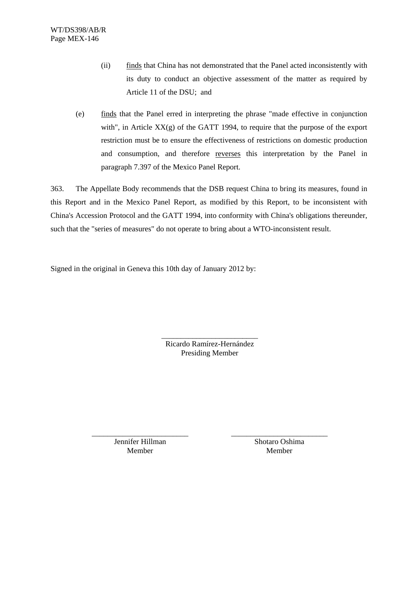- (ii) finds that China has not demonstrated that the Panel acted inconsistently with its duty to conduct an objective assessment of the matter as required by Article 11 of the DSU; and
- (e) finds that the Panel erred in interpreting the phrase "made effective in conjunction with", in Article  $XX(g)$  of the GATT 1994, to require that the purpose of the export restriction must be to ensure the effectiveness of restrictions on domestic production and consumption, and therefore reverses this interpretation by the Panel in paragraph 7.397 of the Mexico Panel Report.

363. The Appellate Body recommends that the DSB request China to bring its measures, found in this Report and in the Mexico Panel Report, as modified by this Report, to be inconsistent with China's Accession Protocol and the GATT 1994, into conformity with China's obligations thereunder, such that the "series of measures" do not operate to bring about a WTO-inconsistent result.

Signed in the original in Geneva this 10th day of January 2012 by:

 $\overline{\phantom{a}}$  , and the contract of the contract of the contract of the contract of the contract of the contract of the contract of the contract of the contract of the contract of the contract of the contract of the contrac

 Ricardo Ramírez-Hernández Presiding Member

 $\overline{\phantom{a}}$  ,  $\overline{\phantom{a}}$  ,  $\overline{\phantom{a}}$  ,  $\overline{\phantom{a}}$  ,  $\overline{\phantom{a}}$  ,  $\overline{\phantom{a}}$  ,  $\overline{\phantom{a}}$  ,  $\overline{\phantom{a}}$  ,  $\overline{\phantom{a}}$  ,  $\overline{\phantom{a}}$  ,  $\overline{\phantom{a}}$  ,  $\overline{\phantom{a}}$  ,  $\overline{\phantom{a}}$  ,  $\overline{\phantom{a}}$  ,  $\overline{\phantom{a}}$  ,  $\overline{\phantom{a}}$ Jennifer Hillman Shotaro Oshima Member Member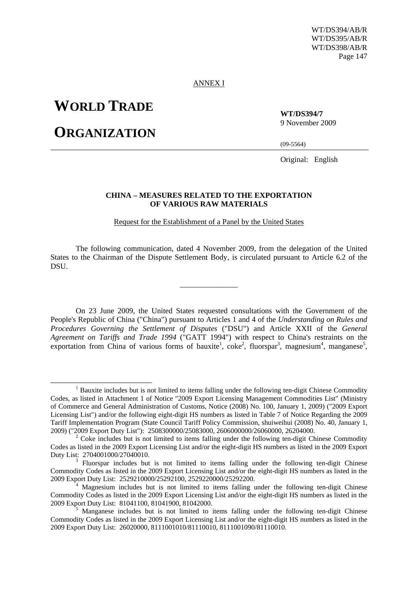WT/DS394/AB/R WT/DS395/AB/R WT/DS398/AB/R Page 147

ANNEX I

# **WORLD TRADE**

## **ORGANIZATION**

**WT/DS394/7**  9 November 2009

(09-5564)

Original: English

### **CHINA – MEASURES RELATED TO THE EXPORTATION OF VARIOUS RAW MATERIALS**

Request for the Establishment of a Panel by the United States

 The following communication, dated 4 November 2009, from the delegation of the United States to the Chairman of the Dispute Settlement Body, is circulated pursuant to Article 6.2 of the DSU.

\_\_\_\_\_\_\_\_\_\_\_\_\_\_\_

 On 23 June 2009, the United States requested consultations with the Government of the People's Republic of China ("China") pursuant to Articles 1 and 4 of the *Understanding on Rules and Procedures Governing the Settlement of Disputes* ("DSU") and Article XXII of the *General Agreement on Tariffs and Trade 1994* ("GATT 1994") with respect to China's restraints on the exportation from China of various forms of bauxite<sup>1</sup>,  $\csc^2$ , fluorspar<sup>3</sup>, magnesium<sup>4</sup>, manganese<sup>5</sup>,

<sup>&</sup>lt;u>1</u>  $<sup>1</sup>$  Bauxite includes but is not limited to items falling under the following ten-digit Chinese Commodity</sup> Codes, as listed in Attachment 1 of Notice "2009 Export Licensing Management Commodities List" (Ministry of Commerce and General Administration of Customs, Notice (2008) No. 100, January 1, 2009) ("2009 Export Licensing List") and/or the following eight-digit HS numbers as listed in Table 7 of Notice Regarding the 2009 Tariff Implementation Program (State Council Tariff Policy Commission, shuiweihui (2008) No. 40, January 1, 2009) ("2009 Export Duty List"): 2508300000/25083000, 2606000000/26060000, 26204000. 2

<sup>&</sup>lt;sup>2</sup> Coke includes but is not limited to items falling under the following ten-digit Chinese Commodity Codes as listed in the 2009 Export Licensing List and/or the eight-digit HS numbers as listed in the 2009 Export Duty List: 2704001000/27040010. 3

<sup>&</sup>lt;sup>3</sup> Fluorspar includes but is not limited to items falling under the following ten-digit Chinese Commodity Codes as listed in the 2009 Export Licensing List and/or the eight-digit HS numbers as listed in the 2009 Export Duty List: 2529210000/25292100, 2529220000/25292200. 4

Magnesium includes but is not limited to items falling under the following ten-digit Chinese Commodity Codes as listed in the 2009 Export Licensing List and/or the eight-digit HS numbers as listed in the 2009 Export Duty List: 81041100, 81041900, 81042000. 5

 $\frac{1}{2}$  Manganese includes but is not limited to items falling under the following ten-digit Chinese Commodity Codes as listed in the 2009 Export Licensing List and/or the eight-digit HS numbers as listed in the 2009 Export Duty List: 26020000, 8111001010/81110010, 8111001090/81110010.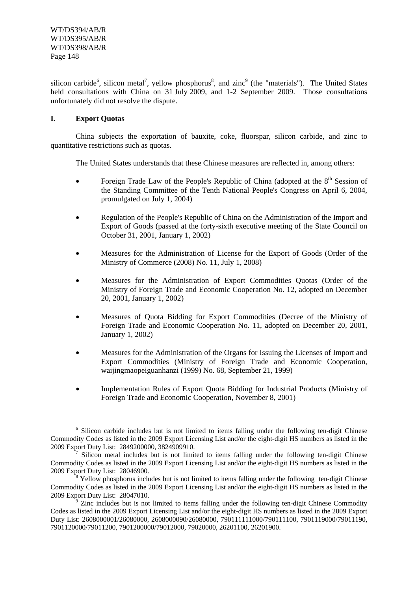silicon carbide<sup>6</sup>, silicon metal<sup>7</sup>, yellow phosphorus<sup>8</sup>, and zinc<sup>9</sup> (the "materials"). The United States held consultations with China on 31 July 2009, and 1-2 September 2009. Those consultations unfortunately did not resolve the dispute.

## **I. Export Quotas**

 China subjects the exportation of bauxite, coke, fluorspar, silicon carbide, and zinc to quantitative restrictions such as quotas.

The United States understands that these Chinese measures are reflected in, among others:

- Foreign Trade Law of the People's Republic of China (adopted at the  $8<sup>th</sup>$  Session of the Standing Committee of the Tenth National People's Congress on April 6, 2004, promulgated on July 1, 2004)
- Regulation of the People's Republic of China on the Administration of the Import and Export of Goods (passed at the forty-sixth executive meeting of the State Council on October 31, 2001, January 1, 2002)
- Measures for the Administration of License for the Export of Goods (Order of the Ministry of Commerce (2008) No. 11, July 1, 2008)
- Measures for the Administration of Export Commodities Quotas (Order of the Ministry of Foreign Trade and Economic Cooperation No. 12, adopted on December 20, 2001, January 1, 2002)
- Measures of Quota Bidding for Export Commodities (Decree of the Ministry of Foreign Trade and Economic Cooperation No. 11, adopted on December 20, 2001, January 1, 2002)
- Measures for the Administration of the Organs for Issuing the Licenses of Import and Export Commodities (Ministry of Foreign Trade and Economic Cooperation, waijingmaopeiguanhanzi (1999) No. 68, September 21, 1999)
- Implementation Rules of Export Quota Bidding for Industrial Products (Ministry of Foreign Trade and Economic Cooperation, November 8, 2001)

 $\overline{\phantom{0}}$  $<sup>6</sup>$  Silicon carbide includes but is not limited to items falling under the following ten-digit Chinese</sup> Commodity Codes as listed in the 2009 Export Licensing List and/or the eight-digit HS numbers as listed in the 2009 Export Duty List: 2849200000, 3824909910.

Silicon metal includes but is not limited to items falling under the following ten-digit Chinese Commodity Codes as listed in the 2009 Export Licensing List and/or the eight-digit HS numbers as listed in the 2009 Export Duty List: 28046900. 8

 $\beta$  Yellow phosphorus includes but is not limited to items falling under the following ten-digit Chinese Commodity Codes as listed in the 2009 Export Licensing List and/or the eight-digit HS numbers as listed in the 2009 Export Duty List: 28047010.

Zinc includes but is not limited to items falling under the following ten-digit Chinese Commodity Codes as listed in the 2009 Export Licensing List and/or the eight-digit HS numbers as listed in the 2009 Export Duty List: 2608000001/26080000, 2608000090/26080000, 790111111000/790111100, 7901119000/79011190, 7901120000/79011200, 7901200000/79012000, 79020000, 26201100, 26201900.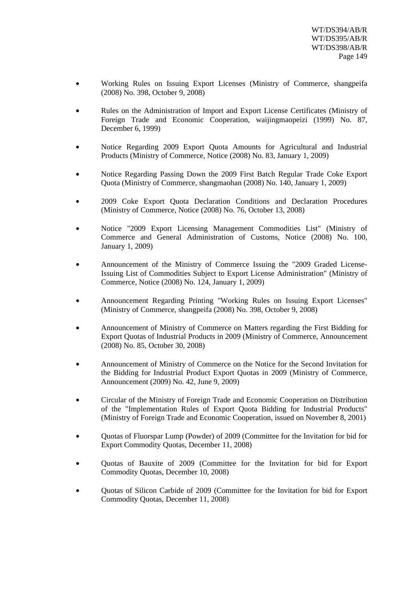- Working Rules on Issuing Export Licenses (Ministry of Commerce, shangpeifa (2008) No. 398, October 9, 2008)
- Rules on the Administration of Import and Export License Certificates (Ministry of Foreign Trade and Economic Cooperation, waijingmaopeizi (1999) No. 87, December 6, 1999)
- Notice Regarding 2009 Export Quota Amounts for Agricultural and Industrial Products (Ministry of Commerce, Notice (2008) No. 83, January 1, 2009)
- Notice Regarding Passing Down the 2009 First Batch Regular Trade Coke Export Quota (Ministry of Commerce, shangmaohan (2008) No. 140, January 1, 2009)
- 2009 Coke Export Quota Declaration Conditions and Declaration Procedures (Ministry of Commerce, Notice (2008) No. 76, October 13, 2008)
- Notice "2009 Export Licensing Management Commodities List" (Ministry of Commerce and General Administration of Customs, Notice (2008) No. 100, January 1, 2009)
- Announcement of the Ministry of Commerce Issuing the "2009 Graded License-Issuing List of Commodities Subject to Export License Administration" (Ministry of Commerce, Notice (2008) No. 124, January 1, 2009)
- Announcement Regarding Printing "Working Rules on Issuing Export Licenses" (Ministry of Commerce, shangpeifa (2008) No. 398, October 9, 2008)
- Announcement of Ministry of Commerce on Matters regarding the First Bidding for Export Quotas of Industrial Products in 2009 (Ministry of Commerce, Announcement (2008) No. 85, October 30, 2008)
- Announcement of Ministry of Commerce on the Notice for the Second Invitation for the Bidding for Industrial Product Export Quotas in 2009 (Ministry of Commerce, Announcement (2009) No. 42, June 9, 2009)
- Circular of the Ministry of Foreign Trade and Economic Cooperation on Distribution of the "Implementation Rules of Export Quota Bidding for Industrial Products" (Ministry of Foreign Trade and Economic Cooperation, issued on November 8, 2001)
- Quotas of Fluorspar Lump (Powder) of 2009 (Committee for the Invitation for bid for Export Commodity Quotas, December 11, 2008)
- Quotas of Bauxite of 2009 (Committee for the Invitation for bid for Export Commodity Quotas, December 10, 2008)
- Quotas of Silicon Carbide of 2009 (Committee for the Invitation for bid for Export Commodity Quotas, December 11, 2008)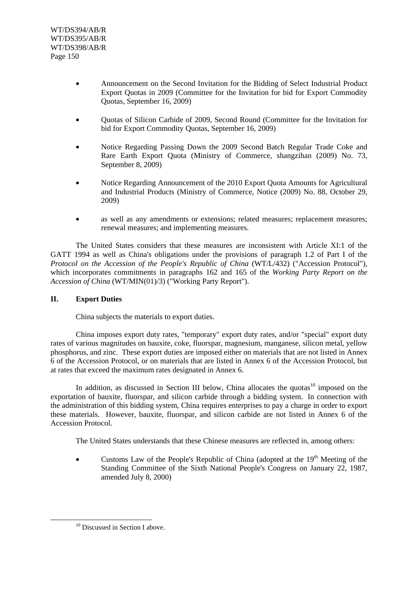- Announcement on the Second Invitation for the Bidding of Select Industrial Product Export Quotas in 2009 (Committee for the Invitation for bid for Export Commodity Quotas, September 16, 2009)
- Quotas of Silicon Carbide of 2009, Second Round (Committee for the Invitation for bid for Export Commodity Quotas, September 16, 2009)
- Notice Regarding Passing Down the 2009 Second Batch Regular Trade Coke and Rare Earth Export Quota (Ministry of Commerce, shangzihan (2009) No. 73, September 8, 2009)
- Notice Regarding Announcement of the 2010 Export Quota Amounts for Agricultural and Industrial Products (Ministry of Commerce, Notice (2009) No. 88, October 29, 2009)
- as well as any amendments or extensions; related measures; replacement measures; renewal measures; and implementing measures.

 The United States considers that these measures are inconsistent with Article XI:1 of the GATT 1994 as well as China's obligations under the provisions of paragraph 1.2 of Part I of the *Protocol on the Accession of the People's Republic of China (WT/L/432) ("Accession Protocol"),* which incorporates commitments in paragraphs 162 and 165 of the *Working Party Report on the Accession of China* (WT/MIN(01)/3) ("Working Party Report").

## **II. Export Duties**

China subjects the materials to export duties.

 China imposes export duty rates, "temporary" export duty rates, and/or "special" export duty rates of various magnitudes on bauxite, coke, fluorspar, magnesium, manganese, silicon metal, yellow phosphorus, and zinc. These export duties are imposed either on materials that are not listed in Annex 6 of the Accession Protocol, or on materials that are listed in Annex 6 of the Accession Protocol, but at rates that exceed the maximum rates designated in Annex 6.

In addition, as discussed in Section III below, China allocates the quotas<sup>10</sup> imposed on the exportation of bauxite, fluorspar, and silicon carbide through a bidding system. In connection with the administration of this bidding system, China requires enterprises to pay a charge in order to export these materials. However, bauxite, fluorspar, and silicon carbide are not listed in Annex 6 of the Accession Protocol.

The United States understands that these Chinese measures are reflected in, among others:

Customs Law of the People's Republic of China (adopted at the  $19<sup>th</sup>$  Meeting of the Standing Committee of the Sixth National People's Congress on January 22, 1987, amended July 8, 2000)

<sup>&</sup>lt;sup>10</sup> Discussed in Section I above.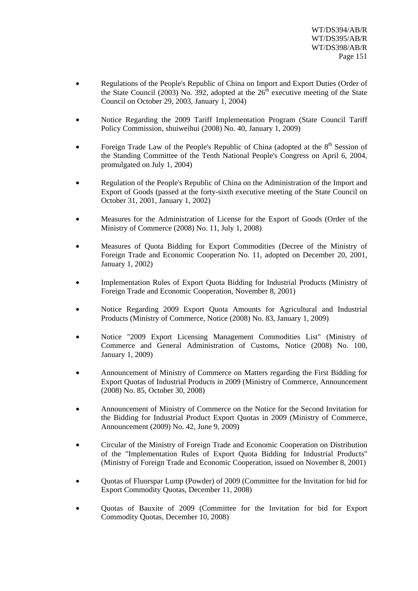- Regulations of the People's Republic of China on Import and Export Duties (Order of the State Council (2003) No. 392, adopted at the  $26<sup>th</sup>$  executive meeting of the State Council on October 29, 2003, January 1, 2004)
- Notice Regarding the 2009 Tariff Implementation Program (State Council Tariff Policy Commission, shuiweihui (2008) No. 40, January 1, 2009)
- Foreign Trade Law of the People's Republic of China (adopted at the 8<sup>th</sup> Session of the Standing Committee of the Tenth National People's Congress on April 6, 2004, promulgated on July 1, 2004)
- Regulation of the People's Republic of China on the Administration of the Import and Export of Goods (passed at the forty-sixth executive meeting of the State Council on October 31, 2001, January 1, 2002)
- Measures for the Administration of License for the Export of Goods (Order of the Ministry of Commerce (2008) No. 11, July 1, 2008)
- Measures of Quota Bidding for Export Commodities (Decree of the Ministry of Foreign Trade and Economic Cooperation No. 11, adopted on December 20, 2001, January 1, 2002)
- Implementation Rules of Export Quota Bidding for Industrial Products (Ministry of Foreign Trade and Economic Cooperation, November 8, 2001)
- Notice Regarding 2009 Export Quota Amounts for Agricultural and Industrial Products (Ministry of Commerce, Notice (2008) No. 83, January 1, 2009)
- Notice "2009 Export Licensing Management Commodities List" (Ministry of Commerce and General Administration of Customs, Notice (2008) No. 100, January 1, 2009)
- Announcement of Ministry of Commerce on Matters regarding the First Bidding for Export Quotas of Industrial Products in 2009 (Ministry of Commerce, Announcement (2008) No. 85, October 30, 2008)
- Announcement of Ministry of Commerce on the Notice for the Second Invitation for the Bidding for Industrial Product Export Quotas in 2009 (Ministry of Commerce, Announcement (2009) No. 42, June 9, 2009)
- Circular of the Ministry of Foreign Trade and Economic Cooperation on Distribution of the "Implementation Rules of Export Quota Bidding for Industrial Products" (Ministry of Foreign Trade and Economic Cooperation, issued on November 8, 2001)
- Quotas of Fluorspar Lump (Powder) of 2009 (Committee for the Invitation for bid for Export Commodity Quotas, December 11, 2008)
- Quotas of Bauxite of 2009 (Committee for the Invitation for bid for Export Commodity Quotas, December 10, 2008)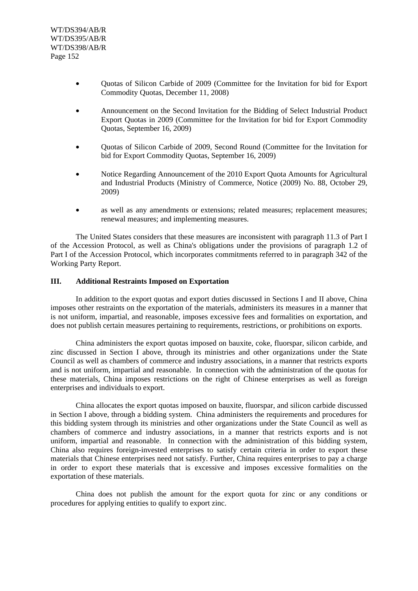- Ouotas of Silicon Carbide of 2009 (Committee for the Invitation for bid for Export Commodity Quotas, December 11, 2008)
- Announcement on the Second Invitation for the Bidding of Select Industrial Product Export Quotas in 2009 (Committee for the Invitation for bid for Export Commodity Quotas, September 16, 2009)
- Ouotas of Silicon Carbide of 2009, Second Round (Committee for the Invitation for bid for Export Commodity Quotas, September 16, 2009)
- Notice Regarding Announcement of the 2010 Export Quota Amounts for Agricultural and Industrial Products (Ministry of Commerce, Notice (2009) No. 88, October 29, 2009)
- as well as any amendments or extensions; related measures; replacement measures; renewal measures; and implementing measures.

 The United States considers that these measures are inconsistent with paragraph 11.3 of Part I of the Accession Protocol, as well as China's obligations under the provisions of paragraph 1.2 of Part I of the Accession Protocol, which incorporates commitments referred to in paragraph 342 of the Working Party Report.

#### **III. Additional Restraints Imposed on Exportation**

 In addition to the export quotas and export duties discussed in Sections I and II above, China imposes other restraints on the exportation of the materials, administers its measures in a manner that is not uniform, impartial, and reasonable, imposes excessive fees and formalities on exportation, and does not publish certain measures pertaining to requirements, restrictions, or prohibitions on exports.

 China administers the export quotas imposed on bauxite, coke, fluorspar, silicon carbide, and zinc discussed in Section I above, through its ministries and other organizations under the State Council as well as chambers of commerce and industry associations, in a manner that restricts exports and is not uniform, impartial and reasonable. In connection with the administration of the quotas for these materials, China imposes restrictions on the right of Chinese enterprises as well as foreign enterprises and individuals to export.

 China allocates the export quotas imposed on bauxite, fluorspar, and silicon carbide discussed in Section I above, through a bidding system. China administers the requirements and procedures for this bidding system through its ministries and other organizations under the State Council as well as chambers of commerce and industry associations, in a manner that restricts exports and is not uniform, impartial and reasonable. In connection with the administration of this bidding system, China also requires foreign-invested enterprises to satisfy certain criteria in order to export these materials that Chinese enterprises need not satisfy. Further, China requires enterprises to pay a charge in order to export these materials that is excessive and imposes excessive formalities on the exportation of these materials.

 China does not publish the amount for the export quota for zinc or any conditions or procedures for applying entities to qualify to export zinc.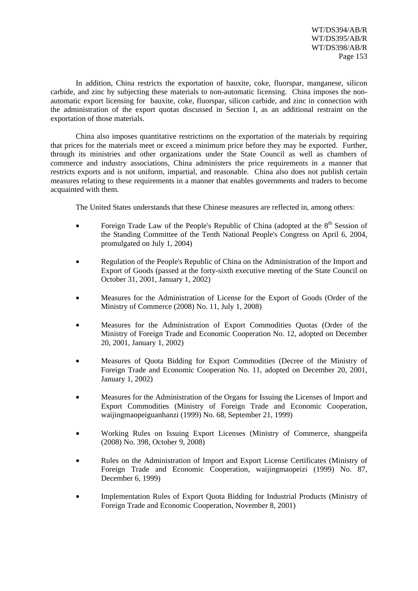In addition, China restricts the exportation of bauxite, coke, fluorspar, manganese, silicon carbide, and zinc by subjecting these materials to non-automatic licensing. China imposes the nonautomatic export licensing for bauxite, coke, fluorspar, silicon carbide, and zinc in connection with the administration of the export quotas discussed in Section I, as an additional restraint on the exportation of those materials.

 China also imposes quantitative restrictions on the exportation of the materials by requiring that prices for the materials meet or exceed a minimum price before they may be exported. Further, through its ministries and other organizations under the State Council as well as chambers of commerce and industry associations, China administers the price requirements in a manner that restricts exports and is not uniform, impartial, and reasonable. China also does not publish certain measures relating to these requirements in a manner that enables governments and traders to become acquainted with them.

The United States understands that these Chinese measures are reflected in, among others:

- Foreign Trade Law of the People's Republic of China (adopted at the  $8<sup>th</sup>$  Session of the Standing Committee of the Tenth National People's Congress on April 6, 2004, promulgated on July 1, 2004)
- Regulation of the People's Republic of China on the Administration of the Import and Export of Goods (passed at the forty-sixth executive meeting of the State Council on October 31, 2001, January 1, 2002)
- Measures for the Administration of License for the Export of Goods (Order of the Ministry of Commerce (2008) No. 11, July 1, 2008)
- Measures for the Administration of Export Commodities Quotas (Order of the Ministry of Foreign Trade and Economic Cooperation No. 12, adopted on December 20, 2001, January 1, 2002)
- Measures of Quota Bidding for Export Commodities (Decree of the Ministry of Foreign Trade and Economic Cooperation No. 11, adopted on December 20, 2001, January 1, 2002)
- Measures for the Administration of the Organs for Issuing the Licenses of Import and Export Commodities (Ministry of Foreign Trade and Economic Cooperation, waijingmaopeiguanhanzi (1999) No. 68, September 21, 1999)
- Working Rules on Issuing Export Licenses (Ministry of Commerce, shangpeifa (2008) No. 398, October 9, 2008)
- Rules on the Administration of Import and Export License Certificates (Ministry of Foreign Trade and Economic Cooperation, waijingmaopeizi (1999) No. 87, December 6, 1999)
- Implementation Rules of Export Quota Bidding for Industrial Products (Ministry of Foreign Trade and Economic Cooperation, November 8, 2001)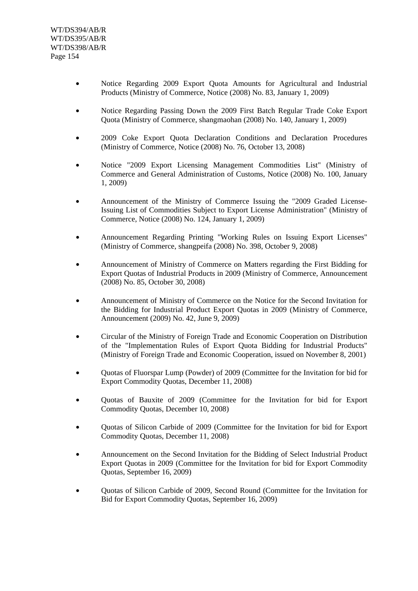- Notice Regarding 2009 Export Quota Amounts for Agricultural and Industrial Products (Ministry of Commerce, Notice (2008) No. 83, January 1, 2009)
- Notice Regarding Passing Down the 2009 First Batch Regular Trade Coke Export Quota (Ministry of Commerce, shangmaohan (2008) No. 140, January 1, 2009)
- 2009 Coke Export Quota Declaration Conditions and Declaration Procedures (Ministry of Commerce, Notice (2008) No. 76, October 13, 2008)
- Notice "2009 Export Licensing Management Commodities List" (Ministry of Commerce and General Administration of Customs, Notice (2008) No. 100, January 1, 2009)
- Announcement of the Ministry of Commerce Issuing the "2009 Graded License-Issuing List of Commodities Subject to Export License Administration" (Ministry of Commerce, Notice (2008) No. 124, January 1, 2009)
- Announcement Regarding Printing "Working Rules on Issuing Export Licenses" (Ministry of Commerce, shangpeifa (2008) No. 398, October 9, 2008)
- Announcement of Ministry of Commerce on Matters regarding the First Bidding for Export Quotas of Industrial Products in 2009 (Ministry of Commerce, Announcement (2008) No. 85, October 30, 2008)
- Announcement of Ministry of Commerce on the Notice for the Second Invitation for the Bidding for Industrial Product Export Quotas in 2009 (Ministry of Commerce, Announcement (2009) No. 42, June 9, 2009)
- Circular of the Ministry of Foreign Trade and Economic Cooperation on Distribution of the "Implementation Rules of Export Quota Bidding for Industrial Products" (Ministry of Foreign Trade and Economic Cooperation, issued on November 8, 2001)
- Quotas of Fluorspar Lump (Powder) of 2009 (Committee for the Invitation for bid for Export Commodity Quotas, December 11, 2008)
- Quotas of Bauxite of 2009 (Committee for the Invitation for bid for Export Commodity Quotas, December 10, 2008)
- Quotas of Silicon Carbide of 2009 (Committee for the Invitation for bid for Export Commodity Quotas, December 11, 2008)
- Announcement on the Second Invitation for the Bidding of Select Industrial Product Export Quotas in 2009 (Committee for the Invitation for bid for Export Commodity Quotas, September 16, 2009)
- Quotas of Silicon Carbide of 2009, Second Round (Committee for the Invitation for Bid for Export Commodity Quotas, September 16, 2009)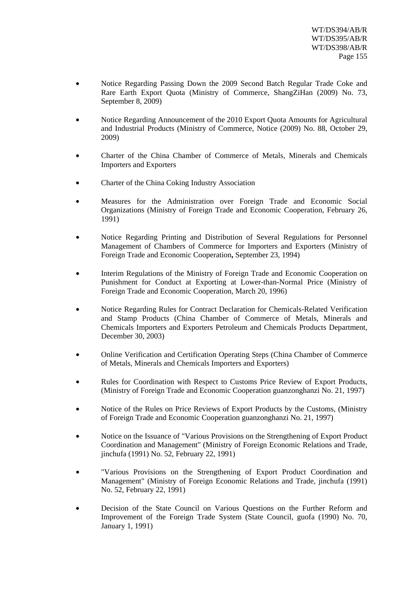- Notice Regarding Passing Down the 2009 Second Batch Regular Trade Coke and Rare Earth Export Quota (Ministry of Commerce, ShangZiHan (2009) No. 73, September 8, 2009)
- Notice Regarding Announcement of the 2010 Export Quota Amounts for Agricultural and Industrial Products (Ministry of Commerce, Notice (2009) No. 88, October 29, 2009)
- Charter of the China Chamber of Commerce of Metals, Minerals and Chemicals Importers and Exporters
- Charter of the China Coking Industry Association
- Measures for the Administration over Foreign Trade and Economic Social Organizations (Ministry of Foreign Trade and Economic Cooperation, February 26, 1991)
- Notice Regarding Printing and Distribution of Several Regulations for Personnel Management of Chambers of Commerce for Importers and Exporters (Ministry of Foreign Trade and Economic Cooperation**,** September 23, 1994)
- Interim Regulations of the Ministry of Foreign Trade and Economic Cooperation on Punishment for Conduct at Exporting at Lower-than-Normal Price (Ministry of Foreign Trade and Economic Cooperation, March 20, 1996)
- Notice Regarding Rules for Contract Declaration for Chemicals-Related Verification and Stamp Products (China Chamber of Commerce of Metals, Minerals and Chemicals Importers and Exporters Petroleum and Chemicals Products Department, December 30, 2003)
- Online Verification and Certification Operating Steps (China Chamber of Commerce of Metals, Minerals and Chemicals Importers and Exporters)
- Rules for Coordination with Respect to Customs Price Review of Export Products, (Ministry of Foreign Trade and Economic Cooperation guanzonghanzi No. 21, 1997)
- Notice of the Rules on Price Reviews of Export Products by the Customs, (Ministry of Foreign Trade and Economic Cooperation guanzonghanzi No. 21, 1997)
- Notice on the Issuance of "Various Provisions on the Strengthening of Export Product Coordination and Management" (Ministry of Foreign Economic Relations and Trade, jinchufa (1991) No. 52, February 22, 1991)
- "Various Provisions on the Strengthening of Export Product Coordination and Management" (Ministry of Foreign Economic Relations and Trade, jinchufa (1991) No. 52, February 22, 1991)
- Decision of the State Council on Various Questions on the Further Reform and Improvement of the Foreign Trade System (State Council, guofa (1990) No. 70, January 1, 1991)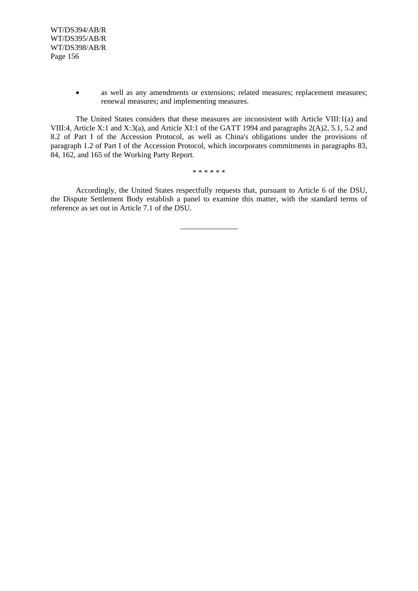• as well as any amendments or extensions; related measures; replacement measures; renewal measures; and implementing measures.

 The United States considers that these measures are inconsistent with Article VIII:1(a) and VIII:4, Article X:1 and X:3(a), and Article XI:1 of the GATT 1994 and paragraphs 2(A)2, 5.1, 5.2 and 8.2 of Part I of the Accession Protocol, as well as China's obligations under the provisions of paragraph 1.2 of Part I of the Accession Protocol, which incorporates commitments in paragraphs 83, 84, 162, and 165 of the Working Party Report.

\* \* \* \* \* \*

Accordingly, the United States respectfully requests that, pursuant to Article 6 of the DSU, the Dispute Settlement Body establish a panel to examine this matter, with the standard terms of reference as set out in Article 7.1 of the DSU.

\_\_\_\_\_\_\_\_\_\_\_\_\_\_\_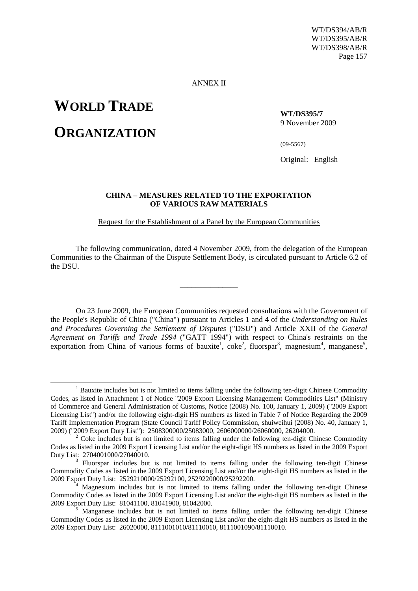WT/DS394/AB/R WT/DS395/AB/R WT/DS398/AB/R Page 157

#### ANNEX II

# **WORLD TRADE**

## **ORGANIZATION**

**WT/DS395/7**  9 November 2009

(09-5567)

Original: English

### **CHINA – MEASURES RELATED TO THE EXPORTATION OF VARIOUS RAW MATERIALS**

Request for the Establishment of a Panel by the European Communities

 The following communication, dated 4 November 2009, from the delegation of the European Communities to the Chairman of the Dispute Settlement Body, is circulated pursuant to Article 6.2 of the DSU.

\_\_\_\_\_\_\_\_\_\_\_\_\_\_\_

 On 23 June 2009, the European Communities requested consultations with the Government of the People's Republic of China ("China") pursuant to Articles 1 and 4 of the *Understanding on Rules and Procedures Governing the Settlement of Disputes* ("DSU") and Article XXII of the *General Agreement on Tariffs and Trade 1994* ("GATT 1994") with respect to China's restraints on the exportation from China of various forms of bauxite<sup>1</sup>,  $\csc^2$ , fluorspar<sup>3</sup>, magnesium<sup>4</sup>, manganese<sup>5</sup>,

<sup>&</sup>lt;u>1</u>  $<sup>1</sup>$  Bauxite includes but is not limited to items falling under the following ten-digit Chinese Commodity</sup> Codes, as listed in Attachment 1 of Notice "2009 Export Licensing Management Commodities List" (Ministry of Commerce and General Administration of Customs, Notice (2008) No. 100, January 1, 2009) ("2009 Export Licensing List") and/or the following eight-digit HS numbers as listed in Table 7 of Notice Regarding the 2009 Tariff Implementation Program (State Council Tariff Policy Commission, shuiweihui (2008) No. 40, January 1, 2009) ("2009 Export Duty List"): 2508300000/25083000, 2606000000/26060000, 26204000. 2

<sup>&</sup>lt;sup>2</sup> Coke includes but is not limited to items falling under the following ten-digit Chinese Commodity Codes as listed in the 2009 Export Licensing List and/or the eight-digit HS numbers as listed in the 2009 Export Duty List: 2704001000/27040010. 3

<sup>&</sup>lt;sup>3</sup> Fluorspar includes but is not limited to items falling under the following ten-digit Chinese Commodity Codes as listed in the 2009 Export Licensing List and/or the eight-digit HS numbers as listed in the 2009 Export Duty List: 2529210000/25292100, 2529220000/25292200. 4

Magnesium includes but is not limited to items falling under the following ten-digit Chinese Commodity Codes as listed in the 2009 Export Licensing List and/or the eight-digit HS numbers as listed in the 2009 Export Duty List: 81041100, 81041900, 81042000. 5

 $\frac{1}{2}$  Manganese includes but is not limited to items falling under the following ten-digit Chinese Commodity Codes as listed in the 2009 Export Licensing List and/or the eight-digit HS numbers as listed in the 2009 Export Duty List: 26020000, 8111001010/81110010, 8111001090/81110010.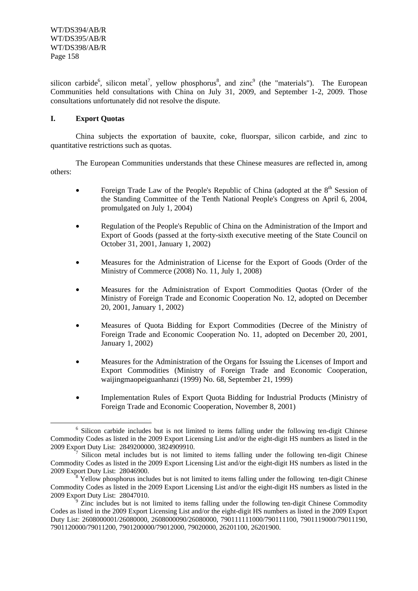silicon carbide<sup>6</sup>, silicon metal<sup>7</sup>, yellow phosphorus<sup>8</sup>, and zinc<sup>9</sup> (the "materials"). The European Communities held consultations with China on July 31, 2009, and September 1-2, 2009. Those consultations unfortunately did not resolve the dispute.

## **I. Export Quotas**

 China subjects the exportation of bauxite, coke, fluorspar, silicon carbide, and zinc to quantitative restrictions such as quotas.

 The European Communities understands that these Chinese measures are reflected in, among others:

- Foreign Trade Law of the People's Republic of China (adopted at the  $8<sup>th</sup>$  Session of the Standing Committee of the Tenth National People's Congress on April 6, 2004, promulgated on July 1, 2004)
- Regulation of the People's Republic of China on the Administration of the Import and Export of Goods (passed at the forty-sixth executive meeting of the State Council on October 31, 2001, January 1, 2002)
- Measures for the Administration of License for the Export of Goods (Order of the Ministry of Commerce (2008) No. 11, July 1, 2008)
- Measures for the Administration of Export Commodities Quotas (Order of the Ministry of Foreign Trade and Economic Cooperation No. 12, adopted on December 20, 2001, January 1, 2002)
- Measures of Quota Bidding for Export Commodities (Decree of the Ministry of Foreign Trade and Economic Cooperation No. 11, adopted on December 20, 2001, January 1, 2002)
- Measures for the Administration of the Organs for Issuing the Licenses of Import and Export Commodities (Ministry of Foreign Trade and Economic Cooperation, waijingmaopeiguanhanzi (1999) No. 68, September 21, 1999)
- Implementation Rules of Export Quota Bidding for Industrial Products (Ministry of Foreign Trade and Economic Cooperation, November 8, 2001)

 $\overline{\phantom{0}}$  $<sup>6</sup>$  Silicon carbide includes but is not limited to items falling under the following ten-digit Chinese</sup> Commodity Codes as listed in the 2009 Export Licensing List and/or the eight-digit HS numbers as listed in the 2009 Export Duty List: 2849200000, 3824909910.

Silicon metal includes but is not limited to items falling under the following ten-digit Chinese Commodity Codes as listed in the 2009 Export Licensing List and/or the eight-digit HS numbers as listed in the 2009 Export Duty List: 28046900. 8

Yellow phosphorus includes but is not limited to items falling under the following ten-digit Chinese Commodity Codes as listed in the 2009 Export Licensing List and/or the eight-digit HS numbers as listed in the 2009 Export Duty List: 28047010.

Zinc includes but is not limited to items falling under the following ten-digit Chinese Commodity Codes as listed in the 2009 Export Licensing List and/or the eight-digit HS numbers as listed in the 2009 Export Duty List: 2608000001/26080000, 2608000090/26080000, 790111111000/790111100, 7901119000/79011190, 7901120000/79011200, 7901200000/79012000, 79020000, 26201100, 26201900.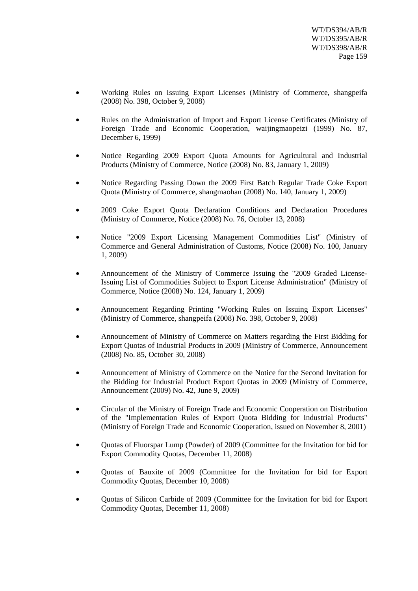- Working Rules on Issuing Export Licenses (Ministry of Commerce, shangpeifa (2008) No. 398, October 9, 2008)
- Rules on the Administration of Import and Export License Certificates (Ministry of Foreign Trade and Economic Cooperation, waijingmaopeizi (1999) No. 87, December 6, 1999)
- Notice Regarding 2009 Export Quota Amounts for Agricultural and Industrial Products (Ministry of Commerce, Notice (2008) No. 83, January 1, 2009)
- Notice Regarding Passing Down the 2009 First Batch Regular Trade Coke Export Quota (Ministry of Commerce, shangmaohan (2008) No. 140, January 1, 2009)
- 2009 Coke Export Quota Declaration Conditions and Declaration Procedures (Ministry of Commerce, Notice (2008) No. 76, October 13, 2008)
- Notice "2009 Export Licensing Management Commodities List" (Ministry of Commerce and General Administration of Customs, Notice (2008) No. 100, January 1, 2009)
- Announcement of the Ministry of Commerce Issuing the "2009 Graded License-Issuing List of Commodities Subject to Export License Administration" (Ministry of Commerce, Notice (2008) No. 124, January 1, 2009)
- Announcement Regarding Printing "Working Rules on Issuing Export Licenses" (Ministry of Commerce, shangpeifa (2008) No. 398, October 9, 2008)
- Announcement of Ministry of Commerce on Matters regarding the First Bidding for Export Quotas of Industrial Products in 2009 (Ministry of Commerce, Announcement (2008) No. 85, October 30, 2008)
- Announcement of Ministry of Commerce on the Notice for the Second Invitation for the Bidding for Industrial Product Export Quotas in 2009 (Ministry of Commerce, Announcement (2009) No. 42, June 9, 2009)
- Circular of the Ministry of Foreign Trade and Economic Cooperation on Distribution of the "Implementation Rules of Export Quota Bidding for Industrial Products" (Ministry of Foreign Trade and Economic Cooperation, issued on November 8, 2001)
- Quotas of Fluorspar Lump (Powder) of 2009 (Committee for the Invitation for bid for Export Commodity Quotas, December 11, 2008)
- Quotas of Bauxite of 2009 (Committee for the Invitation for bid for Export Commodity Quotas, December 10, 2008)
- Quotas of Silicon Carbide of 2009 (Committee for the Invitation for bid for Export Commodity Quotas, December 11, 2008)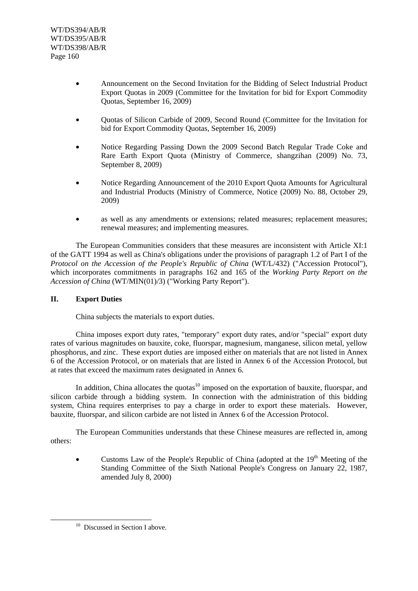- Announcement on the Second Invitation for the Bidding of Select Industrial Product Export Quotas in 2009 (Committee for the Invitation for bid for Export Commodity Quotas, September 16, 2009)
- Quotas of Silicon Carbide of 2009, Second Round (Committee for the Invitation for bid for Export Commodity Quotas, September 16, 2009)
- Notice Regarding Passing Down the 2009 Second Batch Regular Trade Coke and Rare Earth Export Quota (Ministry of Commerce, shangzihan (2009) No. 73, September 8, 2009)
- Notice Regarding Announcement of the 2010 Export Quota Amounts for Agricultural and Industrial Products (Ministry of Commerce, Notice (2009) No. 88, October 29, 2009)
- as well as any amendments or extensions; related measures; replacement measures; renewal measures; and implementing measures.

 The European Communities considers that these measures are inconsistent with Article XI:1 of the GATT 1994 as well as China's obligations under the provisions of paragraph 1.2 of Part I of the *Protocol on the Accession of the People's Republic of China (WT/L/432) ("Accession Protocol"),* which incorporates commitments in paragraphs 162 and 165 of the *Working Party Report on the Accession of China* (WT/MIN(01)/3) ("Working Party Report").

## **II. Export Duties**

China subjects the materials to export duties.

 China imposes export duty rates, "temporary" export duty rates, and/or "special" export duty rates of various magnitudes on bauxite, coke, fluorspar, magnesium, manganese, silicon metal, yellow phosphorus, and zinc. These export duties are imposed either on materials that are not listed in Annex 6 of the Accession Protocol, or on materials that are listed in Annex 6 of the Accession Protocol, but at rates that exceed the maximum rates designated in Annex 6.

In addition, China allocates the quotas $10$  imposed on the exportation of bauxite, fluorspar, and silicon carbide through a bidding system. In connection with the administration of this bidding system, China requires enterprises to pay a charge in order to export these materials. However, bauxite, fluorspar, and silicon carbide are not listed in Annex 6 of the Accession Protocol.

 The European Communities understands that these Chinese measures are reflected in, among others:

• Customs Law of the People's Republic of China (adopted at the  $19<sup>th</sup>$  Meeting of the Standing Committee of the Sixth National People's Congress on January 22, 1987, amended July 8, 2000)

<sup>&</sup>lt;sup>10</sup> Discussed in Section I above.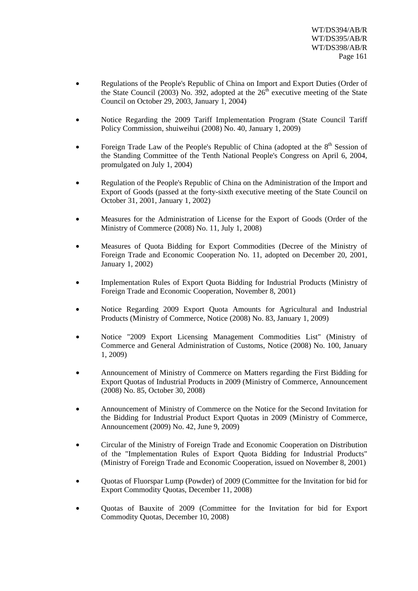- Regulations of the People's Republic of China on Import and Export Duties (Order of the State Council (2003) No. 392, adopted at the  $26<sup>th</sup>$  executive meeting of the State Council on October 29, 2003, January 1, 2004)
- Notice Regarding the 2009 Tariff Implementation Program (State Council Tariff Policy Commission, shuiweihui (2008) No. 40, January 1, 2009)
- Foreign Trade Law of the People's Republic of China (adopted at the 8<sup>th</sup> Session of the Standing Committee of the Tenth National People's Congress on April 6, 2004, promulgated on July 1, 2004)
- Regulation of the People's Republic of China on the Administration of the Import and Export of Goods (passed at the forty-sixth executive meeting of the State Council on October 31, 2001, January 1, 2002)
- Measures for the Administration of License for the Export of Goods (Order of the Ministry of Commerce (2008) No. 11, July 1, 2008)
- Measures of Quota Bidding for Export Commodities (Decree of the Ministry of Foreign Trade and Economic Cooperation No. 11, adopted on December 20, 2001, January 1, 2002)
- Implementation Rules of Export Quota Bidding for Industrial Products (Ministry of Foreign Trade and Economic Cooperation, November 8, 2001)
- Notice Regarding 2009 Export Quota Amounts for Agricultural and Industrial Products (Ministry of Commerce, Notice (2008) No. 83, January 1, 2009)
- Notice "2009 Export Licensing Management Commodities List" (Ministry of Commerce and General Administration of Customs, Notice (2008) No. 100, January 1, 2009)
- Announcement of Ministry of Commerce on Matters regarding the First Bidding for Export Quotas of Industrial Products in 2009 (Ministry of Commerce, Announcement (2008) No. 85, October 30, 2008)
- Announcement of Ministry of Commerce on the Notice for the Second Invitation for the Bidding for Industrial Product Export Quotas in 2009 (Ministry of Commerce, Announcement (2009) No. 42, June 9, 2009)
- Circular of the Ministry of Foreign Trade and Economic Cooperation on Distribution of the "Implementation Rules of Export Quota Bidding for Industrial Products" (Ministry of Foreign Trade and Economic Cooperation, issued on November 8, 2001)
- Quotas of Fluorspar Lump (Powder) of 2009 (Committee for the Invitation for bid for Export Commodity Quotas, December 11, 2008)
- Quotas of Bauxite of 2009 (Committee for the Invitation for bid for Export Commodity Quotas, December 10, 2008)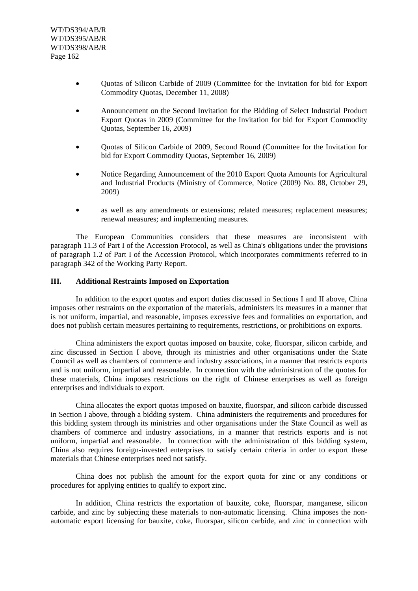- Quotas of Silicon Carbide of 2009 (Committee for the Invitation for bid for Export Commodity Quotas, December 11, 2008)
- Announcement on the Second Invitation for the Bidding of Select Industrial Product Export Quotas in 2009 (Committee for the Invitation for bid for Export Commodity Quotas, September 16, 2009)
- Quotas of Silicon Carbide of 2009, Second Round (Committee for the Invitation for bid for Export Commodity Quotas, September 16, 2009)
- Notice Regarding Announcement of the 2010 Export Quota Amounts for Agricultural and Industrial Products (Ministry of Commerce, Notice (2009) No. 88, October 29, 2009)
- as well as any amendments or extensions; related measures; replacement measures; renewal measures; and implementing measures.

 The European Communities considers that these measures are inconsistent with paragraph 11.3 of Part I of the Accession Protocol, as well as China's obligations under the provisions of paragraph 1.2 of Part I of the Accession Protocol, which incorporates commitments referred to in paragraph 342 of the Working Party Report.

#### **III. Additional Restraints Imposed on Exportation**

 In addition to the export quotas and export duties discussed in Sections I and II above, China imposes other restraints on the exportation of the materials, administers its measures in a manner that is not uniform, impartial, and reasonable, imposes excessive fees and formalities on exportation, and does not publish certain measures pertaining to requirements, restrictions, or prohibitions on exports.

 China administers the export quotas imposed on bauxite, coke, fluorspar, silicon carbide, and zinc discussed in Section I above, through its ministries and other organisations under the State Council as well as chambers of commerce and industry associations, in a manner that restricts exports and is not uniform, impartial and reasonable. In connection with the administration of the quotas for these materials, China imposes restrictions on the right of Chinese enterprises as well as foreign enterprises and individuals to export.

 China allocates the export quotas imposed on bauxite, fluorspar, and silicon carbide discussed in Section I above, through a bidding system. China administers the requirements and procedures for this bidding system through its ministries and other organisations under the State Council as well as chambers of commerce and industry associations, in a manner that restricts exports and is not uniform, impartial and reasonable. In connection with the administration of this bidding system, China also requires foreign-invested enterprises to satisfy certain criteria in order to export these materials that Chinese enterprises need not satisfy.

 China does not publish the amount for the export quota for zinc or any conditions or procedures for applying entities to qualify to export zinc.

 In addition, China restricts the exportation of bauxite, coke, fluorspar, manganese, silicon carbide, and zinc by subjecting these materials to non-automatic licensing. China imposes the nonautomatic export licensing for bauxite, coke, fluorspar, silicon carbide, and zinc in connection with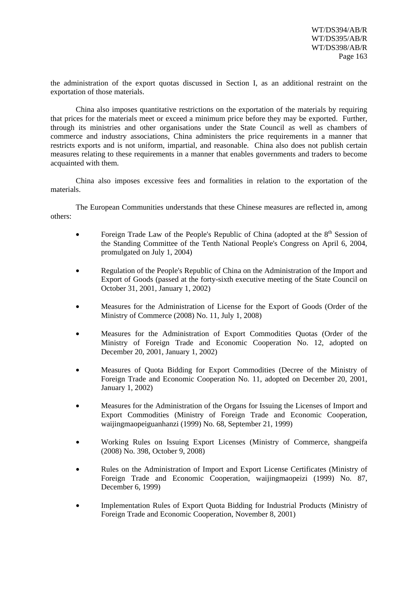the administration of the export quotas discussed in Section I, as an additional restraint on the exportation of those materials.

 China also imposes quantitative restrictions on the exportation of the materials by requiring that prices for the materials meet or exceed a minimum price before they may be exported. Further, through its ministries and other organisations under the State Council as well as chambers of commerce and industry associations, China administers the price requirements in a manner that restricts exports and is not uniform, impartial, and reasonable. China also does not publish certain measures relating to these requirements in a manner that enables governments and traders to become acquainted with them.

 China also imposes excessive fees and formalities in relation to the exportation of the materials.

 The European Communities understands that these Chinese measures are reflected in, among others:

- Foreign Trade Law of the People's Republic of China (adopted at the  $8<sup>th</sup>$  Session of the Standing Committee of the Tenth National People's Congress on April 6, 2004, promulgated on July 1, 2004)
- Regulation of the People's Republic of China on the Administration of the Import and Export of Goods (passed at the forty-sixth executive meeting of the State Council on October 31, 2001, January 1, 2002)
- Measures for the Administration of License for the Export of Goods (Order of the Ministry of Commerce (2008) No. 11, July 1, 2008)
- Measures for the Administration of Export Commodities Quotas (Order of the Ministry of Foreign Trade and Economic Cooperation No. 12, adopted on December 20, 2001, January 1, 2002)
- Measures of Quota Bidding for Export Commodities (Decree of the Ministry of Foreign Trade and Economic Cooperation No. 11, adopted on December 20, 2001, January 1, 2002)
- Measures for the Administration of the Organs for Issuing the Licenses of Import and Export Commodities (Ministry of Foreign Trade and Economic Cooperation, waijingmaopeiguanhanzi (1999) No. 68, September 21, 1999)
- Working Rules on Issuing Export Licenses (Ministry of Commerce, shangpeifa (2008) No. 398, October 9, 2008)
- Rules on the Administration of Import and Export License Certificates (Ministry of Foreign Trade and Economic Cooperation, waijingmaopeizi (1999) No. 87, December 6, 1999)
- Implementation Rules of Export Quota Bidding for Industrial Products (Ministry of Foreign Trade and Economic Cooperation, November 8, 2001)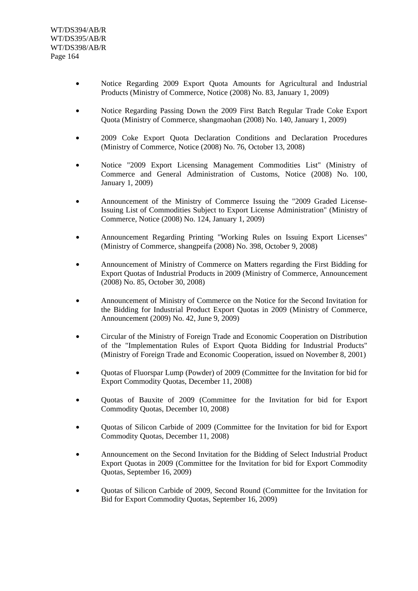- Notice Regarding 2009 Export Quota Amounts for Agricultural and Industrial Products (Ministry of Commerce, Notice (2008) No. 83, January 1, 2009)
- Notice Regarding Passing Down the 2009 First Batch Regular Trade Coke Export Quota (Ministry of Commerce, shangmaohan (2008) No. 140, January 1, 2009)
- 2009 Coke Export Quota Declaration Conditions and Declaration Procedures (Ministry of Commerce, Notice (2008) No. 76, October 13, 2008)
- Notice "2009 Export Licensing Management Commodities List" (Ministry of Commerce and General Administration of Customs, Notice (2008) No. 100, January 1, 2009)
- Announcement of the Ministry of Commerce Issuing the "2009 Graded License-Issuing List of Commodities Subject to Export License Administration" (Ministry of Commerce, Notice (2008) No. 124, January 1, 2009)
- Announcement Regarding Printing "Working Rules on Issuing Export Licenses" (Ministry of Commerce, shangpeifa (2008) No. 398, October 9, 2008)
- Announcement of Ministry of Commerce on Matters regarding the First Bidding for Export Quotas of Industrial Products in 2009 (Ministry of Commerce, Announcement (2008) No. 85, October 30, 2008)
- Announcement of Ministry of Commerce on the Notice for the Second Invitation for the Bidding for Industrial Product Export Quotas in 2009 (Ministry of Commerce, Announcement (2009) No. 42, June 9, 2009)
- Circular of the Ministry of Foreign Trade and Economic Cooperation on Distribution of the "Implementation Rules of Export Quota Bidding for Industrial Products" (Ministry of Foreign Trade and Economic Cooperation, issued on November 8, 2001)
- Quotas of Fluorspar Lump (Powder) of 2009 (Committee for the Invitation for bid for Export Commodity Quotas, December 11, 2008)
- Quotas of Bauxite of 2009 (Committee for the Invitation for bid for Export Commodity Quotas, December 10, 2008)
- Quotas of Silicon Carbide of 2009 (Committee for the Invitation for bid for Export Commodity Quotas, December 11, 2008)
- Announcement on the Second Invitation for the Bidding of Select Industrial Product Export Quotas in 2009 (Committee for the Invitation for bid for Export Commodity Quotas, September 16, 2009)
- Quotas of Silicon Carbide of 2009, Second Round (Committee for the Invitation for Bid for Export Commodity Quotas, September 16, 2009)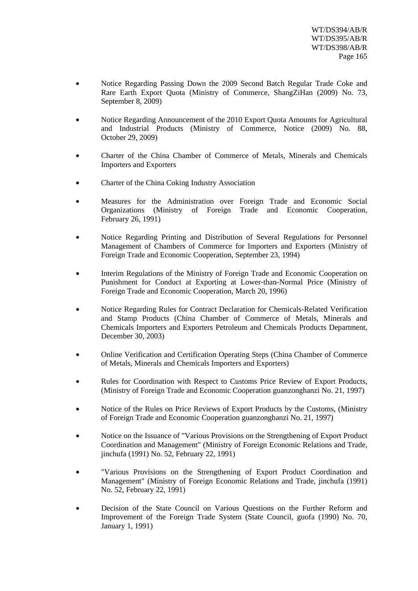- Notice Regarding Passing Down the 2009 Second Batch Regular Trade Coke and Rare Earth Export Quota (Ministry of Commerce, ShangZiHan (2009) No. 73, September 8, 2009)
- Notice Regarding Announcement of the 2010 Export Quota Amounts for Agricultural and Industrial Products (Ministry of Commerce, Notice (2009) No. 88, October 29, 2009)
- Charter of the China Chamber of Commerce of Metals, Minerals and Chemicals Importers and Exporters
- Charter of the China Coking Industry Association
- Measures for the Administration over Foreign Trade and Economic Social Organizations (Ministry of Foreign Trade and Economic Cooperation, February 26, 1991)
- Notice Regarding Printing and Distribution of Several Regulations for Personnel Management of Chambers of Commerce for Importers and Exporters (Ministry of Foreign Trade and Economic Cooperation, September 23, 1994)
- Interim Regulations of the Ministry of Foreign Trade and Economic Cooperation on Punishment for Conduct at Exporting at Lower-than-Normal Price (Ministry of Foreign Trade and Economic Cooperation, March 20, 1996)
- Notice Regarding Rules for Contract Declaration for Chemicals-Related Verification and Stamp Products (China Chamber of Commerce of Metals, Minerals and Chemicals Importers and Exporters Petroleum and Chemicals Products Department, December 30, 2003)
- Online Verification and Certification Operating Steps (China Chamber of Commerce of Metals, Minerals and Chemicals Importers and Exporters)
- Rules for Coordination with Respect to Customs Price Review of Export Products, (Ministry of Foreign Trade and Economic Cooperation guanzonghanzi No. 21, 1997)
- Notice of the Rules on Price Reviews of Export Products by the Customs, (Ministry of Foreign Trade and Economic Cooperation guanzonghanzi No. 21, 1997)
- Notice on the Issuance of "Various Provisions on the Strengthening of Export Product Coordination and Management" (Ministry of Foreign Economic Relations and Trade, jinchufa (1991) No. 52, February 22, 1991)
- "Various Provisions on the Strengthening of Export Product Coordination and Management" (Ministry of Foreign Economic Relations and Trade, jinchufa (1991) No. 52, February 22, 1991)
- Decision of the State Council on Various Questions on the Further Reform and Improvement of the Foreign Trade System (State Council, guofa (1990) No. 70, January 1, 1991)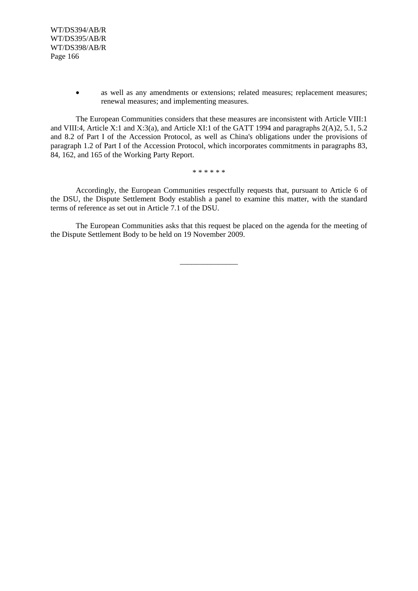• as well as any amendments or extensions; related measures; replacement measures; renewal measures; and implementing measures.

 The European Communities considers that these measures are inconsistent with Article VIII:1 and VIII:4, Article X:1 and X:3(a), and Article XI:1 of the GATT 1994 and paragraphs 2(A)2, 5.1, 5.2 and 8.2 of Part I of the Accession Protocol, as well as China's obligations under the provisions of paragraph 1.2 of Part I of the Accession Protocol, which incorporates commitments in paragraphs 83, 84, 162, and 165 of the Working Party Report.

\* \* \* \* \* \*

 Accordingly, the European Communities respectfully requests that, pursuant to Article 6 of the DSU, the Dispute Settlement Body establish a panel to examine this matter, with the standard terms of reference as set out in Article 7.1 of the DSU.

 The European Communities asks that this request be placed on the agenda for the meeting of the Dispute Settlement Body to be held on 19 November 2009.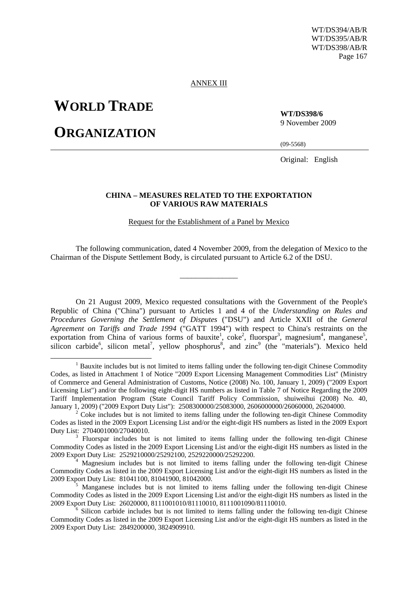ANNEX III

## **WORLD TRADE**

### **ORGANIZATION**

**WT/DS398/6**  9 November 2009

(09-5568)

Original: English

#### **CHINA – MEASURES RELATED TO THE EXPORTATION OF VARIOUS RAW MATERIALS**

Request for the Establishment of a Panel by Mexico

 The following communication, dated 4 November 2009, from the delegation of Mexico to the Chairman of the Dispute Settlement Body, is circulated pursuant to Article 6.2 of the DSU.

\_\_\_\_\_\_\_\_\_\_\_\_\_\_\_

 On 21 August 2009, Mexico requested consultations with the Government of the People's Republic of China ("China") pursuant to Articles 1 and 4 of the *Understanding on Rules and Procedures Governing the Settlement of Disputes* ("DSU") and Article XXII of the *General Agreement on Tariffs and Trade 1994* ("GATT 1994") with respect to China's restraints on the exportation from China of various forms of bauxite<sup>1</sup>,  $\csc^2$ , fluorspar<sup>3</sup>, magnesium<sup>4</sup>, manganese<sup>5</sup>, silicon carbide<sup>6</sup>, silicon metal<sup>7</sup>, yellow phosphorus<sup>8</sup>, and zinc<sup>9</sup> (the "materials"). Mexico held

<sup>&</sup>lt;u>1</u>  $<sup>1</sup>$  Bauxite includes but is not limited to items falling under the following ten-digit Chinese Commodity</sup> Codes, as listed in Attachment 1 of Notice "2009 Export Licensing Management Commodities List" (Ministry of Commerce and General Administration of Customs, Notice (2008) No. 100, January 1, 2009) ("2009 Export Licensing List") and/or the following eight-digit HS numbers as listed in Table 7 of Notice Regarding the 2009 Tariff Implementation Program (State Council Tariff Policy Commission, shuiweihui (2008) No. 40, January 1, 2009) ("2009 Export Duty List"): 2508300000/25083000, 2606000000/26060000, 26204000. 2

Coke includes but is not limited to items falling under the following ten-digit Chinese Commodity Codes as listed in the 2009 Export Licensing List and/or the eight-digit HS numbers as listed in the 2009 Export Duty List: 2704001000/27040010. 3

Fluorspar includes but is not limited to items falling under the following ten-digit Chinese Commodity Codes as listed in the 2009 Export Licensing List and/or the eight-digit HS numbers as listed in the 2009 Export Duty List: 2529210000/25292100, 2529220000/25292200. 4

Magnesium includes but is not limited to items falling under the following ten-digit Chinese Commodity Codes as listed in the 2009 Export Licensing List and/or the eight-digit HS numbers as listed in the 2009 Export Duty List: 81041100, 81041900, 81042000. 5

Manganese includes but is not limited to items falling under the following ten-digit Chinese Commodity Codes as listed in the 2009 Export Licensing List and/or the eight-digit HS numbers as listed in the 2009 Export Duty List: 26020000, 8111001010/81110010, 8111001090/81110010. 6

 $\delta$  Silicon carbide includes but is not limited to items falling under the following ten-digit Chinese Commodity Codes as listed in the 2009 Export Licensing List and/or the eight-digit HS numbers as listed in the 2009 Export Duty List: 2849200000, 3824909910.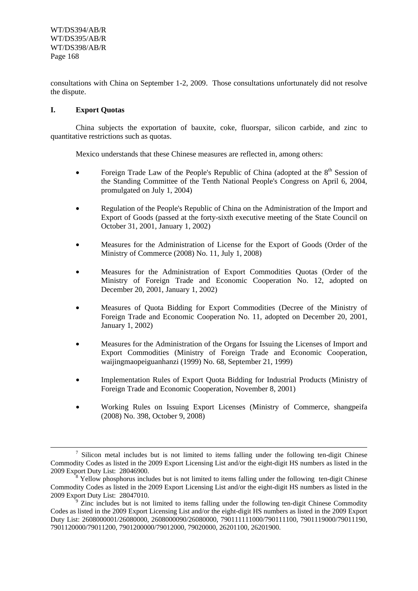consultations with China on September 1-2, 2009. Those consultations unfortunately did not resolve the dispute.

#### **I. Export Quotas**

 China subjects the exportation of bauxite, coke, fluorspar, silicon carbide, and zinc to quantitative restrictions such as quotas.

Mexico understands that these Chinese measures are reflected in, among others:

- Foreign Trade Law of the People's Republic of China (adopted at the  $8<sup>th</sup>$  Session of the Standing Committee of the Tenth National People's Congress on April 6, 2004, promulgated on July 1, 2004)
- Regulation of the People's Republic of China on the Administration of the Import and Export of Goods (passed at the forty-sixth executive meeting of the State Council on October 31, 2001, January 1, 2002)
- Measures for the Administration of License for the Export of Goods (Order of the Ministry of Commerce (2008) No. 11, July 1, 2008)
- Measures for the Administration of Export Commodities Quotas (Order of the Ministry of Foreign Trade and Economic Cooperation No. 12, adopted on December 20, 2001, January 1, 2002)
- Measures of Quota Bidding for Export Commodities (Decree of the Ministry of Foreign Trade and Economic Cooperation No. 11, adopted on December 20, 2001, January 1, 2002)
- Measures for the Administration of the Organs for Issuing the Licenses of Import and Export Commodities (Ministry of Foreign Trade and Economic Cooperation, waijingmaopeiguanhanzi (1999) No. 68, September 21, 1999)
- Implementation Rules of Export Quota Bidding for Industrial Products (Ministry of Foreign Trade and Economic Cooperation, November 8, 2001)
- Working Rules on Issuing Export Licenses (Ministry of Commerce, shangpeifa (2008) No. 398, October 9, 2008)

 <sup>7</sup>  $\frac{7}{1}$  Silicon metal includes but is not limited to items falling under the following ten-digit Chinese Commodity Codes as listed in the 2009 Export Licensing List and/or the eight-digit HS numbers as listed in the 2009 Export Duty List: 28046900. 8

 $\delta$  Yellow phosphorus includes but is not limited to items falling under the following ten-digit Chinese Commodity Codes as listed in the 2009 Export Licensing List and/or the eight-digit HS numbers as listed in the 2009 Export Duty List: 28047010.

Zinc includes but is not limited to items falling under the following ten-digit Chinese Commodity Codes as listed in the 2009 Export Licensing List and/or the eight-digit HS numbers as listed in the 2009 Export Duty List: 2608000001/26080000, 2608000090/26080000, 790111111000/790111100, 7901119000/79011190, 7901120000/79011200, 7901200000/79012000, 79020000, 26201100, 26201900.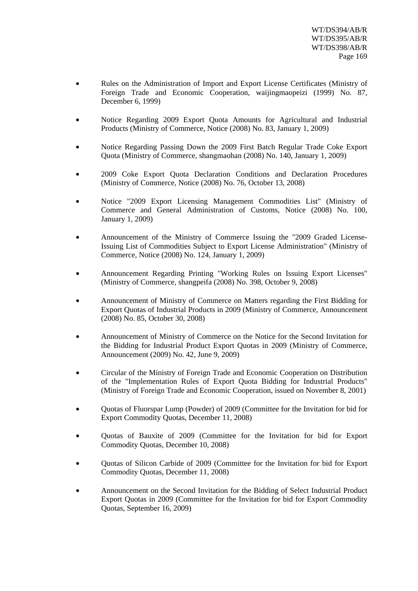- Rules on the Administration of Import and Export License Certificates (Ministry of Foreign Trade and Economic Cooperation, waijingmaopeizi (1999) No. 87, December 6, 1999)
- Notice Regarding 2009 Export Quota Amounts for Agricultural and Industrial Products (Ministry of Commerce, Notice (2008) No. 83, January 1, 2009)
- Notice Regarding Passing Down the 2009 First Batch Regular Trade Coke Export Quota (Ministry of Commerce, shangmaohan (2008) No. 140, January 1, 2009)
- 2009 Coke Export Quota Declaration Conditions and Declaration Procedures (Ministry of Commerce, Notice (2008) No. 76, October 13, 2008)
- Notice "2009 Export Licensing Management Commodities List" (Ministry of Commerce and General Administration of Customs, Notice (2008) No. 100, January 1, 2009)
- Announcement of the Ministry of Commerce Issuing the "2009 Graded License-Issuing List of Commodities Subject to Export License Administration" (Ministry of Commerce, Notice (2008) No. 124, January 1, 2009)
- Announcement Regarding Printing "Working Rules on Issuing Export Licenses" (Ministry of Commerce, shangpeifa (2008) No. 398, October 9, 2008)
- Announcement of Ministry of Commerce on Matters regarding the First Bidding for Export Quotas of Industrial Products in 2009 (Ministry of Commerce, Announcement (2008) No. 85, October 30, 2008)
- Announcement of Ministry of Commerce on the Notice for the Second Invitation for the Bidding for Industrial Product Export Quotas in 2009 (Ministry of Commerce, Announcement (2009) No. 42, June 9, 2009)
- Circular of the Ministry of Foreign Trade and Economic Cooperation on Distribution of the "Implementation Rules of Export Quota Bidding for Industrial Products" (Ministry of Foreign Trade and Economic Cooperation, issued on November 8, 2001)
- Quotas of Fluorspar Lump (Powder) of 2009 (Committee for the Invitation for bid for Export Commodity Quotas, December 11, 2008)
- Quotas of Bauxite of 2009 (Committee for the Invitation for bid for Export Commodity Quotas, December 10, 2008)
- Quotas of Silicon Carbide of 2009 (Committee for the Invitation for bid for Export Commodity Quotas, December 11, 2008)
- Announcement on the Second Invitation for the Bidding of Select Industrial Product Export Quotas in 2009 (Committee for the Invitation for bid for Export Commodity Quotas, September 16, 2009)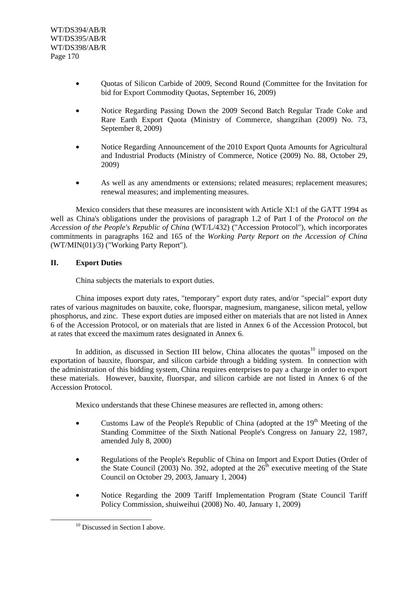- Quotas of Silicon Carbide of 2009, Second Round (Committee for the Invitation for bid for Export Commodity Quotas, September 16, 2009)
- Notice Regarding Passing Down the 2009 Second Batch Regular Trade Coke and Rare Earth Export Quota (Ministry of Commerce, shangzihan (2009) No. 73, September 8, 2009)
- Notice Regarding Announcement of the 2010 Export Quota Amounts for Agricultural and Industrial Products (Ministry of Commerce, Notice (2009) No. 88, October 29, 2009)
- As well as any amendments or extensions; related measures; replacement measures; renewal measures; and implementing measures.

 Mexico considers that these measures are inconsistent with Article XI:1 of the GATT 1994 as well as China's obligations under the provisions of paragraph 1.2 of Part I of the *Protocol on the Accession of the People's Republic of China* (WT/L/432) ("Accession Protocol"), which incorporates commitments in paragraphs 162 and 165 of the *Working Party Report on the Accession of China* (WT/MIN(01)/3) ("Working Party Report").

### **II. Export Duties**

China subjects the materials to export duties.

 China imposes export duty rates, "temporary" export duty rates, and/or "special" export duty rates of various magnitudes on bauxite, coke, fluorspar, magnesium, manganese, silicon metal, yellow phosphorus, and zinc. These export duties are imposed either on materials that are not listed in Annex 6 of the Accession Protocol, or on materials that are listed in Annex 6 of the Accession Protocol, but at rates that exceed the maximum rates designated in Annex 6.

In addition, as discussed in Section III below, China allocates the quotas<sup>10</sup> imposed on the exportation of bauxite, fluorspar, and silicon carbide through a bidding system. In connection with the administration of this bidding system, China requires enterprises to pay a charge in order to export these materials. However, bauxite, fluorspar, and silicon carbide are not listed in Annex 6 of the Accession Protocol.

Mexico understands that these Chinese measures are reflected in, among others:

- Customs Law of the People's Republic of China (adopted at the  $19<sup>th</sup>$  Meeting of the Standing Committee of the Sixth National People's Congress on January 22, 1987, amended July 8, 2000)
- Regulations of the People's Republic of China on Import and Export Duties (Order of the State Council (2003) No. 392, adopted at the  $26<sup>th</sup>$  executive meeting of the State Council on October 29, 2003, January 1, 2004)
- Notice Regarding the 2009 Tariff Implementation Program (State Council Tariff Policy Commission, shuiweihui (2008) No. 40, January 1, 2009)

<sup>&</sup>lt;sup>10</sup> Discussed in Section I above.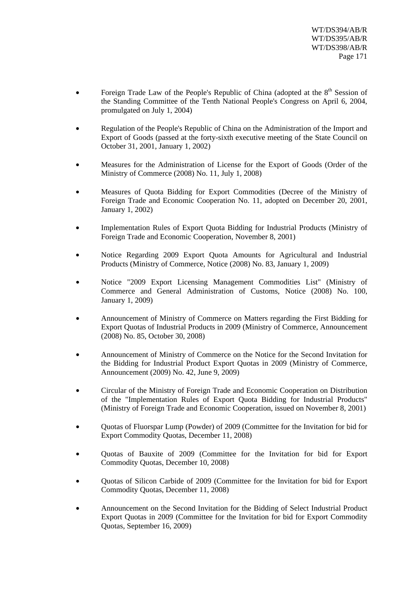- Foreign Trade Law of the People's Republic of China (adopted at the  $8<sup>th</sup>$  Session of the Standing Committee of the Tenth National People's Congress on April 6, 2004, promulgated on July 1, 2004)
- Regulation of the People's Republic of China on the Administration of the Import and Export of Goods (passed at the forty-sixth executive meeting of the State Council on October 31, 2001, January 1, 2002)
- Measures for the Administration of License for the Export of Goods (Order of the Ministry of Commerce (2008) No. 11, July 1, 2008)
- Measures of Quota Bidding for Export Commodities (Decree of the Ministry of Foreign Trade and Economic Cooperation No. 11, adopted on December 20, 2001, January 1, 2002)
- Implementation Rules of Export Quota Bidding for Industrial Products (Ministry of Foreign Trade and Economic Cooperation, November 8, 2001)
- Notice Regarding 2009 Export Quota Amounts for Agricultural and Industrial Products (Ministry of Commerce, Notice (2008) No. 83, January 1, 2009)
- Notice "2009 Export Licensing Management Commodities List" (Ministry of Commerce and General Administration of Customs, Notice (2008) No. 100, January 1, 2009)
- Announcement of Ministry of Commerce on Matters regarding the First Bidding for Export Quotas of Industrial Products in 2009 (Ministry of Commerce, Announcement (2008) No. 85, October 30, 2008)
- Announcement of Ministry of Commerce on the Notice for the Second Invitation for the Bidding for Industrial Product Export Quotas in 2009 (Ministry of Commerce, Announcement (2009) No. 42, June 9, 2009)
- Circular of the Ministry of Foreign Trade and Economic Cooperation on Distribution of the "Implementation Rules of Export Quota Bidding for Industrial Products" (Ministry of Foreign Trade and Economic Cooperation, issued on November 8, 2001)
- Quotas of Fluorspar Lump (Powder) of 2009 (Committee for the Invitation for bid for Export Commodity Quotas, December 11, 2008)
- Quotas of Bauxite of 2009 (Committee for the Invitation for bid for Export Commodity Quotas, December 10, 2008)
- Quotas of Silicon Carbide of 2009 (Committee for the Invitation for bid for Export Commodity Quotas, December 11, 2008)
- Announcement on the Second Invitation for the Bidding of Select Industrial Product Export Quotas in 2009 (Committee for the Invitation for bid for Export Commodity Quotas, September 16, 2009)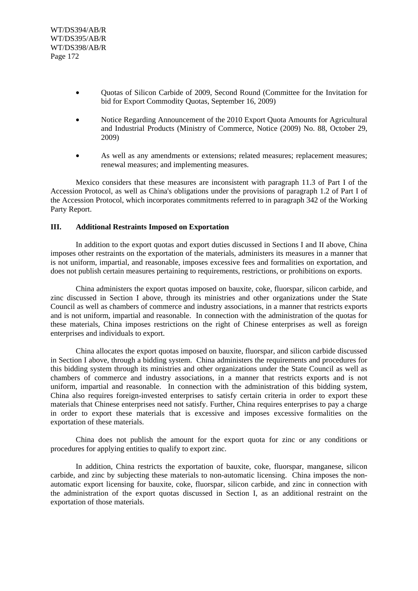- Quotas of Silicon Carbide of 2009, Second Round (Committee for the Invitation for bid for Export Commodity Quotas, September 16, 2009)
- Notice Regarding Announcement of the 2010 Export Quota Amounts for Agricultural and Industrial Products (Ministry of Commerce, Notice (2009) No. 88, October 29, 2009)
- As well as any amendments or extensions; related measures; replacement measures; renewal measures; and implementing measures.

 Mexico considers that these measures are inconsistent with paragraph 11.3 of Part I of the Accession Protocol, as well as China's obligations under the provisions of paragraph 1.2 of Part I of the Accession Protocol, which incorporates commitments referred to in paragraph 342 of the Working Party Report.

#### **III. Additional Restraints Imposed on Exportation**

 In addition to the export quotas and export duties discussed in Sections I and II above, China imposes other restraints on the exportation of the materials, administers its measures in a manner that is not uniform, impartial, and reasonable, imposes excessive fees and formalities on exportation, and does not publish certain measures pertaining to requirements, restrictions, or prohibitions on exports.

 China administers the export quotas imposed on bauxite, coke, fluorspar, silicon carbide, and zinc discussed in Section I above, through its ministries and other organizations under the State Council as well as chambers of commerce and industry associations, in a manner that restricts exports and is not uniform, impartial and reasonable. In connection with the administration of the quotas for these materials, China imposes restrictions on the right of Chinese enterprises as well as foreign enterprises and individuals to export.

 China allocates the export quotas imposed on bauxite, fluorspar, and silicon carbide discussed in Section I above, through a bidding system. China administers the requirements and procedures for this bidding system through its ministries and other organizations under the State Council as well as chambers of commerce and industry associations, in a manner that restricts exports and is not uniform, impartial and reasonable. In connection with the administration of this bidding system, China also requires foreign-invested enterprises to satisfy certain criteria in order to export these materials that Chinese enterprises need not satisfy. Further, China requires enterprises to pay a charge in order to export these materials that is excessive and imposes excessive formalities on the exportation of these materials.

 China does not publish the amount for the export quota for zinc or any conditions or procedures for applying entities to qualify to export zinc.

 In addition, China restricts the exportation of bauxite, coke, fluorspar, manganese, silicon carbide, and zinc by subjecting these materials to non-automatic licensing. China imposes the nonautomatic export licensing for bauxite, coke, fluorspar, silicon carbide, and zinc in connection with the administration of the export quotas discussed in Section I, as an additional restraint on the exportation of those materials.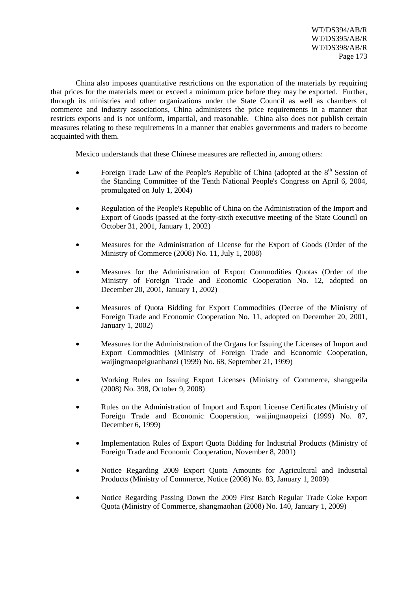China also imposes quantitative restrictions on the exportation of the materials by requiring that prices for the materials meet or exceed a minimum price before they may be exported. Further, through its ministries and other organizations under the State Council as well as chambers of commerce and industry associations, China administers the price requirements in a manner that restricts exports and is not uniform, impartial, and reasonable. China also does not publish certain measures relating to these requirements in a manner that enables governments and traders to become acquainted with them.

Mexico understands that these Chinese measures are reflected in, among others:

- Foreign Trade Law of the People's Republic of China (adopted at the  $8<sup>th</sup>$  Session of the Standing Committee of the Tenth National People's Congress on April 6, 2004, promulgated on July 1, 2004)
- Regulation of the People's Republic of China on the Administration of the Import and Export of Goods (passed at the forty-sixth executive meeting of the State Council on October 31, 2001, January 1, 2002)
- Measures for the Administration of License for the Export of Goods (Order of the Ministry of Commerce (2008) No. 11, July 1, 2008)
- Measures for the Administration of Export Commodities Quotas (Order of the Ministry of Foreign Trade and Economic Cooperation No. 12, adopted on December 20, 2001, January 1, 2002)
- Measures of Quota Bidding for Export Commodities (Decree of the Ministry of Foreign Trade and Economic Cooperation No. 11, adopted on December 20, 2001, January 1, 2002)
- Measures for the Administration of the Organs for Issuing the Licenses of Import and Export Commodities (Ministry of Foreign Trade and Economic Cooperation, waijingmaopeiguanhanzi (1999) No. 68, September 21, 1999)
- Working Rules on Issuing Export Licenses (Ministry of Commerce, shangpeifa (2008) No. 398, October 9, 2008)
- Rules on the Administration of Import and Export License Certificates (Ministry of Foreign Trade and Economic Cooperation, waijingmaopeizi (1999) No. 87, December 6, 1999)
- Implementation Rules of Export Quota Bidding for Industrial Products (Ministry of Foreign Trade and Economic Cooperation, November 8, 2001)
- Notice Regarding 2009 Export Quota Amounts for Agricultural and Industrial Products (Ministry of Commerce, Notice (2008) No. 83, January 1, 2009)
- Notice Regarding Passing Down the 2009 First Batch Regular Trade Coke Export Quota (Ministry of Commerce, shangmaohan (2008) No. 140, January 1, 2009)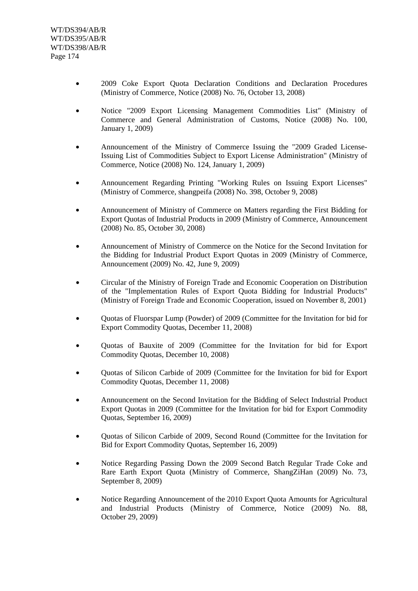- 2009 Coke Export Quota Declaration Conditions and Declaration Procedures (Ministry of Commerce, Notice (2008) No. 76, October 13, 2008)
- Notice "2009 Export Licensing Management Commodities List" (Ministry of Commerce and General Administration of Customs, Notice (2008) No. 100, January 1, 2009)
- Announcement of the Ministry of Commerce Issuing the "2009 Graded License-Issuing List of Commodities Subject to Export License Administration" (Ministry of Commerce, Notice (2008) No. 124, January 1, 2009)
- Announcement Regarding Printing "Working Rules on Issuing Export Licenses" (Ministry of Commerce, shangpeifa (2008) No. 398, October 9, 2008)
- Announcement of Ministry of Commerce on Matters regarding the First Bidding for Export Quotas of Industrial Products in 2009 (Ministry of Commerce, Announcement (2008) No. 85, October 30, 2008)
- Announcement of Ministry of Commerce on the Notice for the Second Invitation for the Bidding for Industrial Product Export Quotas in 2009 (Ministry of Commerce, Announcement (2009) No. 42, June 9, 2009)
- Circular of the Ministry of Foreign Trade and Economic Cooperation on Distribution of the "Implementation Rules of Export Quota Bidding for Industrial Products" (Ministry of Foreign Trade and Economic Cooperation, issued on November 8, 2001)
- Quotas of Fluorspar Lump (Powder) of 2009 (Committee for the Invitation for bid for Export Commodity Quotas, December 11, 2008)
- Quotas of Bauxite of 2009 (Committee for the Invitation for bid for Export Commodity Quotas, December 10, 2008)
- Quotas of Silicon Carbide of 2009 (Committee for the Invitation for bid for Export Commodity Quotas, December 11, 2008)
- Announcement on the Second Invitation for the Bidding of Select Industrial Product Export Quotas in 2009 (Committee for the Invitation for bid for Export Commodity Quotas, September 16, 2009)
- Quotas of Silicon Carbide of 2009, Second Round (Committee for the Invitation for Bid for Export Commodity Quotas, September 16, 2009)
- Notice Regarding Passing Down the 2009 Second Batch Regular Trade Coke and Rare Earth Export Quota (Ministry of Commerce, ShangZiHan (2009) No. 73, September 8, 2009)
- Notice Regarding Announcement of the 2010 Export Quota Amounts for Agricultural and Industrial Products (Ministry of Commerce, Notice (2009) No. 88, October 29, 2009)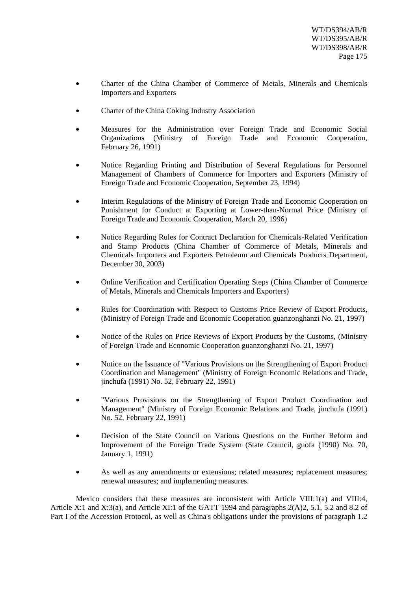- Charter of the China Chamber of Commerce of Metals, Minerals and Chemicals Importers and Exporters
- Charter of the China Coking Industry Association
- Measures for the Administration over Foreign Trade and Economic Social Organizations (Ministry of Foreign Trade and Economic Cooperation, February 26, 1991)
- Notice Regarding Printing and Distribution of Several Regulations for Personnel Management of Chambers of Commerce for Importers and Exporters (Ministry of Foreign Trade and Economic Cooperation, September 23, 1994)
- Interim Regulations of the Ministry of Foreign Trade and Economic Cooperation on Punishment for Conduct at Exporting at Lower-than-Normal Price (Ministry of Foreign Trade and Economic Cooperation, March 20, 1996)
- Notice Regarding Rules for Contract Declaration for Chemicals-Related Verification and Stamp Products (China Chamber of Commerce of Metals, Minerals and Chemicals Importers and Exporters Petroleum and Chemicals Products Department, December 30, 2003)
- Online Verification and Certification Operating Steps (China Chamber of Commerce of Metals, Minerals and Chemicals Importers and Exporters)
- Rules for Coordination with Respect to Customs Price Review of Export Products, (Ministry of Foreign Trade and Economic Cooperation guanzonghanzi No. 21, 1997)
- Notice of the Rules on Price Reviews of Export Products by the Customs, (Ministry of Foreign Trade and Economic Cooperation guanzonghanzi No. 21, 1997)
- Notice on the Issuance of "Various Provisions on the Strengthening of Export Product Coordination and Management" (Ministry of Foreign Economic Relations and Trade, jinchufa (1991) No. 52, February 22, 1991)
- "Various Provisions on the Strengthening of Export Product Coordination and Management" (Ministry of Foreign Economic Relations and Trade, jinchufa (1991) No. 52, February 22, 1991)
- Decision of the State Council on Various Questions on the Further Reform and Improvement of the Foreign Trade System (State Council, guofa (1990) No. 70, January 1, 1991)
- As well as any amendments or extensions; related measures; replacement measures; renewal measures; and implementing measures.

Mexico considers that these measures are inconsistent with Article VIII:1(a) and VIII:4, Article X:1 and X:3(a), and Article XI:1 of the GATT 1994 and paragraphs 2(A)2, 5.1, 5.2 and 8.2 of Part I of the Accession Protocol, as well as China's obligations under the provisions of paragraph 1.2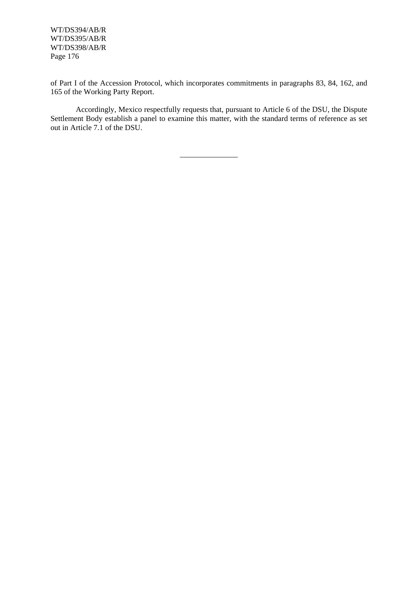of Part I of the Accession Protocol, which incorporates commitments in paragraphs 83, 84, 162, and 165 of the Working Party Report.

 Accordingly, Mexico respectfully requests that, pursuant to Article 6 of the DSU, the Dispute Settlement Body establish a panel to examine this matter, with the standard terms of reference as set out in Article 7.1 of the DSU.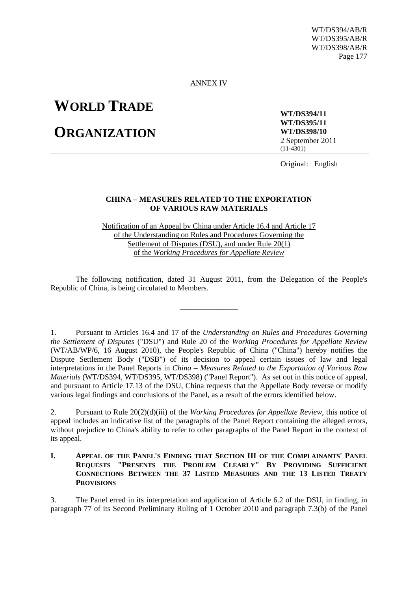ANNEX IV

## **WORLD TRADE**

### **ORGANIZATION**

**WT/DS394/11 WT/DS395/11 WT/DS398/10**  2 September 2011  $(11-4301)$ 

Original: English

#### **CHINA – MEASURES RELATED TO THE EXPORTATION OF VARIOUS RAW MATERIALS**

Notification of an Appeal by China under Article 16.4 and Article 17 of the Understanding on Rules and Procedures Governing the Settlement of Disputes (DSU), and under Rule 20(1) of the *Working Procedures for Appellate Review* 

 The following notification, dated 31 August 2011, from the Delegation of the People's Republic of China, is being circulated to Members.

\_\_\_\_\_\_\_\_\_\_\_\_\_\_\_

1. Pursuant to Articles 16.4 and 17 of the *Understanding on Rules and Procedures Governing the Settlement of Disputes* ("DSU") and Rule 20 of the *Working Procedures for Appellate Review*  (WT/AB/WP/6, 16 August 2010), the People's Republic of China ("China") hereby notifies the Dispute Settlement Body ("DSB") of its decision to appeal certain issues of law and legal interpretations in the Panel Reports in *China – Measures Related to the Exportation of Various Raw Materials* (WT/DS394, WT/DS395, WT/DS398) ("Panel Report"). As set out in this notice of appeal, and pursuant to Article 17.13 of the DSU, China requests that the Appellate Body reverse or modify various legal findings and conclusions of the Panel, as a result of the errors identified below.

2. Pursuant to Rule 20(2)(d)(iii) of the *Working Procedures for Appellate Review*, this notice of appeal includes an indicative list of the paragraphs of the Panel Report containing the alleged errors, without prejudice to China's ability to refer to other paragraphs of the Panel Report in the context of its appeal.

#### **I. APPEAL OF THE PANEL'S FINDING THAT SECTION III OF THE COMPLAINANTS' PANEL REQUESTS "PRESENTS THE PROBLEM CLEARLY" BY PROVIDING SUFFICIENT CONNECTIONS BETWEEN THE 37 LISTED MEASURES AND THE 13 LISTED TREATY PROVISIONS**

3. The Panel erred in its interpretation and application of Article 6.2 of the DSU, in finding, in paragraph 77 of its Second Preliminary Ruling of 1 October 2010 and paragraph 7.3(b) of the Panel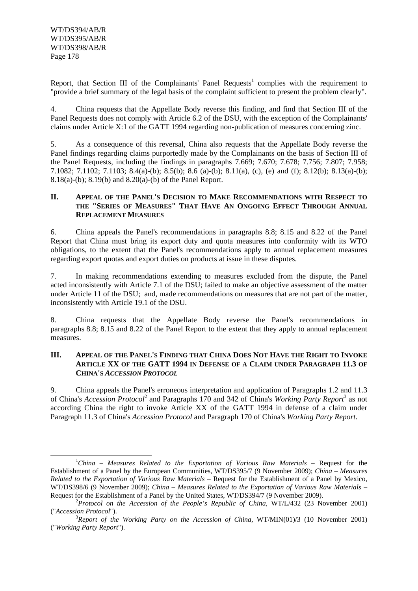Report, that Section III of the Complainants' Panel Requests<sup>1</sup> complies with the requirement to "provide a brief summary of the legal basis of the complaint sufficient to present the problem clearly".

4. China requests that the Appellate Body reverse this finding, and find that Section III of the Panel Requests does not comply with Article 6.2 of the DSU, with the exception of the Complainants' claims under Article X:1 of the GATT 1994 regarding non-publication of measures concerning zinc.

5. As a consequence of this reversal, China also requests that the Appellate Body reverse the Panel findings regarding claims purportedly made by the Complainants on the basis of Section III of the Panel Requests, including the findings in paragraphs 7.669; 7.670; 7.678; 7.756; 7.807; 7.958; 7.1082; 7.1102; 7.1103; 8.4(a)-(b); 8.5(b); 8.6 (a)-(b); 8.11(a), (c), (e) and (f); 8.12(b); 8.13(a)-(b); 8.18(a)-(b); 8.19(b) and 8.20(a)-(b) of the Panel Report.

#### **II. APPEAL OF THE PANEL'S DECISION TO MAKE RECOMMENDATIONS WITH RESPECT TO THE "SERIES OF MEASURES" THAT HAVE AN ONGOING EFFECT THROUGH ANNUAL REPLACEMENT MEASURES**

6. China appeals the Panel's recommendations in paragraphs 8.8; 8.15 and 8.22 of the Panel Report that China must bring its export duty and quota measures into conformity with its WTO obligations, to the extent that the Panel's recommendations apply to annual replacement measures regarding export quotas and export duties on products at issue in these disputes.

7. In making recommendations extending to measures excluded from the dispute, the Panel acted inconsistently with Article 7.1 of the DSU; failed to make an objective assessment of the matter under Article 11 of the DSU; and, made recommendations on measures that are not part of the matter, inconsistently with Article 19.1 of the DSU.

8. China requests that the Appellate Body reverse the Panel's recommendations in paragraphs 8.8; 8.15 and 8.22 of the Panel Report to the extent that they apply to annual replacement measures.

#### **III. APPEAL OF THE PANEL'S FINDING THAT CHINA DOES NOT HAVE THE RIGHT TO INVOKE ARTICLE XX OF THE GATT 1994 IN DEFENSE OF A CLAIM UNDER PARAGRAPH 11.3 OF CHINA'S** *ACCESSION PROTOCOL*

9. China appeals the Panel's erroneous interpretation and application of Paragraphs 1.2 and 11.3 of China's *Accession Protocol*<sup>2</sup> and Paragraphs 170 and 342 of China's *Working Party Report*<sup>3</sup> as not according China the right to invoke Article XX of the GATT 1994 in defense of a claim under Paragraph 11.3 of China's *Accession Protocol* and Paragraph 170 of China's *Working Party Report*.

<sup>&</sup>lt;u>1</u> *China – Measures Related to the Exportation of Various Raw Materials* – Request for the Establishment of a Panel by the European Communities, WT/DS395/7 (9 November 2009); *China – Measures Related to the Exportation of Various Raw Materials* – Request for the Establishment of a Panel by Mexico, WT/DS398/6 (9 November 2009); *China – Measures Related to the Exportation of Various Raw Materials* – Request for the Establishment of a Panel by the United States, WT/DS394/7 (9 November 2009). 2

*Protocol on the Accession of the People's Republic of China*, WT/L/432 (23 November 2001) ("*Accession Protocol*"). 3

*Report of the Working Party on the Accession of China*, WT/MIN(01)/3 (10 November 2001) ("*Working Party Report*").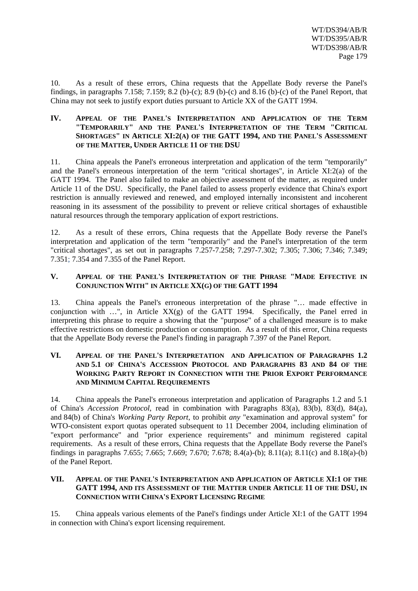10. As a result of these errors, China requests that the Appellate Body reverse the Panel's findings, in paragraphs 7.158; 7.159; 8.2 (b)-(c); 8.9 (b)-(c) and 8.16 (b)-(c) of the Panel Report, that China may not seek to justify export duties pursuant to Article XX of the GATT 1994.

#### **IV. APPEAL OF THE PANEL'S INTERPRETATION AND APPLICATION OF THE TERM "TEMPORARILY" AND THE PANEL'S INTERPRETATION OF THE TERM "CRITICAL SHORTAGES" IN ARTICLE XI:2(A) OF THE GATT 1994, AND THE PANEL'S ASSESSMENT OF THE MATTER, UNDER ARTICLE 11 OF THE DSU**

11. China appeals the Panel's erroneous interpretation and application of the term "temporarily" and the Panel's erroneous interpretation of the term "critical shortages", in Article XI:2(a) of the GATT 1994. The Panel also failed to make an objective assessment of the matter, as required under Article 11 of the DSU. Specifically, the Panel failed to assess properly evidence that China's export restriction is annually reviewed and renewed, and employed internally inconsistent and incoherent reasoning in its assessment of the possibility to prevent or relieve critical shortages of exhaustible natural resources through the temporary application of export restrictions.

12. As a result of these errors, China requests that the Appellate Body reverse the Panel's interpretation and application of the term "temporarily" and the Panel's interpretation of the term "critical shortages", as set out in paragraphs 7.257-7.258; 7.297-7.302; 7.305; 7.306; 7.346; 7.349; 7.351; 7.354 and 7.355 of the Panel Report.

#### **V. APPEAL OF THE PANEL'S INTERPRETATION OF THE PHRASE "MADE EFFECTIVE IN CONJUNCTION WITH" IN ARTICLE XX(G) OF THE GATT 1994**

13. China appeals the Panel's erroneous interpretation of the phrase "… made effective in conjunction with …", in Article XX(g) of the GATT 1994. Specifically, the Panel erred in interpreting this phrase to require a showing that the "purpose" of a challenged measure is to make effective restrictions on domestic production or consumption. As a result of this error, China requests that the Appellate Body reverse the Panel's finding in paragraph 7.397 of the Panel Report.

#### **VI. APPEAL OF THE PANEL'S INTERPRETATION AND APPLICATION OF PARAGRAPHS 1.2 AND 5.1 OF CHINA'S ACCESSION PROTOCOL AND PARAGRAPHS 83 AND 84 OF THE WORKING PARTY REPORT IN CONNECTION WITH THE PRIOR EXPORT PERFORMANCE AND MINIMUM CAPITAL REQUIREMENTS**

14. China appeals the Panel's erroneous interpretation and application of Paragraphs 1.2 and 5.1 of China's *Accession Protocol*, read in combination with Paragraphs 83(a), 83(b), 83(d), 84(a), and 84(b) of China's *Working Party Report*, to prohibit *any* "examination and approval system" for WTO-consistent export quotas operated subsequent to 11 December 2004, including elimination of "export performance" and "prior experience requirements" and minimum registered capital requirements. As a result of these errors, China requests that the Appellate Body reverse the Panel's findings in paragraphs 7.655; 7.665; 7.669; 7.670; 7.678; 8.4(a)-(b); 8.11(a); 8.11(c) and 8.18(a)-(b) of the Panel Report.

#### **VII. APPEAL OF THE PANEL'S INTERPRETATION AND APPLICATION OF ARTICLE XI:1 OF THE GATT 1994, AND ITS ASSESSMENT OF THE MATTER UNDER ARTICLE 11 OF THE DSU, IN CONNECTION WITH CHINA'S EXPORT LICENSING REGIME**

15. China appeals various elements of the Panel's findings under Article XI:1 of the GATT 1994 in connection with China's export licensing requirement.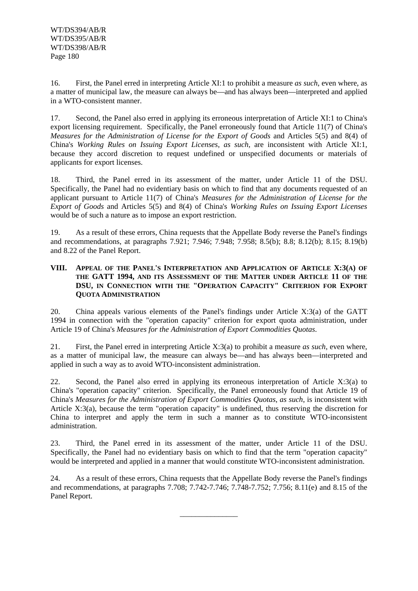16. First, the Panel erred in interpreting Article XI:1 to prohibit a measure *as such*, even where, as a matter of municipal law, the measure can always be—and has always been—interpreted and applied in a WTO-consistent manner.

17. Second, the Panel also erred in applying its erroneous interpretation of Article XI:1 to China's export licensing requirement. Specifically, the Panel erroneously found that Article 11(7) of China's *Measures for the Administration of License for the Export of Goods* and Articles 5(5) and 8(4) of China's *Working Rules on Issuing Export Licenses*, *as such*, are inconsistent with Article XI:1, because they accord discretion to request undefined or unspecified documents or materials of applicants for export licenses.

18. Third, the Panel erred in its assessment of the matter, under Article 11 of the DSU. Specifically, the Panel had no evidentiary basis on which to find that any documents requested of an applicant pursuant to Article 11(7) of China's *Measures for the Administration of License for the Export of Goods* and Articles 5(5) and 8(4) of China's *Working Rules on Issuing Export Licenses* would be of such a nature as to impose an export restriction.

19. As a result of these errors, China requests that the Appellate Body reverse the Panel's findings and recommendations, at paragraphs 7.921; 7.946; 7.948; 7.958; 8.5(b); 8.8; 8.12(b); 8.15; 8.19(b) and 8.22 of the Panel Report.

#### **VIII. APPEAL OF THE PANEL'S INTERPRETATION AND APPLICATION OF ARTICLE X:3(A) OF THE GATT 1994, AND ITS ASSESSMENT OF THE MATTER UNDER ARTICLE 11 OF THE DSU, IN CONNECTION WITH THE "OPERATION CAPACITY" CRITERION FOR EXPORT QUOTA ADMINISTRATION**

20. China appeals various elements of the Panel's findings under Article X:3(a) of the GATT 1994 in connection with the "operation capacity" criterion for export quota administration, under Article 19 of China's *Measures for the Administration of Export Commodities Quotas*.

21. First, the Panel erred in interpreting Article X:3(a) to prohibit a measure *as such*, even where, as a matter of municipal law, the measure can always be—and has always been—interpreted and applied in such a way as to avoid WTO-inconsistent administration.

22. Second, the Panel also erred in applying its erroneous interpretation of Article X:3(a) to China's "operation capacity" criterion. Specifically, the Panel erroneously found that Article 19 of China's *Measures for the Administration of Export Commodities Quotas*, *as such*, is inconsistent with Article X:3(a), because the term "operation capacity" is undefined, thus reserving the discretion for China to interpret and apply the term in such a manner as to constitute WTO-inconsistent administration.

23. Third, the Panel erred in its assessment of the matter, under Article 11 of the DSU. Specifically, the Panel had no evidentiary basis on which to find that the term "operation capacity" would be interpreted and applied in a manner that would constitute WTO-inconsistent administration.

24. As a result of these errors, China requests that the Appellate Body reverse the Panel's findings and recommendations, at paragraphs 7.708; 7.742-7.746; 7.748-7.752; 7.756; 8.11(e) and 8.15 of the Panel Report.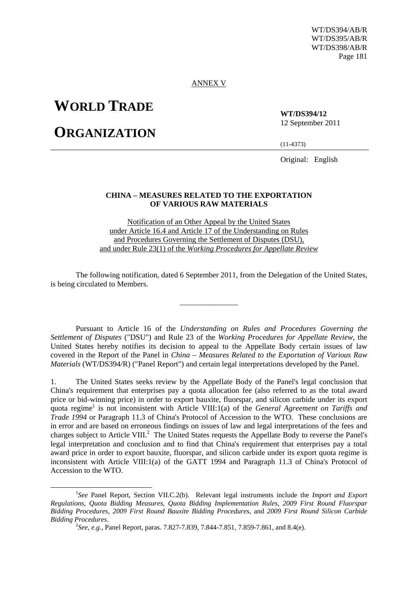#### ANNEX V

### **WORLD TRADE**

# **ORGANIZATION**

**WT/DS394/12**  12 September 2011

(11-4373)

Original: English

#### **CHINA – MEASURES RELATED TO THE EXPORTATION OF VARIOUS RAW MATERIALS**

Notification of an Other Appeal by the United States under Article 16.4 and Article 17 of the Understanding on Rules and Procedures Governing the Settlement of Disputes (DSU), and under Rule 23(1) of the *Working Procedures for Appellate Review*

 The following notification, dated 6 September 2011, from the Delegation of the United States, is being circulated to Members.

\_\_\_\_\_\_\_\_\_\_\_\_\_\_\_

Pursuant to Article 16 of the *Understanding on Rules and Procedures Governing the Settlement of Disputes* ("DSU") and Rule 23 of the *Working Procedures for Appellate Review*, the United States hereby notifies its decision to appeal to the Appellate Body certain issues of law covered in the Report of the Panel in *China – Measures Related to the Exportation of Various Raw Materials* (WT/DS394/R) ("Panel Report") and certain legal interpretations developed by the Panel.

1. The United States seeks review by the Appellate Body of the Panel's legal conclusion that China's requirement that enterprises pay a quota allocation fee (also referred to as the total award price or bid-winning price) in order to export bauxite, fluorspar, and silicon carbide under its export quota regime<sup>1</sup> is not inconsistent with Article VIII:1(a) of the *General Agreement on Tariffs and Trade 1994* or Paragraph 11.3 of China's Protocol of Accession to the WTO. These conclusions are in error and are based on erroneous findings on issues of law and legal interpretations of the fees and charges subject to Article VIII.<sup>2</sup> The United States requests the Appellate Body to reverse the Panel's legal interpretation and conclusion and to find that China's requirement that enterprises pay a total award price in order to export bauxite, fluorspar, and silicon carbide under its export quota regime is inconsistent with Article VIII:1(a) of the GATT 1994 and Paragraph 11.3 of China's Protocol of Accession to the WTO.

<sup>&</sup>lt;u>1</u> <sup>1</sup>See Panel Report, Section VII.C.2(b). Relevant legal instruments include the *Import and Export Regulations*, *Quota Bidding Measures*, *Quota Bidding Implementation Rules*, *2009 First Round Fluorspar Bidding Procedures*, *2009 First Round Bauxite Bidding Procedures*, and *2009 First Round Silicon Carbide Bidding Procedures*. 2

*See, e.g.*, Panel Report, paras. 7.827-7.839, 7.844-7.851, 7.859-7.861, and 8.4(e).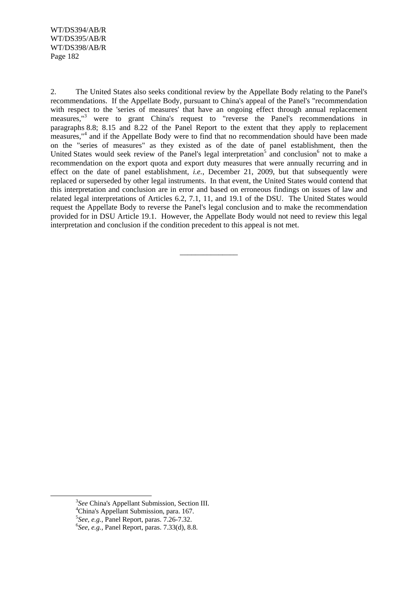2. The United States also seeks conditional review by the Appellate Body relating to the Panel's recommendations. If the Appellate Body, pursuant to China's appeal of the Panel's "recommendation with respect to the 'series of measures' that have an ongoing effect through annual replacement measures,<sup>"3</sup> were to grant China's request to "reverse the Panel's recommendations in paragraphs 8.8; 8.15 and 8.22 of the Panel Report to the extent that they apply to replacement measures,"<sup>4</sup> and if the Appellate Body were to find that no recommendation should have been made on the "series of measures" as they existed as of the date of panel establishment, then the United States would seek review of the Panel's legal interpretation<sup>5</sup> and conclusion<sup>6</sup> not to make a recommendation on the export quota and export duty measures that were annually recurring and in effect on the date of panel establishment, *i.e.*, December 21, 2009, but that subsequently were replaced or superseded by other legal instruments. In that event, the United States would contend that this interpretation and conclusion are in error and based on erroneous findings on issues of law and related legal interpretations of Articles 6.2, 7.1, 11, and 19.1 of the DSU. The United States would request the Appellate Body to reverse the Panel's legal conclusion and to make the recommendation provided for in DSU Article 19.1. However, the Appellate Body would not need to review this legal interpretation and conclusion if the condition precedent to this appeal is not met.

 $\frac{1}{3}$ *See* China's Appellant Submission, Section III. 4

China's Appellant Submission, para. 167.

 ${}^{5}$ See, e.g., Panel Report, paras. 7.26-7.32.

*See, e.g.,* Panel Report, paras. 7.33(d), 8.8.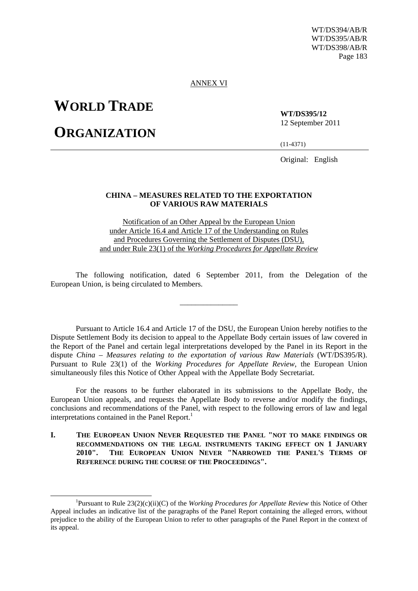ANNEX VI

### **WORLD TRADE**

### **ORGANIZATION**

**WT/DS395/12**  12 September 2011

(11-4371)

Original: English

#### **CHINA – MEASURES RELATED TO THE EXPORTATION OF VARIOUS RAW MATERIALS**

Notification of an Other Appeal by the European Union under Article 16.4 and Article 17 of the Understanding on Rules and Procedures Governing the Settlement of Disputes (DSU), and under Rule 23(1) of the *Working Procedures for Appellate Review*

 The following notification, dated 6 September 2011, from the Delegation of the European Union, is being circulated to Members.

\_\_\_\_\_\_\_\_\_\_\_\_\_\_\_

 Pursuant to Article 16.4 and Article 17 of the DSU, the European Union hereby notifies to the Dispute Settlement Body its decision to appeal to the Appellate Body certain issues of law covered in the Report of the Panel and certain legal interpretations developed by the Panel in its Report in the dispute *China – Measures relating to the exportation of various Raw Materials* (WT/DS395/R). Pursuant to Rule 23(1) of the *Working Procedures for Appellate Review*, the European Union simultaneously files this Notice of Other Appeal with the Appellate Body Secretariat.

 For the reasons to be further elaborated in its submissions to the Appellate Body, the European Union appeals, and requests the Appellate Body to reverse and/or modify the findings, conclusions and recommendations of the Panel, with respect to the following errors of law and legal interpretations contained in the Panel Report.<sup>1</sup>

**I. THE EUROPEAN UNION NEVER REQUESTED THE PANEL "NOT TO MAKE FINDINGS OR RECOMMENDATIONS ON THE LEGAL INSTRUMENTS TAKING EFFECT ON 1 JANUARY 2010". THE EUROPEAN UNION NEVER "NARROWED THE PANEL'S TERMS OF REFERENCE DURING THE COURSE OF THE PROCEEDINGS".** 

 $\begin{array}{c|c}\n\hline\n\end{array}$ Pursuant to Rule 23(2)(c)(ii)(C) of the *Working Procedures for Appellate Review* this Notice of Other Appeal includes an indicative list of the paragraphs of the Panel Report containing the alleged errors, without prejudice to the ability of the European Union to refer to other paragraphs of the Panel Report in the context of its appeal.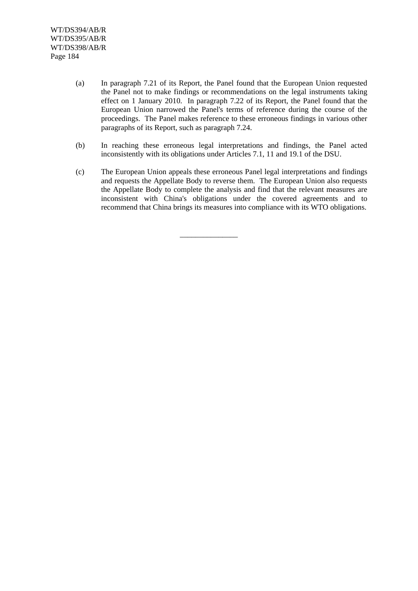- (a) In paragraph 7.21 of its Report, the Panel found that the European Union requested the Panel not to make findings or recommendations on the legal instruments taking effect on 1 January 2010. In paragraph 7.22 of its Report, the Panel found that the European Union narrowed the Panel's terms of reference during the course of the proceedings. The Panel makes reference to these erroneous findings in various other paragraphs of its Report, such as paragraph 7.24.
- (b) In reaching these erroneous legal interpretations and findings, the Panel acted inconsistently with its obligations under Articles 7.1, 11 and 19.1 of the DSU.
- (c) The European Union appeals these erroneous Panel legal interpretations and findings and requests the Appellate Body to reverse them. The European Union also requests the Appellate Body to complete the analysis and find that the relevant measures are inconsistent with China's obligations under the covered agreements and to recommend that China brings its measures into compliance with its WTO obligations.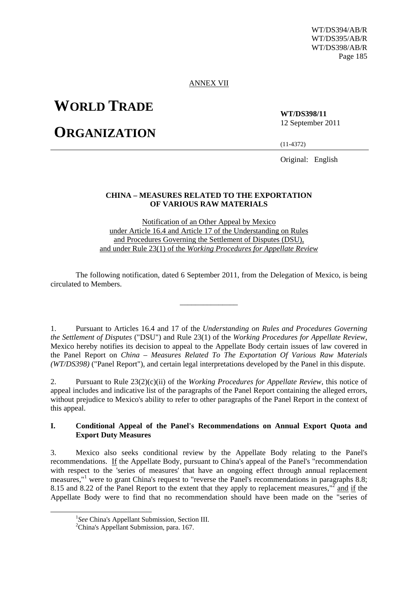#### ANNEX VII

## **WORLD TRADE**

### **ORGANIZATION**

**WT/DS398/11**  12 September 2011

(11-4372)

Original: English

#### **CHINA – MEASURES RELATED TO THE EXPORTATION OF VARIOUS RAW MATERIALS**

Notification of an Other Appeal by Mexico under Article 16.4 and Article 17 of the Understanding on Rules and Procedures Governing the Settlement of Disputes (DSU), and under Rule 23(1) of the *Working Procedures for Appellate Review*

 The following notification, dated 6 September 2011, from the Delegation of Mexico, is being circulated to Members.

\_\_\_\_\_\_\_\_\_\_\_\_\_\_\_

1. Pursuant to Articles 16.4 and 17 of the *Understanding on Rules and Procedures Governing the Settlement of Disputes* ("DSU") and Rule 23(1) of the *Working Procedures for Appellate Review*, Mexico hereby notifies its decision to appeal to the Appellate Body certain issues of law covered in the Panel Report on *China – Measures Related To The Exportation Of Various Raw Materials (WT/DS398)* ("Panel Report"), and certain legal interpretations developed by the Panel in this dispute.

2. Pursuant to Rule 23(2)(c)(ii) of the *Working Procedures for Appellate Review*, this notice of appeal includes and indicative list of the paragraphs of the Panel Report containing the alleged errors, without prejudice to Mexico's ability to refer to other paragraphs of the Panel Report in the context of this appeal.

#### **I. Conditional Appeal of the Panel's Recommendations on Annual Export Quota and Export Duty Measures**

3. Mexico also seeks conditional review by the Appellate Body relating to the Panel's recommendations. If the Appellate Body, pursuant to China's appeal of the Panel's "recommendation with respect to the 'series of measures' that have an ongoing effect through annual replacement measures,"<sup>1</sup> were to grant China's request to "reverse the Panel's recommendations in paragraphs 8.8; 8.15 and 8.22 of the Panel Report to the extent that they apply to replacement measures,"<sup>2</sup> and if the Appellate Body were to find that no recommendation should have been made on the "series of

<sup>&</sup>lt;u>1</u> <sup>1</sup>See China's Appellant Submission, Section III.

<sup>&</sup>lt;sup>2</sup>China's Appellant Submission, para. 167.